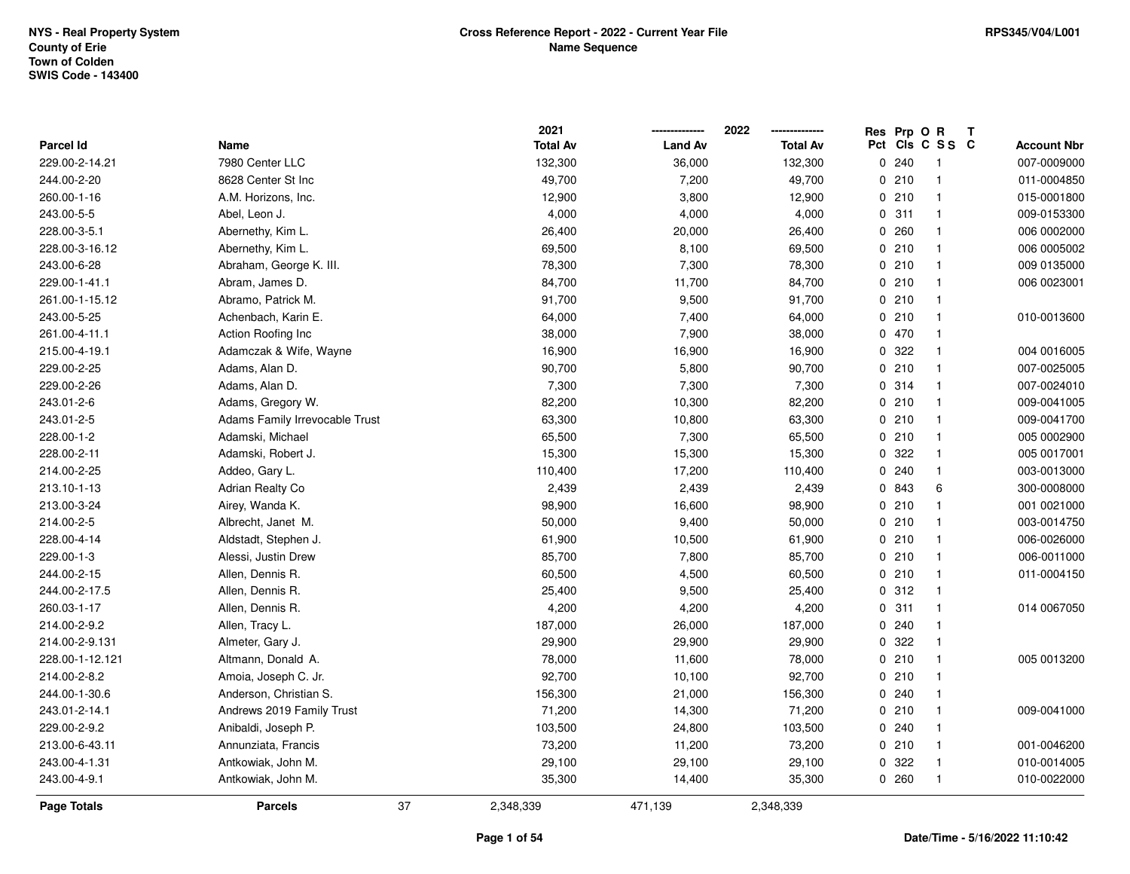|                  |                                | 2021            |                | 2022            | Res Prp O R |                         | Т |                    |
|------------------|--------------------------------|-----------------|----------------|-----------------|-------------|-------------------------|---|--------------------|
| <b>Parcel Id</b> | Name                           | <b>Total Av</b> | <b>Land Av</b> | <b>Total Av</b> |             | Pct Cls C S S C         |   | <b>Account Nbr</b> |
| 229.00-2-14.21   | 7980 Center LLC                | 132,300         | 36,000         | 132,300         | 0.240       | $\overline{\mathbf{1}}$ |   | 007-0009000        |
| 244.00-2-20      | 8628 Center St Inc             | 49,700          | 7,200          | 49,700          | 0210        | $\overline{1}$          |   | 011-0004850        |
| 260.00-1-16      | A.M. Horizons, Inc.            | 12,900          | 3,800          | 12,900          | 0210        | $\overline{1}$          |   | 015-0001800        |
| 243.00-5-5       | Abel, Leon J.                  | 4,000           | 4,000          | 4,000           | 0.311       | -1                      |   | 009-0153300        |
| 228.00-3-5.1     | Abernethy, Kim L.              | 26,400          | 20,000         | 26,400          | 0.260       | $\overline{1}$          |   | 006 0002000        |
| 228.00-3-16.12   | Abernethy, Kim L.              | 69,500          | 8,100          | 69,500          | 0210        | $\overline{\mathbf{1}}$ |   | 006 0005002        |
| 243.00-6-28      | Abraham, George K. III.        | 78,300          | 7,300          | 78,300          | 0210        | $\overline{1}$          |   | 009 0135000        |
| 229.00-1-41.1    | Abram, James D.                | 84,700          | 11,700         | 84,700          | 0210        | $\overline{1}$          |   | 006 0023001        |
| 261.00-1-15.12   | Abramo, Patrick M.             | 91,700          | 9,500          | 91,700          | 0210        | $\overline{1}$          |   |                    |
| 243.00-5-25      | Achenbach, Karin E.            | 64,000          | 7,400          | 64,000          | 0210        | $\overline{1}$          |   | 010-0013600        |
| 261.00-4-11.1    | Action Roofing Inc             | 38,000          | 7,900          | 38,000          | 0 470       | $\overline{1}$          |   |                    |
| 215.00-4-19.1    | Adamczak & Wife, Wayne         | 16,900          | 16,900         | 16,900          | 0 322       | -1                      |   | 004 0016005        |
| 229.00-2-25      | Adams, Alan D.                 | 90,700          | 5,800          | 90,700          | 0210        | $\overline{1}$          |   | 007-0025005        |
| 229.00-2-26      | Adams, Alan D.                 | 7,300           | 7,300          | 7,300           | 0 314       | $\overline{1}$          |   | 007-0024010        |
| 243.01-2-6       | Adams, Gregory W.              | 82,200          | 10,300         | 82,200          | 0210        | $\overline{1}$          |   | 009-0041005        |
| 243.01-2-5       | Adams Family Irrevocable Trust | 63,300          | 10,800         | 63,300          | 0210        | $\overline{1}$          |   | 009-0041700        |
| 228.00-1-2       | Adamski, Michael               | 65,500          | 7,300          | 65,500          | 0210        | $\overline{1}$          |   | 005 0002900        |
| 228.00-2-11      | Adamski, Robert J.             | 15,300          | 15,300         | 15,300          | 0 322       | $\overline{1}$          |   | 005 0017001        |
| 214.00-2-25      | Addeo, Gary L.                 | 110,400         | 17,200         | 110,400         | 0.240       | $\overline{1}$          |   | 003-0013000        |
| 213.10-1-13      | <b>Adrian Realty Co</b>        | 2,439           | 2,439          | 2,439           | 0 843       | 6                       |   | 300-0008000        |
| 213.00-3-24      | Airey, Wanda K.                | 98,900          | 16,600         | 98,900          | 0210        | $\overline{1}$          |   | 001 0021000        |
| 214.00-2-5       | Albrecht, Janet M.             | 50,000          | 9,400          | 50,000          | 0210        | $\overline{1}$          |   | 003-0014750        |
| 228.00-4-14      | Aldstadt, Stephen J.           | 61,900          | 10,500         | 61,900          | 0210        | $\overline{1}$          |   | 006-0026000        |
| 229.00-1-3       | Alessi, Justin Drew            | 85,700          | 7,800          | 85,700          | 0210        | $\overline{1}$          |   | 006-0011000        |
| 244.00-2-15      | Allen, Dennis R.               | 60,500          | 4,500          | 60,500          | 0210        | $\overline{1}$          |   | 011-0004150        |
| 244.00-2-17.5    | Allen, Dennis R.               | 25,400          | 9,500          | 25,400          | 0.312       | $\overline{1}$          |   |                    |
| 260.03-1-17      | Allen, Dennis R.               | 4,200           | 4,200          | 4,200           | 0.311       | $\overline{\mathbf{1}}$ |   | 014 0067050        |
| 214.00-2-9.2     | Allen, Tracy L.                | 187,000         | 26,000         | 187,000         | 0.240       | $\overline{1}$          |   |                    |
| 214.00-2-9.131   | Almeter, Gary J.               | 29,900          | 29,900         | 29,900          | 0.322       | $\overline{1}$          |   |                    |
| 228.00-1-12.121  | Altmann, Donald A.             | 78,000          | 11,600         | 78,000          | 0210        | $\overline{1}$          |   | 005 0013200        |
| 214.00-2-8.2     | Amoia, Joseph C. Jr.           | 92,700          | 10,100         | 92,700          | 0210        | $\overline{1}$          |   |                    |
| 244.00-1-30.6    | Anderson, Christian S.         | 156,300         | 21,000         | 156,300         | 0.240       | $\overline{1}$          |   |                    |
| 243.01-2-14.1    | Andrews 2019 Family Trust      | 71,200          | 14,300         | 71,200          | 0210        | $\overline{1}$          |   | 009-0041000        |
| 229.00-2-9.2     | Anibaldi, Joseph P.            | 103,500         | 24,800         | 103,500         | 0.240       | $\overline{1}$          |   |                    |
| 213.00-6-43.11   | Annunziata, Francis            | 73,200          | 11,200         | 73,200          | 0210        | $\overline{1}$          |   | 001-0046200        |
| 243.00-4-1.31    | Antkowiak, John M.             | 29,100          | 29,100         | 29,100          | 0 322       | -1                      |   | 010-0014005        |
| 243.00-4-9.1     | Antkowiak, John M.             | 35,300          | 14,400         | 35,300          | 0260        | $\overline{1}$          |   | 010-0022000        |
| Page Totals      | <b>Parcels</b>                 | 37<br>2,348,339 | 471,139        | 2,348,339       |             |                         |   |                    |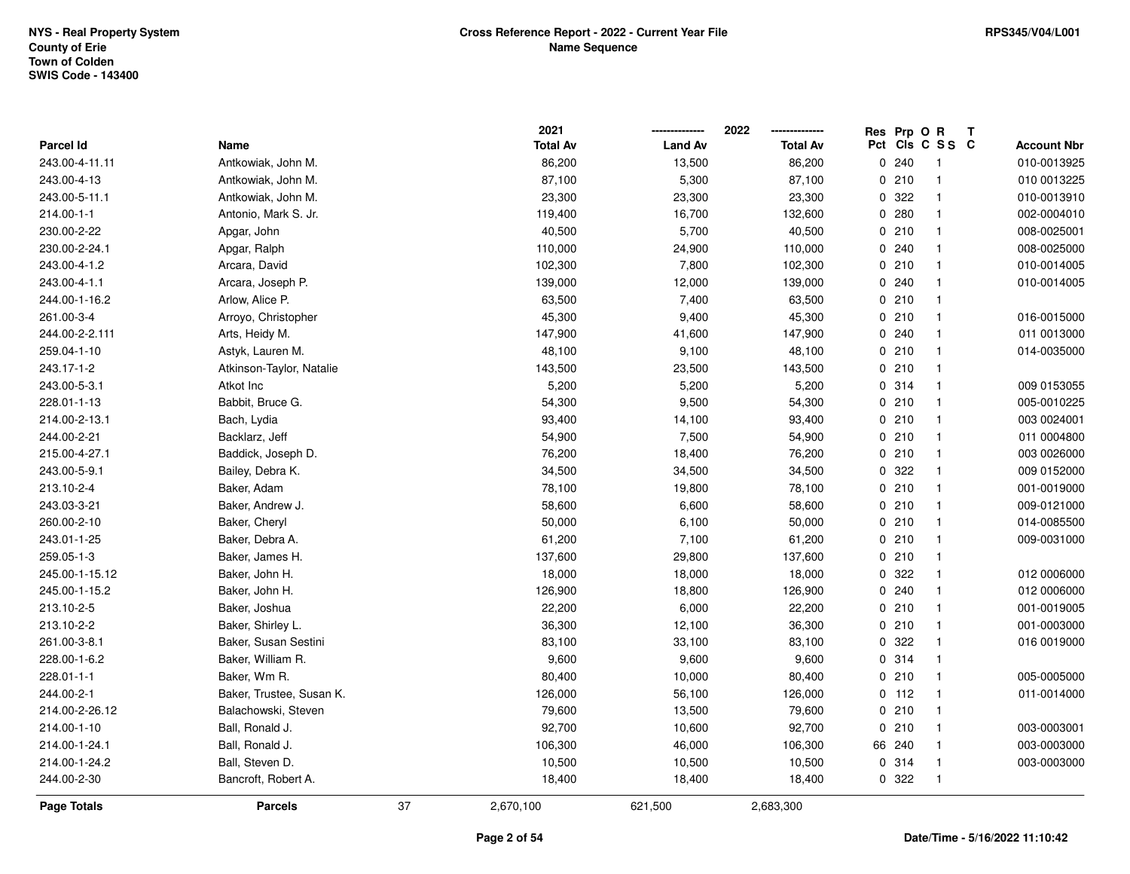|                |                          |    | 2021            |                | 2022            | Res Prp O R |                         | Т |                    |
|----------------|--------------------------|----|-----------------|----------------|-----------------|-------------|-------------------------|---|--------------------|
| Parcel Id      | Name                     |    | <b>Total Av</b> | <b>Land Av</b> | <b>Total Av</b> |             | Pct Cls C S S C         |   | <b>Account Nbr</b> |
| 243.00-4-11.11 | Antkowiak, John M.       |    | 86,200          | 13,500         | 86,200          | 0.240       | $\overline{\mathbf{1}}$ |   | 010-0013925        |
| 243.00-4-13    | Antkowiak, John M.       |    | 87,100          | 5,300          | 87,100          | 0210        | $\overline{1}$          |   | 010 0013225        |
| 243.00-5-11.1  | Antkowiak, John M.       |    | 23,300          | 23,300         | 23,300          | 0 322       | $\overline{\mathbf{1}}$ |   | 010-0013910        |
| 214.00-1-1     | Antonio, Mark S. Jr.     |    | 119,400         | 16,700         | 132,600         | 0.280       | -1                      |   | 002-0004010        |
| 230.00-2-22    | Apgar, John              |    | 40,500          | 5,700          | 40,500          | 0210        | $\overline{\mathbf{1}}$ |   | 008-0025001        |
| 230.00-2-24.1  | Apgar, Ralph             |    | 110,000         | 24,900         | 110,000         | 0.240       | -1                      |   | 008-0025000        |
| 243.00-4-1.2   | Arcara, David            |    | 102,300         | 7,800          | 102,300         | 0210        | $\overline{\mathbf{1}}$ |   | 010-0014005        |
| 243.00-4-1.1   | Arcara, Joseph P.        |    | 139,000         | 12,000         | 139,000         | 0.240       | -1                      |   | 010-0014005        |
| 244.00-1-16.2  | Arlow, Alice P.          |    | 63,500          | 7,400          | 63,500          | 0210        | $\overline{1}$          |   |                    |
| 261.00-3-4     | Arroyo, Christopher      |    | 45,300          | 9,400          | 45,300          | 0210        | $\overline{\mathbf{1}}$ |   | 016-0015000        |
| 244.00-2-2.111 | Arts, Heidy M.           |    | 147,900         | 41,600         | 147,900         | 0.240       | $\overline{\mathbf{1}}$ |   | 011 0013000        |
| 259.04-1-10    | Astyk, Lauren M.         |    | 48,100          | 9,100          | 48,100          | 0210        | -1                      |   | 014-0035000        |
| 243.17-1-2     | Atkinson-Taylor, Natalie |    | 143,500         | 23,500         | 143,500         | 0210        | -1                      |   |                    |
| 243.00-5-3.1   | Atkot Inc                |    | 5,200           | 5,200          | 5,200           | 0 314       | $\overline{\mathbf{1}}$ |   | 009 0153055        |
| 228.01-1-13    | Babbit, Bruce G.         |    | 54,300          | 9,500          | 54,300          | 0210        | $\overline{1}$          |   | 005-0010225        |
| 214.00-2-13.1  | Bach, Lydia              |    | 93,400          | 14,100         | 93,400          | 0210        | $\overline{1}$          |   | 003 0024001        |
| 244.00-2-21    | Backlarz, Jeff           |    | 54,900          | 7,500          | 54,900          | 0210        | $\overline{\mathbf{1}}$ |   | 011 0004800        |
| 215.00-4-27.1  | Baddick, Joseph D.       |    | 76,200          | 18,400         | 76,200          | 0210        | $\overline{\mathbf{1}}$ |   | 003 0026000        |
| 243.00-5-9.1   | Bailey, Debra K.         |    | 34,500          | 34,500         | 34,500          | 0 322       | $\overline{\mathbf{1}}$ |   | 009 0152000        |
| 213.10-2-4     | Baker, Adam              |    | 78,100          | 19,800         | 78,100          | 0210        | -1                      |   | 001-0019000        |
| 243.03-3-21    | Baker, Andrew J.         |    | 58,600          | 6,600          | 58,600          | 0210        | $\overline{1}$          |   | 009-0121000        |
| 260.00-2-10    | Baker, Cheryl            |    | 50,000          | 6,100          | 50,000          | 0210        | $\overline{1}$          |   | 014-0085500        |
| 243.01-1-25    | Baker, Debra A.          |    | 61,200          | 7,100          | 61,200          | 0210        | $\overline{1}$          |   | 009-0031000        |
| 259.05-1-3     | Baker, James H.          |    | 137,600         | 29,800         | 137,600         | 0210        | $\overline{\mathbf{1}}$ |   |                    |
| 245.00-1-15.12 | Baker, John H.           |    | 18,000          | 18,000         | 18,000          | 0 322       | -1                      |   | 012 0006000        |
| 245.00-1-15.2  | Baker, John H.           |    | 126,900         | 18,800         | 126,900         | 0.240       | $\overline{\mathbf{1}}$ |   | 012 0006000        |
| 213.10-2-5     | Baker, Joshua            |    | 22,200          | 6,000          | 22,200          | 0210        | $\overline{\mathbf{1}}$ |   | 001-0019005        |
| 213.10-2-2     | Baker, Shirley L.        |    | 36,300          | 12,100         | 36,300          | 0210        | $\overline{\mathbf{1}}$ |   | 001-0003000        |
| 261.00-3-8.1   | Baker, Susan Sestini     |    | 83,100          | 33,100         | 83,100          | 0.322       | $\overline{\mathbf{1}}$ |   | 016 0019000        |
| 228.00-1-6.2   | Baker, William R.        |    | 9,600           | 9,600          | 9,600           | 0.314       | $\overline{1}$          |   |                    |
| 228.01-1-1     | Baker, Wm R.             |    | 80,400          | 10,000         | 80,400          | 0210        | $\overline{\mathbf{1}}$ |   | 005-0005000        |
| 244.00-2-1     | Baker, Trustee, Susan K. |    | 126,000         | 56,100         | 126,000         | $0$ 112     | $\overline{1}$          |   | 011-0014000        |
| 214.00-2-26.12 | Balachowski, Steven      |    | 79,600          | 13,500         | 79,600          | 0210        | $\overline{1}$          |   |                    |
| 214.00-1-10    | Ball, Ronald J.          |    | 92,700          | 10,600         | 92,700          | 0210        | $\overline{1}$          |   | 003-0003001        |
| 214.00-1-24.1  | Ball, Ronald J.          |    | 106,300         | 46,000         | 106,300         | 66 240      | $\overline{\mathbf{1}}$ |   | 003-0003000        |
| 214.00-1-24.2  | Ball, Steven D.          |    | 10,500          | 10,500         | 10,500          | 0 314       | $\overline{\mathbf{1}}$ |   | 003-0003000        |
| 244.00-2-30    | Bancroft, Robert A.      |    | 18,400          | 18,400         | 18,400          | 0 322       | $\overline{1}$          |   |                    |
| Page Totals    | <b>Parcels</b>           | 37 | 2,670,100       | 621,500        | 2,683,300       |             |                         |   |                    |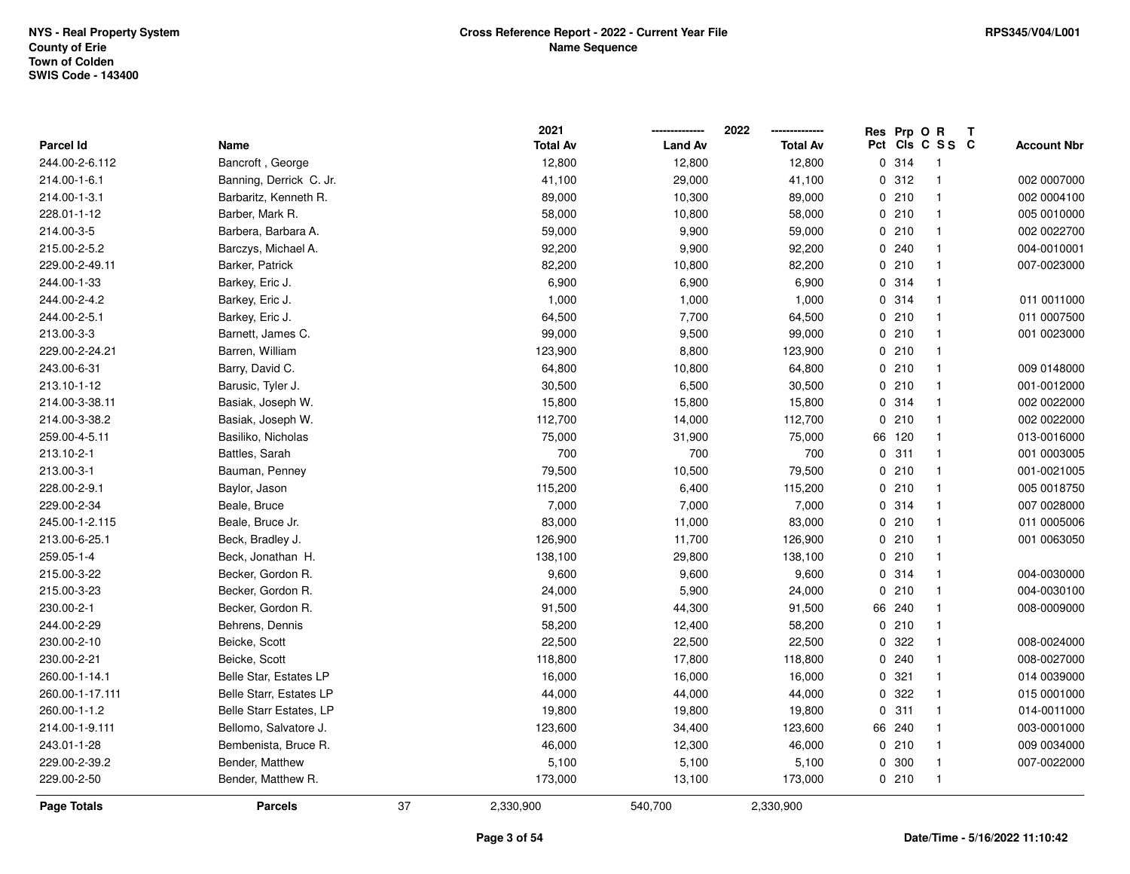|                  |                         |    | 2021            |                | 2022            | Res Prp O R |                         | Т |                    |
|------------------|-------------------------|----|-----------------|----------------|-----------------|-------------|-------------------------|---|--------------------|
| <b>Parcel Id</b> | Name                    |    | <b>Total Av</b> | <b>Land Av</b> | <b>Total Av</b> |             | Pct Cls C S S C         |   | <b>Account Nbr</b> |
| 244.00-2-6.112   | Bancroft, George        |    | 12,800          | 12,800         | 12,800          | 0.314       | $\overline{\mathbf{1}}$ |   |                    |
| 214.00-1-6.1     | Banning, Derrick C. Jr. |    | 41,100          | 29,000         | 41,100          | 0.312       | $\overline{1}$          |   | 002 0007000        |
| 214.00-1-3.1     | Barbaritz, Kenneth R.   |    | 89,000          | 10,300         | 89,000          | 0210        | $\overline{\mathbf{1}}$ |   | 002 0004100        |
| 228.01-1-12      | Barber, Mark R.         |    | 58,000          | 10,800         | 58,000          | 0210        | $\overline{\mathbf{1}}$ |   | 005 0010000        |
| 214.00-3-5       | Barbera, Barbara A.     |    | 59,000          | 9,900          | 59,000          | 0210        | $\overline{\mathbf{1}}$ |   | 002 0022700        |
| 215.00-2-5.2     | Barczys, Michael A.     |    | 92,200          | 9,900          | 92,200          | 0.240       | -1                      |   | 004-0010001        |
| 229.00-2-49.11   | Barker, Patrick         |    | 82,200          | 10,800         | 82,200          | 0210        | $\overline{\mathbf{1}}$ |   | 007-0023000        |
| 244.00-1-33      | Barkey, Eric J.         |    | 6,900           | 6,900          | 6,900           | 0 314       | $\overline{1}$          |   |                    |
| 244.00-2-4.2     | Barkey, Eric J.         |    | 1,000           | 1,000          | 1,000           | 0.314       | $\overline{1}$          |   | 011 0011000        |
| 244.00-2-5.1     | Barkey, Eric J.         |    | 64,500          | 7,700          | 64,500          | 0210        | $\overline{\mathbf{1}}$ |   | 011 0007500        |
| 213.00-3-3       | Barnett, James C.       |    | 99,000          | 9,500          | 99,000          | 0210        | $\overline{\mathbf{1}}$ |   | 001 0023000        |
| 229.00-2-24.21   | Barren, William         |    | 123,900         | 8,800          | 123,900         | 0210        | $\overline{\mathbf{1}}$ |   |                    |
| 243.00-6-31      | Barry, David C.         |    | 64,800          | 10,800         | 64,800          | 0210        | -1                      |   | 009 0148000        |
| 213.10-1-12      | Barusic, Tyler J.       |    | 30,500          | 6,500          | 30,500          | 0210        | $\overline{\mathbf{1}}$ |   | 001-0012000        |
| 214.00-3-38.11   | Basiak, Joseph W.       |    | 15,800          | 15,800         | 15,800          | 0.314       | $\overline{1}$          |   | 002 0022000        |
| 214.00-3-38.2    | Basiak, Joseph W.       |    | 112,700         | 14,000         | 112,700         | 0210        | $\overline{\mathbf{1}}$ |   | 002 0022000        |
| 259.00-4-5.11    | Basiliko, Nicholas      |    | 75,000          | 31,900         | 75,000          | 66 120      | $\overline{\mathbf{1}}$ |   | 013-0016000        |
| 213.10-2-1       | Battles, Sarah          |    | 700             | 700            | 700             | 0.311       | $\overline{1}$          |   | 001 0003005        |
| 213.00-3-1       | Bauman, Penney          |    | 79,500          | 10,500         | 79,500          | 0210        | $\overline{\mathbf{1}}$ |   | 001-0021005        |
| 228.00-2-9.1     | Baylor, Jason           |    | 115,200         | 6,400          | 115,200         | 0210        | $\overline{\mathbf{1}}$ |   | 005 0018750        |
| 229.00-2-34      | Beale, Bruce            |    | 7,000           | 7,000          | 7,000           | 0 314       | $\overline{\mathbf{1}}$ |   | 007 0028000        |
| 245.00-1-2.115   | Beale, Bruce Jr.        |    | 83,000          | 11,000         | 83,000          | 0210        | -1                      |   | 011 0005006        |
| 213.00-6-25.1    | Beck, Bradley J.        |    | 126,900         | 11,700         | 126,900         | 0210        | $\overline{\mathbf{1}}$ |   | 001 0063050        |
| 259.05-1-4       | Beck, Jonathan H.       |    | 138,100         | 29,800         | 138,100         | 0210        | $\overline{\mathbf{1}}$ |   |                    |
| 215.00-3-22      | Becker, Gordon R.       |    | 9,600           | 9,600          | 9,600           | 0 314       | $\overline{\mathbf{1}}$ |   | 004-0030000        |
| 215.00-3-23      | Becker, Gordon R.       |    | 24,000          | 5,900          | 24,000          | 0210        | $\overline{1}$          |   | 004-0030100        |
| 230.00-2-1       | Becker, Gordon R.       |    | 91,500          | 44,300         | 91,500          | 66 240      | -1                      |   | 008-0009000        |
| 244.00-2-29      | Behrens, Dennis         |    | 58,200          | 12,400         | 58,200          | 0210        | $\mathbf{1}$            |   |                    |
| 230.00-2-10      | Beicke, Scott           |    | 22,500          | 22,500         | 22,500          | 0.322       | $\overline{\mathbf{1}}$ |   | 008-0024000        |
| 230.00-2-21      | Beicke, Scott           |    | 118,800         | 17,800         | 118,800         | 0.240       | $\overline{1}$          |   | 008-0027000        |
| 260.00-1-14.1    | Belle Star, Estates LP  |    | 16,000          | 16,000         | 16,000          | 0.321       | $\overline{1}$          |   | 014 0039000        |
| 260.00-1-17.111  | Belle Starr, Estates LP |    | 44,000          | 44,000         | 44,000          | 0.322       | $\mathbf{1}$            |   | 015 0001000        |
| 260.00-1-1.2     | Belle Starr Estates, LP |    | 19,800          | 19,800         | 19,800          | 0.311       | $\overline{1}$          |   | 014-0011000        |
| 214.00-1-9.111   | Bellomo, Salvatore J.   |    | 123,600         | 34,400         | 123,600         | 66 240      | $\overline{\mathbf{1}}$ |   | 003-0001000        |
| 243.01-1-28      | Bembenista, Bruce R.    |    | 46,000          | 12,300         | 46,000          | 0210        | $\overline{\mathbf{1}}$ |   | 009 0034000        |
| 229.00-2-39.2    | Bender, Matthew         |    | 5,100           | 5,100          | 5,100           | 0 300       | $\overline{\mathbf{1}}$ |   | 007-0022000        |
| 229.00-2-50      | Bender, Matthew R.      |    | 173,000         | 13,100         | 173,000         | 0210        | $\overline{1}$          |   |                    |
| Page Totals      | <b>Parcels</b>          | 37 | 2,330,900       | 540,700        | 2,330,900       |             |                         |   |                    |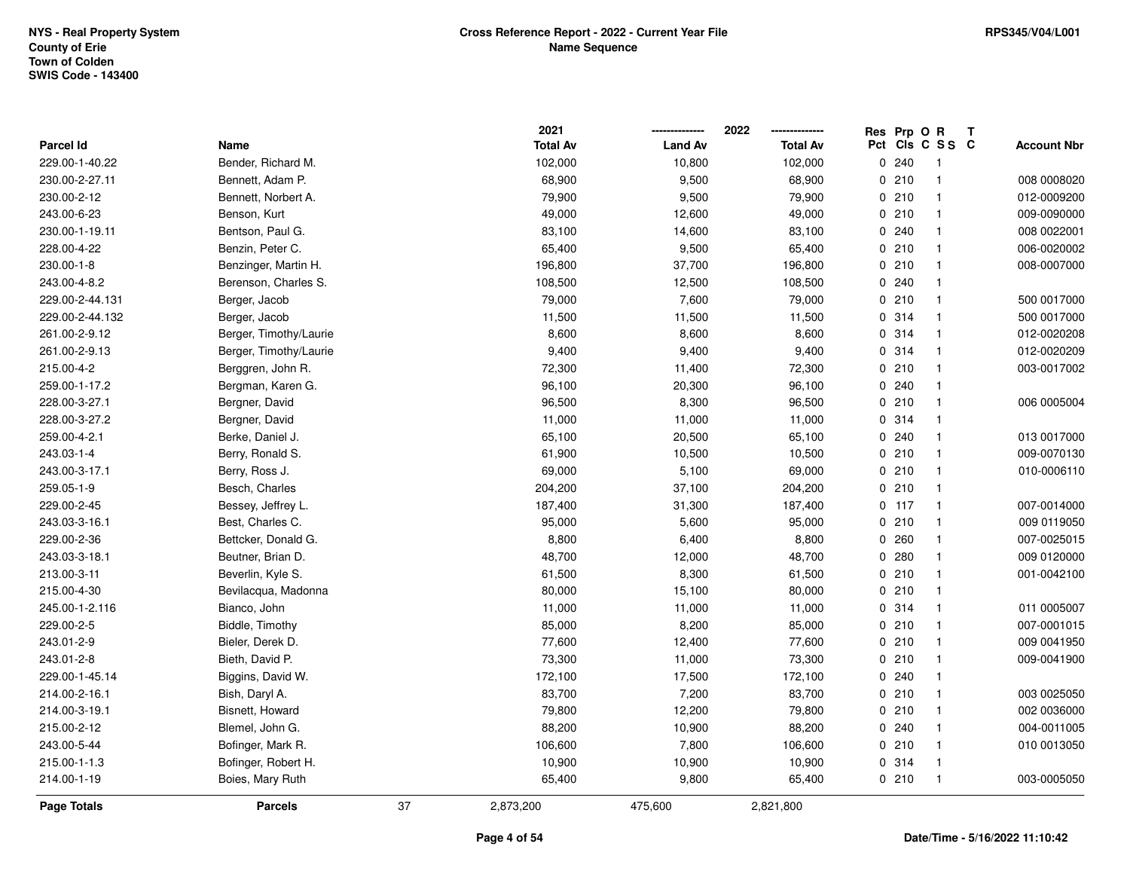|                  |                        |    | 2021            |                | 2022            | Res Prp O R |                         | Т |                    |
|------------------|------------------------|----|-----------------|----------------|-----------------|-------------|-------------------------|---|--------------------|
| <b>Parcel Id</b> | Name                   |    | <b>Total Av</b> | <b>Land Av</b> | <b>Total Av</b> |             | Pct Cls C S S C         |   | <b>Account Nbr</b> |
| 229.00-1-40.22   | Bender, Richard M.     |    | 102,000         | 10,800         | 102,000         | 0.240       | $\overline{\mathbf{1}}$ |   |                    |
| 230.00-2-27.11   | Bennett, Adam P.       |    | 68,900          | 9,500          | 68,900          | 0210        | $\overline{1}$          |   | 008 0008020        |
| 230.00-2-12      | Bennett, Norbert A.    |    | 79,900          | 9,500          | 79,900          | 0210        | $\overline{\mathbf{1}}$ |   | 012-0009200        |
| 243.00-6-23      | Benson, Kurt           |    | 49,000          | 12,600         | 49,000          | 0210        | $\overline{\mathbf{1}}$ |   | 009-0090000        |
| 230.00-1-19.11   | Bentson, Paul G.       |    | 83,100          | 14,600         | 83,100          | 0.240       | $\overline{\mathbf{1}}$ |   | 008 0022001        |
| 228.00-4-22      | Benzin, Peter C.       |    | 65,400          | 9,500          | 65,400          | 0210        | $\overline{\mathbf{1}}$ |   | 006-0020002        |
| 230.00-1-8       | Benzinger, Martin H.   |    | 196,800         | 37,700         | 196,800         | 0210        | $\overline{\mathbf{1}}$ |   | 008-0007000        |
| 243.00-4-8.2     | Berenson, Charles S.   |    | 108,500         | 12,500         | 108,500         | 0.240       | $\overline{\mathbf{1}}$ |   |                    |
| 229.00-2-44.131  | Berger, Jacob          |    | 79,000          | 7,600          | 79,000          | 0210        | $\overline{1}$          |   | 500 0017000        |
| 229.00-2-44.132  | Berger, Jacob          |    | 11,500          | 11,500         | 11,500          | 0.314       | $\overline{\mathbf{1}}$ |   | 500 0017000        |
| 261.00-2-9.12    | Berger, Timothy/Laurie |    | 8,600           | 8,600          | 8,600           | 0.314       | $\overline{\mathbf{1}}$ |   | 012-0020208        |
| 261.00-2-9.13    | Berger, Timothy/Laurie |    | 9,400           | 9,400          | 9,400           | 0 314       | $\overline{\mathbf{1}}$ |   | 012-0020209        |
| 215.00-4-2       | Berggren, John R.      |    | 72,300          | 11,400         | 72,300          | 0210        | -1                      |   | 003-0017002        |
| 259.00-1-17.2    | Bergman, Karen G.      |    | 96,100          | 20,300         | 96,100          | 0240        | $\mathbf{1}$            |   |                    |
| 228.00-3-27.1    | Bergner, David         |    | 96,500          | 8,300          | 96,500          | 0210        | $\overline{1}$          |   | 006 0005004        |
| 228.00-3-27.2    | Bergner, David         |    | 11,000          | 11,000         | 11,000          | 0.314       | $\overline{1}$          |   |                    |
| 259.00-4-2.1     | Berke, Daniel J.       |    | 65,100          | 20,500         | 65,100          | 0.240       | $\overline{\mathbf{1}}$ |   | 013 0017000        |
| 243.03-1-4       | Berry, Ronald S.       |    | 61,900          | 10,500         | 10,500          | 0210        | $\overline{1}$          |   | 009-0070130        |
| 243.00-3-17.1    | Berry, Ross J.         |    | 69,000          | 5,100          | 69,000          | 0210        | $\overline{\mathbf{1}}$ |   | 010-0006110        |
| 259.05-1-9       | Besch, Charles         |    | 204,200         | 37,100         | 204,200         | 0210        | $\overline{\mathbf{1}}$ |   |                    |
| 229.00-2-45      | Bessey, Jeffrey L.     |    | 187,400         | 31,300         | 187,400         | $0$ 117     | $\overline{1}$          |   | 007-0014000        |
| 243.03-3-16.1    | Best, Charles C.       |    | 95,000          | 5,600          | 95,000          | 0210        | $\overline{1}$          |   | 009 0119050        |
| 229.00-2-36      | Bettcker, Donald G.    |    | 8,800           | 6,400          | 8,800           | 0.260       | $\overline{\mathbf{1}}$ |   | 007-0025015        |
| 243.03-3-18.1    | Beutner, Brian D.      |    | 48,700          | 12,000         | 48,700          | 0.280       | $\overline{\mathbf{1}}$ |   | 009 0120000        |
| 213.00-3-11      | Beverlin, Kyle S.      |    | 61,500          | 8,300          | 61,500          | 0210        | $\overline{\mathbf{1}}$ |   | 001-0042100        |
| 215.00-4-30      | Bevilacqua, Madonna    |    | 80,000          | 15,100         | 80,000          | 0210        | -1                      |   |                    |
| 245.00-1-2.116   | Bianco, John           |    | 11,000          | 11,000         | 11,000          | 0.314       | -1                      |   | 011 0005007        |
| 229.00-2-5       | Biddle, Timothy        |    | 85,000          | 8,200          | 85,000          | 0210        | $\overline{\mathbf{1}}$ |   | 007-0001015        |
| 243.01-2-9       | Bieler, Derek D.       |    | 77,600          | 12,400         | 77,600          | 0210        | $\overline{1}$          |   | 009 0041950        |
| 243.01-2-8       | Bieth, David P.        |    | 73,300          | 11,000         | 73,300          | 0210        | $\overline{1}$          |   | 009-0041900        |
| 229.00-1-45.14   | Biggins, David W.      |    | 172,100         | 17,500         | 172,100         | 0.240       | $\overline{\mathbf{1}}$ |   |                    |
| 214.00-2-16.1    | Bish, Daryl A.         |    | 83,700          | 7,200          | 83,700          | 0210        | $\mathbf{1}$            |   | 003 0025050        |
| 214.00-3-19.1    | Bisnett, Howard        |    | 79,800          | 12,200         | 79,800          | 0210        | $\overline{1}$          |   | 002 0036000        |
| 215.00-2-12      | Blemel, John G.        |    | 88,200          | 10,900         | 88,200          | 0.240       | $\overline{\mathbf{1}}$ |   | 004-0011005        |
| 243.00-5-44      | Bofinger, Mark R.      |    | 106,600         | 7,800          | 106,600         | 0210        | $\overline{\mathbf{1}}$ |   | 010 0013050        |
| 215.00-1-1.3     | Bofinger, Robert H.    |    | 10,900          | 10,900         | 10,900          | 0 314       | $\overline{\mathbf{1}}$ |   |                    |
| 214.00-1-19      | Boies, Mary Ruth       |    | 65,400          | 9,800          | 65,400          | 0210        | $\overline{1}$          |   | 003-0005050        |
| Page Totals      | <b>Parcels</b>         | 37 | 2,873,200       | 475,600        | 2,821,800       |             |                         |   |                    |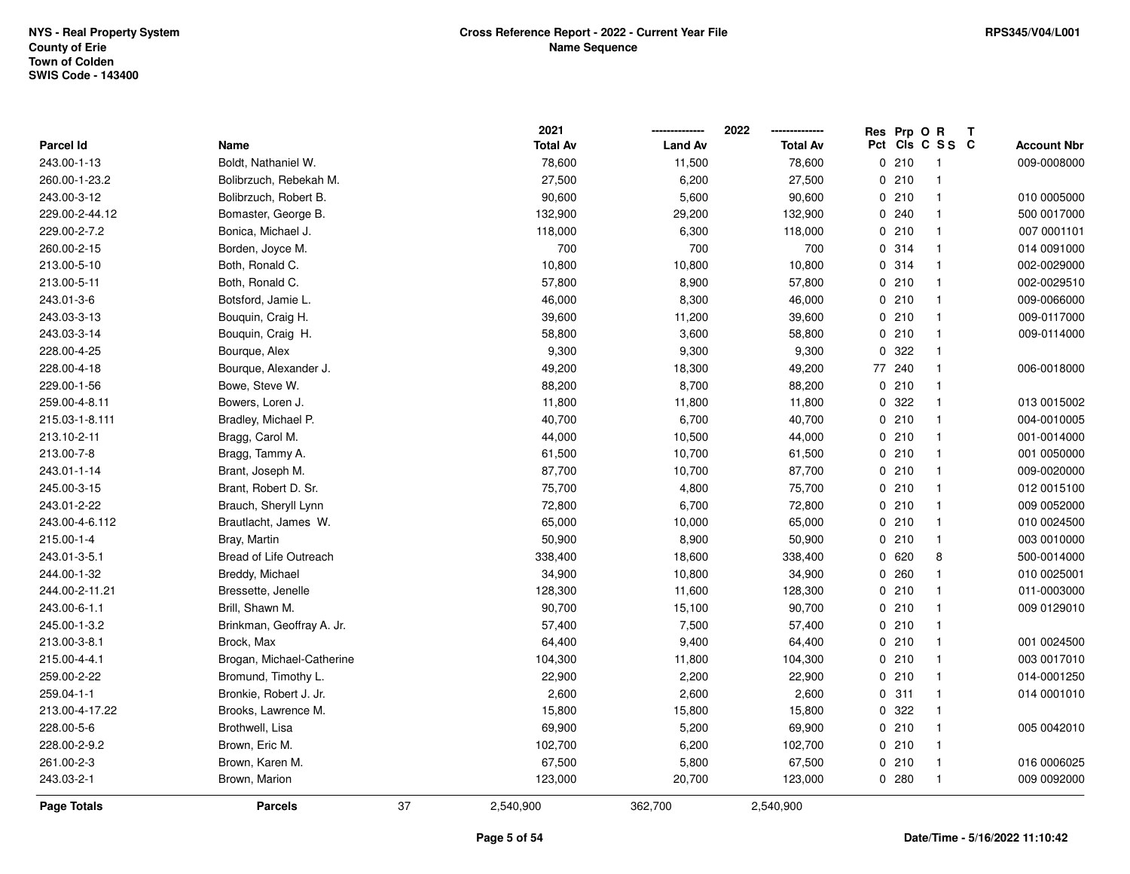|                |                           |    | 2021            |                | 2022            |     | Res Prp O R |                | Т |                    |
|----------------|---------------------------|----|-----------------|----------------|-----------------|-----|-------------|----------------|---|--------------------|
| Parcel Id      | Name                      |    | <b>Total Av</b> | <b>Land Av</b> | <b>Total Av</b> | Pct |             | CIS C S S C    |   | <b>Account Nbr</b> |
| 243.00-1-13    | Boldt, Nathaniel W.       |    | 78,600          | 11,500         | 78,600          |     | 0210        | $\overline{1}$ |   | 009-0008000        |
| 260.00-1-23.2  | Bolibrzuch, Rebekah M.    |    | 27,500          | 6,200          | 27,500          |     | 0210        | $\overline{1}$ |   |                    |
| 243.00-3-12    | Bolibrzuch, Robert B.     |    | 90,600          | 5,600          | 90,600          |     | 0210        | $\overline{1}$ |   | 010 0005000        |
| 229.00-2-44.12 | Bomaster, George B.       |    | 132,900         | 29,200         | 132,900         |     | 0.240       | -1             |   | 500 0017000        |
| 229.00-2-7.2   | Bonica, Michael J.        |    | 118,000         | 6,300          | 118,000         |     | 0210        | $\mathbf{1}$   |   | 007 0001101        |
| 260.00-2-15    | Borden, Joyce M.          |    | 700             | 700            | 700             |     | 0 314       |                |   | 014 0091000        |
| 213.00-5-10    | Both, Ronald C.           |    | 10,800          | 10,800         | 10,800          |     | 0.314       | $\overline{1}$ |   | 002-0029000        |
| 213.00-5-11    | Both, Ronald C.           |    | 57,800          | 8,900          | 57,800          |     | 0210        | $\mathbf{1}$   |   | 002-0029510        |
| 243.01-3-6     | Botsford, Jamie L.        |    | 46,000          | 8,300          | 46,000          |     | 0210        | $\mathbf{1}$   |   | 009-0066000        |
| 243.03-3-13    | Bouquin, Craig H.         |    | 39,600          | 11,200         | 39,600          |     | 0210        | $\overline{1}$ |   | 009-0117000        |
| 243.03-3-14    | Bouquin, Craig H.         |    | 58,800          | 3,600          | 58,800          |     | 0210        | -1             |   | 009-0114000        |
| 228.00-4-25    | Bourque, Alex             |    | 9,300           | 9,300          | 9,300           |     | 0 322       | -1             |   |                    |
| 228.00-4-18    | Bourque, Alexander J.     |    | 49,200          | 18,300         | 49,200          |     | 77 240      |                |   | 006-0018000        |
| 229.00-1-56    | Bowe, Steve W.            |    | 88,200          | 8,700          | 88,200          |     | 0210        | $\mathbf{1}$   |   |                    |
| 259.00-4-8.11  | Bowers, Loren J.          |    | 11,800          | 11,800         | 11,800          |     | 0.322       | $\mathbf{1}$   |   | 013 0015002        |
| 215.03-1-8.111 | Bradley, Michael P.       |    | 40,700          | 6,700          | 40,700          |     | 0210        | $\mathbf{1}$   |   | 004-0010005        |
| 213.10-2-11    | Bragg, Carol M.           |    | 44,000          | 10,500         | 44,000          |     | 0210        | $\mathbf{1}$   |   | 001-0014000        |
| 213.00-7-8     | Bragg, Tammy A.           |    | 61,500          | 10,700         | 61,500          |     | 0 210       | $\mathbf{1}$   |   | 001 0050000        |
| 243.01-1-14    | Brant, Joseph M.          |    | 87,700          | 10,700         | 87,700          |     | 0210        | -1             |   | 009-0020000        |
| 245.00-3-15    | Brant, Robert D. Sr.      |    | 75,700          | 4,800          | 75,700          |     | 0210        | -1             |   | 012 0015100        |
| 243.01-2-22    | Brauch, Sheryll Lynn      |    | 72,800          | 6,700          | 72,800          |     | 0210        | $\overline{1}$ |   | 009 0052000        |
| 243.00-4-6.112 | Brautlacht, James W.      |    | 65,000          | 10,000         | 65,000          |     | 0210        | $\mathbf{1}$   |   | 010 0024500        |
| 215.00-1-4     | Bray, Martin              |    | 50,900          | 8,900          | 50,900          |     | 0210        | $\mathbf{1}$   |   | 003 0010000        |
| 243.01-3-5.1   | Bread of Life Outreach    |    | 338,400         | 18,600         | 338,400         |     | 0 620       | 8              |   | 500-0014000        |
| 244.00-1-32    | Breddy, Michael           |    | 34,900          | 10,800         | 34,900          |     | 0.260       | $\mathbf{1}$   |   | 010 0025001        |
| 244.00-2-11.21 | Bressette, Jenelle        |    | 128,300         | 11,600         | 128,300         |     | 0210        | $\mathbf{1}$   |   | 011-0003000        |
| 243.00-6-1.1   | Brill, Shawn M.           |    | 90,700          | 15,100         | 90,700          |     | 0210        |                |   | 009 0129010        |
| 245.00-1-3.2   | Brinkman, Geoffray A. Jr. |    | 57,400          | 7,500          | 57,400          |     | 0210        | $\overline{1}$ |   |                    |
| 213.00-3-8.1   | Brock, Max                |    | 64,400          | 9,400          | 64,400          |     | 0210        | $\mathbf{1}$   |   | 001 0024500        |
| 215.00-4-4.1   | Brogan, Michael-Catherine |    | 104,300         | 11,800         | 104,300         |     | 0210        | $\mathbf{1}$   |   | 003 0017010        |
| 259.00-2-22    | Bromund, Timothy L.       |    | 22,900          | 2,200          | 22,900          |     | 0210        | $\overline{1}$ |   | 014-0001250        |
| 259.04-1-1     | Bronkie, Robert J. Jr.    |    | 2,600           | 2,600          | 2,600           |     | 0.311       | $\mathbf{1}$   |   | 014 0001010        |
| 213.00-4-17.22 | Brooks, Lawrence M.       |    | 15,800          | 15,800         | 15,800          |     | 0.322       | $\mathbf{1}$   |   |                    |
| 228.00-5-6     | Brothwell, Lisa           |    | 69,900          | 5,200          | 69,900          |     | 0210        | $\mathbf{1}$   |   | 005 0042010        |
| 228.00-2-9.2   | Brown, Eric M.            |    | 102,700         | 6,200          | 102,700         |     | 0210        | $\mathbf{1}$   |   |                    |
| 261.00-2-3     | Brown, Karen M.           |    | 67,500          | 5,800          | 67,500          |     | 0210        | $\mathbf{1}$   |   | 016 0006025        |
| 243.03-2-1     | Brown, Marion             |    | 123,000         | 20,700         | 123,000         |     | 0.280       | $\overline{1}$ |   | 009 0092000        |
| Page Totals    | <b>Parcels</b>            | 37 | 2,540,900       | 362,700        | 2,540,900       |     |             |                |   |                    |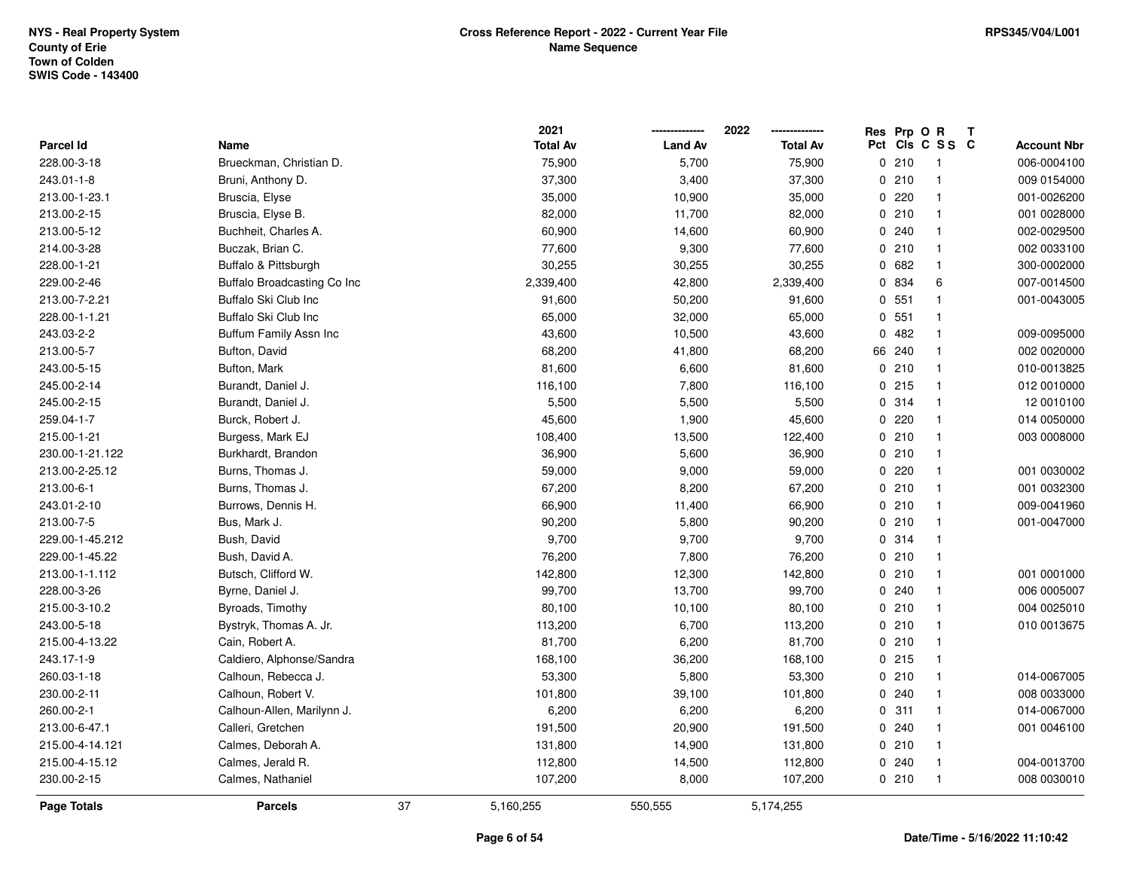|                  |                                    |    | 2021            |                | 2022            |     | Res Prp O R |                          | Т |                    |
|------------------|------------------------------------|----|-----------------|----------------|-----------------|-----|-------------|--------------------------|---|--------------------|
| <b>Parcel Id</b> | Name                               |    | <b>Total Av</b> | <b>Land Av</b> | <b>Total Av</b> | Pct |             | CIS C S S C              |   | <b>Account Nbr</b> |
| 228.00-3-18      | Brueckman, Christian D.            |    | 75,900          | 5,700          | 75,900          |     | 0210        | $\overline{\phantom{1}}$ |   | 006-0004100        |
| 243.01-1-8       | Bruni, Anthony D.                  |    | 37,300          | 3,400          | 37,300          |     | 0210        | $\mathbf{1}$             |   | 009 0154000        |
| 213.00-1-23.1    | Bruscia, Elyse                     |    | 35,000          | 10,900         | 35,000          |     | 0.220       | $\mathbf{1}$             |   | 001-0026200        |
| 213.00-2-15      | Bruscia, Elyse B.                  |    | 82,000          | 11,700         | 82,000          |     | 0210        | $\mathbf{1}$             |   | 001 0028000        |
| 213.00-5-12      | Buchheit, Charles A.               |    | 60,900          | 14,600         | 60,900          |     | 0.240       | 1                        |   | 002-0029500        |
| 214.00-3-28      | Buczak, Brian C.                   |    | 77,600          | 9,300          | 77,600          |     | 0210        | 1                        |   | 002 0033100        |
| 228.00-1-21      | Buffalo & Pittsburgh               |    | 30,255          | 30,255         | 30,255          |     | 0682        | 1                        |   | 300-0002000        |
| 229.00-2-46      | <b>Buffalo Broadcasting Co Inc</b> |    | 2,339,400       | 42,800         | 2,339,400       |     | 0 834       | 6                        |   | 007-0014500        |
| 213.00-7-2.21    | Buffalo Ski Club Inc               |    | 91,600          | 50,200         | 91,600          |     | 0 551       | $\mathbf{1}$             |   | 001-0043005        |
| 228.00-1-1.21    | Buffalo Ski Club Inc               |    | 65,000          | 32,000         | 65,000          |     | 0, 551      | 1                        |   |                    |
| 243.03-2-2       | Buffum Family Assn Inc             |    | 43,600          | 10,500         | 43,600          |     | 0.482       | 1                        |   | 009-0095000        |
| 213.00-5-7       | Bufton, David                      |    | 68,200          | 41,800         | 68,200          |     | 66 240      | $\mathbf{1}$             |   | 002 0020000        |
| 243.00-5-15      | Bufton, Mark                       |    | 81,600          | 6,600          | 81,600          |     | 0210        | 1                        |   | 010-0013825        |
| 245.00-2-14      | Burandt, Daniel J.                 |    | 116,100         | 7,800          | 116,100         |     | 0215        | 1                        |   | 012 0010000        |
| 245.00-2-15      | Burandt, Daniel J.                 |    | 5,500           | 5,500          | 5,500           |     | 0.314       | $\mathbf{1}$             |   | 12 0010100         |
| 259.04-1-7       | Burck, Robert J.                   |    | 45,600          | 1,900          | 45,600          |     | 0.220       | $\mathbf{1}$             |   | 014 0050000        |
| 215.00-1-21      | Burgess, Mark EJ                   |    | 108,400         | 13,500         | 122,400         |     | 0210        | $\mathbf{1}$             |   | 003 0008000        |
| 230.00-1-21.122  | Burkhardt, Brandon                 |    | 36,900          | 5,600          | 36,900          |     | 0210        | $\mathbf{1}$             |   |                    |
| 213.00-2-25.12   | Burns, Thomas J.                   |    | 59,000          | 9,000          | 59,000          |     | 0.220       | $\mathbf{1}$             |   | 001 0030002        |
| 213.00-6-1       | Burns, Thomas J.                   |    | 67,200          | 8,200          | 67,200          |     | 0210        | 1                        |   | 001 0032300        |
| 243.01-2-10      | Burrows, Dennis H.                 |    | 66,900          | 11,400         | 66,900          |     | 0210        | 1                        |   | 009-0041960        |
| 213.00-7-5       | Bus, Mark J.                       |    | 90,200          | 5,800          | 90,200          |     | 0210        | $\mathbf{1}$             |   | 001-0047000        |
| 229.00-1-45.212  | Bush, David                        |    | 9,700           | 9,700          | 9,700           |     | 0.314       | $\mathbf{1}$             |   |                    |
| 229.00-1-45.22   | Bush, David A.                     |    | 76,200          | 7,800          | 76,200          |     | 0210        | $\mathbf{1}$             |   |                    |
| 213.00-1-1.112   | Butsch, Clifford W.                |    | 142,800         | 12,300         | 142,800         |     | 0210        | $\mathbf{1}$             |   | 001 0001000        |
| 228.00-3-26      | Byrne, Daniel J.                   |    | 99,700          | 13,700         | 99,700          |     | 0.240       | 1                        |   | 006 0005007        |
| 215.00-3-10.2    | Byroads, Timothy                   |    | 80,100          | 10,100         | 80,100          |     | 0210        | 1                        |   | 004 0025010        |
| 243.00-5-18      | Bystryk, Thomas A. Jr.             |    | 113,200         | 6,700          | 113,200         |     | 0210        | 1                        |   | 010 0013675        |
| 215.00-4-13.22   | Cain, Robert A.                    |    | 81,700          | 6,200          | 81,700          |     | 0210        | $\mathbf{1}$             |   |                    |
| 243.17-1-9       | Caldiero, Alphonse/Sandra          |    | 168,100         | 36,200         | 168,100         |     | 0215        | $\mathbf 1$              |   |                    |
| 260.03-1-18      | Calhoun, Rebecca J.                |    | 53,300          | 5,800          | 53,300          |     | 0210        | $\mathbf{1}$             |   | 014-0067005        |
| 230.00-2-11      | Calhoun, Robert V.                 |    | 101,800         | 39,100         | 101,800         |     | 0.240       | $\mathbf{1}$             |   | 008 0033000        |
| 260.00-2-1       | Calhoun-Allen, Marilynn J.         |    | 6,200           | 6,200          | 6,200           |     | 0.311       | $\mathbf{1}$             |   | 014-0067000        |
| 213.00-6-47.1    | Calleri, Gretchen                  |    | 191,500         | 20,900         | 191,500         |     | 0.240       | 1                        |   | 001 0046100        |
| 215.00-4-14.121  | Calmes, Deborah A.                 |    | 131,800         | 14,900         | 131,800         |     | 0210        | $\mathbf{1}$             |   |                    |
| 215.00-4-15.12   | Calmes, Jerald R.                  |    | 112,800         | 14,500         | 112,800         |     | 0.240       | $\mathbf{1}$             |   | 004-0013700        |
| 230.00-2-15      | Calmes, Nathaniel                  |    | 107,200         | 8,000          | 107,200         |     | 0210        | $\mathbf{1}$             |   | 008 0030010        |
| Page Totals      | <b>Parcels</b>                     | 37 | 5,160,255       | 550,555        | 5,174,255       |     |             |                          |   |                    |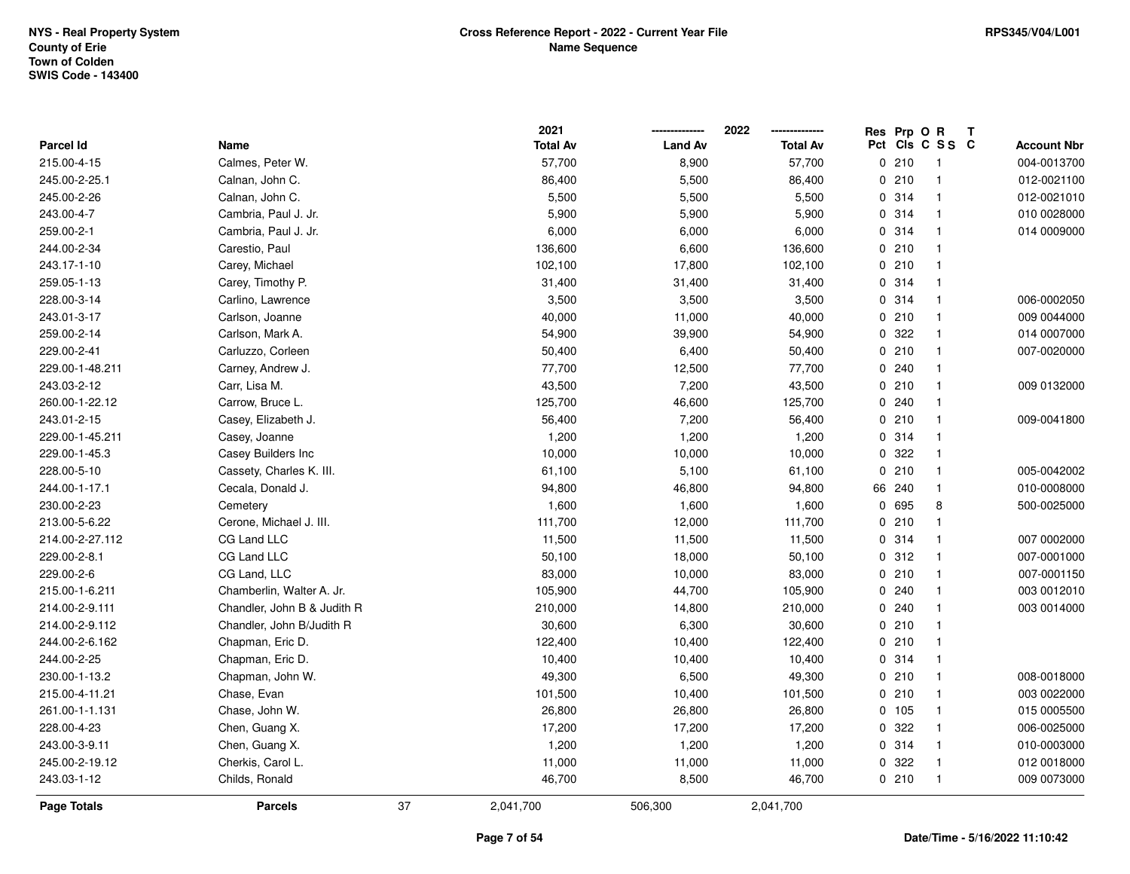|                  |                             |    | 2021            |                | 2022            |     | Res Prp O R |                | T |                    |
|------------------|-----------------------------|----|-----------------|----------------|-----------------|-----|-------------|----------------|---|--------------------|
| <b>Parcel Id</b> | Name                        |    | <b>Total Av</b> | <b>Land Av</b> | <b>Total Av</b> | Pct |             | CIS C S S C    |   | <b>Account Nbr</b> |
| 215.00-4-15      | Calmes, Peter W.            |    | 57,700          | 8,900          | 57,700          |     | 0210        | $\overline{1}$ |   | 004-0013700        |
| 245.00-2-25.1    | Calnan, John C.             |    | 86,400          | 5,500          | 86,400          |     | 0210        | $\mathbf{1}$   |   | 012-0021100        |
| 245.00-2-26      | Calnan, John C.             |    | 5,500           | 5,500          | 5,500           |     | 0.314       | $\mathbf{1}$   |   | 012-0021010        |
| 243.00-4-7       | Cambria, Paul J. Jr.        |    | 5,900           | 5,900          | 5,900           |     | 0 314       | $\mathbf{1}$   |   | 010 0028000        |
| 259.00-2-1       | Cambria, Paul J. Jr.        |    | 6,000           | 6,000          | 6,000           |     | 0 314       | $\mathbf{1}$   |   | 014 0009000        |
| 244.00-2-34      | Carestio, Paul              |    | 136,600         | 6,600          | 136,600         |     | 0210        | $\mathbf 1$    |   |                    |
| 243.17-1-10      | Carey, Michael              |    | 102,100         | 17,800         | 102,100         |     | 0210        | $\mathbf{1}$   |   |                    |
| 259.05-1-13      | Carey, Timothy P.           |    | 31,400          | 31,400         | 31,400          |     | 0 314       | $\mathbf{1}$   |   |                    |
| 228.00-3-14      | Carlino, Lawrence           |    | 3,500           | 3,500          | 3,500           |     | 0.314       | $\mathbf{1}$   |   | 006-0002050        |
| 243.01-3-17      | Carlson, Joanne             |    | 40,000          | 11,000         | 40,000          |     | 0210        | $\mathbf{1}$   |   | 009 0044000        |
| 259.00-2-14      | Carlson, Mark A.            |    | 54,900          | 39,900         | 54,900          |     | 0.322       | $\mathbf{1}$   |   | 014 0007000        |
| 229.00-2-41      | Carluzzo, Corleen           |    | 50,400          | 6,400          | 50,400          |     | 0210        | $\mathbf 1$    |   | 007-0020000        |
| 229.00-1-48.211  | Carney, Andrew J.           |    | 77,700          | 12,500         | 77,700          |     | 0.240       | 1              |   |                    |
| 243.03-2-12      | Carr, Lisa M.               |    | 43,500          | 7,200          | 43,500          |     | 0210        | $\mathbf{1}$   |   | 009 0132000        |
| 260.00-1-22.12   | Carrow, Bruce L.            |    | 125,700         | 46,600         | 125,700         |     | 0.240       | $\mathbf{1}$   |   |                    |
| 243.01-2-15      | Casey, Elizabeth J.         |    | 56,400          | 7,200          | 56,400          |     | 0210        | $\mathbf{1}$   |   | 009-0041800        |
| 229.00-1-45.211  | Casey, Joanne               |    | 1,200           | 1,200          | 1,200           |     | 0 314       | $\mathbf{1}$   |   |                    |
| 229.00-1-45.3    | Casey Builders Inc          |    | 10,000          | 10,000         | 10,000          |     | 0 322       | $\mathbf{1}$   |   |                    |
| 228.00-5-10      | Cassety, Charles K. III.    |    | 61,100          | 5,100          | 61,100          |     | 0210        | $\mathbf{1}$   |   | 005-0042002        |
| 244.00-1-17.1    | Cecala, Donald J.           |    | 94,800          | 46,800         | 94,800          |     | 66 240      | $\mathbf{1}$   |   | 010-0008000        |
| 230.00-2-23      | Cemetery                    |    | 1,600           | 1,600          | 1,600           |     | 0 695       | 8              |   | 500-0025000        |
| 213.00-5-6.22    | Cerone, Michael J. III.     |    | 111,700         | 12,000         | 111,700         |     | 0210        | $\mathbf{1}$   |   |                    |
| 214.00-2-27.112  | CG Land LLC                 |    | 11,500          | 11,500         | 11,500          |     | 0.314       | $\mathbf{1}$   |   | 007 0002000        |
| 229.00-2-8.1     | CG Land LLC                 |    | 50,100          | 18,000         | 50,100          |     | 0.312       | $\mathbf{1}$   |   | 007-0001000        |
| 229.00-2-6       | CG Land, LLC                |    | 83,000          | 10,000         | 83,000          |     | 0210        | $\mathbf{1}$   |   | 007-0001150        |
| 215.00-1-6.211   | Chamberlin, Walter A. Jr.   |    | 105,900         | 44,700         | 105,900         |     | 0.240       | $\mathbf{1}$   |   | 003 0012010        |
| 214.00-2-9.111   | Chandler, John B & Judith R |    | 210,000         | 14,800         | 210,000         |     | 0.240       | $\mathbf{1}$   |   | 003 0014000        |
| 214.00-2-9.112   | Chandler, John B/Judith R   |    | 30,600          | 6,300          | 30,600          |     | 0210        | $\mathbf 1$    |   |                    |
| 244.00-2-6.162   | Chapman, Eric D.            |    | 122,400         | 10,400         | 122,400         |     | 0210        | $\mathbf{1}$   |   |                    |
| 244.00-2-25      | Chapman, Eric D.            |    | 10,400          | 10,400         | 10,400          |     | 0 314       | $\mathbf{1}$   |   |                    |
| 230.00-1-13.2    | Chapman, John W.            |    | 49,300          | 6,500          | 49,300          |     | 0210        | $\mathbf{1}$   |   | 008-0018000        |
| 215.00-4-11.21   | Chase, Evan                 |    | 101,500         | 10,400         | 101,500         |     | 0210        | $\mathbf{1}$   |   | 003 0022000        |
| 261.00-1-1.131   | Chase, John W.              |    | 26,800          | 26,800         | 26,800          |     | 0 105       | $\mathbf{1}$   |   | 015 0005500        |
| 228.00-4-23      | Chen, Guang X.              |    | 17,200          | 17,200         | 17,200          |     | 0 322       | $\mathbf{1}$   |   | 006-0025000        |
| 243.00-3-9.11    | Chen, Guang X.              |    | 1,200           | 1,200          | 1,200           |     | 0 314       | $\mathbf{1}$   |   | 010-0003000        |
| 245.00-2-19.12   | Cherkis, Carol L.           |    | 11,000          | 11,000         | 11,000          |     | 0 322       | $\mathbf{1}$   |   | 012 0018000        |
| 243.03-1-12      | Childs, Ronald              |    | 46,700          | 8,500          | 46,700          |     | 0210        | $\mathbf{1}$   |   | 009 0073000        |
| Page Totals      | <b>Parcels</b>              | 37 | 2,041,700       | 506,300        | 2,041,700       |     |             |                |   |                    |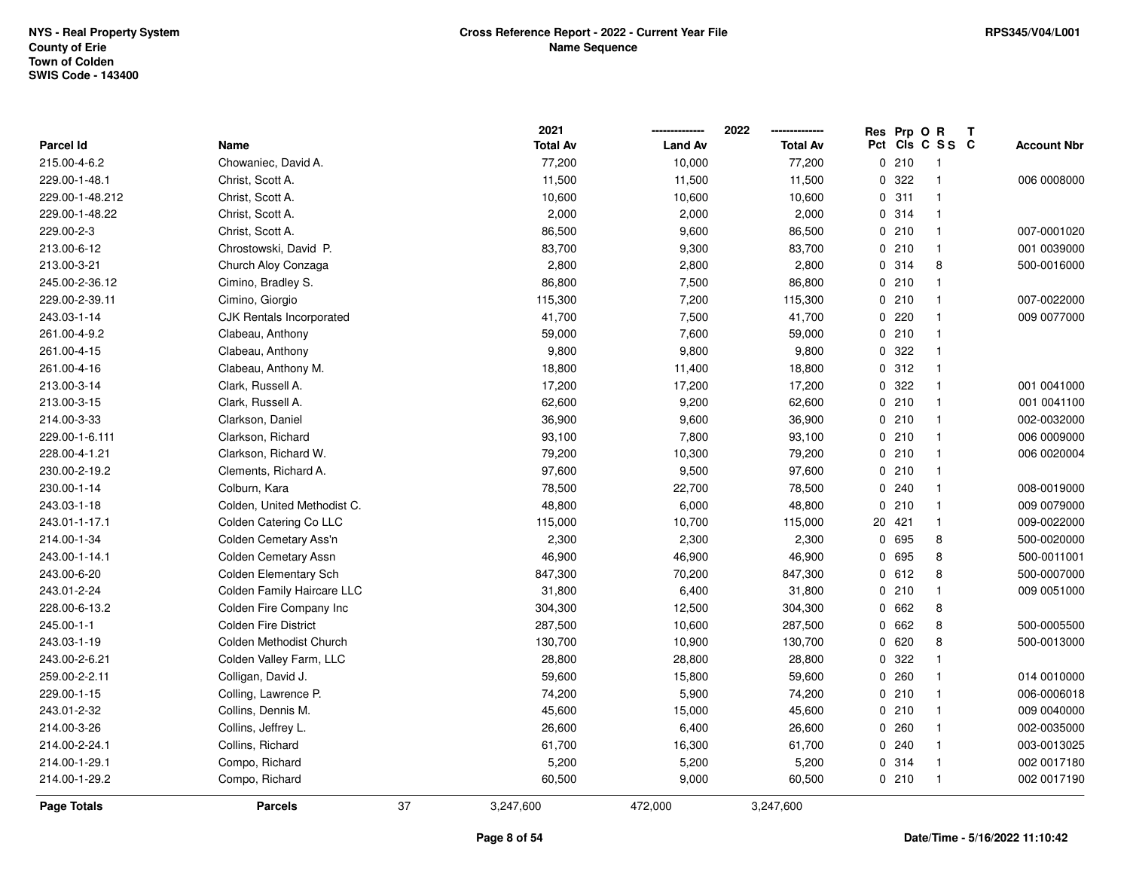|                  |                             |    | 2021            |                | 2022            |              | Res Prp O R |                 | Т |                    |
|------------------|-----------------------------|----|-----------------|----------------|-----------------|--------------|-------------|-----------------|---|--------------------|
| <b>Parcel Id</b> | Name                        |    | <b>Total Av</b> | <b>Land Av</b> | <b>Total Av</b> |              |             | Pct Cls C S S C |   | <b>Account Nbr</b> |
| 215.00-4-6.2     | Chowaniec, David A.         |    | 77,200          | 10,000         | 77,200          |              | 0210        | $\mathbf{1}$    |   |                    |
| 229.00-1-48.1    | Christ, Scott A.            |    | 11,500          | 11,500         | 11,500          | 0            | 322         | $\mathbf{1}$    |   | 006 0008000        |
| 229.00-1-48.212  | Christ, Scott A.            |    | 10,600          | 10,600         | 10,600          |              | 0.311       | $\mathbf{1}$    |   |                    |
| 229.00-1-48.22   | Christ, Scott A.            |    | 2,000           | 2,000          | 2,000           |              | 0 314       | $\mathbf{1}$    |   |                    |
| 229.00-2-3       | Christ, Scott A.            |    | 86,500          | 9,600          | 86,500          |              | 0210        | $\mathbf{1}$    |   | 007-0001020        |
| 213.00-6-12      | Chrostowski, David P.       |    | 83,700          | 9,300          | 83,700          |              | 0210        | $\mathbf{1}$    |   | 001 0039000        |
| 213.00-3-21      | Church Aloy Conzaga         |    | 2,800           | 2,800          | 2,800           |              | 0.314       | 8               |   | 500-0016000        |
| 245.00-2-36.12   | Cimino, Bradley S.          |    | 86,800          | 7,500          | 86,800          |              | 0210        | $\mathbf{1}$    |   |                    |
| 229.00-2-39.11   | Cimino, Giorgio             |    | 115,300         | 7,200          | 115,300         |              | 0210        | -1              |   | 007-0022000        |
| 243.03-1-14      | CJK Rentals Incorporated    |    | 41,700          | 7,500          | 41,700          |              | 0.220       | $\mathbf 1$     |   | 009 0077000        |
| 261.00-4-9.2     | Clabeau, Anthony            |    | 59,000          | 7,600          | 59,000          |              | 0210        | -1              |   |                    |
| 261.00-4-15      | Clabeau, Anthony            |    | 9,800           | 9,800          | 9,800           |              | 0 322       |                 |   |                    |
| 261.00-4-16      | Clabeau, Anthony M.         |    | 18,800          | 11,400         | 18,800          |              | 0.312       | -1              |   |                    |
| 213.00-3-14      | Clark, Russell A.           |    | 17,200          | 17,200         | 17,200          | 0            | 322         | -1              |   | 001 0041000        |
| 213.00-3-15      | Clark, Russell A.           |    | 62,600          | 9,200          | 62,600          |              | 0210        | $\mathbf{1}$    |   | 001 0041100        |
| 214.00-3-33      | Clarkson, Daniel            |    | 36,900          | 9,600          | 36,900          |              | 0210        | $\mathbf{1}$    |   | 002-0032000        |
| 229.00-1-6.111   | Clarkson, Richard           |    | 93,100          | 7,800          | 93,100          |              | 0210        | $\mathbf{1}$    |   | 006 0009000        |
| 228.00-4-1.21    | Clarkson, Richard W.        |    | 79,200          | 10,300         | 79,200          |              | 0210        | $\mathbf{1}$    |   | 006 0020004        |
| 230.00-2-19.2    | Clements, Richard A.        |    | 97,600          | 9,500          | 97,600          |              | 0210        | $\mathbf 1$     |   |                    |
| 230.00-1-14      | Colburn, Kara               |    | 78,500          | 22,700         | 78,500          |              | 0.240       | $\mathbf{1}$    |   | 008-0019000        |
| 243.03-1-18      | Colden, United Methodist C. |    | 48,800          | 6,000          | 48,800          | 0            | 210         | $\mathbf{1}$    |   | 009 0079000        |
| 243.01-1-17.1    | Colden Catering Co LLC      |    | 115,000         | 10,700         | 115,000         | 20           | 421         | $\mathbf 1$     |   | 009-0022000        |
| 214.00-1-34      | Colden Cemetary Ass'n       |    | 2,300           | 2,300          | 2,300           | 0            | 695         | 8               |   | 500-0020000        |
| 243.00-1-14.1    | Colden Cemetary Assn        |    | 46,900          | 46,900         | 46,900          | 0            | 695         | 8               |   | 500-0011001        |
| 243.00-6-20      | Colden Elementary Sch       |    | 847,300         | 70,200         | 847,300         |              | 0 612       | 8               |   | 500-0007000        |
| 243.01-2-24      | Colden Family Haircare LLC  |    | 31,800          | 6,400          | 31,800          |              | 0210        |                 |   | 009 0051000        |
| 228.00-6-13.2    | Colden Fire Company Inc     |    | 304,300         | 12,500         | 304,300         | $\mathbf{0}$ | 662         | 8               |   |                    |
| 245.00-1-1       | <b>Colden Fire District</b> |    | 287,500         | 10,600         | 287,500         | 0            | 662         | 8               |   | 500-0005500        |
| 243.03-1-19      | Colden Methodist Church     |    | 130,700         | 10,900         | 130,700         | 0            | 620         | 8               |   | 500-0013000        |
| 243.00-2-6.21    | Colden Valley Farm, LLC     |    | 28,800          | 28,800         | 28,800          | 0            | 322         | $\mathbf 1$     |   |                    |
| 259.00-2-2.11    | Colligan, David J.          |    | 59,600          | 15,800         | 59,600          | 0            | 260         | $\mathbf{1}$    |   | 014 0010000        |
| 229.00-1-15      | Colling, Lawrence P.        |    | 74,200          | 5,900          | 74,200          |              | 0210        | $\mathbf{1}$    |   | 006-0006018        |
| 243.01-2-32      | Collins, Dennis M.          |    | 45,600          | 15,000         | 45,600          |              | 0210        | $\mathbf{1}$    |   | 009 0040000        |
| 214.00-3-26      | Collins, Jeffrey L.         |    | 26,600          | 6,400          | 26,600          |              | 0.260       | $\mathbf{1}$    |   | 002-0035000        |
| 214.00-2-24.1    | Collins, Richard            |    | 61,700          | 16,300         | 61,700          |              | 0.240       | $\mathbf 1$     |   | 003-0013025        |
| 214.00-1-29.1    | Compo, Richard              |    | 5,200           | 5,200          | 5,200           |              | 0.314       | $\mathbf{1}$    |   | 002 0017180        |
| 214.00-1-29.2    | Compo, Richard              |    | 60,500          | 9,000          | 60,500          |              | 0210        | $\overline{1}$  |   | 002 0017190        |
| Page Totals      | <b>Parcels</b>              | 37 | 3,247,600       | 472,000        | 3,247,600       |              |             |                 |   |                    |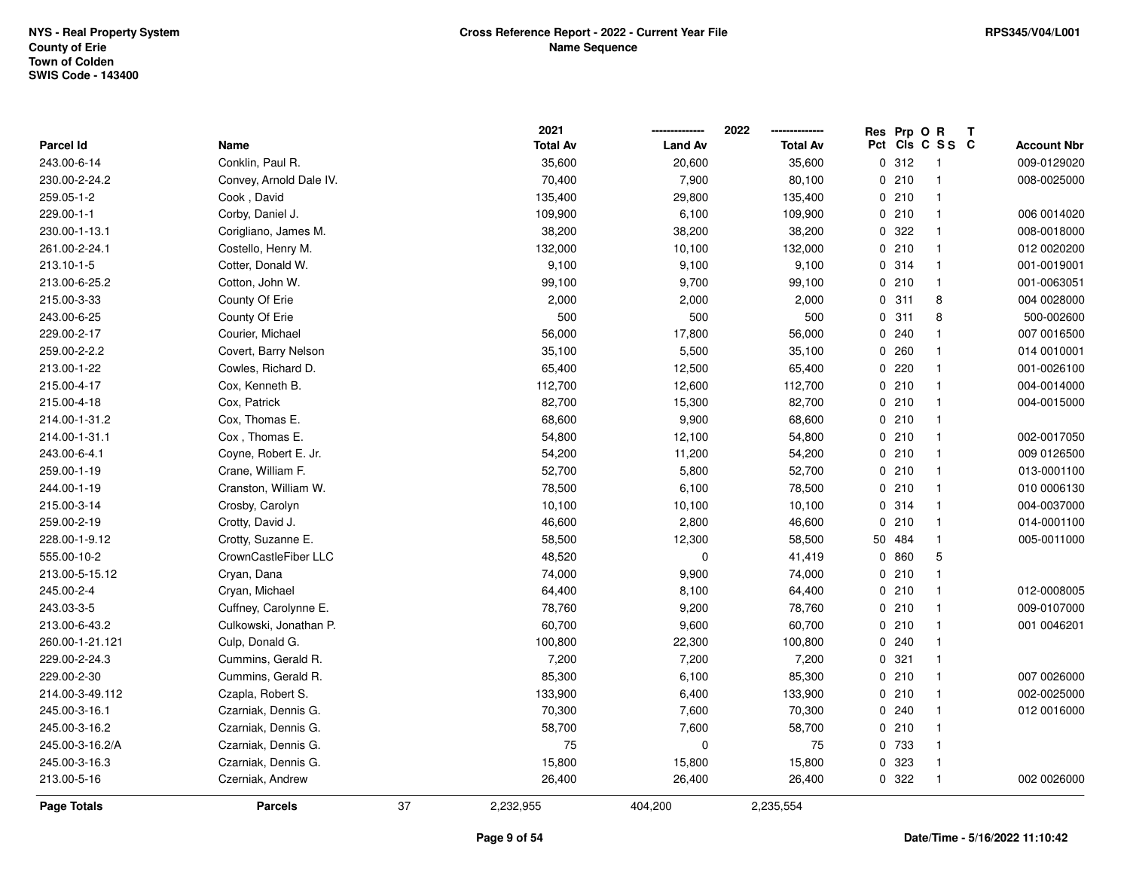|                  |                         |    | 2021            |                | 2022            |     | Res Prp O R |                         | Т                  |
|------------------|-------------------------|----|-----------------|----------------|-----------------|-----|-------------|-------------------------|--------------------|
| <b>Parcel Id</b> | Name                    |    | <b>Total Av</b> | <b>Land Av</b> | <b>Total Av</b> | Pct |             | CIS C S S C             | <b>Account Nbr</b> |
| 243.00-6-14      | Conklin, Paul R.        |    | 35,600          | 20,600         | 35,600          |     | 0.312       | $\overline{1}$          | 009-0129020        |
| 230.00-2-24.2    | Convey, Arnold Dale IV. |    | 70,400          | 7,900          | 80,100          |     | 0210        | $\mathbf{1}$            | 008-0025000        |
| 259.05-1-2       | Cook, David             |    | 135,400         | 29,800         | 135,400         |     | 0210        | $\mathbf{1}$            |                    |
| 229.00-1-1       | Corby, Daniel J.        |    | 109,900         | 6,100          | 109,900         |     | 0210        | $\mathbf{1}$            | 006 0014020        |
| 230.00-1-13.1    | Corigliano, James M.    |    | 38,200          | 38,200         | 38,200          |     | 0.322       | $\mathbf{1}$            | 008-0018000        |
| 261.00-2-24.1    | Costello, Henry M.      |    | 132,000         | 10,100         | 132,000         |     | 0210        | $\mathbf{1}$            | 012 0020200        |
| 213.10-1-5       | Cotter, Donald W.       |    | 9,100           | 9,100          | 9,100           |     | 0.314       | $\mathbf{1}$            | 001-0019001        |
| 213.00-6-25.2    | Cotton, John W.         |    | 99,100          | 9,700          | 99,100          |     | 0210        | $\mathbf{1}$            | 001-0063051        |
| 215.00-3-33      | County Of Erie          |    | 2,000           | 2,000          | 2,000           |     | 0.311       | 8                       | 004 0028000        |
| 243.00-6-25      | County Of Erie          |    | 500             | 500            | 500             |     | 0.311       | 8                       | 500-002600         |
| 229.00-2-17      | Courier, Michael        |    | 56,000          | 17,800         | 56,000          |     | 0.240       |                         | 007 0016500        |
| 259.00-2-2.2     | Covert, Barry Nelson    |    | 35,100          | 5,500          | 35,100          |     | 0.260       | $\mathbf{1}$            | 014 0010001        |
| 213.00-1-22      | Cowles, Richard D.      |    | 65,400          | 12,500         | 65,400          |     | 0220        |                         | 001-0026100        |
| 215.00-4-17      | Cox, Kenneth B.         |    | 112,700         | 12,600         | 112,700         |     | 0210        | $\mathbf{1}$            | 004-0014000        |
| 215.00-4-18      | Cox, Patrick            |    | 82,700          | 15,300         | 82,700          |     | 0210        | $\mathbf{1}$            | 004-0015000        |
| 214.00-1-31.2    | Cox, Thomas E.          |    | 68,600          | 9,900          | 68,600          |     | 0210        | $\mathbf{1}$            |                    |
| 214.00-1-31.1    | Cox, Thomas E.          |    | 54,800          | 12,100         | 54,800          |     | 0210        | $\mathbf{1}$            | 002-0017050        |
| 243.00-6-4.1     | Coyne, Robert E. Jr.    |    | 54,200          | 11,200         | 54,200          |     | 0210        | $\mathbf{1}$            | 009 0126500        |
| 259.00-1-19      | Crane, William F.       |    | 52,700          | 5,800          | 52,700          |     | 0210        | $\mathbf{1}$            | 013-0001100        |
| 244.00-1-19      | Cranston, William W.    |    | 78,500          | 6,100          | 78,500          |     | 0210        | $\mathbf{1}$            | 010 0006130        |
| 215.00-3-14      | Crosby, Carolyn         |    | 10,100          | 10,100         | 10,100          |     | 0.314       | $\mathbf{1}$            | 004-0037000        |
| 259.00-2-19      | Crotty, David J.        |    | 46,600          | 2,800          | 46,600          |     | 0210        | $\mathbf{1}$            | 014-0001100        |
| 228.00-1-9.12    | Crotty, Suzanne E.      |    | 58,500          | 12,300         | 58,500          |     | 50 484      | $\mathbf{1}$            | 005-0011000        |
| 555.00-10-2      | CrownCastleFiber LLC    |    | 48,520          | $\mathbf 0$    | 41,419          |     | 0860        | $\mathbf 5$             |                    |
| 213.00-5-15.12   | Cryan, Dana             |    | 74,000          | 9,900          | 74,000          |     | 0210        | $\mathbf{1}$            |                    |
| 245.00-2-4       | Cryan, Michael          |    | 64,400          | 8,100          | 64,400          |     | 0210        | $\mathbf 1$             | 012-0008005        |
| 243.03-3-5       | Cuffney, Carolynne E.   |    | 78,760          | 9,200          | 78,760          |     | 0210        | $\mathbf{1}$            | 009-0107000        |
| 213.00-6-43.2    | Culkowski, Jonathan P.  |    | 60,700          | 9,600          | 60,700          |     | 0210        | $\mathbf{1}$            | 001 0046201        |
| 260.00-1-21.121  | Culp, Donald G.         |    | 100,800         | 22,300         | 100,800         |     | 0.240       | $\overline{\mathbf{1}}$ |                    |
| 229.00-2-24.3    | Cummins, Gerald R.      |    | 7,200           | 7,200          | 7,200           |     | 0.321       | $\mathbf{1}$            |                    |
| 229.00-2-30      | Cummins, Gerald R.      |    | 85,300          | 6,100          | 85,300          |     | 0210        | $\mathbf{1}$            | 007 0026000        |
| 214.00-3-49.112  | Czapla, Robert S.       |    | 133,900         | 6,400          | 133,900         |     | 0210        | $\mathbf{1}$            | 002-0025000        |
| 245.00-3-16.1    | Czarniak, Dennis G.     |    | 70,300          | 7,600          | 70,300          |     | 0.240       | $\mathbf{1}$            | 012 0016000        |
| 245.00-3-16.2    | Czarniak, Dennis G.     |    | 58,700          | 7,600          | 58,700          |     | 0210        | $\mathbf{1}$            |                    |
| 245.00-3-16.2/A  | Czarniak, Dennis G.     |    | 75              | $\mathbf 0$    | 75              |     | 0 733       | $\mathbf{1}$            |                    |
| 245.00-3-16.3    | Czarniak, Dennis G.     |    | 15,800          | 15,800         | 15,800          |     | 0 323       | $\mathbf{1}$            |                    |
| 213.00-5-16      | Czerniak, Andrew        |    | 26,400          | 26,400         | 26,400          |     | 0.322       | $\mathbf{1}$            | 002 0026000        |
| Page Totals      | <b>Parcels</b>          | 37 | 2,232,955       | 404,200        | 2,235,554       |     |             |                         |                    |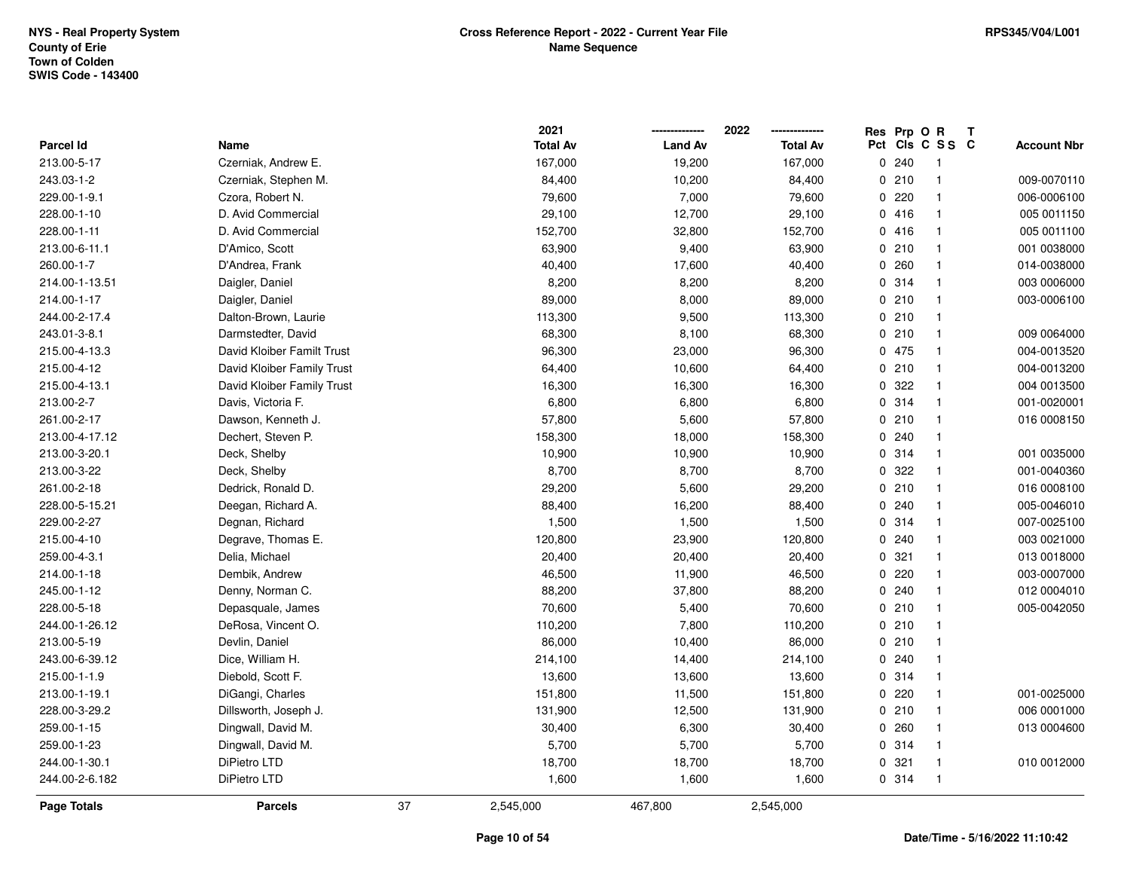|                  |                            |    | 2021            |                | 2022            | Res Prp O R |                         | Т |                    |
|------------------|----------------------------|----|-----------------|----------------|-----------------|-------------|-------------------------|---|--------------------|
| <b>Parcel Id</b> | Name                       |    | <b>Total Av</b> | <b>Land Av</b> | <b>Total Av</b> |             | Pct Cls C S S C         |   | <b>Account Nbr</b> |
| 213.00-5-17      | Czerniak, Andrew E.        |    | 167,000         | 19,200         | 167,000         | 0.240       | $\overline{\mathbf{1}}$ |   |                    |
| 243.03-1-2       | Czerniak, Stephen M.       |    | 84,400          | 10,200         | 84,400          | 0210        | $\overline{1}$          |   | 009-0070110        |
| 229.00-1-9.1     | Czora, Robert N.           |    | 79,600          | 7,000          | 79,600          | 0.220       | $\overline{\mathbf{1}}$ |   | 006-0006100        |
| 228.00-1-10      | D. Avid Commercial         |    | 29,100          | 12,700         | 29,100          | 0416        | $\overline{1}$          |   | 005 0011150        |
| 228.00-1-11      | D. Avid Commercial         |    | 152,700         | 32,800         | 152,700         | 0416        | $\overline{\mathbf{1}}$ |   | 005 0011100        |
| 213.00-6-11.1    | D'Amico, Scott             |    | 63,900          | 9,400          | 63,900          | 0210        | $\overline{\mathbf{1}}$ |   | 001 0038000        |
| 260.00-1-7       | D'Andrea, Frank            |    | 40,400          | 17,600         | 40,400          | 0260        | $\overline{\mathbf{1}}$ |   | 014-0038000        |
| 214.00-1-13.51   | Daigler, Daniel            |    | 8,200           | 8,200          | 8,200           | 0 314       | $\overline{1}$          |   | 003 0006000        |
| 214.00-1-17      | Daigler, Daniel            |    | 89,000          | 8,000          | 89,000          | 0210        | $\overline{1}$          |   | 003-0006100        |
| 244.00-2-17.4    | Dalton-Brown, Laurie       |    | 113,300         | 9,500          | 113,300         | 0210        | $\overline{\mathbf{1}}$ |   |                    |
| 243.01-3-8.1     | Darmstedter, David         |    | 68,300          | 8,100          | 68,300          | 0210        | $\overline{1}$          |   | 009 0064000        |
| 215.00-4-13.3    | David Kloiber Familt Trust |    | 96,300          | 23,000         | 96,300          | 0 475       | $\overline{\mathbf{1}}$ |   | 004-0013520        |
| 215.00-4-12      | David Kloiber Family Trust |    | 64,400          | 10,600         | 64,400          | 0210        | -1                      |   | 004-0013200        |
| 215.00-4-13.1    | David Kloiber Family Trust |    | 16,300          | 16,300         | 16,300          | 0.322       | $\mathbf{1}$            |   | 004 0013500        |
| 213.00-2-7       | Davis, Victoria F.         |    | 6,800           | 6,800          | 6,800           | 0.314       | $\overline{1}$          |   | 001-0020001        |
| 261.00-2-17      | Dawson, Kenneth J.         |    | 57,800          | 5,600          | 57,800          | 0210        | $\overline{1}$          |   | 016 0008150        |
| 213.00-4-17.12   | Dechert, Steven P.         |    | 158,300         | 18,000         | 158,300         | 0.240       | $\overline{\mathbf{1}}$ |   |                    |
| 213.00-3-20.1    | Deck, Shelby               |    | 10,900          | 10,900         | 10,900          | 0 314       | $\overline{1}$          |   | 001 0035000        |
| 213.00-3-22      | Deck, Shelby               |    | 8,700           | 8,700          | 8,700           | 0.322       | $\overline{\mathbf{1}}$ |   | 001-0040360        |
| 261.00-2-18      | Dedrick, Ronald D.         |    | 29,200          | 5,600          | 29,200          | 0210        | $\overline{1}$          |   | 016 0008100        |
| 228.00-5-15.21   | Deegan, Richard A.         |    | 88,400          | 16,200         | 88,400          | 0.240       | $\overline{\mathbf{1}}$ |   | 005-0046010        |
| 229.00-2-27      | Degnan, Richard            |    | 1,500           | 1,500          | 1,500           | 0 314       | $\overline{1}$          |   | 007-0025100        |
| 215.00-4-10      | Degrave, Thomas E.         |    | 120,800         | 23,900         | 120,800         | 0.240       | $\mathbf{1}$            |   | 003 0021000        |
| 259.00-4-3.1     | Delia, Michael             |    | 20,400          | 20,400         | 20,400          | 0.321       | $\overline{\mathbf{1}}$ |   | 013 0018000        |
| 214.00-1-18      | Dembik, Andrew             |    | 46,500          | 11,900         | 46,500          | 0220        | $\overline{\mathbf{1}}$ |   | 003-0007000        |
| 245.00-1-12      | Denny, Norman C.           |    | 88,200          | 37,800         | 88,200          | 0.240       | -1                      |   | 012 0004010        |
| 228.00-5-18      | Depasquale, James          |    | 70,600          | 5,400          | 70,600          | 0210        | -1                      |   | 005-0042050        |
| 244.00-1-26.12   | DeRosa, Vincent O.         |    | 110,200         | 7,800          | 110,200         | 0210        | $\overline{\mathbf{1}}$ |   |                    |
| 213.00-5-19      | Devlin, Daniel             |    | 86,000          | 10,400         | 86,000          | 0210        | $\overline{\mathbf{1}}$ |   |                    |
| 243.00-6-39.12   | Dice, William H.           |    | 214,100         | 14,400         | 214,100         | 0.240       | $\overline{1}$          |   |                    |
| 215.00-1-1.9     | Diebold, Scott F.          |    | 13,600          | 13,600         | 13,600          | 0.314       | $\overline{1}$          |   |                    |
| 213.00-1-19.1    | DiGangi, Charles           |    | 151,800         | 11,500         | 151,800         | 0220        | $\overline{\mathbf{1}}$ |   | 001-0025000        |
| 228.00-3-29.2    | Dillsworth, Joseph J.      |    | 131,900         | 12,500         | 131,900         | 0210        | $\overline{1}$          |   | 006 0001000        |
| 259.00-1-15      | Dingwall, David M.         |    | 30,400          | 6,300          | 30,400          | 0.260       | $\overline{\mathbf{1}}$ |   | 013 0004600        |
| 259.00-1-23      | Dingwall, David M.         |    | 5,700           | 5,700          | 5,700           | 0 314       | $\overline{\mathbf{1}}$ |   |                    |
| 244.00-1-30.1    | DiPietro LTD               |    | 18,700          | 18,700         | 18,700          | 0.321       | $\overline{1}$          |   | 010 0012000        |
| 244.00-2-6.182   | DiPietro LTD               |    | 1,600           | 1,600          | 1,600           | 0 314       | $\overline{1}$          |   |                    |
| Page Totals      | <b>Parcels</b>             | 37 | 2,545,000       | 467,800        | 2,545,000       |             |                         |   |                    |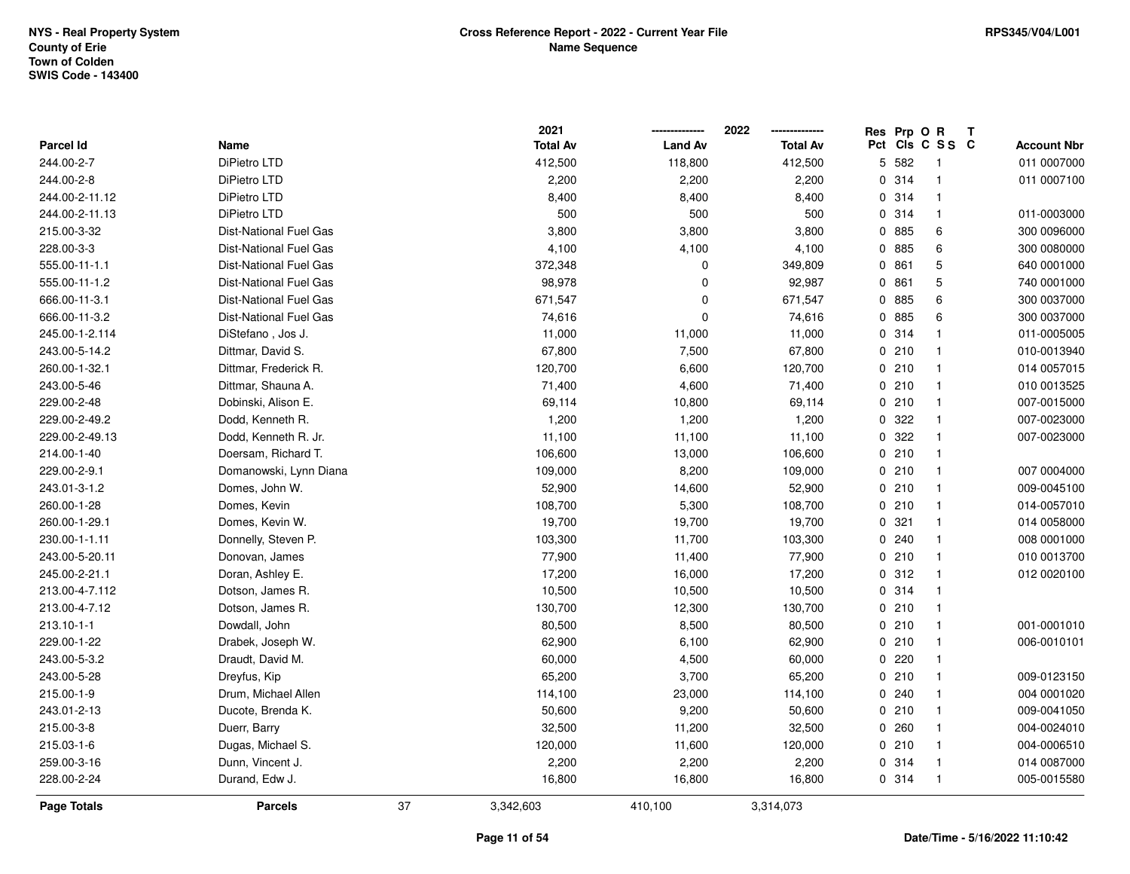|                  |                               |    | 2021            |                | 2022            | Res | Prp O R |                 | T |                    |
|------------------|-------------------------------|----|-----------------|----------------|-----------------|-----|---------|-----------------|---|--------------------|
| <b>Parcel Id</b> | Name                          |    | <b>Total Av</b> | <b>Land Av</b> | <b>Total Av</b> |     |         | Pct Cls C S S C |   | <b>Account Nbr</b> |
| 244.00-2-7       | DiPietro LTD                  |    | 412,500         | 118,800        | 412,500         |     | 5 582   | -1              |   | 011 0007000        |
| 244.00-2-8       | DiPietro LTD                  |    | 2,200           | 2,200          | 2,200           |     | 0 314   | $\overline{1}$  |   | 011 0007100        |
| 244.00-2-11.12   | DiPietro LTD                  |    | 8,400           | 8,400          | 8,400           |     | 0.314   | $\overline{1}$  |   |                    |
| 244.00-2-11.13   | DiPietro LTD                  |    | 500             | 500            | 500             |     | 0.314   | $\mathbf{1}$    |   | 011-0003000        |
| 215.00-3-32      | <b>Dist-National Fuel Gas</b> |    | 3,800           | 3,800          | 3,800           |     | 0 885   | 6               |   | 300 0096000        |
| 228.00-3-3       | <b>Dist-National Fuel Gas</b> |    | 4,100           | 4,100          | 4,100           |     | 0 885   | 6               |   | 300 0080000        |
| 555.00-11-1.1    | Dist-National Fuel Gas        |    | 372,348         | 0              | 349,809         |     | 0861    | 5               |   | 640 0001000        |
| 555.00-11-1.2    | <b>Dist-National Fuel Gas</b> |    | 98,978          | 0              | 92,987          |     | 0861    | 5               |   | 740 0001000        |
| 666.00-11-3.1    | <b>Dist-National Fuel Gas</b> |    | 671,547         | $\mathbf 0$    | 671,547         |     | 0885    | 6               |   | 300 0037000        |
| 666.00-11-3.2    | Dist-National Fuel Gas        |    | 74,616          | $\mathbf 0$    | 74,616          |     | 0 885   | 6               |   | 300 0037000        |
| 245.00-1-2.114   | DiStefano, Jos J.             |    | 11,000          | 11,000         | 11,000          |     | 0.314   | $\mathbf{1}$    |   | 011-0005005        |
| 243.00-5-14.2    | Dittmar, David S.             |    | 67,800          | 7,500          | 67,800          |     | 0210    | $\overline{1}$  |   | 010-0013940        |
| 260.00-1-32.1    | Dittmar, Frederick R.         |    | 120,700         | 6,600          | 120,700         |     | 0210    | $\overline{1}$  |   | 014 0057015        |
| 243.00-5-46      | Dittmar, Shauna A.            |    | 71,400          | 4,600          | 71,400          |     | 0210    | $\overline{1}$  |   | 010 0013525        |
| 229.00-2-48      | Dobinski, Alison E.           |    | 69,114          | 10,800         | 69,114          |     | 0210    | $\overline{1}$  |   | 007-0015000        |
| 229.00-2-49.2    | Dodd, Kenneth R.              |    | 1,200           | 1,200          | 1,200           |     | 0 322   | $\overline{1}$  |   | 007-0023000        |
| 229.00-2-49.13   | Dodd, Kenneth R. Jr.          |    | 11,100          | 11,100         | 11,100          |     | 0 322   | $\overline{1}$  |   | 007-0023000        |
| 214.00-1-40      | Doersam, Richard T.           |    | 106,600         | 13,000         | 106,600         |     | 0210    | $\overline{1}$  |   |                    |
| 229.00-2-9.1     | Domanowski, Lynn Diana        |    | 109,000         | 8,200          | 109,000         |     | 0210    | $\overline{1}$  |   | 007 0004000        |
| 243.01-3-1.2     | Domes, John W.                |    | 52,900          | 14,600         | 52,900          |     | 0210    | $\overline{1}$  |   | 009-0045100        |
| 260.00-1-28      | Domes, Kevin                  |    | 108,700         | 5,300          | 108,700         |     | 0210    | $\overline{1}$  |   | 014-0057010        |
| 260.00-1-29.1    | Domes, Kevin W.               |    | 19,700          | 19,700         | 19,700          |     | 0.321   | $\overline{1}$  |   | 014 0058000        |
| 230.00-1-1.11    | Donnelly, Steven P.           |    | 103,300         | 11,700         | 103,300         |     | 0.240   | $\overline{1}$  |   | 008 0001000        |
| 243.00-5-20.11   | Donovan, James                |    | 77,900          | 11,400         | 77,900          |     | 0210    | $\overline{1}$  |   | 010 0013700        |
| 245.00-2-21.1    | Doran, Ashley E.              |    | 17,200          | 16,000         | 17,200          |     | 0.312   | $\overline{1}$  |   | 012 0020100        |
| 213.00-4-7.112   | Dotson, James R.              |    | 10,500          | 10,500         | 10,500          |     | 0.314   | -1              |   |                    |
| 213.00-4-7.12    | Dotson, James R.              |    | 130,700         | 12,300         | 130,700         |     | 0210    | $\overline{1}$  |   |                    |
| 213.10-1-1       | Dowdall, John                 |    | 80,500          | 8,500          | 80,500          |     | 0210    | $\overline{1}$  |   | 001-0001010        |
| 229.00-1-22      | Drabek, Joseph W.             |    | 62,900          | 6,100          | 62,900          |     | 0210    | $\overline{1}$  |   | 006-0010101        |
| 243.00-5-3.2     | Draudt, David M.              |    | 60,000          | 4,500          | 60,000          |     | 0220    | $\overline{1}$  |   |                    |
| 243.00-5-28      | Dreyfus, Kip                  |    | 65,200          | 3,700          | 65,200          |     | 0210    | $\overline{1}$  |   | 009-0123150        |
| 215.00-1-9       | Drum, Michael Allen           |    | 114,100         | 23,000         | 114,100         |     | 0.240   | $\overline{1}$  |   | 004 0001020        |
| 243.01-2-13      | Ducote, Brenda K.             |    | 50,600          | 9,200          | 50,600          |     | 0210    | $\overline{1}$  |   | 009-0041050        |
| 215.00-3-8       | Duerr, Barry                  |    | 32,500          | 11,200         | 32,500          |     | 0260    | $\overline{1}$  |   | 004-0024010        |
| 215.03-1-6       | Dugas, Michael S.             |    | 120,000         | 11,600         | 120,000         |     | 0210    | $\overline{1}$  |   | 004-0006510        |
| 259.00-3-16      | Dunn, Vincent J.              |    | 2,200           | 2,200          | 2,200           |     | 0.314   | -1              |   | 014 0087000        |
| 228.00-2-24      | Durand, Edw J.                |    | 16,800          | 16,800         | 16,800          |     | 0 314   | $\overline{1}$  |   | 005-0015580        |
| Page Totals      | <b>Parcels</b>                | 37 | 3,342,603       | 410,100        | 3,314,073       |     |         |                 |   |                    |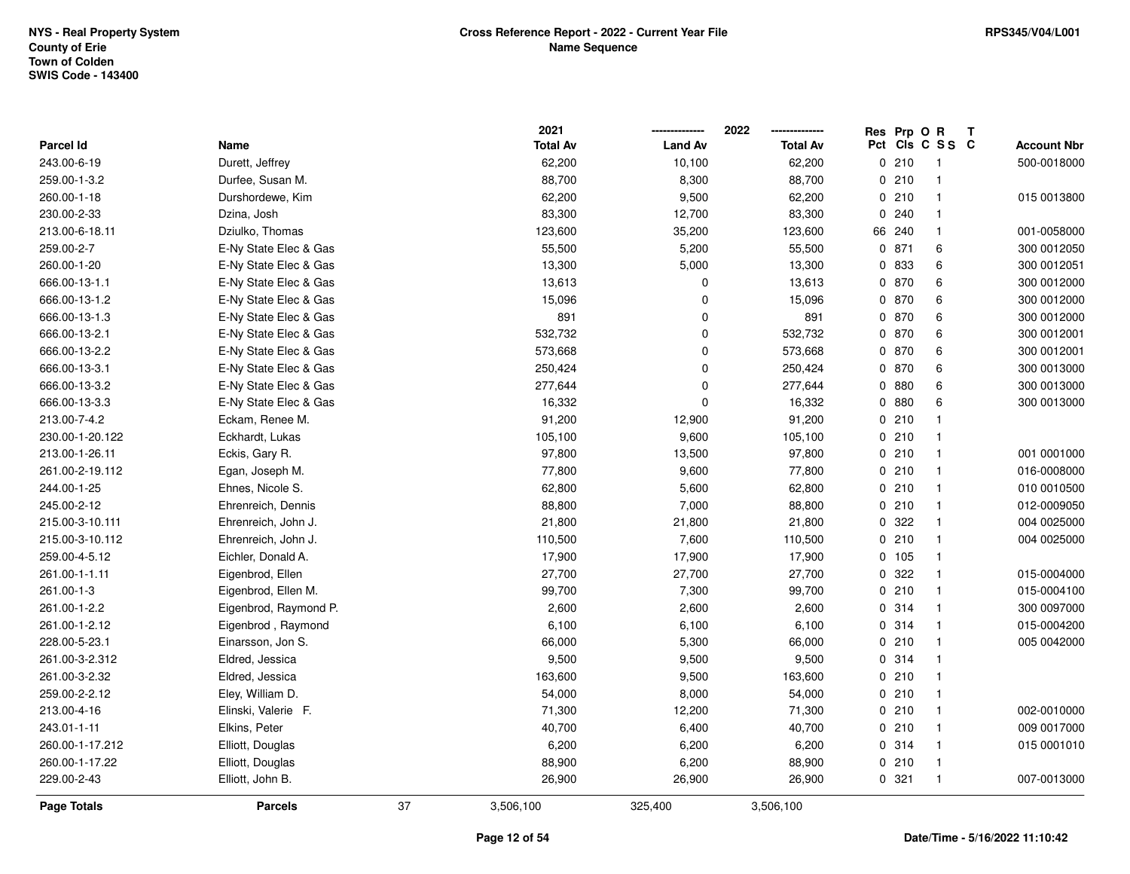|                  |                       |    | 2021            |                | 2022            |     | Res Prp O R |                | Т |                    |
|------------------|-----------------------|----|-----------------|----------------|-----------------|-----|-------------|----------------|---|--------------------|
| <b>Parcel Id</b> | Name                  |    | <b>Total Av</b> | <b>Land Av</b> | <b>Total Av</b> | Pct |             | CIS C S S C    |   | <b>Account Nbr</b> |
| 243.00-6-19      | Durett, Jeffrey       |    | 62,200          | 10,100         | 62,200          |     | 0210        | $\overline{1}$ |   | 500-0018000        |
| 259.00-1-3.2     | Durfee, Susan M.      |    | 88,700          | 8,300          | 88,700          |     | 0210        | $\mathbf{1}$   |   |                    |
| 260.00-1-18      | Durshordewe, Kim      |    | 62,200          | 9,500          | 62,200          |     | 0210        | $\mathbf{1}$   |   | 015 0013800        |
| 230.00-2-33      | Dzina, Josh           |    | 83,300          | 12,700         | 83,300          |     | 0.240       | $\mathbf{1}$   |   |                    |
| 213.00-6-18.11   | Dziulko, Thomas       |    | 123,600         | 35,200         | 123,600         |     | 66 240      | $\mathbf{1}$   |   | 001-0058000        |
| 259.00-2-7       | E-Ny State Elec & Gas |    | 55,500          | 5,200          | 55,500          |     | 0 871       | 6              |   | 300 0012050        |
| 260.00-1-20      | E-Ny State Elec & Gas |    | 13,300          | 5,000          | 13,300          |     | 0 833       | 6              |   | 300 0012051        |
| 666.00-13-1.1    | E-Ny State Elec & Gas |    | 13,613          | 0              | 13,613          |     | 0 870       | 6              |   | 300 0012000        |
| 666.00-13-1.2    | E-Ny State Elec & Gas |    | 15,096          | $\Omega$       | 15,096          |     | 0 870       | 6              |   | 300 0012000        |
| 666.00-13-1.3    | E-Ny State Elec & Gas |    | 891             | 0              | 891             |     | 0 870       | 6              |   | 300 0012000        |
| 666.00-13-2.1    | E-Ny State Elec & Gas |    | 532,732         | 0              | 532,732         |     | 0 870       | 6              |   | 300 0012001        |
| 666.00-13-2.2    | E-Ny State Elec & Gas |    | 573,668         | 0              | 573,668         |     | 0 870       | 6              |   | 300 0012001        |
| 666.00-13-3.1    | E-Ny State Elec & Gas |    | 250,424         | 0              | 250,424         |     | 0 870       | 6              |   | 300 0013000        |
| 666.00-13-3.2    | E-Ny State Elec & Gas |    | 277,644         | 0              | 277,644         |     | 0880        | 6              |   | 300 0013000        |
| 666.00-13-3.3    | E-Ny State Elec & Gas |    | 16,332          | $\Omega$       | 16,332          |     | 0880        | 6              |   | 300 0013000        |
| 213.00-7-4.2     | Eckam, Renee M.       |    | 91,200          | 12,900         | 91,200          |     | 0210        | $\mathbf{1}$   |   |                    |
| 230.00-1-20.122  | Eckhardt, Lukas       |    | 105,100         | 9,600          | 105,100         |     | 0210        | $\mathbf{1}$   |   |                    |
| 213.00-1-26.11   | Eckis, Gary R.        |    | 97,800          | 13,500         | 97,800          |     | 0210        | $\mathbf{1}$   |   | 001 0001000        |
| 261.00-2-19.112  | Egan, Joseph M.       |    | 77,800          | 9,600          | 77,800          |     | 0210        | $\mathbf{1}$   |   | 016-0008000        |
| 244.00-1-25      | Ehnes, Nicole S.      |    | 62,800          | 5,600          | 62,800          |     | 0210        | $\mathbf{1}$   |   | 010 0010500        |
| 245.00-2-12      | Ehrenreich, Dennis    |    | 88,800          | 7,000          | 88,800          |     | 0210        | $\mathbf{1}$   |   | 012-0009050        |
| 215.00-3-10.111  | Ehrenreich, John J.   |    | 21,800          | 21,800         | 21,800          |     | 0 322       | $\mathbf{1}$   |   | 004 0025000        |
| 215.00-3-10.112  | Ehrenreich, John J.   |    | 110,500         | 7,600          | 110,500         |     | 0210        | $\mathbf{1}$   |   | 004 0025000        |
| 259.00-4-5.12    | Eichler, Donald A.    |    | 17,900          | 17,900         | 17,900          |     | 0 105       | $\mathbf{1}$   |   |                    |
| 261.00-1-1.11    | Eigenbrod, Ellen      |    | 27,700          | 27,700         | 27,700          |     | 0 322       | $\mathbf{1}$   |   | 015-0004000        |
| 261.00-1-3       | Eigenbrod, Ellen M.   |    | 99,700          | 7,300          | 99,700          |     | 0210        | $\mathbf{1}$   |   | 015-0004100        |
| 261.00-1-2.2     | Eigenbrod, Raymond P. |    | 2,600           | 2,600          | 2,600           |     | 0.314       | $\mathbf{1}$   |   | 300 0097000        |
| 261.00-1-2.12    | Eigenbrod, Raymond    |    | 6,100           | 6,100          | 6,100           |     | 0 314       | $\mathbf{1}$   |   | 015-0004200        |
| 228.00-5-23.1    | Einarsson, Jon S.     |    | 66,000          | 5,300          | 66,000          |     | 0210        | $\mathbf{1}$   |   | 005 0042000        |
| 261.00-3-2.312   | Eldred, Jessica       |    | 9,500           | 9,500          | 9,500           |     | 0 314       | $\mathbf{1}$   |   |                    |
| 261.00-3-2.32    | Eldred, Jessica       |    | 163,600         | 9,500          | 163,600         |     | 0210        | $\mathbf{1}$   |   |                    |
| 259.00-2-2.12    | Eley, William D.      |    | 54,000          | 8,000          | 54,000          |     | 0210        | $\mathbf{1}$   |   |                    |
| 213.00-4-16      | Elinski, Valerie F.   |    | 71,300          | 12,200         | 71,300          |     | 0210        | $\mathbf{1}$   |   | 002-0010000        |
| 243.01-1-11      | Elkins, Peter         |    | 40,700          | 6,400          | 40,700          |     | 0210        | $\mathbf{1}$   |   | 009 0017000        |
| 260.00-1-17.212  | Elliott, Douglas      |    | 6,200           | 6,200          | 6,200           |     | 0 314       | $\mathbf{1}$   |   | 015 0001010        |
| 260.00-1-17.22   | Elliott, Douglas      |    | 88,900          | 6,200          | 88,900          |     | 0210        | $\mathbf{1}$   |   |                    |
| 229.00-2-43      | Elliott, John B.      |    | 26,900          | 26,900         | 26,900          |     | 0.321       | $\mathbf{1}$   |   | 007-0013000        |
| Page Totals      | <b>Parcels</b>        | 37 | 3,506,100       | 325,400        | 3,506,100       |     |             |                |   |                    |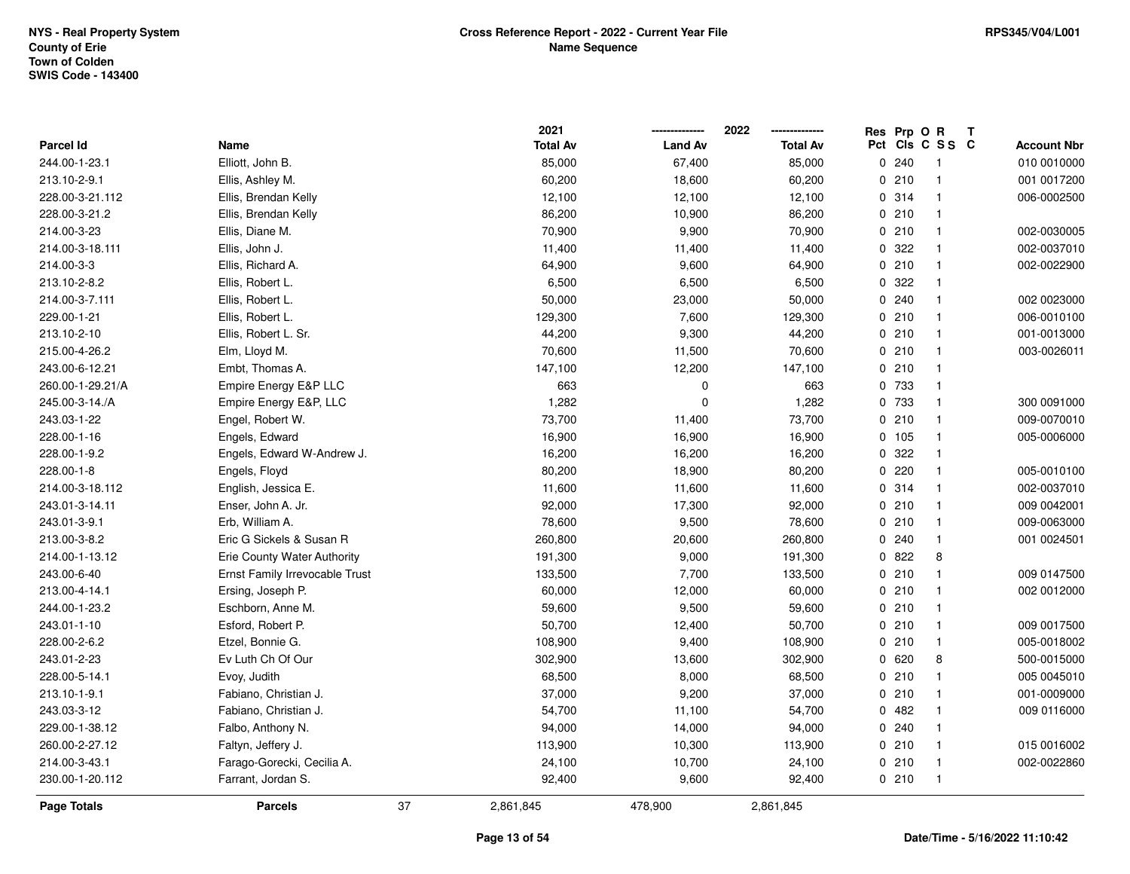|                    |                                |    | 2021            |                | 2022            | Res | Prp O R |                 | Т |                    |
|--------------------|--------------------------------|----|-----------------|----------------|-----------------|-----|---------|-----------------|---|--------------------|
| <b>Parcel Id</b>   | Name                           |    | <b>Total Av</b> | <b>Land Av</b> | <b>Total Av</b> |     |         | Pct Cls C S S C |   | <b>Account Nbr</b> |
| 244.00-1-23.1      | Elliott, John B.               |    | 85,000          | 67,400         | 85,000          |     | 0.240   | -1              |   | 010 0010000        |
| 213.10-2-9.1       | Ellis, Ashley M.               |    | 60,200          | 18,600         | 60,200          |     | 0210    | $\mathbf 1$     |   | 001 0017200        |
| 228.00-3-21.112    | Ellis, Brendan Kelly           |    | 12,100          | 12,100         | 12,100          |     | 0.314   | $\mathbf 1$     |   | 006-0002500        |
| 228.00-3-21.2      | Ellis, Brendan Kelly           |    | 86,200          | 10,900         | 86,200          |     | 0210    |                 |   |                    |
| 214.00-3-23        | Ellis, Diane M.                |    | 70,900          | 9,900          | 70,900          |     | 0210    |                 |   | 002-0030005        |
| 214.00-3-18.111    | Ellis, John J.                 |    | 11,400          | 11,400         | 11,400          |     | 0.322   |                 |   | 002-0037010        |
| 214.00-3-3         | Ellis, Richard A.              |    | 64,900          | 9,600          | 64,900          |     | 0210    | $\mathbf 1$     |   | 002-0022900        |
| 213.10-2-8.2       | Ellis, Robert L.               |    | 6,500           | 6,500          | 6,500           |     | 0.322   |                 |   |                    |
| 214.00-3-7.111     | Ellis, Robert L.               |    | 50,000          | 23,000         | 50,000          |     | 0.240   | $\mathbf 1$     |   | 002 0023000        |
| 229.00-1-21        | Ellis, Robert L.               |    | 129,300         | 7,600          | 129,300         |     | 0210    |                 |   | 006-0010100        |
| 213.10-2-10        | Ellis, Robert L. Sr.           |    | 44,200          | 9,300          | 44,200          |     | 0210    |                 |   | 001-0013000        |
| 215.00-4-26.2      | Elm, Lloyd M.                  |    | 70,600          | 11,500         | 70,600          |     | 0210    |                 |   | 003-0026011        |
| 243.00-6-12.21     | Embt, Thomas A.                |    | 147,100         | 12,200         | 147,100         |     | 0210    |                 |   |                    |
| 260.00-1-29.21/A   | Empire Energy E&P LLC          |    | 663             | 0              | 663             |     | 0 733   | $\mathbf 1$     |   |                    |
| 245.00-3-14./A     | Empire Energy E&P, LLC         |    | 1,282           | $\Omega$       | 1,282           |     | 0 733   |                 |   | 300 0091000        |
| 243.03-1-22        | Engel, Robert W.               |    | 73,700          | 11,400         | 73,700          |     | 0210    | $\mathbf{1}$    |   | 009-0070010        |
| 228.00-1-16        | Engels, Edward                 |    | 16,900          | 16,900         | 16,900          |     | 0 105   | $\mathbf{1}$    |   | 005-0006000        |
| 228.00-1-9.2       | Engels, Edward W-Andrew J.     |    | 16,200          | 16,200         | 16,200          |     | 0.322   |                 |   |                    |
| 228.00-1-8         | Engels, Floyd                  |    | 80,200          | 18,900         | 80,200          |     | 0.220   |                 |   | 005-0010100        |
| 214.00-3-18.112    | English, Jessica E.            |    | 11,600          | 11,600         | 11,600          |     | 0.314   |                 |   | 002-0037010        |
| 243.01-3-14.11     | Enser, John A. Jr.             |    | 92,000          | 17,300         | 92,000          |     | 0210    | $\mathbf{1}$    |   | 009 0042001        |
| 243.01-3-9.1       | Erb, William A.                |    | 78,600          | 9,500          | 78,600          |     | 0210    | $\mathbf 1$     |   | 009-0063000        |
| 213.00-3-8.2       | Eric G Sickels & Susan R       |    | 260,800         | 20,600         | 260,800         |     | 0.240   | $\mathbf 1$     |   | 001 0024501        |
| 214.00-1-13.12     | Erie County Water Authority    |    | 191,300         | 9,000          | 191,300         |     | 0822    | 8               |   |                    |
| 243.00-6-40        | Ernst Family Irrevocable Trust |    | 133,500         | 7,700          | 133,500         |     | 0210    | $\mathbf 1$     |   | 009 0147500        |
| 213.00-4-14.1      | Ersing, Joseph P.              |    | 60,000          | 12,000         | 60,000          |     | 0210    |                 |   | 002 0012000        |
| 244.00-1-23.2      | Eschborn, Anne M.              |    | 59,600          | 9,500          | 59,600          |     | 0210    |                 |   |                    |
| 243.01-1-10        | Esford, Robert P.              |    | 50,700          | 12,400         | 50,700          |     | 0210    | $\mathbf 1$     |   | 009 0017500        |
| 228.00-2-6.2       | Etzel, Bonnie G.               |    | 108,900         | 9,400          | 108,900         |     | 0210    | $\mathbf 1$     |   | 005-0018002        |
| 243.01-2-23        | Ev Luth Ch Of Our              |    | 302,900         | 13,600         | 302,900         |     | 0620    | 8               |   | 500-0015000        |
| 228.00-5-14.1      | Evoy, Judith                   |    | 68,500          | 8,000          | 68,500          |     | 0210    | $\mathbf 1$     |   | 005 0045010        |
| 213.10-1-9.1       | Fabiano, Christian J.          |    | 37,000          | 9,200          | 37,000          |     | 0210    | $\mathbf 1$     |   | 001-0009000        |
| 243.03-3-12        | Fabiano, Christian J.          |    | 54,700          | 11,100         | 54,700          |     | 0.482   |                 |   | 009 0116000        |
| 229.00-1-38.12     | Falbo, Anthony N.              |    | 94,000          | 14,000         | 94,000          |     | 0.240   |                 |   |                    |
| 260.00-2-27.12     | Faltyn, Jeffery J.             |    | 113,900         | 10,300         | 113,900         |     | 0210    |                 |   | 015 0016002        |
| 214.00-3-43.1      | Farago-Gorecki, Cecilia A.     |    | 24,100          | 10,700         | 24,100          |     | 0210    | $\mathbf 1$     |   | 002-0022860        |
| 230.00-1-20.112    | Farrant, Jordan S.             |    | 92,400          | 9,600          | 92,400          |     | 0210    | $\mathbf{1}$    |   |                    |
| <b>Page Totals</b> | <b>Parcels</b>                 | 37 | 2,861,845       | 478,900        | 2,861,845       |     |         |                 |   |                    |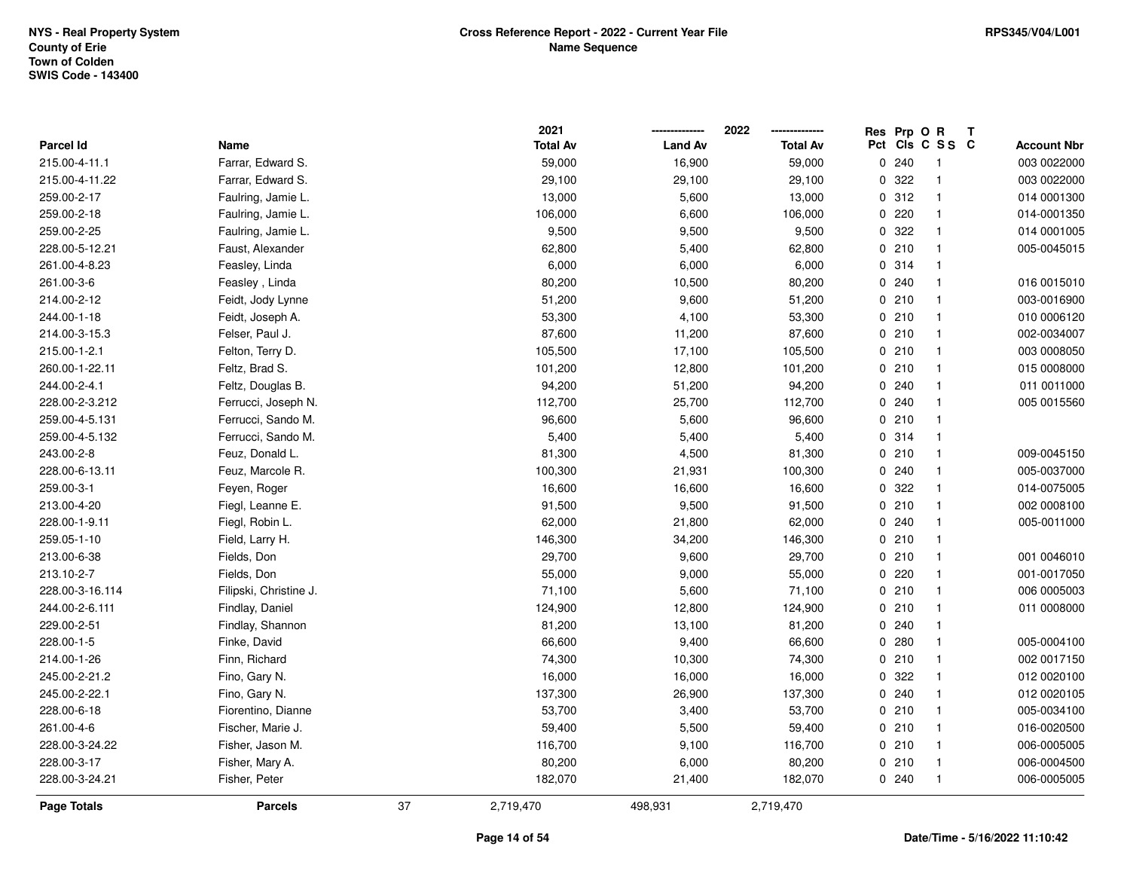|                  |                        |    | 2021            |                | 2022            | Res Prp O R |                 | Т |                    |
|------------------|------------------------|----|-----------------|----------------|-----------------|-------------|-----------------|---|--------------------|
| <b>Parcel Id</b> | Name                   |    | <b>Total Av</b> | <b>Land Av</b> | <b>Total Av</b> |             | Pct Cls C S S C |   | <b>Account Nbr</b> |
| 215.00-4-11.1    | Farrar, Edward S.      |    | 59,000          | 16,900         | 59,000          | 0.240       | $\overline{1}$  |   | 003 0022000        |
| 215.00-4-11.22   | Farrar, Edward S.      |    | 29,100          | 29,100         | 29,100          | 0 322       | $\overline{1}$  |   | 003 0022000        |
| 259.00-2-17      | Faulring, Jamie L.     |    | 13,000          | 5,600          | 13,000          | 0.312       | $\mathbf{1}$    |   | 014 0001300        |
| 259.00-2-18      | Faulring, Jamie L.     |    | 106,000         | 6,600          | 106,000         | 0220        | $\mathbf{1}$    |   | 014-0001350        |
| 259.00-2-25      | Faulring, Jamie L.     |    | 9,500           | 9,500          | 9,500           | 0 322       | $\mathbf{1}$    |   | 014 0001005        |
| 228.00-5-12.21   | Faust, Alexander       |    | 62,800          | 5,400          | 62,800          | 0210        | $\overline{1}$  |   | 005-0045015        |
| 261.00-4-8.23    | Feasley, Linda         |    | 6,000           | 6,000          | 6,000           | 0.314       | $\overline{1}$  |   |                    |
| 261.00-3-6       | Feasley, Linda         |    | 80,200          | 10,500         | 80,200          | 0.240       | $\mathbf{1}$    |   | 016 0015010        |
| 214.00-2-12      | Feidt, Jody Lynne      |    | 51,200          | 9,600          | 51,200          | 0210        | $\mathbf{1}$    |   | 003-0016900        |
| 244.00-1-18      | Feidt, Joseph A.       |    | 53,300          | 4,100          | 53,300          | 0210        | $\mathbf{1}$    |   | 010 0006120        |
| 214.00-3-15.3    | Felser, Paul J.        |    | 87,600          | 11,200         | 87,600          | 0210        | $\overline{1}$  |   | 002-0034007        |
| 215.00-1-2.1     | Felton, Terry D.       |    | 105,500         | 17,100         | 105,500         | 0210        | $\overline{1}$  |   | 003 0008050        |
| 260.00-1-22.11   | Feltz, Brad S.         |    | 101,200         | 12,800         | 101,200         | 0210        | -1              |   | 015 0008000        |
| 244.00-2-4.1     | Feltz, Douglas B.      |    | 94,200          | 51,200         | 94,200          | 0.240       | $\mathbf{1}$    |   | 011 0011000        |
| 228.00-2-3.212   | Ferrucci, Joseph N.    |    | 112,700         | 25,700         | 112,700         | 0.240       | $\mathbf{1}$    |   | 005 0015560        |
| 259.00-4-5.131   | Ferrucci, Sando M.     |    | 96,600          | 5,600          | 96,600          | 0210        | $\mathbf{1}$    |   |                    |
| 259.00-4-5.132   | Ferrucci, Sando M.     |    | 5,400           | 5,400          | 5,400           | 0.314       | $\mathbf{1}$    |   |                    |
| 243.00-2-8       | Feuz, Donald L.        |    | 81,300          | 4,500          | 81,300          | 0210        | $\overline{1}$  |   | 009-0045150        |
| 228.00-6-13.11   | Feuz, Marcole R.       |    | 100,300         | 21,931         | 100,300         | 0.240       | $\mathbf{1}$    |   | 005-0037000        |
| 259.00-3-1       | Feyen, Roger           |    | 16,600          | 16,600         | 16,600          | 0.322       | $\overline{1}$  |   | 014-0075005        |
| 213.00-4-20      | Fiegl, Leanne E.       |    | 91,500          | 9,500          | 91,500          | 0210        | $\mathbf{1}$    |   | 002 0008100        |
| 228.00-1-9.11    | Fiegl, Robin L.        |    | 62,000          | 21,800         | 62,000          | 0.240       | $\mathbf{1}$    |   | 005-0011000        |
| 259.05-1-10      | Field, Larry H.        |    | 146,300         | 34,200         | 146,300         | 0210        | $\overline{1}$  |   |                    |
| 213.00-6-38      | Fields, Don            |    | 29,700          | 9,600          | 29,700          | 0210        | $\mathbf{1}$    |   | 001 0046010        |
| 213.10-2-7       | Fields, Don            |    | 55,000          | 9,000          | 55,000          | 0220        | $\overline{1}$  |   | 001-0017050        |
| 228.00-3-16.114  | Filipski, Christine J. |    | 71,100          | 5,600          | 71,100          | 0210        | $\mathbf{1}$    |   | 006 0005003        |
| 244.00-2-6.111   | Findlay, Daniel        |    | 124,900         | 12,800         | 124,900         | 0210        | $\overline{1}$  |   | 011 0008000        |
| 229.00-2-51      | Findlay, Shannon       |    | 81,200          | 13,100         | 81,200          | 0.240       | $\overline{1}$  |   |                    |
| 228.00-1-5       | Finke, David           |    | 66,600          | 9,400          | 66,600          | 0.280       | $\overline{1}$  |   | 005-0004100        |
| 214.00-1-26      | Finn, Richard          |    | 74,300          | 10,300         | 74,300          | 0210        | $\mathbf{1}$    |   | 002 0017150        |
| 245.00-2-21.2    | Fino, Gary N.          |    | 16,000          | 16,000         | 16,000          | 0 322       | $\mathbf{1}$    |   | 012 0020100        |
| 245.00-2-22.1    | Fino, Gary N.          |    | 137,300         | 26,900         | 137,300         | 0.240       | $\mathbf{1}$    |   | 012 0020105        |
| 228.00-6-18      | Fiorentino, Dianne     |    | 53,700          | 3,400          | 53,700          | 0210        | $\overline{1}$  |   | 005-0034100        |
| 261.00-4-6       | Fischer, Marie J.      |    | 59,400          | 5,500          | 59,400          | 0210        | $\overline{1}$  |   | 016-0020500        |
| 228.00-3-24.22   | Fisher, Jason M.       |    | 116,700         | 9,100          | 116,700         | 0210        | $\mathbf{1}$    |   | 006-0005005        |
| 228.00-3-17      | Fisher, Mary A.        |    | 80,200          | 6,000          | 80,200          | 0210        | $\mathbf{1}$    |   | 006-0004500        |
| 228.00-3-24.21   | Fisher, Peter          |    | 182,070         | 21,400         | 182,070         | 0.240       | $\overline{1}$  |   | 006-0005005        |
| Page Totals      | <b>Parcels</b>         | 37 | 2,719,470       | 498,931        | 2,719,470       |             |                 |   |                    |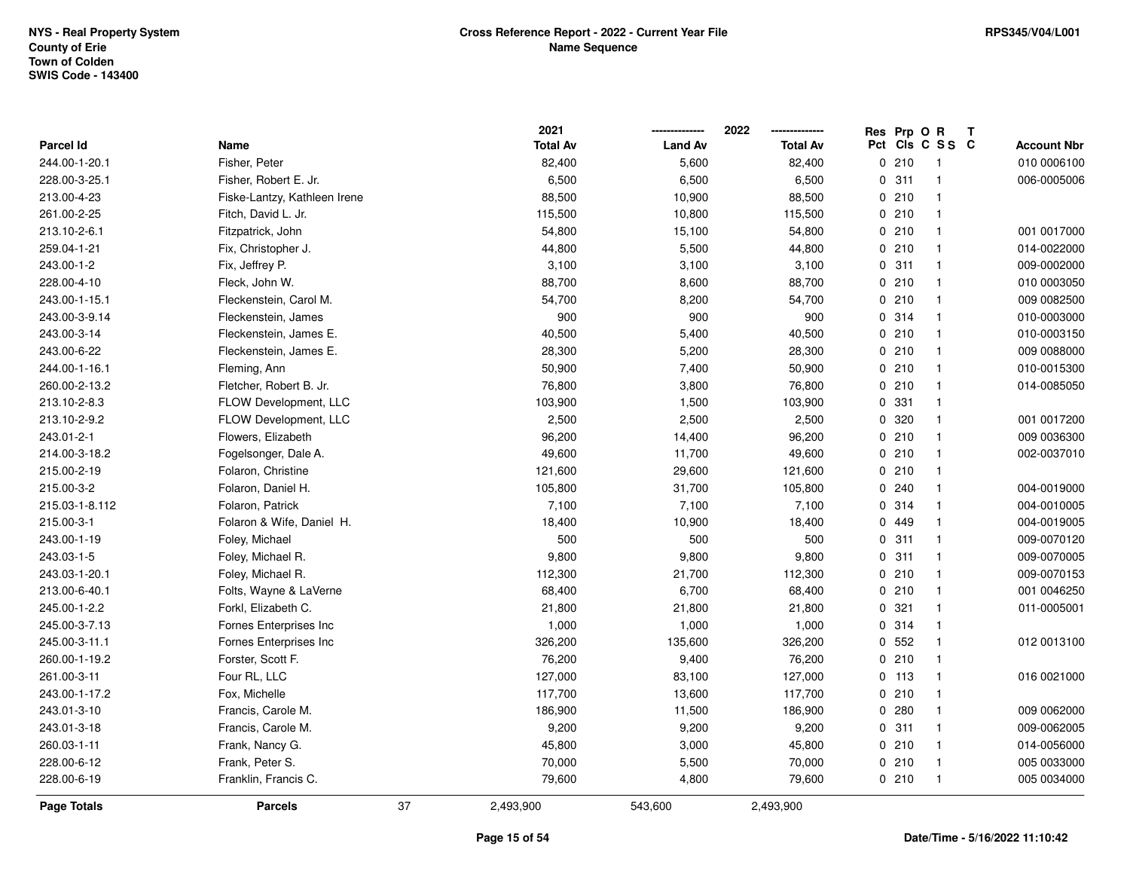|                    |                              |    | 2021            |                | 2022            | Res Prp O R |                 | Т |                    |
|--------------------|------------------------------|----|-----------------|----------------|-----------------|-------------|-----------------|---|--------------------|
| Parcel Id          | Name                         |    | <b>Total Av</b> | <b>Land Av</b> | <b>Total Av</b> |             | Pct Cls C S S C |   | <b>Account Nbr</b> |
| 244.00-1-20.1      | Fisher, Peter                |    | 82,400          | 5,600          | 82,400          | 0210        | $\overline{1}$  |   | 010 0006100        |
| 228.00-3-25.1      | Fisher, Robert E. Jr.        |    | 6,500           | 6,500          | 6,500           | 0.311       | $\overline{1}$  |   | 006-0005006        |
| 213.00-4-23        | Fiske-Lantzy, Kathleen Irene |    | 88,500          | 10,900         | 88,500          | 0210        | $\overline{1}$  |   |                    |
| 261.00-2-25        | Fitch, David L. Jr.          |    | 115,500         | 10,800         | 115,500         | 0210        | $\overline{1}$  |   |                    |
| 213.10-2-6.1       | Fitzpatrick, John            |    | 54,800          | 15,100         | 54,800          | 0210        | $\overline{1}$  |   | 001 0017000        |
| 259.04-1-21        | Fix, Christopher J.          |    | 44,800          | 5,500          | 44,800          | 0210        | $\overline{1}$  |   | 014-0022000        |
| 243.00-1-2         | Fix, Jeffrey P.              |    | 3,100           | 3,100          | 3,100           | 0.311       | $\mathbf{1}$    |   | 009-0002000        |
| 228.00-4-10        | Fleck, John W.               |    | 88,700          | 8,600          | 88,700          | 0210        | $\overline{1}$  |   | 010 0003050        |
| 243.00-1-15.1      | Fleckenstein, Carol M.       |    | 54,700          | 8,200          | 54,700          | 0210        | $\mathbf{1}$    |   | 009 0082500        |
| 243.00-3-9.14      | Fleckenstein, James          |    | 900             | 900            | 900             | 0.314       | $\mathbf{1}$    |   | 010-0003000        |
| 243.00-3-14        | Fleckenstein, James E.       |    | 40,500          | 5,400          | 40,500          | 0210        | $\overline{1}$  |   | 010-0003150        |
| 243.00-6-22        | Fleckenstein, James E.       |    | 28,300          | 5,200          | 28,300          | 0210        | $\mathbf{1}$    |   | 009 0088000        |
| 244.00-1-16.1      | Fleming, Ann                 |    | 50,900          | 7,400          | 50,900          | 0210        | -1              |   | 010-0015300        |
| 260.00-2-13.2      | Fletcher, Robert B. Jr.      |    | 76,800          | 3,800          | 76,800          | 0210        | $\overline{1}$  |   | 014-0085050        |
| 213.10-2-8.3       | FLOW Development, LLC        |    | 103,900         | 1,500          | 103,900         | 0 331       | $\mathbf{1}$    |   |                    |
| 213.10-2-9.2       | FLOW Development, LLC        |    | 2,500           | 2,500          | 2,500           | 0 320       | $\mathbf{1}$    |   | 001 0017200        |
| 243.01-2-1         | Flowers, Elizabeth           |    | 96,200          | 14,400         | 96,200          | 0210        | $\overline{1}$  |   | 009 0036300        |
| 214.00-3-18.2      | Fogelsonger, Dale A.         |    | 49,600          | 11,700         | 49,600          | 0210        | $\mathbf{1}$    |   | 002-0037010        |
| 215.00-2-19        | Folaron, Christine           |    | 121,600         | 29,600         | 121,600         | 0210        | $\mathbf{1}$    |   |                    |
| 215.00-3-2         | Folaron, Daniel H.           |    | 105,800         | 31,700         | 105,800         | 0.240       | $\overline{1}$  |   | 004-0019000        |
| 215.03-1-8.112     | Folaron, Patrick             |    | 7,100           | 7,100          | 7,100           | 0 314       | $\mathbf{1}$    |   | 004-0010005        |
| 215.00-3-1         | Folaron & Wife, Daniel H.    |    | 18,400          | 10,900         | 18,400          | 0 449       | $\mathbf{1}$    |   | 004-0019005        |
| 243.00-1-19        | Foley, Michael               |    | 500             | 500            | 500             | 0.311       | $\overline{1}$  |   | 009-0070120        |
| 243.03-1-5         | Foley, Michael R.            |    | 9,800           | 9,800          | 9,800           | 0.311       | $\mathbf{1}$    |   | 009-0070005        |
| 243.03-1-20.1      | Foley, Michael R.            |    | 112,300         | 21,700         | 112,300         | 0210        | $\overline{1}$  |   | 009-0070153        |
| 213.00-6-40.1      | Folts, Wayne & LaVerne       |    | 68,400          | 6,700          | 68,400          | 0210        | $\overline{1}$  |   | 001 0046250        |
| 245.00-1-2.2       | Forkl, Elizabeth C.          |    | 21,800          | 21,800         | 21,800          | 0.321       | $\overline{1}$  |   | 011-0005001        |
| 245.00-3-7.13      | Fornes Enterprises Inc       |    | 1,000           | 1,000          | 1,000           | 0.314       | $\overline{1}$  |   |                    |
| 245.00-3-11.1      | Fornes Enterprises Inc       |    | 326,200         | 135,600        | 326,200         | 0 552       | $\overline{1}$  |   | 012 0013100        |
| 260.00-1-19.2      | Forster, Scott F.            |    | 76,200          | 9,400          | 76,200          | 0210        | $\overline{1}$  |   |                    |
| 261.00-3-11        | Four RL, LLC                 |    | 127,000         | 83,100         | 127,000         | $0$ 113     | $\mathbf{1}$    |   | 016 0021000        |
| 243.00-1-17.2      | Fox, Michelle                |    | 117,700         | 13,600         | 117,700         | 0210        | $\overline{1}$  |   |                    |
| 243.01-3-10        | Francis, Carole M.           |    | 186,900         | 11,500         | 186,900         | 0.280       | $\mathbf{1}$    |   | 009 0062000        |
| 243.01-3-18        | Francis, Carole M.           |    | 9,200           | 9,200          | 9,200           | 0.311       | $\overline{1}$  |   | 009-0062005        |
| 260.03-1-11        | Frank, Nancy G.              |    | 45,800          | 3,000          | 45,800          | 0210        | $\overline{1}$  |   | 014-0056000        |
| 228.00-6-12        | Frank, Peter S.              |    | 70,000          | 5,500          | 70,000          | 0210        | $\overline{1}$  |   | 005 0033000        |
| 228.00-6-19        | Franklin, Francis C.         |    | 79,600          | 4,800          | 79,600          | 0210        | $\overline{1}$  |   | 005 0034000        |
| <b>Page Totals</b> | <b>Parcels</b>               | 37 | 2,493,900       | 543,600        | 2,493,900       |             |                 |   |                    |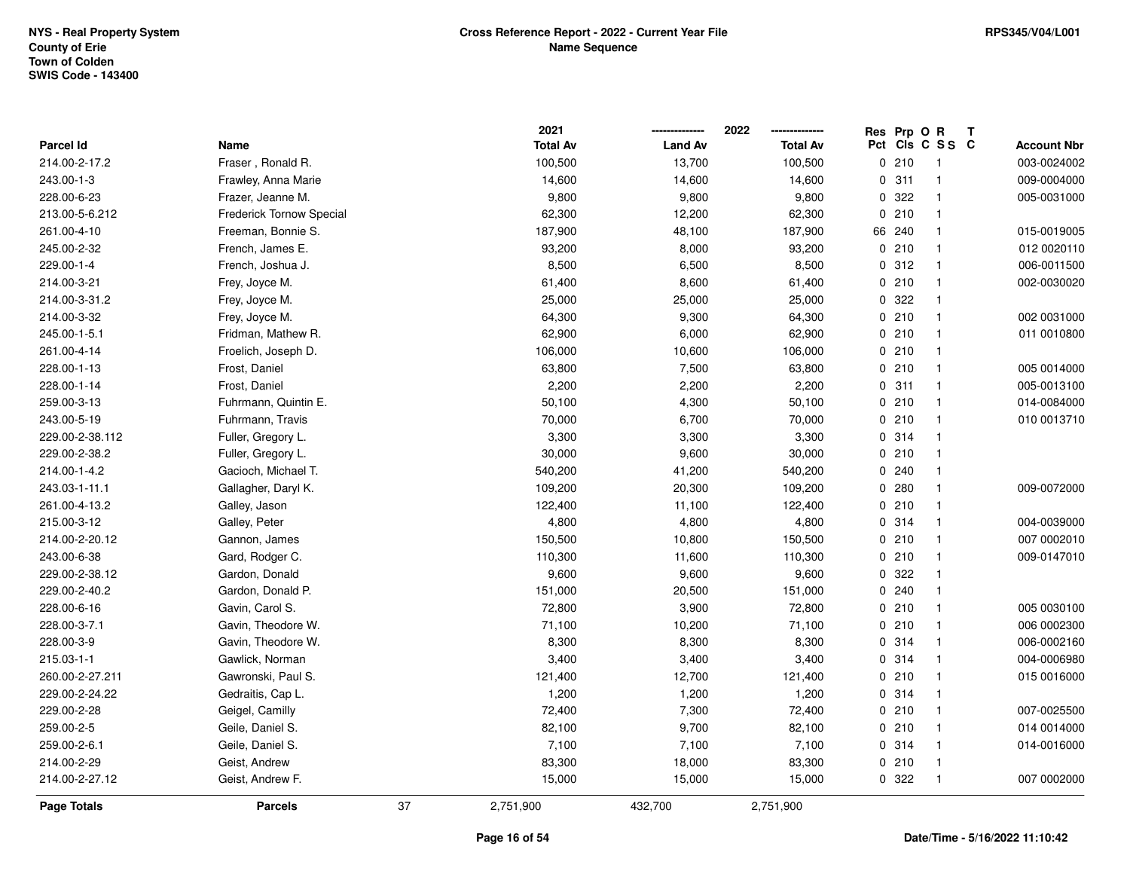|                  |                          |    | 2021            |                | 2022            | Res Prp O R |                          | Т |                    |
|------------------|--------------------------|----|-----------------|----------------|-----------------|-------------|--------------------------|---|--------------------|
| <b>Parcel Id</b> | Name                     |    | <b>Total Av</b> | <b>Land Av</b> | <b>Total Av</b> |             | Pct Cls C S S C          |   | <b>Account Nbr</b> |
| 214.00-2-17.2    | Fraser, Ronald R.        |    | 100,500         | 13,700         | 100,500         | 0210        | $\overline{\phantom{1}}$ |   | 003-0024002        |
| 243.00-1-3       | Frawley, Anna Marie      |    | 14,600          | 14,600         | 14,600          | 0.311       | $\overline{1}$           |   | 009-0004000        |
| 228.00-6-23      | Frazer, Jeanne M.        |    | 9,800           | 9,800          | 9,800           | 0.322       | $\overline{1}$           |   | 005-0031000        |
| 213.00-5-6.212   | Frederick Tornow Special |    | 62,300          | 12,200         | 62,300          | 0210        | $\overline{1}$           |   |                    |
| 261.00-4-10      | Freeman, Bonnie S.       |    | 187,900         | 48,100         | 187,900         | 66 240      | $\overline{1}$           |   | 015-0019005        |
| 245.00-2-32      | French, James E.         |    | 93,200          | 8,000          | 93,200          | 0210        | -1                       |   | 012 0020110        |
| 229.00-1-4       | French, Joshua J.        |    | 8,500           | 6,500          | 8,500           | 0.312       | $\overline{1}$           |   | 006-0011500        |
| 214.00-3-21      | Frey, Joyce M.           |    | 61,400          | 8,600          | 61,400          | 0210        | $\overline{1}$           |   | 002-0030020        |
| 214.00-3-31.2    | Frey, Joyce M.           |    | 25,000          | 25,000         | 25,000          | 0.322       | $\overline{1}$           |   |                    |
| 214.00-3-32      | Frey, Joyce M.           |    | 64,300          | 9,300          | 64,300          | 0210        | $\overline{1}$           |   | 002 0031000        |
| 245.00-1-5.1     | Fridman, Mathew R.       |    | 62,900          | 6,000          | 62,900          | 0210        | $\overline{1}$           |   | 011 0010800        |
| 261.00-4-14      | Froelich, Joseph D.      |    | 106,000         | 10,600         | 106,000         | 0210        | $\overline{1}$           |   |                    |
| 228.00-1-13      | Frost, Daniel            |    | 63,800          | 7,500          | 63,800          | 0210        | -1                       |   | 005 0014000        |
| 228.00-1-14      | Frost, Daniel            |    | 2,200           | 2,200          | 2,200           | 0.311       | $\overline{1}$           |   | 005-0013100        |
| 259.00-3-13      | Fuhrmann, Quintin E.     |    | 50,100          | 4,300          | 50,100          | 0210        | $\overline{1}$           |   | 014-0084000        |
| 243.00-5-19      | Fuhrmann, Travis         |    | 70,000          | 6,700          | 70,000          | 0210        | $\overline{1}$           |   | 010 0013710        |
| 229.00-2-38.112  | Fuller, Gregory L.       |    | 3,300           | 3,300          | 3,300           | 0.314       | $\overline{1}$           |   |                    |
| 229.00-2-38.2    | Fuller, Gregory L.       |    | 30,000          | 9,600          | 30,000          | 0210        | -1                       |   |                    |
| 214.00-1-4.2     | Gacioch, Michael T.      |    | 540,200         | 41,200         | 540,200         | 0.240       | $\overline{1}$           |   |                    |
| 243.03-1-11.1    | Gallagher, Daryl K.      |    | 109,200         | 20,300         | 109,200         | 0.280       | $\overline{1}$           |   | 009-0072000        |
| 261.00-4-13.2    | Galley, Jason            |    | 122,400         | 11,100         | 122,400         | 0210        | $\overline{1}$           |   |                    |
| 215.00-3-12      | Galley, Peter            |    | 4,800           | 4,800          | 4,800           | 0 314       | $\overline{\mathbf{1}}$  |   | 004-0039000        |
| 214.00-2-20.12   | Gannon, James            |    | 150,500         | 10,800         | 150,500         | 0210        | $\overline{1}$           |   | 007 0002010        |
| 243.00-6-38      | Gard, Rodger C.          |    | 110,300         | 11,600         | 110,300         | 0210        | $\overline{1}$           |   | 009-0147010        |
| 229.00-2-38.12   | Gardon, Donald           |    | 9,600           | 9,600          | 9,600           | 0.322       | $\overline{1}$           |   |                    |
| 229.00-2-40.2    | Gardon, Donald P.        |    | 151,000         | 20,500         | 151,000         | 0.240       | -1                       |   |                    |
| 228.00-6-16      | Gavin, Carol S.          |    | 72,800          | 3,900          | 72,800          | 0210        | -1                       |   | 005 0030100        |
| 228.00-3-7.1     | Gavin, Theodore W.       |    | 71,100          | 10,200         | 71,100          | 0210        | $\overline{1}$           |   | 006 0002300        |
| 228.00-3-9       | Gavin, Theodore W.       |    | 8,300           | 8,300          | 8,300           | 0.314       | $\overline{1}$           |   | 006-0002160        |
| 215.03-1-1       | Gawlick, Norman          |    | 3,400           | 3,400          | 3,400           | 0 314       | $\overline{1}$           |   | 004-0006980        |
| 260.00-2-27.211  | Gawronski, Paul S.       |    | 121,400         | 12,700         | 121,400         | 0210        | $\overline{1}$           |   | 015 0016000        |
| 229.00-2-24.22   | Gedraitis, Cap L.        |    | 1,200           | 1,200          | 1,200           | 0.314       | $\overline{1}$           |   |                    |
| 229.00-2-28      | Geigel, Camilly          |    | 72,400          | 7,300          | 72,400          | 0210        | $\overline{1}$           |   | 007-0025500        |
| 259.00-2-5       | Geile, Daniel S.         |    | 82,100          | 9,700          | 82,100          | 0210        | $\overline{1}$           |   | 014 0014000        |
| 259.00-2-6.1     | Geile, Daniel S.         |    | 7,100           | 7,100          | 7,100           | 0.314       | $\overline{1}$           |   | 014-0016000        |
| 214.00-2-29      | Geist, Andrew            |    | 83,300          | 18,000         | 83,300          | 0210        | $\overline{1}$           |   |                    |
| 214.00-2-27.12   | Geist, Andrew F.         |    | 15,000          | 15,000         | 15,000          | 0 322       | $\overline{1}$           |   | 007 0002000        |
| Page Totals      | <b>Parcels</b>           | 37 | 2,751,900       | 432,700        | 2,751,900       |             |                          |   |                    |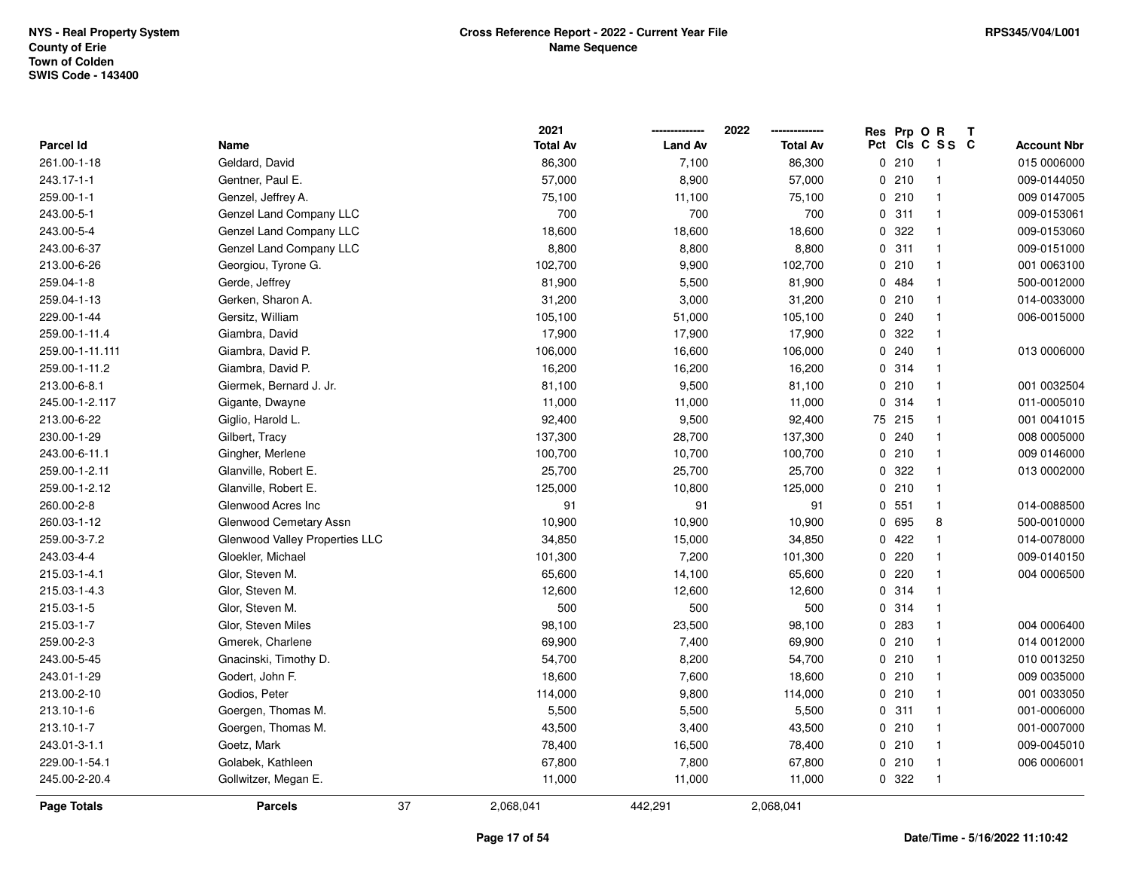|                 |                                | 2021            |                | 2022            |     | Res Prp O R |                | Т |                    |
|-----------------|--------------------------------|-----------------|----------------|-----------------|-----|-------------|----------------|---|--------------------|
| Parcel Id       | Name                           | <b>Total Av</b> | <b>Land Av</b> | <b>Total Av</b> | Pct |             | CIS C S S C    |   | <b>Account Nbr</b> |
| 261.00-1-18     | Geldard, David                 | 86,300          | 7,100          | 86,300          |     | 0210        | $\overline{1}$ |   | 015 0006000        |
| 243.17-1-1      | Gentner, Paul E.               | 57,000          | 8,900          | 57,000          |     | 0210        | $\overline{1}$ |   | 009-0144050        |
| 259.00-1-1      | Genzel, Jeffrey A.             | 75,100          | 11,100         | 75,100          |     | 0210        | $\mathbf{1}$   |   | 009 0147005        |
| 243.00-5-1      | Genzel Land Company LLC        | 700             | 700            | 700             |     | 0.311       | $\mathbf{1}$   |   | 009-0153061        |
| 243.00-5-4      | Genzel Land Company LLC        | 18,600          | 18,600         | 18,600          |     | 0.322       | $\mathbf{1}$   |   | 009-0153060        |
| 243.00-6-37     | Genzel Land Company LLC        | 8,800           | 8,800          | 8,800           |     | 0.311       | $\mathbf{1}$   |   | 009-0151000        |
| 213.00-6-26     | Georgiou, Tyrone G.            | 102,700         | 9,900          | 102,700         |     | 0210        | $\mathbf{1}$   |   | 001 0063100        |
| 259.04-1-8      | Gerde, Jeffrey                 | 81,900          | 5,500          | 81,900          |     | 0 484       | $\mathbf{1}$   |   | 500-0012000        |
| 259.04-1-13     | Gerken, Sharon A.              | 31,200          | 3,000          | 31,200          |     | 0210        | $\mathbf{1}$   |   | 014-0033000        |
| 229.00-1-44     | Gersitz, William               | 105,100         | 51,000         | 105,100         |     | 0.240       | $\mathbf{1}$   |   | 006-0015000        |
| 259.00-1-11.4   | Giambra, David                 | 17,900          | 17,900         | 17,900          |     | 0 322       | -1             |   |                    |
| 259.00-1-11.111 | Giambra, David P.              | 106,000         | 16,600         | 106,000         |     | 0.240       | 1              |   | 013 0006000        |
| 259.00-1-11.2   | Giambra, David P.              | 16,200          | 16,200         | 16,200          |     | 0 314       | -1             |   |                    |
| 213.00-6-8.1    | Giermek, Bernard J. Jr.        | 81,100          | 9,500          | 81,100          |     | 0210        | $\mathbf{1}$   |   | 001 0032504        |
| 245.00-1-2.117  | Gigante, Dwayne                | 11,000          | 11,000         | 11,000          | 0   | 314         | $\mathbf{1}$   |   | 011-0005010        |
| 213.00-6-22     | Giglio, Harold L.              | 92,400          | 9,500          | 92,400          | 75  | 215         | $\mathbf{1}$   |   | 001 0041015        |
| 230.00-1-29     | Gilbert, Tracy                 | 137,300         | 28,700         | 137,300         |     | 0.240       | $\overline{1}$ |   | 008 0005000        |
| 243.00-6-11.1   | Gingher, Merlene               | 100,700         | 10,700         | 100,700         |     | 0210        | $\mathbf{1}$   |   | 009 0146000        |
| 259.00-1-2.11   | Glanville, Robert E.           | 25,700          | 25,700         | 25,700          |     | 0.322       | -1             |   | 013 0002000        |
| 259.00-1-2.12   | Glanville, Robert E.           | 125,000         | 10,800         | 125,000         |     | 0210        | $\mathbf{1}$   |   |                    |
| 260.00-2-8      | Glenwood Acres Inc             | 91              | 91             | 91              |     | 0, 551      | $\mathbf{1}$   |   | 014-0088500        |
| 260.03-1-12     | Glenwood Cemetary Assn         | 10,900          | 10,900         | 10,900          |     | 0 695       | 8              |   | 500-0010000        |
| 259.00-3-7.2    | Glenwood Valley Properties LLC | 34,850          | 15,000         | 34,850          |     | 0422        | $\mathbf{1}$   |   | 014-0078000        |
| 243.03-4-4      | Gloekler, Michael              | 101,300         | 7,200          | 101,300         |     | 0220        | $\mathbf{1}$   |   | 009-0140150        |
| 215.03-1-4.1    | Glor, Steven M.                | 65,600          | 14,100         | 65,600          |     | $0$ 220     | $\mathbf{1}$   |   | 004 0006500        |
| 215.03-1-4.3    | Glor, Steven M.                | 12,600          | 12,600         | 12,600          |     | 0 314       | -1             |   |                    |
| 215.03-1-5      | Glor, Steven M.                | 500             | 500            | 500             |     | 0 314       | -1             |   |                    |
| 215.03-1-7      | Glor, Steven Miles             | 98,100          | 23,500         | 98,100          |     | 0.283       | $\mathbf{1}$   |   | 004 0006400        |
| 259.00-2-3      | Gmerek, Charlene               | 69,900          | 7,400          | 69,900          |     | 0210        | $\overline{1}$ |   | 014 0012000        |
| 243.00-5-45     | Gnacinski, Timothy D.          | 54,700          | 8,200          | 54,700          |     | 0210        | $\mathbf{1}$   |   | 010 0013250        |
| 243.01-1-29     | Godert, John F.                | 18,600          | 7,600          | 18,600          |     | 0210        | $\overline{1}$ |   | 009 0035000        |
| 213.00-2-10     | Godios, Peter                  | 114,000         | 9,800          | 114,000         |     | 0210        | $\mathbf{1}$   |   | 001 0033050        |
| 213.10-1-6      | Goergen, Thomas M.             | 5,500           | 5,500          | 5,500           |     | 0.311       | $\mathbf{1}$   |   | 001-0006000        |
| 213.10-1-7      | Goergen, Thomas M.             | 43,500          | 3,400          | 43,500          |     | 0210        | $\mathbf{1}$   |   | 001-0007000        |
| 243.01-3-1.1    | Goetz, Mark                    | 78,400          | 16,500         | 78,400          |     | 0210        | $\mathbf{1}$   |   | 009-0045010        |
| 229.00-1-54.1   | Golabek, Kathleen              | 67,800          | 7,800          | 67,800          |     | 0210        | $\mathbf{1}$   |   | 006 0006001        |
| 245.00-2-20.4   | Gollwitzer, Megan E.           | 11,000          | 11,000         | 11,000          |     | 0 322       | $\overline{1}$ |   |                    |
| Page Totals     | <b>Parcels</b>                 | 37<br>2,068,041 | 442,291        | 2,068,041       |     |             |                |   |                    |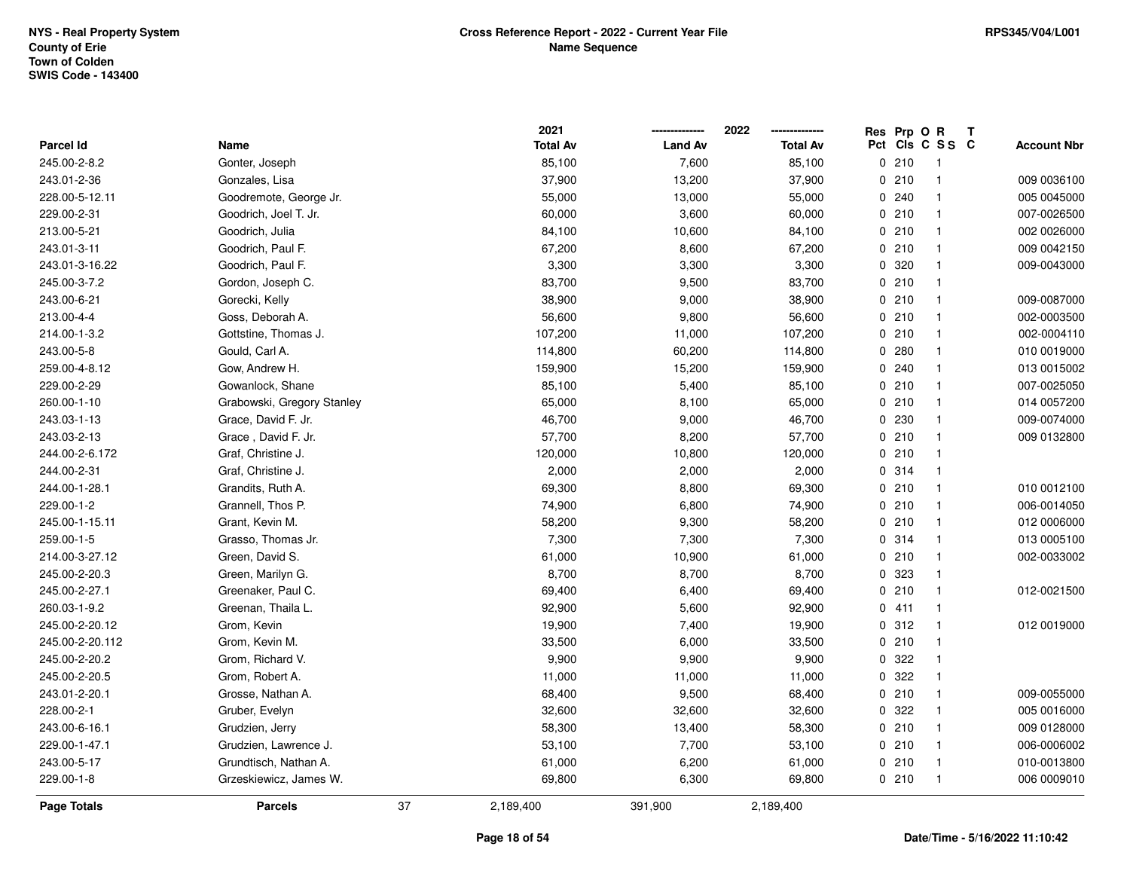|                  |                            |    | 2021            |                | 2022            | Res Prp O R |                 | Т |                    |
|------------------|----------------------------|----|-----------------|----------------|-----------------|-------------|-----------------|---|--------------------|
| <b>Parcel Id</b> | Name                       |    | <b>Total Av</b> | <b>Land Av</b> | <b>Total Av</b> |             | Pct Cls C S S C |   | <b>Account Nbr</b> |
| 245.00-2-8.2     | Gonter, Joseph             |    | 85,100          | 7,600          | 85,100          | 0210        | $\overline{1}$  |   |                    |
| 243.01-2-36      | Gonzales, Lisa             |    | 37,900          | 13,200         | 37,900          | 0210        | $\mathbf{1}$    |   | 009 0036100        |
| 228.00-5-12.11   | Goodremote, George Jr.     |    | 55,000          | 13,000         | 55,000          | 0.240       | $\mathbf{1}$    |   | 005 0045000        |
| 229.00-2-31      | Goodrich, Joel T. Jr.      |    | 60,000          | 3,600          | 60,000          | 0210        | $\mathbf{1}$    |   | 007-0026500        |
| 213.00-5-21      | Goodrich, Julia            |    | 84,100          | 10,600         | 84,100          | 0210        | $\mathbf{1}$    |   | 002 0026000        |
| 243.01-3-11      | Goodrich, Paul F.          |    | 67,200          | 8,600          | 67,200          | 0210        | 1               |   | 009 0042150        |
| 243.01-3-16.22   | Goodrich, Paul F.          |    | 3,300           | 3,300          | 3,300           | 0 320       | $\mathbf{1}$    |   | 009-0043000        |
| 245.00-3-7.2     | Gordon, Joseph C.          |    | 83,700          | 9,500          | 83,700          | 0210        | $\mathbf{1}$    |   |                    |
| 243.00-6-21      | Gorecki, Kelly             |    | 38,900          | 9,000          | 38,900          | 0210        | $\mathbf{1}$    |   | 009-0087000        |
| 213.00-4-4       | Goss, Deborah A.           |    | 56,600          | 9,800          | 56,600          | 0210        | $\mathbf{1}$    |   | 002-0003500        |
| 214.00-1-3.2     | Gottstine, Thomas J.       |    | 107,200         | 11,000         | 107,200         | 0210        | $\mathbf{1}$    |   | 002-0004110        |
| 243.00-5-8       | Gould, Carl A.             |    | 114,800         | 60,200         | 114,800         | 0.280       | 1               |   | 010 0019000        |
| 259.00-4-8.12    | Gow, Andrew H.             |    | 159,900         | 15,200         | 159,900         | 0.240       | 1               |   | 013 0015002        |
| 229.00-2-29      | Gowanlock, Shane           |    | 85,100          | 5,400          | 85,100          | 0210        | 1               |   | 007-0025050        |
| 260.00-1-10      | Grabowski, Gregory Stanley |    | 65,000          | 8,100          | 65,000          | 0210        | $\mathbf{1}$    |   | 014 0057200        |
| 243.03-1-13      | Grace, David F. Jr.        |    | 46,700          | 9,000          | 46,700          | 0 230       | $\mathbf{1}$    |   | 009-0074000        |
| 243.03-2-13      | Grace, David F. Jr.        |    | 57,700          | 8,200          | 57,700          | 0210        | $\mathbf{1}$    |   | 009 0132800        |
| 244.00-2-6.172   | Graf, Christine J.         |    | 120,000         | 10,800         | 120,000         | 0210        | $\mathbf{1}$    |   |                    |
| 244.00-2-31      | Graf, Christine J.         |    | 2,000           | 2,000          | 2,000           | 0.314       | $\mathbf{1}$    |   |                    |
| 244.00-1-28.1    | Grandits, Ruth A.          |    | 69,300          | 8,800          | 69,300          | 0210        | 1               |   | 010 0012100        |
| 229.00-1-2       | Grannell, Thos P.          |    | 74,900          | 6,800          | 74,900          | 0210        | $\mathbf{1}$    |   | 006-0014050        |
| 245.00-1-15.11   | Grant, Kevin M.            |    | 58,200          | 9,300          | 58,200          | 0210        | $\mathbf{1}$    |   | 012 0006000        |
| 259.00-1-5       | Grasso, Thomas Jr.         |    | 7,300           | 7,300          | 7,300           | 0.314       | $\mathbf{1}$    |   | 013 0005100        |
| 214.00-3-27.12   | Green, David S.            |    | 61,000          | 10,900         | 61,000          | 0210        | $\mathbf{1}$    |   | 002-0033002        |
| 245.00-2-20.3    | Green, Marilyn G.          |    | 8,700           | 8,700          | 8,700           | 0 323       | $\mathbf{1}$    |   |                    |
| 245.00-2-27.1    | Greenaker, Paul C.         |    | 69,400          | 6,400          | 69,400          | 0210        | $\mathbf{1}$    |   | 012-0021500        |
| 260.03-1-9.2     | Greenan, Thaila L.         |    | 92,900          | 5,600          | 92,900          | 0411        | $\mathbf{1}$    |   |                    |
| 245.00-2-20.12   | Grom, Kevin                |    | 19,900          | 7,400          | 19,900          | 0.312       | $\mathbf{1}$    |   | 012 0019000        |
| 245.00-2-20.112  | Grom, Kevin M.             |    | 33,500          | 6,000          | 33,500          | 0210        | $\mathbf{1}$    |   |                    |
| 245.00-2-20.2    | Grom, Richard V.           |    | 9,900           | 9,900          | 9,900           | 0.322       | $\mathbf{1}$    |   |                    |
| 245.00-2-20.5    | Grom, Robert A.            |    | 11,000          | 11,000         | 11,000          | 0 322       | $\mathbf{1}$    |   |                    |
| 243.01-2-20.1    | Grosse, Nathan A.          |    | 68,400          | 9,500          | 68,400          | 0210        | $\mathbf{1}$    |   | 009-0055000        |
| 228.00-2-1       | Gruber, Evelyn             |    | 32,600          | 32,600         | 32,600          | 0.322       | $\mathbf{1}$    |   | 005 0016000        |
| 243.00-6-16.1    | Grudzien, Jerry            |    | 58,300          | 13,400         | 58,300          | 0210        | $\mathbf{1}$    |   | 009 0128000        |
| 229.00-1-47.1    | Grudzien, Lawrence J.      |    | 53,100          | 7,700          | 53,100          | 0210        | $\mathbf{1}$    |   | 006-0006002        |
| 243.00-5-17      | Grundtisch, Nathan A.      |    | 61,000          | 6,200          | 61,000          | 0210        | $\mathbf{1}$    |   | 010-0013800        |
| 229.00-1-8       | Grzeskiewicz, James W.     |    | 69,800          | 6,300          | 69,800          | 0210        | $\mathbf{1}$    |   | 006 0009010        |
| Page Totals      | <b>Parcels</b>             | 37 | 2,189,400       | 391,900        | 2,189,400       |             |                 |   |                    |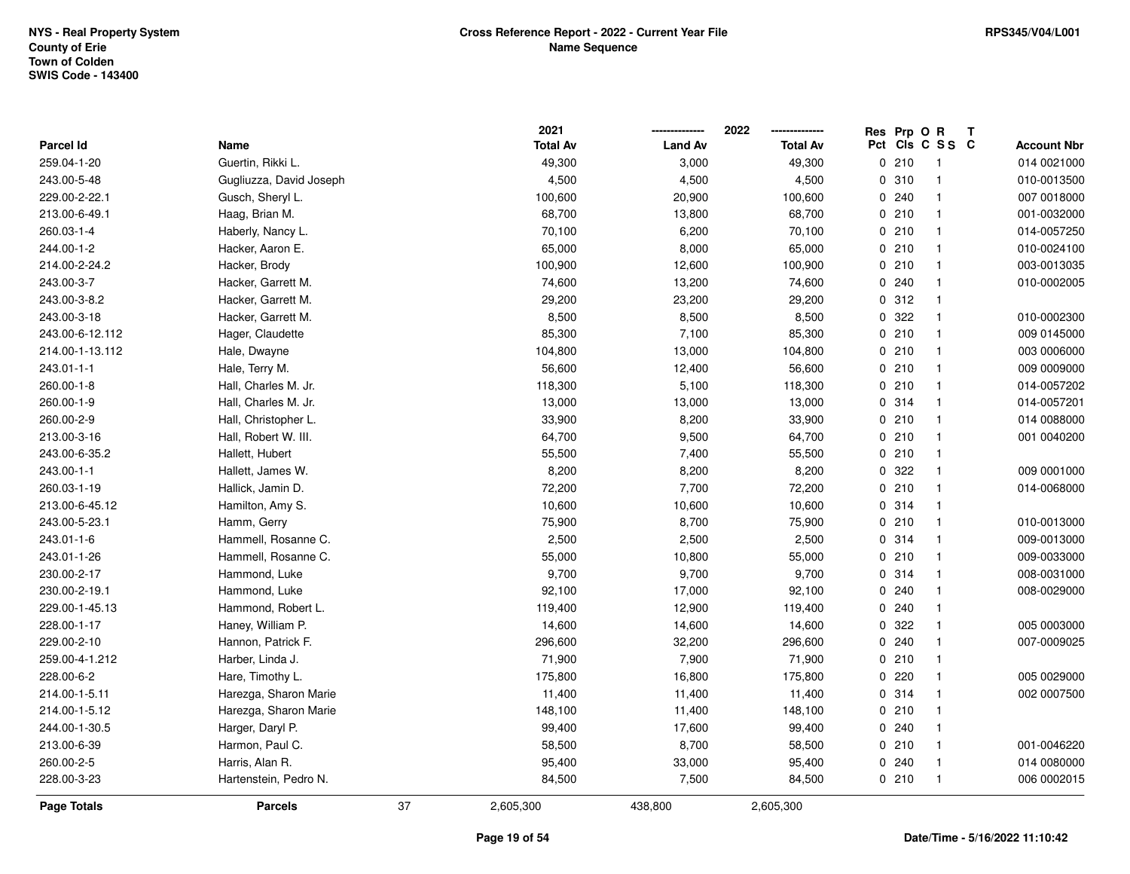|                  |                         |    | 2021            |                | 2022            |     | Res Prp O R | Т                       |                    |
|------------------|-------------------------|----|-----------------|----------------|-----------------|-----|-------------|-------------------------|--------------------|
| <b>Parcel Id</b> | Name                    |    | <b>Total Av</b> | <b>Land Av</b> | <b>Total Av</b> | Pct |             | CIS C S S C             | <b>Account Nbr</b> |
| 259.04-1-20      | Guertin, Rikki L.       |    | 49,300          | 3,000          | 49,300          |     | 0210        | $\overline{1}$          | 014 0021000        |
| 243.00-5-48      | Gugliuzza, David Joseph |    | 4,500           | 4,500          | 4,500           |     | 0.310       | $\mathbf{1}$            | 010-0013500        |
| 229.00-2-22.1    | Gusch, Sheryl L.        |    | 100,600         | 20,900         | 100,600         |     | 0.240       | $\mathbf{1}$            | 007 0018000        |
| 213.00-6-49.1    | Haag, Brian M.          |    | 68,700          | 13,800         | 68,700          |     | 0210        | $\mathbf{1}$            | 001-0032000        |
| 260.03-1-4       | Haberly, Nancy L.       |    | 70,100          | 6,200          | 70,100          |     | 0210        | $\mathbf{1}$            | 014-0057250        |
| 244.00-1-2       | Hacker, Aaron E.        |    | 65,000          | 8,000          | 65,000          |     | 0210        | $\overline{\mathbf{1}}$ | 010-0024100        |
| 214.00-2-24.2    | Hacker, Brody           |    | 100,900         | 12,600         | 100,900         |     | 0210        | $\mathbf{1}$            | 003-0013035        |
| 243.00-3-7       | Hacker, Garrett M.      |    | 74,600          | 13,200         | 74,600          |     | 0.240       | $\mathbf{1}$            | 010-0002005        |
| 243.00-3-8.2     | Hacker, Garrett M.      |    | 29,200          | 23,200         | 29,200          |     | 0.312       | $\mathbf{1}$            |                    |
| 243.00-3-18      | Hacker, Garrett M.      |    | 8,500           | 8,500          | 8,500           |     | 0.322       | $\mathbf{1}$            | 010-0002300        |
| 243.00-6-12.112  | Hager, Claudette        |    | 85,300          | 7,100          | 85,300          |     | 0210        | $\mathbf{1}$            | 009 0145000        |
| 214.00-1-13.112  | Hale, Dwayne            |    | 104,800         | 13,000         | 104,800         |     | 0210        | $\mathbf{1}$            | 003 0006000        |
| 243.01-1-1       | Hale, Terry M.          |    | 56,600          | 12,400         | 56,600          |     | 0210        |                         | 009 0009000        |
| 260.00-1-8       | Hall, Charles M. Jr.    |    | 118,300         | 5,100          | 118,300         |     | 0210        | $\mathbf{1}$            | 014-0057202        |
| 260.00-1-9       | Hall, Charles M. Jr.    |    | 13,000          | 13,000         | 13,000          |     | 0.314       | $\mathbf{1}$            | 014-0057201        |
| 260.00-2-9       | Hall, Christopher L.    |    | 33,900          | 8,200          | 33,900          |     | 0210        | $\mathbf{1}$            | 014 0088000        |
| 213.00-3-16      | Hall, Robert W. III.    |    | 64,700          | 9,500          | 64,700          |     | 0210        | $\mathbf{1}$            | 001 0040200        |
| 243.00-6-35.2    | Hallett, Hubert         |    | 55,500          | 7,400          | 55,500          |     | 0210        | $\mathbf{1}$            |                    |
| 243.00-1-1       | Hallett, James W.       |    | 8,200           | 8,200          | 8,200           |     | 0.322       | $\mathbf{1}$            | 009 0001000        |
| 260.03-1-19      | Hallick, Jamin D.       |    | 72,200          | 7,700          | 72,200          |     | 0210        | $\overline{\mathbf{1}}$ | 014-0068000        |
| 213.00-6-45.12   | Hamilton, Amy S.        |    | 10,600          | 10,600         | 10,600          |     | 0 314       | $\mathbf{1}$            |                    |
| 243.00-5-23.1    | Hamm, Gerry             |    | 75,900          | 8,700          | 75,900          |     | 0210        | $\mathbf{1}$            | 010-0013000        |
| 243.01-1-6       | Hammell, Rosanne C.     |    | 2,500           | 2,500          | 2,500           |     | 0.314       | $\mathbf{1}$            | 009-0013000        |
| 243.01-1-26      | Hammell, Rosanne C.     |    | 55,000          | 10,800         | 55,000          |     | 0210        | $\mathbf{1}$            | 009-0033000        |
| 230.00-2-17      | Hammond, Luke           |    | 9,700           | 9,700          | 9,700           |     | 0.314       | $\mathbf{1}$            | 008-0031000        |
| 230.00-2-19.1    | Hammond, Luke           |    | 92,100          | 17,000         | 92,100          |     | 0.240       | -1                      | 008-0029000        |
| 229.00-1-45.13   | Hammond, Robert L.      |    | 119,400         | 12,900         | 119,400         |     | 0.240       | -1                      |                    |
| 228.00-1-17      | Haney, William P.       |    | 14,600          | 14,600         | 14,600          |     | 0.322       | $\mathbf{1}$            | 005 0003000        |
| 229.00-2-10      | Hannon, Patrick F.      |    | 296,600         | 32,200         | 296,600         |     | 0.240       | $\overline{\mathbf{1}}$ | 007-0009025        |
| 259.00-4-1.212   | Harber, Linda J.        |    | 71,900          | 7,900          | 71,900          |     | 0210        | $\mathbf{1}$            |                    |
| 228.00-6-2       | Hare, Timothy L.        |    | 175,800         | 16,800         | 175,800         |     | 0220        | $\mathbf{1}$            | 005 0029000        |
| 214.00-1-5.11    | Harezga, Sharon Marie   |    | 11,400          | 11,400         | 11,400          |     | 0.314       | $\mathbf{1}$            | 002 0007500        |
| 214.00-1-5.12    | Harezga, Sharon Marie   |    | 148,100         | 11,400         | 148,100         |     | 0210        | $\mathbf{1}$            |                    |
| 244.00-1-30.5    | Harger, Daryl P.        |    | 99,400          | 17,600         | 99,400          |     | 0.240       | $\mathbf{1}$            |                    |
| 213.00-6-39      | Harmon, Paul C.         |    | 58,500          | 8,700          | 58,500          |     | 0210        | $\mathbf{1}$            | 001-0046220        |
| 260.00-2-5       | Harris, Alan R.         |    | 95,400          | 33,000         | 95,400          |     | 0.240       | $\mathbf{1}$            | 014 0080000        |
| 228.00-3-23      | Hartenstein, Pedro N.   |    | 84,500          | 7,500          | 84,500          |     | 0210        | $\mathbf{1}$            | 006 0002015        |
| Page Totals      | <b>Parcels</b>          | 37 | 2,605,300       | 438,800        | 2,605,300       |     |             |                         |                    |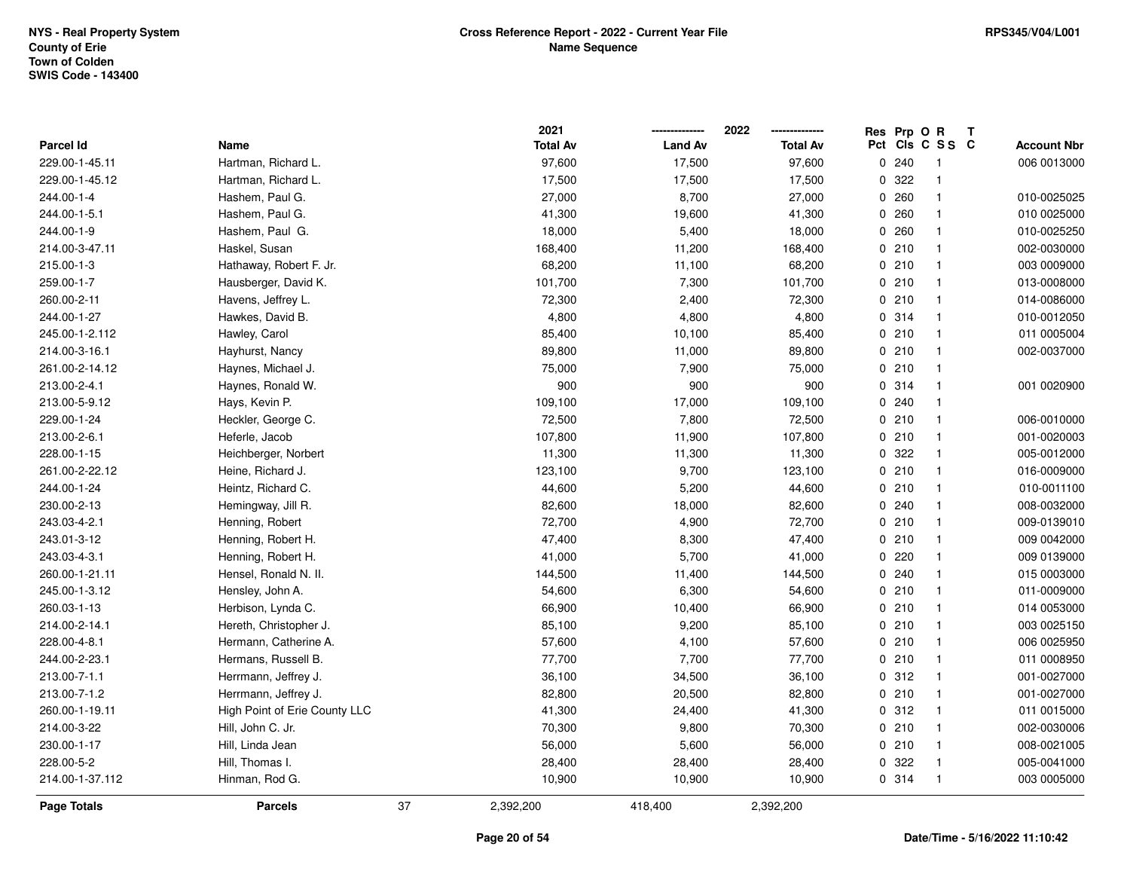|                  |                               | 2021            |                | 2022            | Res Prp O R |                 | Т |                    |
|------------------|-------------------------------|-----------------|----------------|-----------------|-------------|-----------------|---|--------------------|
| <b>Parcel Id</b> | Name                          | <b>Total Av</b> | <b>Land Av</b> | <b>Total Av</b> |             | Pct Cls C S S C |   | <b>Account Nbr</b> |
| 229.00-1-45.11   | Hartman, Richard L.           | 97,600          | 17,500         | 97,600          | 0.240       | $\overline{1}$  |   | 006 0013000        |
| 229.00-1-45.12   | Hartman, Richard L.           | 17,500          | 17,500         | 17,500          | 0 322       | $\overline{1}$  |   |                    |
| 244.00-1-4       | Hashem, Paul G.               | 27,000          | 8,700          | 27,000          | 0.260       | $\mathbf{1}$    |   | 010-0025025        |
| 244.00-1-5.1     | Hashem, Paul G.               | 41,300          | 19,600         | 41,300          | 0.260       | $\mathbf{1}$    |   | 010 0025000        |
| 244.00-1-9       | Hashem, Paul G.               | 18,000          | 5,400          | 18,000          | 0.260       | $\mathbf{1}$    |   | 010-0025250        |
| 214.00-3-47.11   | Haskel, Susan                 | 168,400         | 11,200         | 168,400         | 0210        | $\overline{1}$  |   | 002-0030000        |
| 215.00-1-3       | Hathaway, Robert F. Jr.       | 68,200          | 11,100         | 68,200          | 0210        | $\mathbf{1}$    |   | 003 0009000        |
| 259.00-1-7       | Hausberger, David K.          | 101,700         | 7,300          | 101,700         | 0210        | $\overline{1}$  |   | 013-0008000        |
| 260.00-2-11      | Havens, Jeffrey L.            | 72,300          | 2,400          | 72,300          | 0210        | $\mathbf{1}$    |   | 014-0086000        |
| 244.00-1-27      | Hawkes, David B.              | 4,800           | 4,800          | 4,800           | 0.314       | $\mathbf{1}$    |   | 010-0012050        |
| 245.00-1-2.112   | Hawley, Carol                 | 85,400          | 10,100         | 85,400          | 0210        | $\overline{1}$  |   | 011 0005004        |
| 214.00-3-16.1    | Hayhurst, Nancy               | 89,800          | 11,000         | 89,800          | 0210        | $\overline{1}$  |   | 002-0037000        |
| 261.00-2-14.12   | Haynes, Michael J.            | 75,000          | 7,900          | 75,000          | 0210        | -1              |   |                    |
| 213.00-2-4.1     | Haynes, Ronald W.             | 900             | 900            | 900             | 0 314       | $\mathbf{1}$    |   | 001 0020900        |
| 213.00-5-9.12    | Hays, Kevin P.                | 109,100         | 17,000         | 109,100         | 0.240       | $\overline{1}$  |   |                    |
| 229.00-1-24      | Heckler, George C.            | 72,500          | 7,800          | 72,500          | 0210        | $\mathbf{1}$    |   | 006-0010000        |
| 213.00-2-6.1     | Heferle, Jacob                | 107,800         | 11,900         | 107,800         | 0210        | $\mathbf{1}$    |   | 001-0020003        |
| 228.00-1-15      | Heichberger, Norbert          | 11,300          | 11,300         | 11,300          | 0 322       | $\mathbf{1}$    |   | 005-0012000        |
| 261.00-2-22.12   | Heine, Richard J.             | 123,100         | 9,700          | 123,100         | 0210        | $\overline{1}$  |   | 016-0009000        |
| 244.00-1-24      | Heintz, Richard C.            | 44,600          | 5,200          | 44,600          | 0210        | $\overline{1}$  |   | 010-0011100        |
| 230.00-2-13      | Hemingway, Jill R.            | 82,600          | 18,000         | 82,600          | 0.240       | $\mathbf{1}$    |   | 008-0032000        |
| 243.03-4-2.1     | Henning, Robert               | 72,700          | 4,900          | 72,700          | 0210        | $\mathbf{1}$    |   | 009-0139010        |
| 243.01-3-12      | Henning, Robert H.            | 47,400          | 8,300          | 47,400          | 0210        | $\mathbf{1}$    |   | 009 0042000        |
| 243.03-4-3.1     | Henning, Robert H.            | 41,000          | 5,700          | 41,000          | 0220        | $\mathbf{1}$    |   | 009 0139000        |
| 260.00-1-21.11   | Hensel, Ronald N. II.         | 144,500         | 11,400         | 144,500         | 0.240       | $\mathbf{1}$    |   | 015 0003000        |
| 245.00-1-3.12    | Hensley, John A.              | 54,600          | 6,300          | 54,600          | 0210        | $\overline{1}$  |   | 011-0009000        |
| 260.03-1-13      | Herbison, Lynda C.            | 66,900          | 10,400         | 66,900          | 0210        | $\overline{1}$  |   | 014 0053000        |
| 214.00-2-14.1    | Hereth, Christopher J.        | 85,100          | 9,200          | 85,100          | 0210        | $\overline{1}$  |   | 003 0025150        |
| 228.00-4-8.1     | Hermann, Catherine A.         | 57,600          | 4,100          | 57,600          | 0210        | $\overline{1}$  |   | 006 0025950        |
| 244.00-2-23.1    | Hermans, Russell B.           | 77,700          | 7,700          | 77,700          | 0210        | $\mathbf{1}$    |   | 011 0008950        |
| 213.00-7-1.1     | Herrmann, Jeffrey J.          | 36,100          | 34,500         | 36,100          | 0.312       | $\overline{1}$  |   | 001-0027000        |
| 213.00-7-1.2     | Herrmann, Jeffrey J.          | 82,800          | 20,500         | 82,800          | 0210        | $\overline{1}$  |   | 001-0027000        |
| 260.00-1-19.11   | High Point of Erie County LLC | 41,300          | 24,400         | 41,300          | 0.312       | $\overline{1}$  |   | 011 0015000        |
| 214.00-3-22      | Hill, John C. Jr.             | 70,300          | 9,800          | 70,300          | 0210        | $\mathbf{1}$    |   | 002-0030006        |
| 230.00-1-17      | Hill, Linda Jean              | 56,000          | 5,600          | 56,000          | 0210        | $\mathbf{1}$    |   | 008-0021005        |
| 228.00-5-2       | Hill, Thomas I.               | 28,400          | 28,400         | 28,400          | 0 322       | $\overline{1}$  |   | 005-0041000        |
| 214.00-1-37.112  | Hinman, Rod G.                | 10,900          | 10,900         | 10,900          | 0 314       | $\mathbf{1}$    |   | 003 0005000        |
| Page Totals      | <b>Parcels</b>                | 37<br>2,392,200 | 418,400        | 2,392,200       |             |                 |   |                    |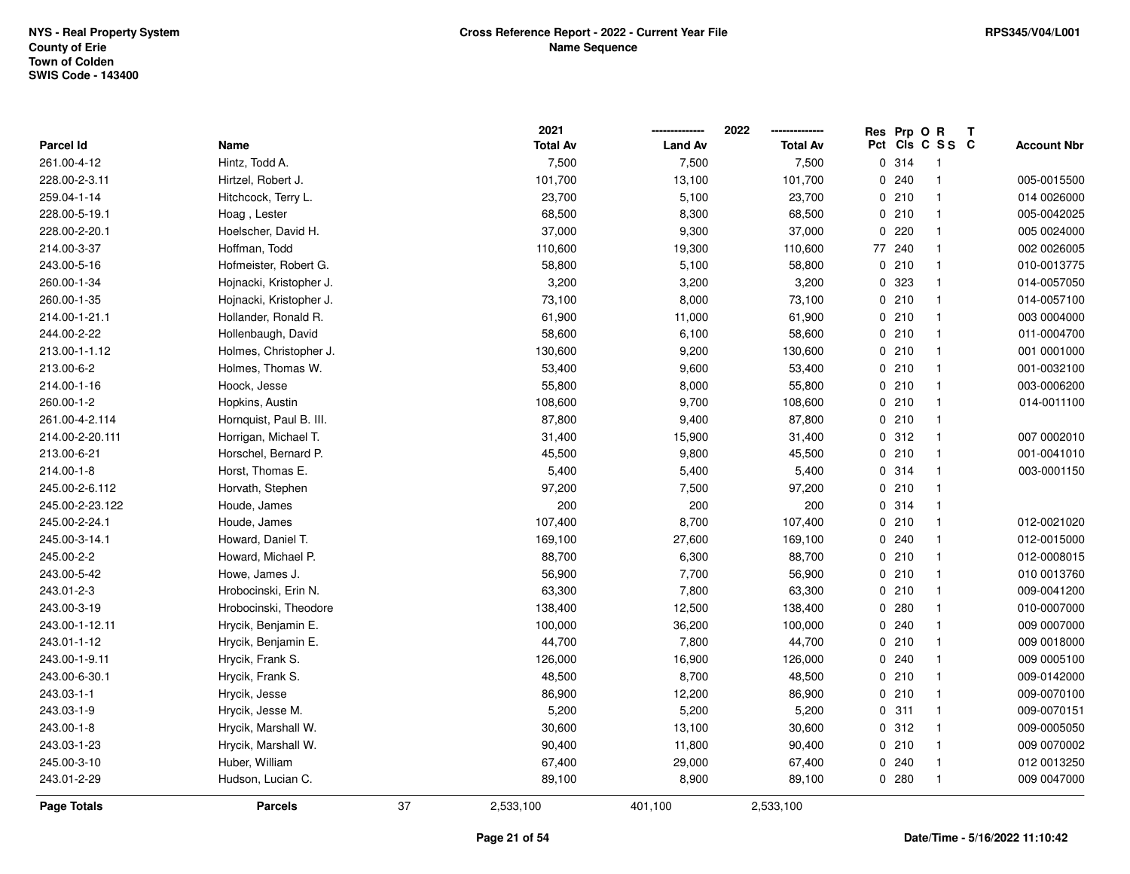|                    |                         |    | 2021            |                | 2022            | Res Prp O R |                 | Т |                    |
|--------------------|-------------------------|----|-----------------|----------------|-----------------|-------------|-----------------|---|--------------------|
| Parcel Id          | Name                    |    | <b>Total Av</b> | <b>Land Av</b> | <b>Total Av</b> |             | Pct Cls C S S C |   | <b>Account Nbr</b> |
| 261.00-4-12        | Hintz, Todd A.          |    | 7,500           | 7,500          | 7,500           | 0.314       | $\overline{1}$  |   |                    |
| 228.00-2-3.11      | Hirtzel, Robert J.      |    | 101,700         | 13,100         | 101,700         | 0.240       | $\mathbf{1}$    |   | 005-0015500        |
| 259.04-1-14        | Hitchcock, Terry L.     |    | 23,700          | 5,100          | 23,700          | 0210        | $\mathbf{1}$    |   | 014 0026000        |
| 228.00-5-19.1      | Hoag, Lester            |    | 68,500          | 8,300          | 68,500          | 0210        | $\mathbf{1}$    |   | 005-0042025        |
| 228.00-2-20.1      | Hoelscher, David H.     |    | 37,000          | 9,300          | 37,000          | 0.220       | $\mathbf{1}$    |   | 005 0024000        |
| 214.00-3-37        | Hoffman, Todd           |    | 110,600         | 19,300         | 110,600         | 77 240      | $\mathbf{1}$    |   | 002 0026005        |
| 243.00-5-16        | Hofmeister, Robert G.   |    | 58,800          | 5,100          | 58,800          | 0210        | $\mathbf{1}$    |   | 010-0013775        |
| 260.00-1-34        | Hojnacki, Kristopher J. |    | 3,200           | 3,200          | 3,200           | 0 323       | $\mathbf{1}$    |   | 014-0057050        |
| 260.00-1-35        | Hojnacki, Kristopher J. |    | 73,100          | 8,000          | 73,100          | 0210        | $\mathbf{1}$    |   | 014-0057100        |
| 214.00-1-21.1      | Hollander, Ronald R.    |    | 61,900          | 11,000         | 61,900          | 0210        | $\mathbf{1}$    |   | 003 0004000        |
| 244.00-2-22        | Hollenbaugh, David      |    | 58,600          | 6,100          | 58,600          | 0210        | $\mathbf{1}$    |   | 011-0004700        |
| 213.00-1-1.12      | Holmes, Christopher J.  |    | 130,600         | 9,200          | 130,600         | 0210        | $\overline{1}$  |   | 001 0001000        |
| 213.00-6-2         | Holmes, Thomas W.       |    | 53,400          | 9,600          | 53,400          | 0210        | $\overline{1}$  |   | 001-0032100        |
| 214.00-1-16        | Hoock, Jesse            |    | 55,800          | 8,000          | 55,800          | 0210        | $\overline{1}$  |   | 003-0006200        |
| 260.00-1-2         | Hopkins, Austin         |    | 108,600         | 9,700          | 108,600         | 0210        | $\overline{1}$  |   | 014-0011100        |
| 261.00-4-2.114     | Hornquist, Paul B. III. |    | 87,800          | 9,400          | 87,800          | 0210        | $\mathbf{1}$    |   |                    |
| 214.00-2-20.111    | Horrigan, Michael T.    |    | 31,400          | 15,900         | 31,400          | 0.312       | $\mathbf{1}$    |   | 007 0002010        |
| 213.00-6-21        | Horschel, Bernard P.    |    | 45,500          | 9,800          | 45,500          | 0210        | $\overline{1}$  |   | 001-0041010        |
| 214.00-1-8         | Horst, Thomas E.        |    | 5,400           | 5,400          | 5,400           | 0.314       | $\mathbf{1}$    |   | 003-0001150        |
| 245.00-2-6.112     | Horvath, Stephen        |    | 97,200          | 7,500          | 97,200          | 0210        | $\mathbf{1}$    |   |                    |
| 245.00-2-23.122    | Houde, James            |    | 200             | 200            | 200             | 0.314       | $\mathbf{1}$    |   |                    |
| 245.00-2-24.1      | Houde, James            |    | 107,400         | 8,700          | 107,400         | 0210        | $\mathbf{1}$    |   | 012-0021020        |
| 245.00-3-14.1      | Howard, Daniel T.       |    | 169,100         | 27,600         | 169,100         | 0.240       | $\mathbf{1}$    |   | 012-0015000        |
| 245.00-2-2         | Howard, Michael P.      |    | 88,700          | 6,300          | 88,700          | 0210        | $\mathbf{1}$    |   | 012-0008015        |
| 243.00-5-42        | Howe, James J.          |    | 56,900          | 7,700          | 56,900          | 0210        | $\mathbf{1}$    |   | 010 0013760        |
| 243.01-2-3         | Hrobocinski, Erin N.    |    | 63,300          | 7,800          | 63,300          | 0210        | $\overline{1}$  |   | 009-0041200        |
| 243.00-3-19        | Hrobocinski, Theodore   |    | 138,400         | 12,500         | 138,400         | 0.280       | $\mathbf{1}$    |   | 010-0007000        |
| 243.00-1-12.11     | Hrycik, Benjamin E.     |    | 100,000         | 36,200         | 100,000         | 0.240       | $\mathbf{1}$    |   | 009 0007000        |
| 243.01-1-12        | Hrycik, Benjamin E.     |    | 44,700          | 7,800          | 44,700          | 0210        | $\mathbf{1}$    |   | 009 0018000        |
| 243.00-1-9.11      | Hrycik, Frank S.        |    | 126,000         | 16,900         | 126,000         | 0.240       | $\mathbf{1}$    |   | 009 0005100        |
| 243.00-6-30.1      | Hrycik, Frank S.        |    | 48,500          | 8,700          | 48,500          | 0210        | $\mathbf{1}$    |   | 009-0142000        |
| 243.03-1-1         | Hrycik, Jesse           |    | 86,900          | 12,200         | 86,900          | 0210        | $\mathbf{1}$    |   | 009-0070100        |
| 243.03-1-9         | Hrycik, Jesse M.        |    | 5,200           | 5,200          | 5,200           | 0.311       | $\mathbf{1}$    |   | 009-0070151        |
| 243.00-1-8         | Hrycik, Marshall W.     |    | 30,600          | 13,100         | 30,600          | 0.312       | $\mathbf{1}$    |   | 009-0005050        |
| 243.03-1-23        | Hrycik, Marshall W.     |    | 90,400          | 11,800         | 90,400          | 0210        | $\mathbf{1}$    |   | 009 0070002        |
| 245.00-3-10        | Huber, William          |    | 67,400          | 29,000         | 67,400          | 0.240       | $\overline{1}$  |   | 012 0013250        |
| 243.01-2-29        | Hudson, Lucian C.       |    | 89,100          | 8,900          | 89,100          | 0.280       | $\overline{1}$  |   | 009 0047000        |
| <b>Page Totals</b> | <b>Parcels</b>          | 37 | 2,533,100       | 401,100        | 2,533,100       |             |                 |   |                    |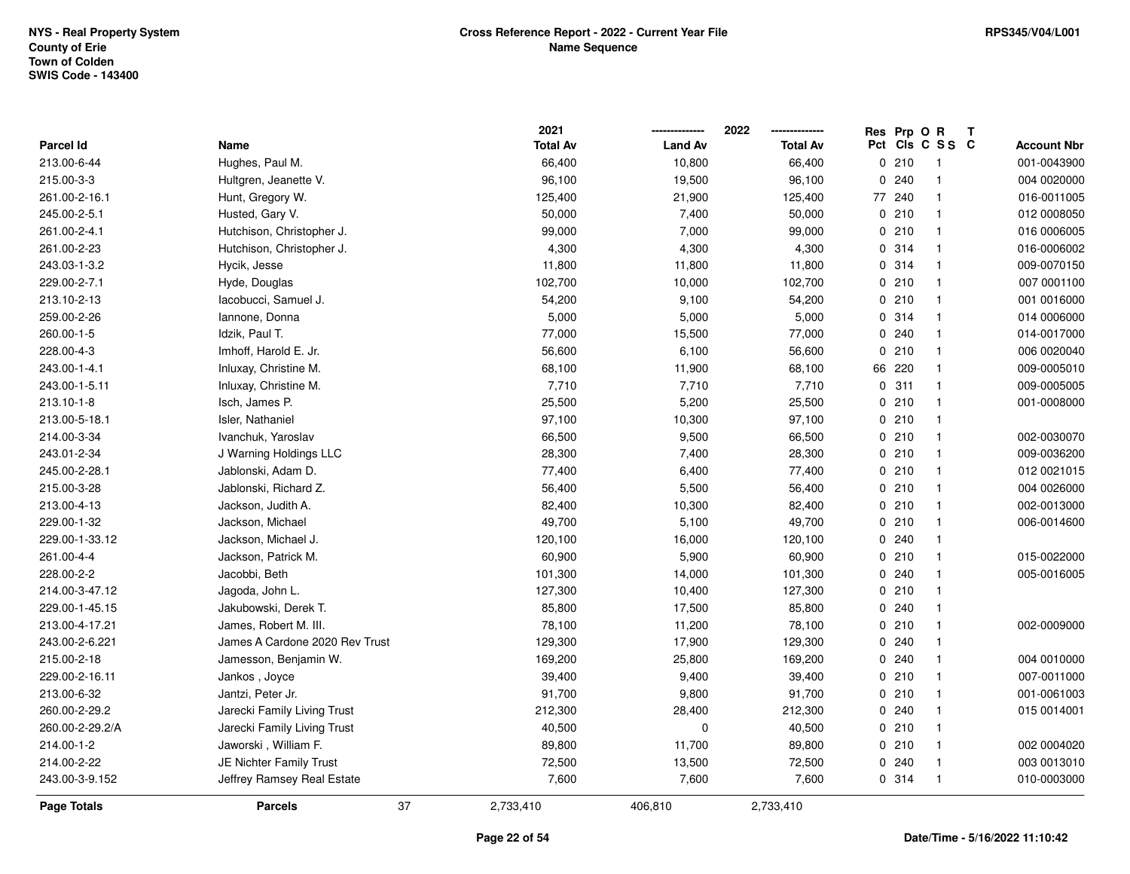|                 |                                | 2021            |                | 2022            |   | Res Prp O R |                          | Т                  |
|-----------------|--------------------------------|-----------------|----------------|-----------------|---|-------------|--------------------------|--------------------|
| Parcel Id       | Name                           | <b>Total Av</b> | <b>Land Av</b> | <b>Total Av</b> |   |             | Pct Cls C S S C          | <b>Account Nbr</b> |
| 213.00-6-44     | Hughes, Paul M.                | 66,400          | 10,800         | 66,400          |   | 0210        | $\overline{\phantom{1}}$ | 001-0043900        |
| 215.00-3-3      | Hultgren, Jeanette V.          | 96,100          | 19,500         | 96,100          | 0 | 240         | $\overline{1}$           | 004 0020000        |
| 261.00-2-16.1   | Hunt, Gregory W.               | 125,400         | 21,900         | 125,400         |   | 77 240      | $\overline{1}$           | 016-0011005        |
| 245.00-2-5.1    | Husted, Gary V.                | 50,000          | 7,400          | 50,000          |   | 0210        | $\mathbf{1}$             | 012 0008050        |
| 261.00-2-4.1    | Hutchison, Christopher J.      | 99,000          | 7,000          | 99,000          |   | 0210        | $\overline{1}$           | 016 0006005        |
| 261.00-2-23     | Hutchison, Christopher J.      | 4,300           | 4,300          | 4,300           |   | 0.314       | $\overline{1}$           | 016-0006002        |
| 243.03-1-3.2    | Hycik, Jesse                   | 11,800          | 11,800         | 11,800          |   | 0.314       | $\mathbf{1}$             | 009-0070150        |
| 229.00-2-7.1    | Hyde, Douglas                  | 102,700         | 10,000         | 102,700         |   | 0210        | $\mathbf{1}$             | 007 0001100        |
| 213.10-2-13     | Iacobucci, Samuel J.           | 54,200          | 9,100          | 54,200          |   | 0210        | $\mathbf{1}$             | 001 0016000        |
| 259.00-2-26     | lannone, Donna                 | 5,000           | 5,000          | 5,000           |   | 0.314       | $\mathbf{1}$             | 014 0006000        |
| 260.00-1-5      | Idzik, Paul T.                 | 77,000          | 15,500         | 77,000          |   | 0.240       | $\overline{1}$           | 014-0017000        |
| 228.00-4-3      | Imhoff, Harold E. Jr.          | 56,600          | 6,100          | 56,600          |   | 0210        | $\overline{1}$           | 006 0020040        |
| 243.00-1-4.1    | Inluxay, Christine M.          | 68,100          | 11,900         | 68,100          |   | 66 220      | $\mathbf 1$              | 009-0005010        |
| 243.00-1-5.11   | Inluxay, Christine M.          | 7,710           | 7,710          | 7,710           |   | 0.311       | $\overline{1}$           | 009-0005005        |
| 213.10-1-8      | Isch, James P.                 | 25,500          | 5,200          | 25,500          |   | 0210        | $\mathbf{1}$             | 001-0008000        |
| 213.00-5-18.1   | Isler, Nathaniel               | 97,100          | 10,300         | 97,100          |   | 0210        | $\mathbf{1}$             |                    |
| 214.00-3-34     | Ivanchuk, Yaroslav             | 66,500          | 9,500          | 66,500          |   | 0210        | $\mathbf{1}$             | 002-0030070        |
| 243.01-2-34     | J Warning Holdings LLC         | 28,300          | 7,400          | 28,300          |   | 0210        | $\overline{1}$           | 009-0036200        |
| 245.00-2-28.1   | Jablonski, Adam D.             | 77,400          | 6,400          | 77,400          |   | 0210        | $\overline{1}$           | 012 0021015        |
| 215.00-3-28     | Jablonski, Richard Z.          | 56,400          | 5,500          | 56,400          |   | 0210        | $\overline{1}$           | 004 0026000        |
| 213.00-4-13     | Jackson, Judith A.             | 82,400          | 10,300         | 82,400          |   | 0210        | $\overline{1}$           | 002-0013000        |
| 229.00-1-32     | Jackson, Michael               | 49,700          | 5,100          | 49,700          |   | 0210        | $\mathbf{1}$             | 006-0014600        |
| 229.00-1-33.12  | Jackson, Michael J.            | 120,100         | 16,000         | 120,100         |   | 0.240       | $\overline{1}$           |                    |
| 261.00-4-4      | Jackson, Patrick M.            | 60,900          | 5,900          | 60,900          |   | 0210        | $\mathbf{1}$             | 015-0022000        |
| 228.00-2-2      | Jacobbi, Beth                  | 101,300         | 14,000         | 101,300         |   | 0.240       | $\mathbf{1}$             | 005-0016005        |
| 214.00-3-47.12  | Jagoda, John L.                | 127,300         | 10,400         | 127,300         |   | 0210        | $\overline{1}$           |                    |
| 229.00-1-45.15  | Jakubowski, Derek T.           | 85,800          | 17,500         | 85,800          |   | 0.240       | $\overline{1}$           |                    |
| 213.00-4-17.21  | James, Robert M. III.          | 78,100          | 11,200         | 78,100          |   | 0210        | $\overline{1}$           | 002-0009000        |
| 243.00-2-6.221  | James A Cardone 2020 Rev Trust | 129,300         | 17,900         | 129,300         |   | 0.240       | $\overline{1}$           |                    |
| 215.00-2-18     | Jamesson, Benjamin W.          | 169,200         | 25,800         | 169,200         |   | 0.240       | $\mathbf{1}$             | 004 0010000        |
| 229.00-2-16.11  | Jankos, Joyce                  | 39,400          | 9,400          | 39,400          |   | 0210        | $\overline{1}$           | 007-0011000        |
| 213.00-6-32     | Jantzi, Peter Jr.              | 91,700          | 9,800          | 91,700          |   | 0210        | $\mathbf{1}$             | 001-0061003        |
| 260.00-2-29.2   | Jarecki Family Living Trust    | 212,300         | 28,400         | 212,300         |   | 0.240       | $\mathbf{1}$             | 015 0014001        |
| 260.00-2-29.2/A | Jarecki Family Living Trust    | 40,500          | $\mathbf 0$    | 40,500          |   | 0210        | $\overline{1}$           |                    |
| 214.00-1-2      | Jaworski, William F.           | 89,800          | 11,700         | 89,800          |   | 0210        | $\overline{1}$           | 002 0004020        |
| 214.00-2-22     | JE Nichter Family Trust        | 72,500          | 13,500         | 72,500          |   | 0.240       | $\overline{1}$           | 003 0013010        |
| 243.00-3-9.152  | Jeffrey Ramsey Real Estate     | 7,600           | 7,600          | 7,600           |   | 0.314       | $\overline{1}$           | 010-0003000        |
| Page Totals     | <b>Parcels</b>                 | 37<br>2,733,410 | 406,810        | 2,733,410       |   |             |                          |                    |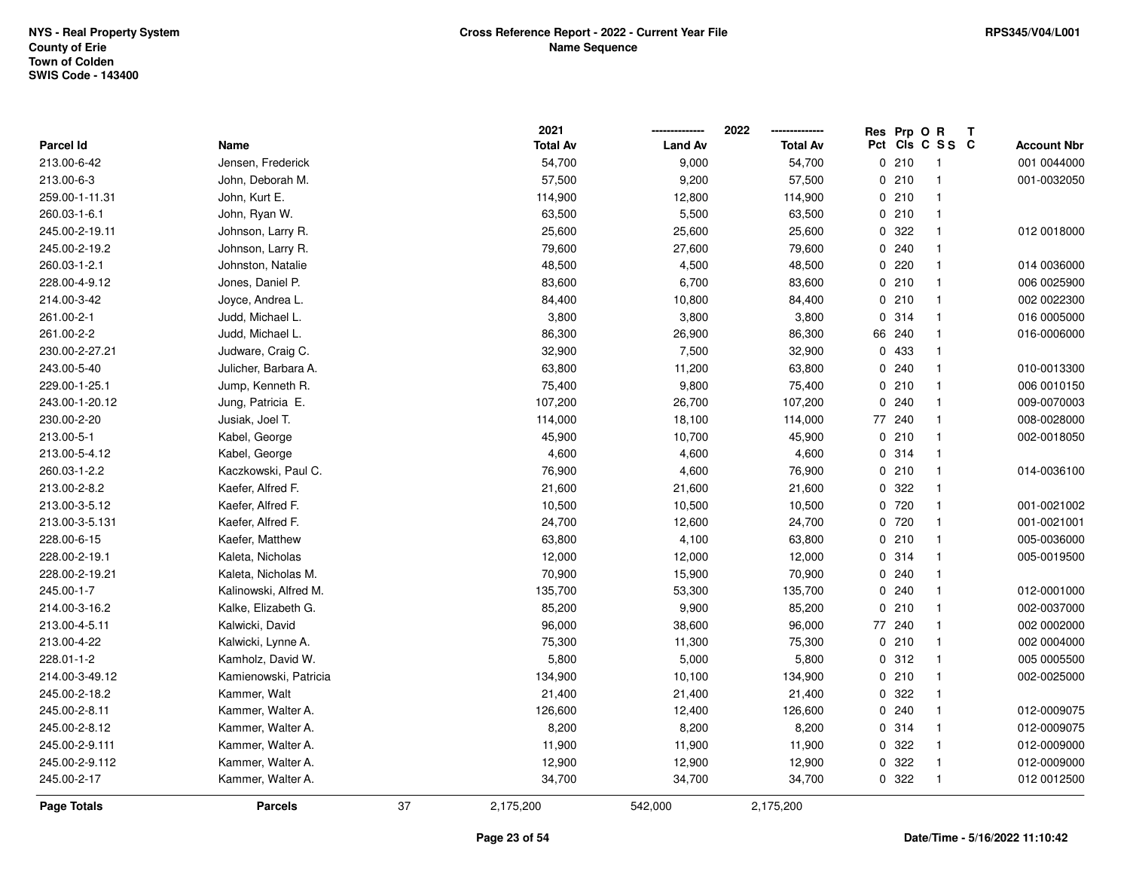|                  |                       |    | 2021            |                | 2022            |              | Res Prp O R |                         | Т |                    |
|------------------|-----------------------|----|-----------------|----------------|-----------------|--------------|-------------|-------------------------|---|--------------------|
| <b>Parcel Id</b> | Name                  |    | <b>Total Av</b> | <b>Land Av</b> | <b>Total Av</b> |              |             | Pct Cls C S S C         |   | <b>Account Nbr</b> |
| 213.00-6-42      | Jensen, Frederick     |    | 54,700          | 9,000          | 54,700          |              | 0210        | $\overline{1}$          |   | 001 0044000        |
| 213.00-6-3       | John, Deborah M.      |    | 57,500          | 9,200          | 57,500          |              | 0210        | $\mathbf{1}$            |   | 001-0032050        |
| 259.00-1-11.31   | John, Kurt E.         |    | 114,900         | 12,800         | 114,900         |              | 0210        | $\mathbf{1}$            |   |                    |
| 260.03-1-6.1     | John, Ryan W.         |    | 63,500          | 5,500          | 63,500          |              | 0210        | $\mathbf 1$             |   |                    |
| 245.00-2-19.11   | Johnson, Larry R.     |    | 25,600          | 25,600         | 25,600          |              | 0.322       | -1                      |   | 012 0018000        |
| 245.00-2-19.2    | Johnson, Larry R.     |    | 79,600          | 27,600         | 79,600          |              | 0.240       | -1                      |   |                    |
| 260.03-1-2.1     | Johnston, Natalie     |    | 48,500          | 4,500          | 48,500          |              | 0.220       | $\mathbf{1}$            |   | 014 0036000        |
| 228.00-4-9.12    | Jones, Daniel P.      |    | 83,600          | 6,700          | 83,600          |              | 0210        | $\mathbf{1}$            |   | 006 0025900        |
| 214.00-3-42      | Joyce, Andrea L.      |    | 84,400          | 10,800         | 84,400          |              | 0210        | $\mathbf{1}$            |   | 002 0022300        |
| 261.00-2-1       | Judd, Michael L.      |    | 3,800           | 3,800          | 3,800           |              | 0.314       | $\mathbf{1}$            |   | 016 0005000        |
| 261.00-2-2       | Judd, Michael L.      |    | 86,300          | 26,900         | 86,300          |              | 66 240      |                         |   | 016-0006000        |
| 230.00-2-27.21   | Judware, Craig C.     |    | 32,900          | 7,500          | 32,900          |              | 0 433       | -1                      |   |                    |
| 243.00-5-40      | Julicher, Barbara A.  |    | 63,800          | 11,200         | 63,800          |              | 0.240       | -1                      |   | 010-0013300        |
| 229.00-1-25.1    | Jump, Kenneth R.      |    | 75,400          | 9,800          | 75,400          |              | 0210        | $\mathbf{1}$            |   | 006 0010150        |
| 243.00-1-20.12   | Jung, Patricia E.     |    | 107,200         | 26,700         | 107,200         | 0            | 240         | $\mathbf{1}$            |   | 009-0070003        |
| 230.00-2-20      | Jusiak, Joel T.       |    | 114,000         | 18,100         | 114,000         | 77           | 240         | $\mathbf{1}$            |   | 008-0028000        |
| 213.00-5-1       | Kabel, George         |    | 45,900          | 10,700         | 45,900          |              | 0210        | $\mathbf{1}$            |   | 002-0018050        |
| 213.00-5-4.12    | Kabel, George         |    | 4,600           | 4,600          | 4,600           |              | 0.314       | $\mathbf 1$             |   |                    |
| 260.03-1-2.2     | Kaczkowski, Paul C.   |    | 76,900          | 4,600          | 76,900          |              | 0210        | $\overline{\mathbf{1}}$ |   | 014-0036100        |
| 213.00-2-8.2     | Kaefer, Alfred F.     |    | 21,600          | 21,600         | 21,600          |              | 0 322       | -1                      |   |                    |
| 213.00-3-5.12    | Kaefer, Alfred F.     |    | 10,500          | 10,500         | 10,500          |              | 0720        | $\mathbf{1}$            |   | 001-0021002        |
| 213.00-3-5.131   | Kaefer, Alfred F.     |    | 24,700          | 12,600         | 24,700          |              | 0 720       | $\mathbf{1}$            |   | 001-0021001        |
| 228.00-6-15      | Kaefer, Matthew       |    | 63,800          | 4,100          | 63,800          |              | 0210        | $\mathbf{1}$            |   | 005-0036000        |
| 228.00-2-19.1    | Kaleta, Nicholas      |    | 12,000          | 12,000         | 12,000          |              | 0 314       | $\mathbf{1}$            |   | 005-0019500        |
| 228.00-2-19.21   | Kaleta, Nicholas M.   |    | 70,900          | 15,900         | 70,900          |              | 0.240       | -1                      |   |                    |
| 245.00-1-7       | Kalinowski, Alfred M. |    | 135,700         | 53,300         | 135,700         |              | 0.240       | -1                      |   | 012-0001000        |
| 214.00-3-16.2    | Kalke, Elizabeth G.   |    | 85,200          | 9,900          | 85,200          | $\mathbf{0}$ | 210         | -1                      |   | 002-0037000        |
| 213.00-4-5.11    | Kalwicki, David       |    | 96,000          | 38,600         | 96,000          |              | 77 240      | $\mathbf{1}$            |   | 002 0002000        |
| 213.00-4-22      | Kalwicki, Lynne A.    |    | 75,300          | 11,300         | 75,300          |              | 0210        | $\mathbf{1}$            |   | 002 0004000        |
| 228.01-1-2       | Kamholz, David W.     |    | 5,800           | 5,000          | 5,800           |              | 0.312       | $\mathbf{1}$            |   | 005 0005500        |
| 214.00-3-49.12   | Kamienowski, Patricia |    | 134,900         | 10,100         | 134,900         |              | 0210        | $\mathbf{1}$            |   | 002-0025000        |
| 245.00-2-18.2    | Kammer, Walt          |    | 21,400          | 21,400         | 21,400          |              | 0.322       | $\mathbf 1$             |   |                    |
| 245.00-2-8.11    | Kammer, Walter A.     |    | 126,600         | 12,400         | 126,600         |              | 0.240       | $\mathbf{1}$            |   | 012-0009075        |
| 245.00-2-8.12    | Kammer, Walter A.     |    | 8,200           | 8,200          | 8,200           |              | 0.314       | $\mathbf{1}$            |   | 012-0009075        |
| 245.00-2-9.111   | Kammer, Walter A.     |    | 11,900          | 11,900         | 11,900          |              | 0.322       | $\mathbf{1}$            |   | 012-0009000        |
| 245.00-2-9.112   | Kammer, Walter A.     |    | 12,900          | 12,900         | 12,900          | 0            | 322         | -1                      |   | 012-0009000        |
| 245.00-2-17      | Kammer, Walter A.     |    | 34,700          | 34,700         | 34,700          |              | 0.322       | $\overline{1}$          |   | 012 0012500        |
| Page Totals      | <b>Parcels</b>        | 37 | 2,175,200       | 542,000        | 2,175,200       |              |             |                         |   |                    |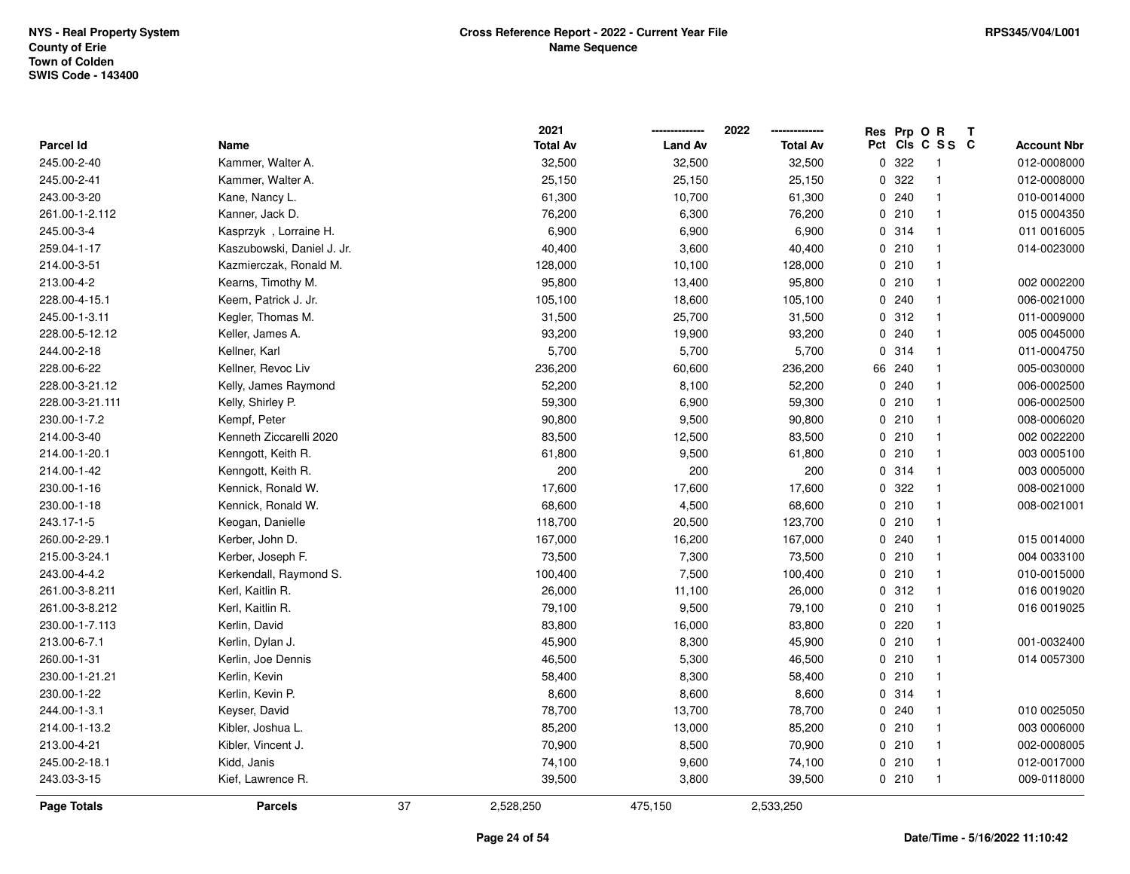|                  |                            |    | 2021            |                | 2022            | Res Prp O R |                         | Т |                    |
|------------------|----------------------------|----|-----------------|----------------|-----------------|-------------|-------------------------|---|--------------------|
| <b>Parcel Id</b> | Name                       |    | <b>Total Av</b> | <b>Land Av</b> | <b>Total Av</b> |             | Pct Cls C S S C         |   | <b>Account Nbr</b> |
| 245.00-2-40      | Kammer, Walter A.          |    | 32,500          | 32,500         | 32,500          | 0 322       | $\overline{\mathbf{1}}$ |   | 012-0008000        |
| 245.00-2-41      | Kammer, Walter A.          |    | 25,150          | 25,150         | 25,150          | 0.322       | $\overline{1}$          |   | 012-0008000        |
| 243.00-3-20      | Kane, Nancy L.             |    | 61,300          | 10,700         | 61,300          | 0.240       | $\overline{\mathbf{1}}$ |   | 010-0014000        |
| 261.00-1-2.112   | Kanner, Jack D.            |    | 76,200          | 6,300          | 76,200          | 0210        | $\overline{\mathbf{1}}$ |   | 015 0004350        |
| 245.00-3-4       | Kasprzyk, Lorraine H.      |    | 6,900           | 6,900          | 6,900           | 0.314       | $\overline{\mathbf{1}}$ |   | 011 0016005        |
| 259.04-1-17      | Kaszubowski, Daniel J. Jr. |    | 40,400          | 3,600          | 40,400          | 0210        | $\overline{\mathbf{1}}$ |   | 014-0023000        |
| 214.00-3-51      | Kazmierczak, Ronald M.     |    | 128,000         | 10,100         | 128,000         | 0210        | $\overline{\mathbf{1}}$ |   |                    |
| 213.00-4-2       | Kearns, Timothy M.         |    | 95,800          | 13,400         | 95,800          | 0210        | $\overline{1}$          |   | 002 0002200        |
| 228.00-4-15.1    | Keem, Patrick J. Jr.       |    | 105,100         | 18,600         | 105,100         | 0.240       | $\overline{1}$          |   | 006-0021000        |
| 245.00-1-3.11    | Kegler, Thomas M.          |    | 31,500          | 25,700         | 31,500          | 0.312       | $\overline{\mathbf{1}}$ |   | 011-0009000        |
| 228.00-5-12.12   | Keller, James A.           |    | 93,200          | 19,900         | 93,200          | 0.240       | $\overline{\mathbf{1}}$ |   | 005 0045000        |
| 244.00-2-18      | Kellner, Karl              |    | 5,700           | 5,700          | 5,700           | 0 314       | $\overline{\mathbf{1}}$ |   | 011-0004750        |
| 228.00-6-22      | Kellner, Revoc Liv         |    | 236,200         | 60,600         | 236,200         | 66 240      | -1                      |   | 005-0030000        |
| 228.00-3-21.12   | Kelly, James Raymond       |    | 52,200          | 8,100          | 52,200          | 0.240       | $\mathbf{1}$            |   | 006-0002500        |
| 228.00-3-21.111  | Kelly, Shirley P.          |    | 59,300          | 6,900          | 59,300          | 0210        | $\overline{1}$          |   | 006-0002500        |
| 230.00-1-7.2     | Kempf, Peter               |    | 90,800          | 9,500          | 90,800          | 0210        | $\overline{1}$          |   | 008-0006020        |
| 214.00-3-40      | Kenneth Ziccarelli 2020    |    | 83,500          | 12,500         | 83,500          | 0210        | $\overline{\mathbf{1}}$ |   | 002 0022200        |
| 214.00-1-20.1    | Kenngott, Keith R.         |    | 61,800          | 9,500          | 61,800          | 0210        | $\overline{\mathbf{1}}$ |   | 003 0005100        |
| 214.00-1-42      | Kenngott, Keith R.         |    | 200             | 200            | 200             | 0.314       | $\overline{\mathbf{1}}$ |   | 003 0005000        |
| 230.00-1-16      | Kennick, Ronald W.         |    | 17,600          | 17,600         | 17,600          | 0.322       | $\overline{\mathbf{1}}$ |   | 008-0021000        |
| 230.00-1-18      | Kennick, Ronald W.         |    | 68,600          | 4,500          | 68,600          | 0210        | $\overline{\mathbf{1}}$ |   | 008-0021001        |
| 243.17-1-5       | Keogan, Danielle           |    | 118,700         | 20,500         | 123,700         | 0210        | $\overline{1}$          |   |                    |
| 260.00-2-29.1    | Kerber, John D.            |    | 167,000         | 16,200         | 167,000         | 0.240       | $\overline{\mathbf{1}}$ |   | 015 0014000        |
| 215.00-3-24.1    | Kerber, Joseph F.          |    | 73,500          | 7,300          | 73,500          | 0210        | $\overline{\mathbf{1}}$ |   | 004 0033100        |
| 243.00-4-4.2     | Kerkendall, Raymond S.     |    | 100,400         | 7,500          | 100,400         | 0210        | $\overline{\mathbf{1}}$ |   | 010-0015000        |
| 261.00-3-8.211   | Kerl, Kaitlin R.           |    | 26,000          | 11,100         | 26,000          | 0.312       | $\overline{1}$          |   | 016 0019020        |
| 261.00-3-8.212   | Kerl, Kaitlin R.           |    | 79,100          | 9,500          | 79,100          | 0210        | -1                      |   | 016 0019025        |
| 230.00-1-7.113   | Kerlin, David              |    | 83,800          | 16,000         | 83,800          | 0220        | $\mathbf{1}$            |   |                    |
| 213.00-6-7.1     | Kerlin, Dylan J.           |    | 45,900          | 8,300          | 45,900          | 0210        | $\overline{\mathbf{1}}$ |   | 001-0032400        |
| 260.00-1-31      | Kerlin, Joe Dennis         |    | 46,500          | 5,300          | 46,500          | 0210        | $\overline{1}$          |   | 014 0057300        |
| 230.00-1-21.21   | Kerlin, Kevin              |    | 58,400          | 8,300          | 58,400          | 0210        | $\overline{\mathbf{1}}$ |   |                    |
| 230.00-1-22      | Kerlin, Kevin P.           |    | 8,600           | 8,600          | 8,600           | 0.314       | $\overline{1}$          |   |                    |
| 244.00-1-3.1     | Keyser, David              |    | 78,700          | 13,700         | 78,700          | 0.240       | $\overline{\mathbf{1}}$ |   | 010 0025050        |
| 214.00-1-13.2    | Kibler, Joshua L.          |    | 85,200          | 13,000         | 85,200          | 0210        | $\overline{\mathbf{1}}$ |   | 003 0006000        |
| 213.00-4-21      | Kibler, Vincent J.         |    | 70,900          | 8,500          | 70,900          | 0210        | $\overline{\mathbf{1}}$ |   | 002-0008005        |
| 245.00-2-18.1    | Kidd, Janis                |    | 74,100          | 9,600          | 74,100          | 0210        | $\overline{1}$          |   | 012-0017000        |
| 243.03-3-15      | Kief, Lawrence R.          |    | 39,500          | 3,800          | 39,500          | 0210        | $\overline{1}$          |   | 009-0118000        |
| Page Totals      | <b>Parcels</b>             | 37 | 2,528,250       | 475,150        | 2,533,250       |             |                         |   |                    |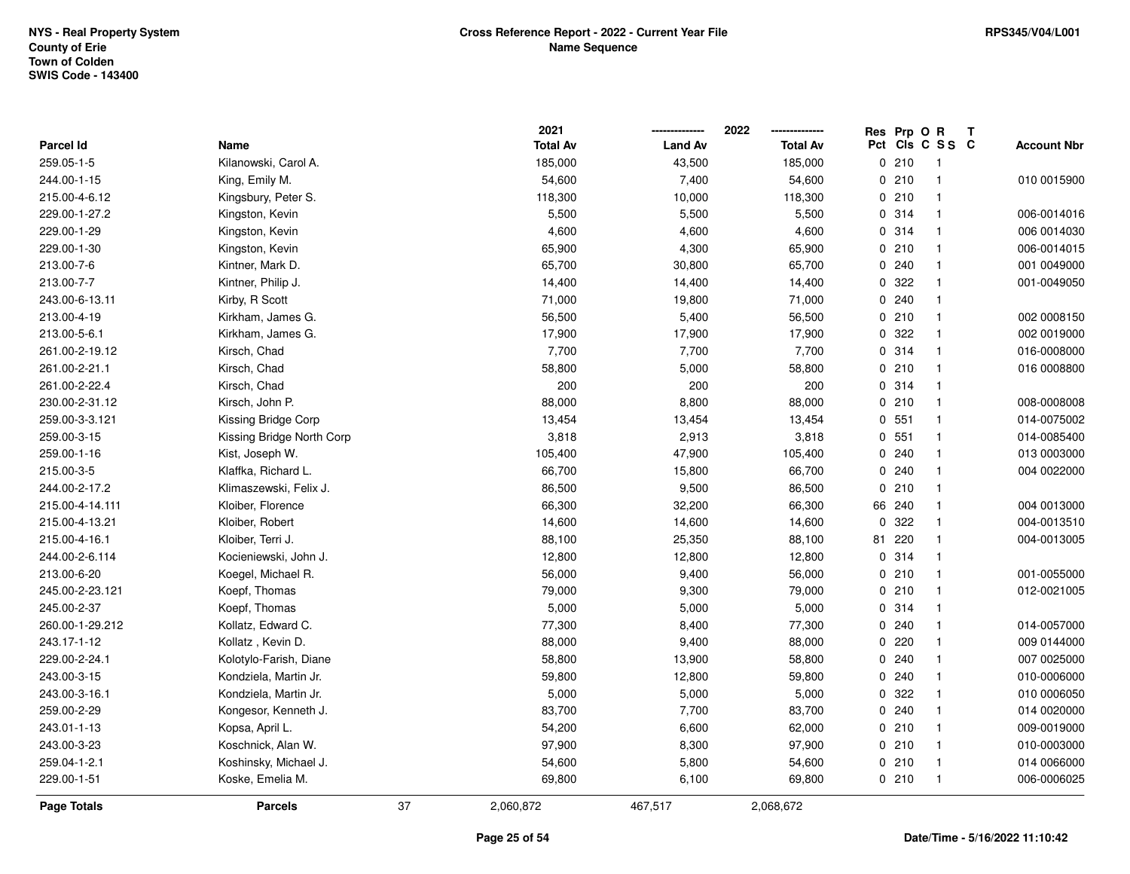|                  |                           |    | 2021            |                | 2022            |          | Res Prp O R |                 | Т |                    |
|------------------|---------------------------|----|-----------------|----------------|-----------------|----------|-------------|-----------------|---|--------------------|
| <b>Parcel Id</b> | Name                      |    | <b>Total Av</b> | <b>Land Av</b> | <b>Total Av</b> |          |             | Pct Cls C S S C |   | <b>Account Nbr</b> |
| 259.05-1-5       | Kilanowski, Carol A.      |    | 185,000         | 43,500         | 185,000         |          | 0210        | $\mathbf{1}$    |   |                    |
| 244.00-1-15      | King, Emily M.            |    | 54,600          | 7,400          | 54,600          |          | 0210        | $\mathbf{1}$    |   | 010 0015900        |
| 215.00-4-6.12    | Kingsbury, Peter S.       |    | 118,300         | 10,000         | 118,300         |          | 0210        | $\mathbf{1}$    |   |                    |
| 229.00-1-27.2    | Kingston, Kevin           |    | 5,500           | 5,500          | 5,500           |          | 0.314       | $\mathbf{1}$    |   | 006-0014016        |
| 229.00-1-29      | Kingston, Kevin           |    | 4,600           | 4,600          | 4,600           |          | 0.314       | $\mathbf{1}$    |   | 006 0014030        |
| 229.00-1-30      | Kingston, Kevin           |    | 65,900          | 4,300          | 65,900          |          | 0210        | $\mathbf{1}$    |   | 006-0014015        |
| 213.00-7-6       | Kintner, Mark D.          |    | 65,700          | 30,800         | 65,700          |          | 0.240       | $\mathbf{1}$    |   | 001 0049000        |
| 213.00-7-7       | Kintner, Philip J.        |    | 14,400          | 14,400         | 14,400          | $\Omega$ | 322         | $\mathbf{1}$    |   | 001-0049050        |
| 243.00-6-13.11   | Kirby, R Scott            |    | 71,000          | 19,800         | 71,000          |          | 0.240       | $\mathbf{1}$    |   |                    |
| 213.00-4-19      | Kirkham, James G.         |    | 56,500          | 5,400          | 56,500          |          | 0210        | $\mathbf{1}$    |   | 002 0008150        |
| 213.00-5-6.1     | Kirkham, James G.         |    | 17,900          | 17,900         | 17,900          |          | 0.322       | $\mathbf{1}$    |   | 002 0019000        |
| 261.00-2-19.12   | Kirsch, Chad              |    | 7,700           | 7,700          | 7,700           |          | 0.314       | $\mathbf{1}$    |   | 016-0008000        |
| 261.00-2-21.1    | Kirsch, Chad              |    | 58,800          | 5,000          | 58,800          |          | 0210        | -1              |   | 016 0008800        |
| 261.00-2-22.4    | Kirsch, Chad              |    | 200             | 200            | 200             |          | 0.314       | $\mathbf{1}$    |   |                    |
| 230.00-2-31.12   | Kirsch, John P.           |    | 88,000          | 8,800          | 88,000          |          | 0210        | $\mathbf{1}$    |   | 008-0008008        |
| 259.00-3-3.121   | Kissing Bridge Corp       |    | 13,454          | 13,454         | 13,454          |          | 0, 551      | $\mathbf{1}$    |   | 014-0075002        |
| 259.00-3-15      | Kissing Bridge North Corp |    | 3,818           | 2,913          | 3,818           |          | 0, 551      | $\mathbf{1}$    |   | 014-0085400        |
| 259.00-1-16      | Kist, Joseph W.           |    | 105,400         | 47,900         | 105,400         |          | 0.240       | $\mathbf{1}$    |   | 013 0003000        |
| 215.00-3-5       | Klaffka, Richard L.       |    | 66,700          | 15,800         | 66,700          |          | 0.240       | $\mathbf{1}$    |   | 004 0022000        |
| 244.00-2-17.2    | Klimaszewski, Felix J.    |    | 86,500          | 9,500          | 86,500          |          | 0210        | $\mathbf{1}$    |   |                    |
| 215.00-4-14.111  | Kloiber, Florence         |    | 66,300          | 32,200         | 66,300          | 66       | 240         | $\mathbf{1}$    |   | 004 0013000        |
| 215.00-4-13.21   | Kloiber, Robert           |    | 14,600          | 14,600         | 14,600          | 0        | 322         | $\mathbf{1}$    |   | 004-0013510        |
| 215.00-4-16.1    | Kloiber, Terri J.         |    | 88,100          | 25,350         | 88,100          | 81       | 220         | $\mathbf{1}$    |   | 004-0013005        |
| 244.00-2-6.114   | Kocieniewski, John J.     |    | 12,800          | 12,800         | 12,800          |          | 0.314       | $\mathbf{1}$    |   |                    |
| 213.00-6-20      | Koegel, Michael R.        |    | 56,000          | 9,400          | 56,000          |          | 0210        | $\mathbf{1}$    |   | 001-0055000        |
| 245.00-2-23.121  | Koepf, Thomas             |    | 79,000          | 9,300          | 79,000          |          | 0210        | $\mathbf{1}$    |   | 012-0021005        |
| 245.00-2-37      | Koepf, Thomas             |    | 5,000           | 5,000          | 5,000           |          | 0.314       | $\mathbf 1$     |   |                    |
| 260.00-1-29.212  | Kollatz, Edward C.        |    | 77,300          | 8,400          | 77,300          |          | 0.240       | $\mathbf{1}$    |   | 014-0057000        |
| 243.17-1-12      | Kollatz, Kevin D.         |    | 88,000          | 9,400          | 88,000          |          | 0220        | $\mathbf{1}$    |   | 009 0144000        |
| 229.00-2-24.1    | Kolotylo-Farish, Diane    |    | 58,800          | 13,900         | 58,800          |          | 0.240       | $\mathbf{1}$    |   | 007 0025000        |
| 243.00-3-15      | Kondziela, Martin Jr.     |    | 59,800          | 12,800         | 59,800          |          | 0.240       | $\mathbf{1}$    |   | 010-0006000        |
| 243.00-3-16.1    | Kondziela, Martin Jr.     |    | 5,000           | 5,000          | 5,000           |          | 0 322       | $\mathbf{1}$    |   | 010 0006050        |
| 259.00-2-29      | Kongesor, Kenneth J.      |    | 83,700          | 7,700          | 83,700          |          | 0.240       | $\mathbf{1}$    |   | 014 0020000        |
| 243.01-1-13      | Kopsa, April L.           |    | 54,200          | 6,600          | 62,000          |          | 0210        | $\mathbf{1}$    |   | 009-0019000        |
| 243.00-3-23      | Koschnick, Alan W.        |    | 97,900          | 8,300          | 97,900          |          | 0210        | $\mathbf{1}$    |   | 010-0003000        |
| 259.04-1-2.1     | Koshinsky, Michael J.     |    | 54,600          | 5,800          | 54,600          |          | 0210        | $\mathbf{1}$    |   | 014 0066000        |
| 229.00-1-51      | Koske, Emelia M.          |    | 69,800          | 6,100          | 69,800          |          | 0210        | $\mathbf{1}$    |   | 006-0006025        |
| Page Totals      | <b>Parcels</b>            | 37 | 2,060,872       | 467,517        | 2,068,672       |          |             |                 |   |                    |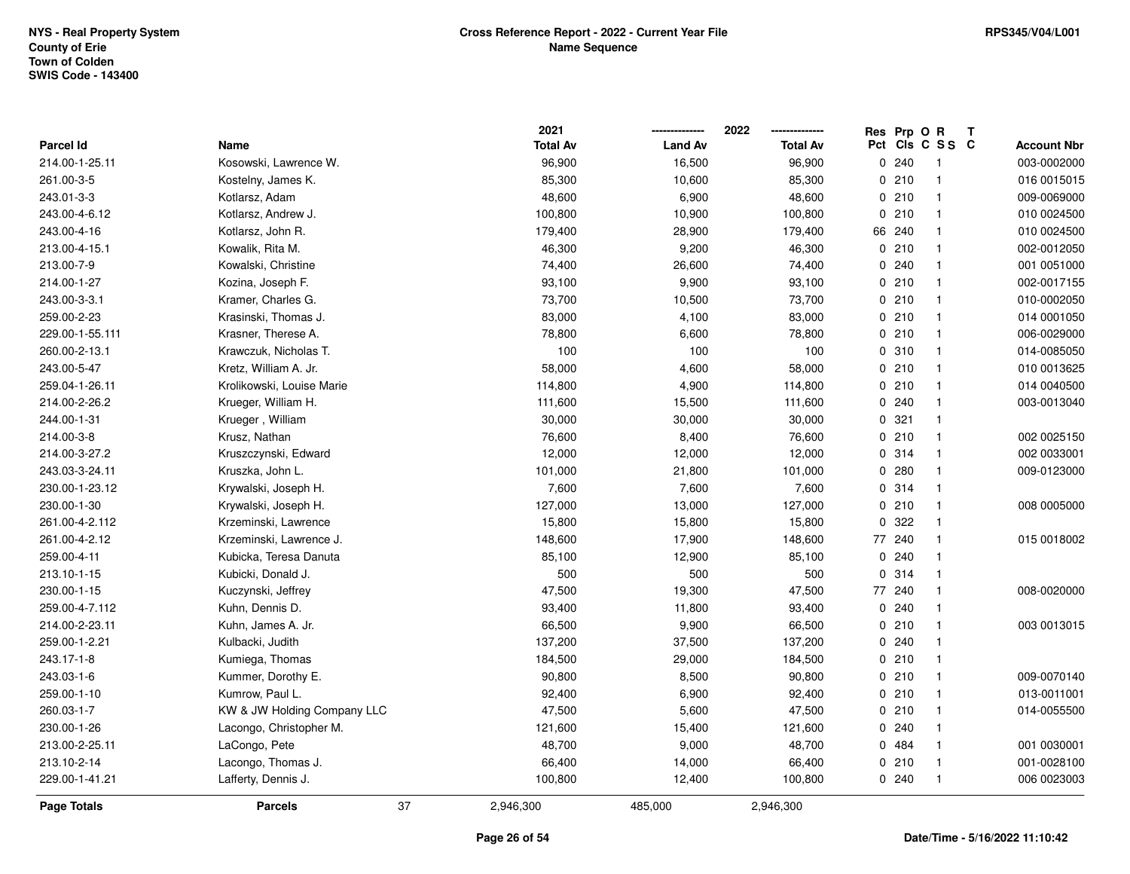|                  |                             | 2021            |                | 2022            |                     | Res Prp O R | Т              |                    |
|------------------|-----------------------------|-----------------|----------------|-----------------|---------------------|-------------|----------------|--------------------|
| <b>Parcel Id</b> | Name                        | <b>Total Av</b> | <b>Land Av</b> | <b>Total Av</b> | Pct                 |             | CIS C S S C    | <b>Account Nbr</b> |
| 214.00-1-25.11   | Kosowski, Lawrence W.       | 96,900          | 16,500         | 96,900          | $\mathsf{O}\xspace$ | 240         | -1             | 003-0002000        |
| 261.00-3-5       | Kostelny, James K.          | 85,300          | 10,600         | 85,300          | 0                   | 210         | $\overline{1}$ | 016 0015015        |
| 243.01-3-3       | Kotlarsz, Adam              | 48,600          | 6,900          | 48,600          |                     | 0210        | $\mathbf{1}$   | 009-0069000        |
| 243.00-4-6.12    | Kotlarsz, Andrew J.         | 100,800         | 10,900         | 100,800         |                     | 0210        | $\overline{1}$ | 010 0024500        |
| 243.00-4-16      | Kotlarsz, John R.           | 179,400         | 28,900         | 179,400         |                     | 66 240      | -1             | 010 0024500        |
| 213.00-4-15.1    | Kowalik, Rita M.            | 46,300          | 9,200          | 46,300          |                     | 0210        | $\overline{1}$ | 002-0012050        |
| 213.00-7-9       | Kowalski, Christine         | 74,400          | 26,600         | 74,400          |                     | 0.240       | $\mathbf{1}$   | 001 0051000        |
| 214.00-1-27      | Kozina, Joseph F.           | 93,100          | 9,900          | 93,100          |                     | 0210        | $\mathbf{1}$   | 002-0017155        |
| 243.00-3-3.1     | Kramer, Charles G.          | 73,700          | 10,500         | 73,700          |                     | 0210        | $\mathbf{1}$   | 010-0002050        |
| 259.00-2-23      | Krasinski, Thomas J.        | 83,000          | 4,100          | 83,000          |                     | 0210        | $\mathbf{1}$   | 014 0001050        |
| 229.00-1-55.111  | Krasner, Therese A.         | 78,800          | 6,600          | 78,800          |                     | 0210        | -1             | 006-0029000        |
| 260.00-2-13.1    | Krawczuk, Nicholas T.       | 100             | 100            | 100             |                     | 0.310       | $\mathbf{1}$   | 014-0085050        |
| 243.00-5-47      | Kretz, William A. Jr.       | 58,000          | 4,600          | 58,000          |                     | 0210        |                | 010 0013625        |
| 259.04-1-26.11   | Krolikowski, Louise Marie   | 114,800         | 4,900          | 114,800         |                     | 0210        | $\mathbf{1}$   | 014 0040500        |
| 214.00-2-26.2    | Krueger, William H.         | 111,600         | 15,500         | 111,600         |                     | 0.240       | $\overline{1}$ | 003-0013040        |
| 244.00-1-31      | Krueger, William            | 30,000          | 30,000         | 30,000          |                     | 0.321       | $\mathbf{1}$   |                    |
| 214.00-3-8       | Krusz, Nathan               | 76,600          | 8,400          | 76,600          |                     | 0210        | $\mathbf{1}$   | 002 0025150        |
| 214.00-3-27.2    | Kruszczynski, Edward        | 12,000          | 12,000         | 12,000          |                     | 0.314       | $\mathbf{1}$   | 002 0033001        |
| 243.03-3-24.11   | Kruszka, John L.            | 101,000         | 21,800         | 101,000         |                     | 0.280       | -1             | 009-0123000        |
| 230.00-1-23.12   | Krywalski, Joseph H.        | 7,600           | 7,600          | 7,600           |                     | 0.314       | -1             |                    |
| 230.00-1-30      | Krywalski, Joseph H.        | 127,000         | 13,000         | 127,000         |                     | 0210        | $\mathbf{1}$   | 008 0005000        |
| 261.00-4-2.112   | Krzeminski, Lawrence        | 15,800          | 15,800         | 15,800          | 0                   | 322         | -1             |                    |
| 261.00-4-2.12    | Krzeminski, Lawrence J.     | 148,600         | 17,900         | 148,600         | 77                  | 240         | $\mathbf{1}$   | 015 0018002        |
| 259.00-4-11      | Kubicka, Teresa Danuta      | 85,100          | 12,900         | 85,100          | $\Omega$            | 240         | $\mathbf{1}$   |                    |
| 213.10-1-15      | Kubicki, Donald J.          | 500             | 500            | 500             |                     | 0.314       | $\mathbf{1}$   |                    |
| 230.00-1-15      | Kuczynski, Jeffrey          | 47,500          | 19,300         | 47,500          |                     | 77 240      | -1             | 008-0020000        |
| 259.00-4-7.112   | Kuhn, Dennis D.             | 93,400          | 11,800         | 93,400          |                     | 0.240       | -1             |                    |
| 214.00-2-23.11   | Kuhn, James A. Jr.          | 66,500          | 9,900          | 66,500          |                     | 0210        | $\overline{1}$ | 003 0013015        |
| 259.00-1-2.21    | Kulbacki, Judith            | 137,200         | 37,500         | 137,200         |                     | 0.240       | $\overline{1}$ |                    |
| 243.17-1-8       | Kumiega, Thomas             | 184,500         | 29,000         | 184,500         |                     | 0210        | $\mathbf{1}$   |                    |
| 243.03-1-6       | Kummer, Dorothy E.          | 90,800          | 8,500          | 90,800          |                     | 0210        | $\overline{1}$ | 009-0070140        |
| 259.00-1-10      | Kumrow, Paul L.             | 92,400          | 6,900          | 92,400          |                     | 0210        | $\mathbf{1}$   | 013-0011001        |
| 260.03-1-7       | KW & JW Holding Company LLC | 47,500          | 5,600          | 47,500          |                     | 0210        | $\overline{1}$ | 014-0055500        |
| 230.00-1-26      | Lacongo, Christopher M.     | 121,600         | 15,400         | 121,600         |                     | 0.240       | $\overline{1}$ |                    |
| 213.00-2-25.11   | LaCongo, Pete               | 48,700          | 9,000          | 48,700          |                     | 0 484       | $\mathbf{1}$   | 001 0030001        |
| 213.10-2-14      | Lacongo, Thomas J.          | 66,400          | 14,000         | 66,400          |                     | 0210        | -1             | 001-0028100        |
| 229.00-1-41.21   | Lafferty, Dennis J.         | 100,800         | 12,400         | 100,800         |                     | 0.240       | $\overline{1}$ | 006 0023003        |
| Page Totals      | 37<br><b>Parcels</b>        | 2,946,300       | 485,000        | 2,946,300       |                     |             |                |                    |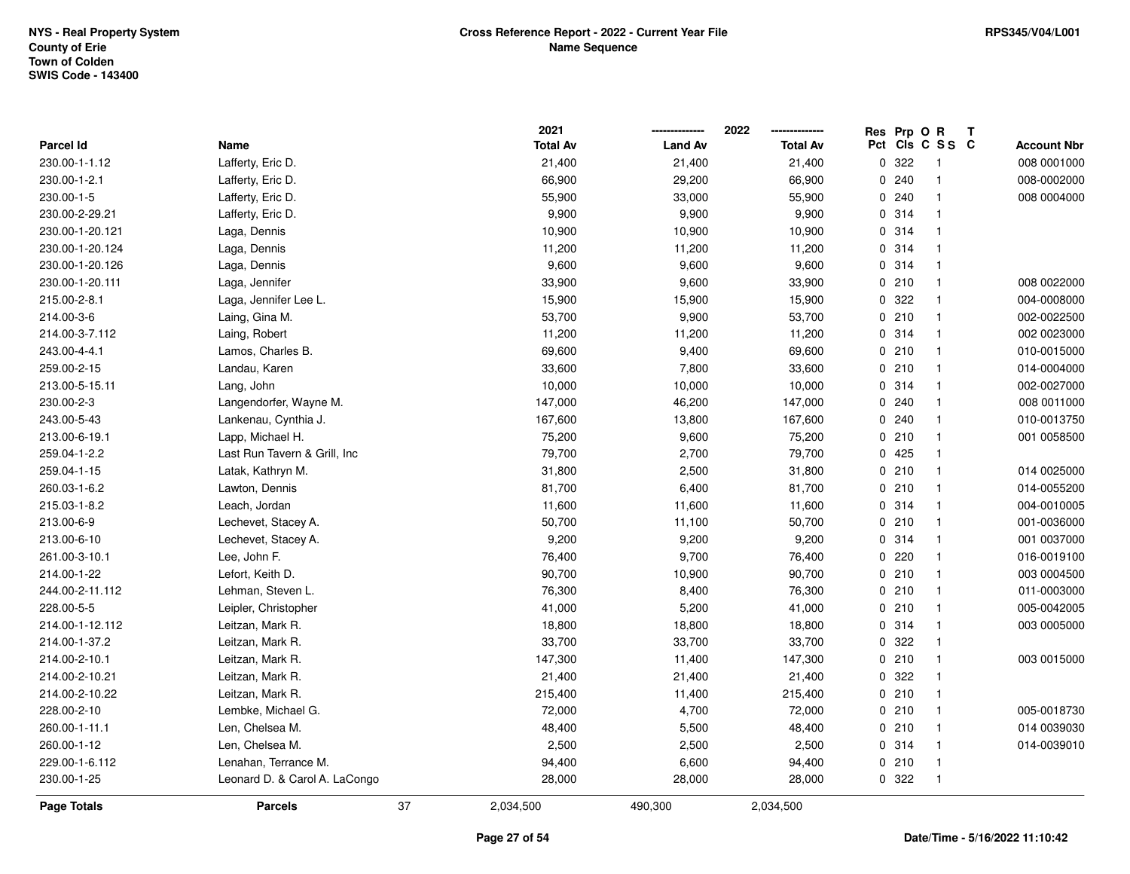|                    |                               |    | 2021            |                | 2022            | Res            | Prp O R |                 | Т |                    |
|--------------------|-------------------------------|----|-----------------|----------------|-----------------|----------------|---------|-----------------|---|--------------------|
| Parcel Id          | Name                          |    | <b>Total Av</b> | <b>Land Av</b> | <b>Total Av</b> |                |         | Pct Cls C S S C |   | <b>Account Nbr</b> |
| 230.00-1-1.12      | Lafferty, Eric D.             |    | 21,400          | 21,400         | 21,400          | $\overline{0}$ | 322     | $\mathbf{1}$    |   | 008 0001000        |
| 230.00-1-2.1       | Lafferty, Eric D.             |    | 66,900          | 29,200         | 66,900          | 0              | 240     | $\mathbf{1}$    |   | 008-0002000        |
| 230.00-1-5         | Lafferty, Eric D.             |    | 55,900          | 33,000         | 55,900          |                | 0.240   | $\mathbf{1}$    |   | 008 0004000        |
| 230.00-2-29.21     | Lafferty, Eric D.             |    | 9,900           | 9,900          | 9,900           |                | 0.314   | $\mathbf{1}$    |   |                    |
| 230.00-1-20.121    | Laga, Dennis                  |    | 10,900          | 10,900         | 10,900          |                | 0.314   | $\mathbf{1}$    |   |                    |
| 230.00-1-20.124    | Laga, Dennis                  |    | 11,200          | 11,200         | 11,200          |                | 0.314   | $\overline{1}$  |   |                    |
| 230.00-1-20.126    | Laga, Dennis                  |    | 9,600           | 9,600          | 9,600           |                | 0.314   | $\mathbf{1}$    |   |                    |
| 230.00-1-20.111    | Laga, Jennifer                |    | 33,900          | 9,600          | 33,900          |                | 0210    | $\mathbf{1}$    |   | 008 0022000        |
| 215.00-2-8.1       | Laga, Jennifer Lee L.         |    | 15,900          | 15,900         | 15,900          |                | 0 322   | $\mathbf{1}$    |   | 004-0008000        |
| 214.00-3-6         | Laing, Gina M.                |    | 53,700          | 9,900          | 53,700          |                | 0210    | $\mathbf{1}$    |   | 002-0022500        |
| 214.00-3-7.112     | Laing, Robert                 |    | 11,200          | 11,200         | 11,200          |                | 0.314   | $\mathbf{1}$    |   | 002 0023000        |
| 243.00-4-4.1       | Lamos, Charles B.             |    | 69,600          | 9,400          | 69,600          |                | 0210    | $\mathbf{1}$    |   | 010-0015000        |
| 259.00-2-15        | Landau, Karen                 |    | 33,600          | 7,800          | 33,600          |                | 0210    | -1              |   | 014-0004000        |
| 213.00-5-15.11     | Lang, John                    |    | 10,000          | 10,000         | 10,000          |                | 0.314   | $\mathbf{1}$    |   | 002-0027000        |
| 230.00-2-3         | Langendorfer, Wayne M.        |    | 147,000         | 46,200         | 147,000         |                | 0.240   | $\mathbf{1}$    |   | 008 0011000        |
| 243.00-5-43        | Lankenau, Cynthia J.          |    | 167,600         | 13,800         | 167,600         |                | 0.240   | $\mathbf{1}$    |   | 010-0013750        |
| 213.00-6-19.1      | Lapp, Michael H.              |    | 75,200          | 9,600          | 75,200          |                | 0210    | $\mathbf{1}$    |   | 001 0058500        |
| 259.04-1-2.2       | Last Run Tavern & Grill, Inc  |    | 79,700          | 2,700          | 79,700          |                | 0425    | $\mathbf{1}$    |   |                    |
| 259.04-1-15        | Latak, Kathryn M.             |    | 31,800          | 2,500          | 31,800          |                | 0210    | $\mathbf{1}$    |   | 014 0025000        |
| 260.03-1-6.2       | Lawton, Dennis                |    | 81,700          | 6,400          | 81,700          |                | 0210    | $\overline{1}$  |   | 014-0055200        |
| 215.03-1-8.2       | Leach, Jordan                 |    | 11,600          | 11,600         | 11,600          |                | 0.314   | $\mathbf{1}$    |   | 004-0010005        |
| 213.00-6-9         | Lechevet, Stacey A.           |    | 50,700          | 11,100         | 50,700          |                | 0210    | $\mathbf{1}$    |   | 001-0036000        |
| 213.00-6-10        | Lechevet, Stacey A.           |    | 9,200           | 9,200          | 9,200           |                | 0.314   | $\mathbf{1}$    |   | 001 0037000        |
| 261.00-3-10.1      | Lee, John F.                  |    | 76,400          | 9,700          | 76,400          |                | 0.220   | $\mathbf{1}$    |   | 016-0019100        |
| 214.00-1-22        | Lefort, Keith D.              |    | 90,700          | 10,900         | 90,700          |                | 0210    | $\mathbf{1}$    |   | 003 0004500        |
| 244.00-2-11.112    | Lehman, Steven L.             |    | 76,300          | 8,400          | 76,300          |                | 0210    | $\mathbf{1}$    |   | 011-0003000        |
| 228.00-5-5         | Leipler, Christopher          |    | 41,000          | 5,200          | 41,000          |                | 0210    | -1              |   | 005-0042005        |
| 214.00-1-12.112    | Leitzan, Mark R.              |    | 18,800          | 18,800         | 18,800          |                | 0.314   | $\mathbf{1}$    |   | 003 0005000        |
| 214.00-1-37.2      | Leitzan, Mark R.              |    | 33,700          | 33,700         | 33,700          |                | 0.322   | $\mathbf{1}$    |   |                    |
| 214.00-2-10.1      | Leitzan, Mark R.              |    | 147,300         | 11,400         | 147,300         |                | 0210    | $\mathbf{1}$    |   | 003 0015000        |
| 214.00-2-10.21     | Leitzan, Mark R.              |    | 21,400          | 21,400         | 21,400          |                | 0.322   | $\mathbf{1}$    |   |                    |
| 214.00-2-10.22     | Leitzan, Mark R.              |    | 215,400         | 11,400         | 215,400         |                | 0210    | $\mathbf{1}$    |   |                    |
| 228.00-2-10        | Lembke, Michael G.            |    | 72,000          | 4,700          | 72,000          |                | 0210    | $\mathbf{1}$    |   | 005-0018730        |
| 260.00-1-11.1      | Len, Chelsea M.               |    | 48,400          | 5,500          | 48,400          |                | 0210    | $\mathbf{1}$    |   | 014 0039030        |
| 260.00-1-12        | Len, Chelsea M.               |    | 2,500           | 2,500          | 2,500           |                | 0 314   | $\mathbf{1}$    |   | 014-0039010        |
| 229.00-1-6.112     | Lenahan, Terrance M.          |    | 94,400          | 6,600          | 94,400          |                | 0210    | $\mathbf{1}$    |   |                    |
| 230.00-1-25        | Leonard D. & Carol A. LaCongo |    | 28,000          | 28,000         | 28,000          |                | 0 322   | $\mathbf{1}$    |   |                    |
| <b>Page Totals</b> | <b>Parcels</b>                | 37 | 2,034,500       | 490,300        | 2,034,500       |                |         |                 |   |                    |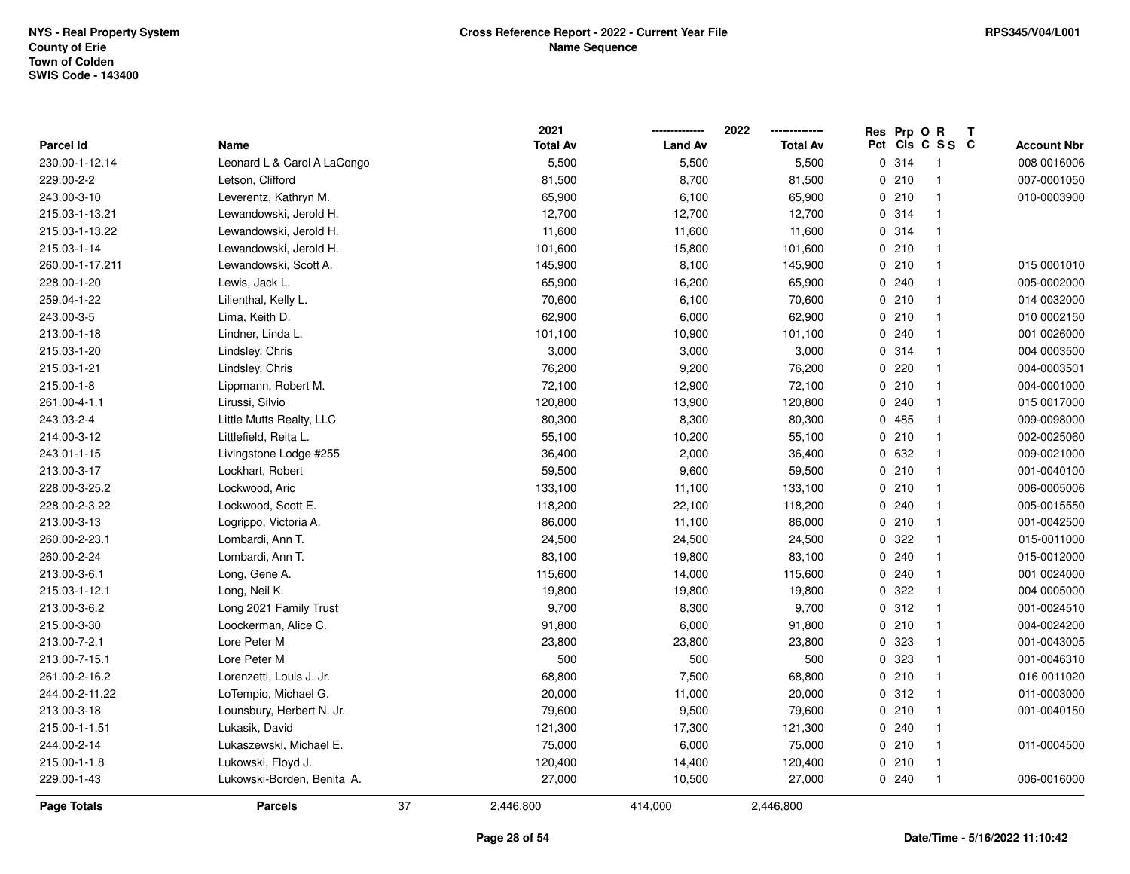|                  |                             |    | 2021            |                | 2022            | Res Prp O R |                         | Т |                    |
|------------------|-----------------------------|----|-----------------|----------------|-----------------|-------------|-------------------------|---|--------------------|
| <b>Parcel Id</b> | Name                        |    | <b>Total Av</b> | <b>Land Av</b> | <b>Total Av</b> |             | Pct Cls C S S C         |   | <b>Account Nbr</b> |
| 230.00-1-12.14   | Leonard L & Carol A LaCongo |    | 5,500           | 5,500          | 5,500           | 0.314       | $\overline{\mathbf{1}}$ |   | 008 0016006        |
| 229.00-2-2       | Letson, Clifford            |    | 81,500          | 8,700          | 81,500          | 0210        | $\overline{1}$          |   | 007-0001050        |
| 243.00-3-10      | Leverentz, Kathryn M.       |    | 65,900          | 6,100          | 65,900          | 0210        | $\overline{\mathbf{1}}$ |   | 010-0003900        |
| 215.03-1-13.21   | Lewandowski, Jerold H.      |    | 12,700          | 12,700         | 12,700          | 0 314       | $\overline{\mathbf{1}}$ |   |                    |
| 215.03-1-13.22   | Lewandowski, Jerold H.      |    | 11,600          | 11,600         | 11,600          | 0 314       | $\overline{\mathbf{1}}$ |   |                    |
| 215.03-1-14      | Lewandowski, Jerold H.      |    | 101,600         | 15,800         | 101,600         | 0210        | $\mathbf{1}$            |   |                    |
| 260.00-1-17.211  | Lewandowski, Scott A.       |    | 145,900         | 8,100          | 145,900         | 0210        | $\overline{1}$          |   | 015 0001010        |
| 228.00-1-20      | Lewis, Jack L.              |    | 65,900          | 16,200         | 65,900          | 0.240       | $\overline{1}$          |   | 005-0002000        |
| 259.04-1-22      | Lilienthal, Kelly L.        |    | 70,600          | 6,100          | 70,600          | 0210        | $\overline{1}$          |   | 014 0032000        |
| 243.00-3-5       | Lima, Keith D.              |    | 62,900          | 6,000          | 62,900          | 0210        | $\overline{\mathbf{1}}$ |   | 010 0002150        |
| 213.00-1-18      | Lindner, Linda L.           |    | 101,100         | 10,900         | 101,100         | 0.240       | $\overline{\mathbf{1}}$ |   | 001 0026000        |
| 215.03-1-20      | Lindsley, Chris             |    | 3,000           | 3,000          | 3,000           | 0 314       | $\overline{\mathbf{1}}$ |   | 004 0003500        |
| 215.03-1-21      | Lindsley, Chris             |    | 76,200          | 9,200          | 76,200          | 0220        | -1                      |   | 004-0003501        |
| 215.00-1-8       | Lippmann, Robert M.         |    | 72,100          | 12,900         | 72,100          | 0210        | $\overline{\mathbf{1}}$ |   | 004-0001000        |
| 261.00-4-1.1     | Lirussi, Silvio             |    | 120,800         | 13,900         | 120,800         | 0.240       | $\overline{1}$          |   | 015 0017000        |
| 243.03-2-4       | Little Mutts Realty, LLC    |    | 80,300          | 8,300          | 80,300          | 0485        | $\overline{1}$          |   | 009-0098000        |
| 214.00-3-12      | Littlefield, Reita L.       |    | 55,100          | 10,200         | 55,100          | 0210        | $\overline{\mathbf{1}}$ |   | 002-0025060        |
| 243.01-1-15      | Livingstone Lodge #255      |    | 36,400          | 2,000          | 36,400          | 0 632       | $\overline{1}$          |   | 009-0021000        |
| 213.00-3-17      | Lockhart, Robert            |    | 59,500          | 9,600          | 59,500          | 0210        | $\mathbf{1}$            |   | 001-0040100        |
| 228.00-3-25.2    | Lockwood, Aric              |    | 133,100         | 11,100         | 133,100         | 0210        | $\overline{\mathbf{1}}$ |   | 006-0005006        |
| 228.00-2-3.22    | Lockwood, Scott E.          |    | 118,200         | 22,100         | 118,200         | 0.240       | $\overline{\mathbf{1}}$ |   | 005-0015550        |
| 213.00-3-13      | Logrippo, Victoria A.       |    | 86,000          | 11,100         | 86,000          | 0210        | $\overline{1}$          |   | 001-0042500        |
| 260.00-2-23.1    | Lombardi, Ann T.            |    | 24,500          | 24,500         | 24,500          | 0 322       | $\overline{1}$          |   | 015-0011000        |
| 260.00-2-24      | Lombardi, Ann T.            |    | 83,100          | 19,800         | 83,100          | 0.240       | $\overline{\mathbf{1}}$ |   | 015-0012000        |
| 213.00-3-6.1     | Long, Gene A.               |    | 115,600         | 14,000         | 115,600         | 0.240       | $\overline{\mathbf{1}}$ |   | 001 0024000        |
| 215.03-1-12.1    | Long, Neil K.               |    | 19,800          | 19,800         | 19,800          | 0 322       | -1                      |   | 004 0005000        |
| 213.00-3-6.2     | Long 2021 Family Trust      |    | 9,700           | 8,300          | 9,700           | 0.312       | $\overline{\mathbf{1}}$ |   | 001-0024510        |
| 215.00-3-30      | Loockerman, Alice C.        |    | 91,800          | 6,000          | 91,800          | 0210        | $\overline{\mathbf{1}}$ |   | 004-0024200        |
| 213.00-7-2.1     | Lore Peter M                |    | 23,800          | 23,800         | 23,800          | 0 323       | $\overline{1}$          |   | 001-0043005        |
| 213.00-7-15.1    | Lore Peter M                |    | 500             | 500            | 500             | 0 323       | $\overline{1}$          |   | 001-0046310        |
| 261.00-2-16.2    | Lorenzetti, Louis J. Jr.    |    | 68,800          | 7,500          | 68,800          | 0210        | $\overline{\mathbf{1}}$ |   | 016 0011020        |
| 244.00-2-11.22   | LoTempio, Michael G.        |    | 20,000          | 11,000         | 20,000          | 0.312       | $\overline{1}$          |   | 011-0003000        |
| 213.00-3-18      | Lounsbury, Herbert N. Jr.   |    | 79,600          | 9,500          | 79,600          | 0210        | $\overline{1}$          |   | 001-0040150        |
| 215.00-1-1.51    | Lukasik, David              |    | 121,300         | 17,300         | 121,300         | 0.240       | $\overline{\mathbf{1}}$ |   |                    |
| 244.00-2-14      | Lukaszewski, Michael E.     |    | 75,000          | 6,000          | 75,000          | 0210        | $\overline{\mathbf{1}}$ |   | 011-0004500        |
| 215.00-1-1.8     | Lukowski, Floyd J.          |    | 120,400         | 14,400         | 120,400         | 0210        | $\overline{1}$          |   |                    |
| 229.00-1-43      | Lukowski-Borden, Benita A.  |    | 27,000          | 10,500         | 27,000          | 0.240       | $\overline{1}$          |   | 006-0016000        |
| Page Totals      | <b>Parcels</b>              | 37 | 2,446,800       | 414,000        | 2,446,800       |             |                         |   |                    |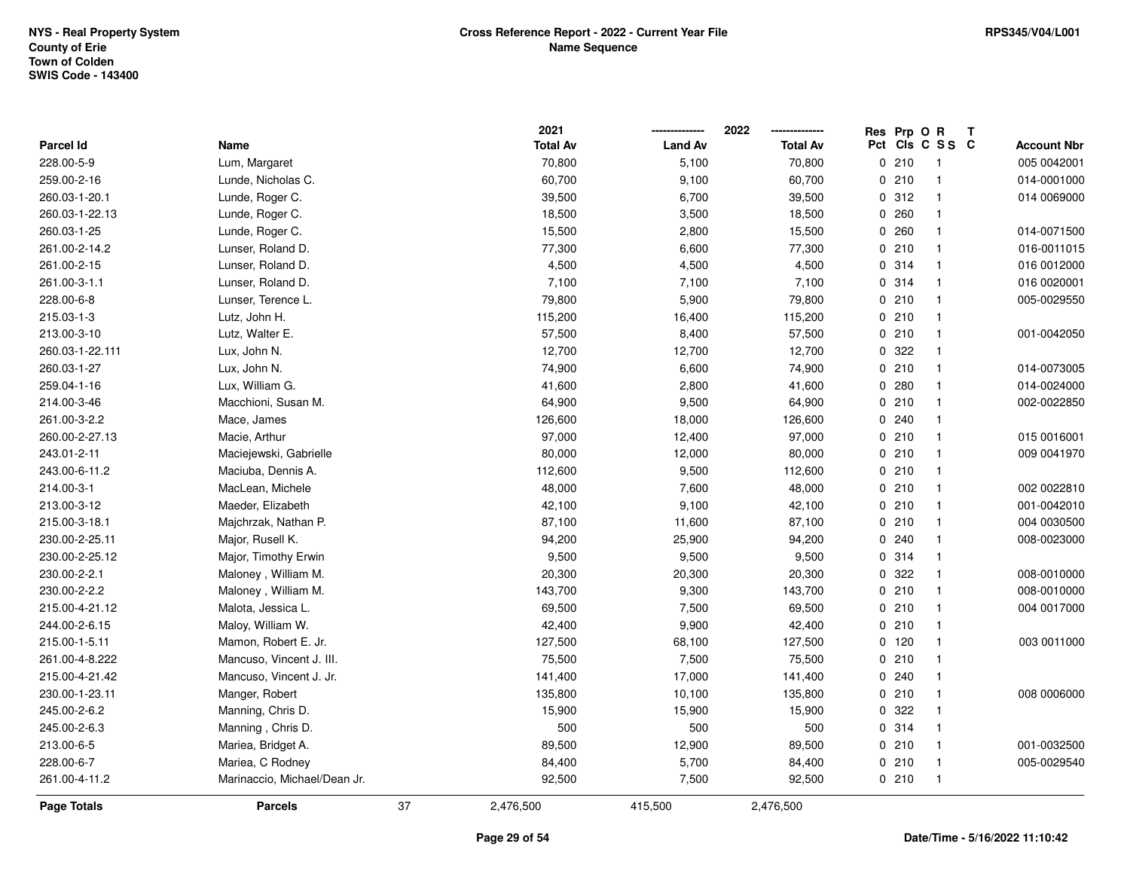|                 |                              | 2021            |                | 2022<br>-------------- | Res Prp O R | Т              |                    |
|-----------------|------------------------------|-----------------|----------------|------------------------|-------------|----------------|--------------------|
| Parcel Id       | Name                         | <b>Total Av</b> | <b>Land Av</b> | <b>Total Av</b>        | Pct         | CIS C S S C    | <b>Account Nbr</b> |
| 228.00-5-9      | Lum, Margaret                | 70,800          | 5,100          | 70,800                 | 0210        | $\overline{1}$ | 005 0042001        |
| 259.00-2-16     | Lunde, Nicholas C.           | 60,700          | 9,100          | 60,700                 | 0210        | $\mathbf{1}$   | 014-0001000        |
| 260.03-1-20.1   | Lunde, Roger C.              | 39,500          | 6,700          | 39,500                 | 0.312       | $\mathbf{1}$   | 014 0069000        |
| 260.03-1-22.13  | Lunde, Roger C.              | 18,500          | 3,500          | 18,500                 | 0.260       | $\mathbf{1}$   |                    |
| 260.03-1-25     | Lunde, Roger C.              | 15,500          | 2,800          | 15,500                 | 0.260       | $\mathbf{1}$   | 014-0071500        |
| 261.00-2-14.2   | Lunser, Roland D.            | 77,300          | 6,600          | 77,300                 | 0210        | $\mathbf{1}$   | 016-0011015        |
| 261.00-2-15     | Lunser, Roland D.            | 4,500           | 4,500          | 4,500                  | 0 314       | $\mathbf{1}$   | 016 0012000        |
| 261.00-3-1.1    | Lunser, Roland D.            | 7,100           | 7,100          | 7,100                  | 0.314       | $\mathbf{1}$   | 016 0020001        |
| 228.00-6-8      | Lunser, Terence L.           | 79,800          | 5,900          | 79,800                 | 0210        | $\mathbf{1}$   | 005-0029550        |
| 215.03-1-3      | Lutz, John H.                | 115,200         | 16,400         | 115,200                | 0210        | $\mathbf{1}$   |                    |
| 213.00-3-10     | Lutz, Walter E.              | 57,500          | 8,400          | 57,500                 | 0210        | $\overline{1}$ | 001-0042050        |
| 260.03-1-22.111 | Lux, John N.                 | 12,700          | 12,700         | 12,700                 | 0 322       | -1             |                    |
| 260.03-1-27     | Lux, John N.                 | 74,900          | 6,600          | 74,900                 | 0210        | $\mathbf{1}$   | 014-0073005        |
| 259.04-1-16     | Lux, William G.              | 41,600          | 2,800          | 41,600                 | 0.280       | $\mathbf{1}$   | 014-0024000        |
| 214.00-3-46     | Macchioni, Susan M.          | 64,900          | 9,500          | 64,900                 | 0210        | $\mathbf{1}$   | 002-0022850        |
| 261.00-3-2.2    | Mace, James                  | 126,600         | 18,000         | 126,600                | 0.240       | $\mathbf{1}$   |                    |
| 260.00-2-27.13  | Macie, Arthur                | 97,000          | 12,400         | 97,000                 | 0210        | $\mathbf{1}$   | 015 0016001        |
| 243.01-2-11     | Maciejewski, Gabrielle       | 80,000          | 12,000         | 80,000                 | 0210        | $\mathbf{1}$   | 009 0041970        |
| 243.00-6-11.2   | Maciuba, Dennis A.           | 112,600         | 9,500          | 112,600                | 0210        | $\mathbf{1}$   |                    |
| 214.00-3-1      | MacLean, Michele             | 48,000          | 7,600          | 48,000                 | 0210        | $\mathbf{1}$   | 002 0022810        |
| 213.00-3-12     | Maeder, Elizabeth            | 42,100          | 9,100          | 42,100                 | 0210        | $\overline{1}$ | 001-0042010        |
| 215.00-3-18.1   | Majchrzak, Nathan P.         | 87,100          | 11,600         | 87,100                 | 0210        | $\mathbf{1}$   | 004 0030500        |
| 230.00-2-25.11  | Major, Rusell K.             | 94,200          | 25,900         | 94,200                 | 0240        | $\mathbf{1}$   | 008-0023000        |
| 230.00-2-25.12  | Major, Timothy Erwin         | 9,500           | 9,500          | 9,500                  | 0.314       | $\mathbf{1}$   |                    |
| 230.00-2-2.1    | Maloney, William M.          | 20,300          | 20,300         | 20,300                 | 0 322       | $\mathbf{1}$   | 008-0010000        |
| 230.00-2-2.2    | Maloney, William M.          | 143,700         | 9,300          | 143,700                | 0210        | $\mathbf{1}$   | 008-0010000        |
| 215.00-4-21.12  | Malota, Jessica L.           | 69,500          | 7,500          | 69,500                 | 0210        | -1             | 004 0017000        |
| 244.00-2-6.15   | Maloy, William W.            | 42,400          | 9,900          | 42,400                 | 0210        | $\mathbf{1}$   |                    |
| 215.00-1-5.11   | Mamon, Robert E. Jr.         | 127,500         | 68,100         | 127,500                | 0 120       | $\mathbf{1}$   | 003 0011000        |
| 261.00-4-8.222  | Mancuso, Vincent J. III.     | 75,500          | 7,500          | 75,500                 | 0210        | $\mathbf{1}$   |                    |
| 215.00-4-21.42  | Mancuso, Vincent J. Jr.      | 141,400         | 17,000         | 141,400                | 0.240       | -1             |                    |
| 230.00-1-23.11  | Manger, Robert               | 135,800         | 10,100         | 135,800                | 0210        | $\mathbf{1}$   | 008 0006000        |
| 245.00-2-6.2    | Manning, Chris D.            | 15,900          | 15,900         | 15,900                 | 0.322       | $\mathbf{1}$   |                    |
| 245.00-2-6.3    | Manning, Chris D.            | 500             | 500            | 500                    | 0.314       | $\mathbf{1}$   |                    |
| 213.00-6-5      | Mariea, Bridget A.           | 89,500          | 12,900         | 89,500                 | 0210        | $\mathbf{1}$   | 001-0032500        |
| 228.00-6-7      | Mariea, C Rodney             | 84,400          | 5,700          | 84,400                 | 0210        | $\mathbf{1}$   | 005-0029540        |
| 261.00-4-11.2   | Marinaccio, Michael/Dean Jr. | 92,500          | 7,500          | 92,500                 | 0210        | $\overline{1}$ |                    |
| Page Totals     | <b>Parcels</b>               | 37<br>2,476,500 | 415,500        | 2,476,500              |             |                |                    |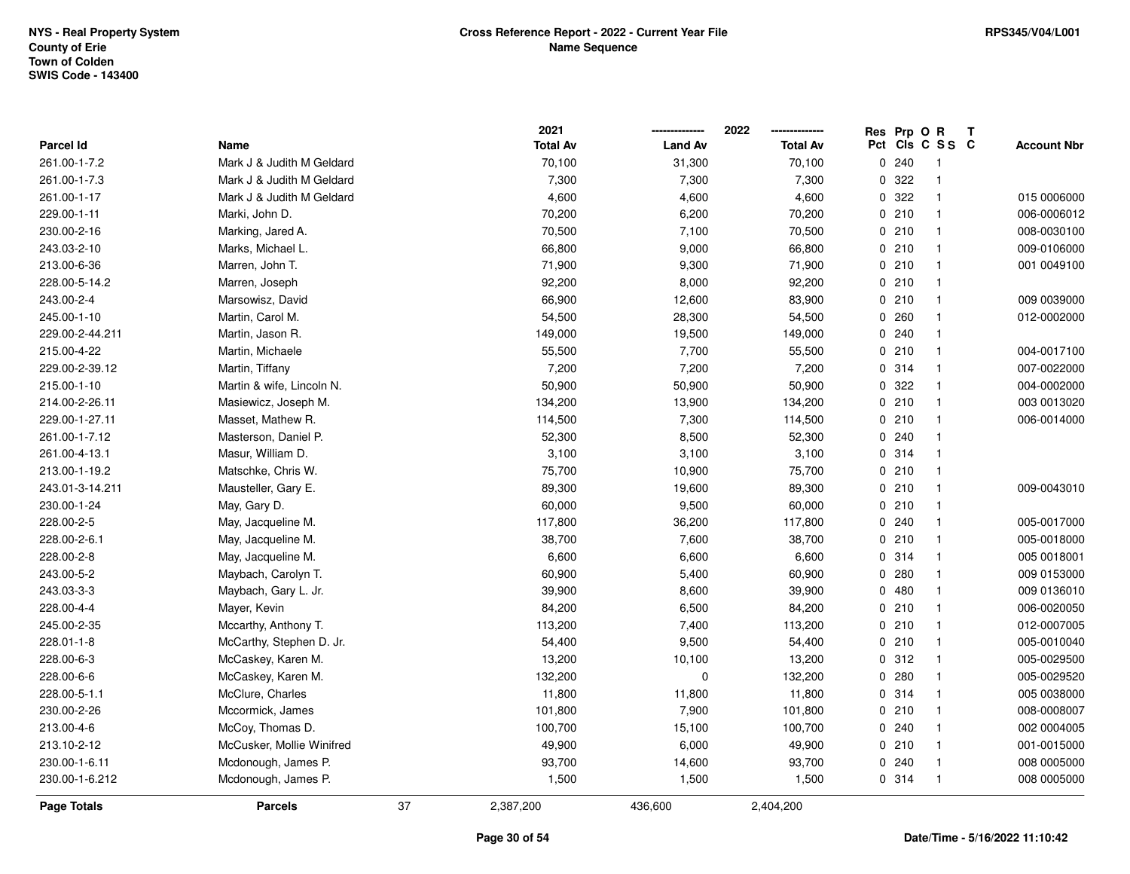|                    |                           |    | 2021            |                | 2022            | Res | Prp OR |                 | $\mathbf{T}$ |                    |
|--------------------|---------------------------|----|-----------------|----------------|-----------------|-----|--------|-----------------|--------------|--------------------|
| <b>Parcel Id</b>   | Name                      |    | <b>Total Av</b> | <b>Land Av</b> | <b>Total Av</b> |     |        | Pct Cls C S S C |              | <b>Account Nbr</b> |
| 261.00-1-7.2       | Mark J & Judith M Geldard |    | 70,100          | 31,300         | 70,100          |     | 0.240  | -1              |              |                    |
| 261.00-1-7.3       | Mark J & Judith M Geldard |    | 7,300           | 7,300          | 7,300           |     | 0 322  | $\mathbf 1$     |              |                    |
| 261.00-1-17        | Mark J & Judith M Geldard |    | 4,600           | 4,600          | 4,600           |     | 0 322  | $\mathbf{1}$    |              | 015 0006000        |
| 229.00-1-11        | Marki, John D.            |    | 70,200          | 6,200          | 70,200          |     | 0210   | $\mathbf{1}$    |              | 006-0006012        |
| 230.00-2-16        | Marking, Jared A.         |    | 70,500          | 7,100          | 70,500          |     | 0210   | $\mathbf{1}$    |              | 008-0030100        |
| 243.03-2-10        | Marks, Michael L.         |    | 66,800          | 9,000          | 66,800          |     | 0210   | $\mathbf{1}$    |              | 009-0106000        |
| 213.00-6-36        | Marren, John T.           |    | 71,900          | 9,300          | 71,900          |     | 0210   | $\mathbf{1}$    |              | 001 0049100        |
| 228.00-5-14.2      | Marren, Joseph            |    | 92,200          | 8,000          | 92,200          |     | 0210   | $\mathbf{1}$    |              |                    |
| 243.00-2-4         | Marsowisz, David          |    | 66,900          | 12,600         | 83,900          |     | 0210   | $\mathbf{1}$    |              | 009 0039000        |
| 245.00-1-10        | Martin, Carol M.          |    | 54,500          | 28,300         | 54,500          |     | 0260   | $\mathbf{1}$    |              | 012-0002000        |
| 229.00-2-44.211    | Martin, Jason R.          |    | 149,000         | 19,500         | 149,000         |     | 0.240  | $\mathbf{1}$    |              |                    |
| 215.00-4-22        | Martin, Michaele          |    | 55,500          | 7,700          | 55,500          |     | 0210   | $\mathbf{1}$    |              | 004-0017100        |
| 229.00-2-39.12     | Martin, Tiffany           |    | 7,200           | 7,200          | 7,200           |     | 0.314  | $\mathbf{1}$    |              | 007-0022000        |
| 215.00-1-10        | Martin & wife, Lincoln N. |    | 50,900          | 50,900         | 50,900          |     | 0.322  | $\mathbf{1}$    |              | 004-0002000        |
| 214.00-2-26.11     | Masiewicz, Joseph M.      |    | 134,200         | 13,900         | 134,200         |     | 0210   | $\mathbf{1}$    |              | 003 0013020        |
| 229.00-1-27.11     | Masset, Mathew R.         |    | 114,500         | 7,300          | 114,500         |     | 0210   | $\mathbf{1}$    |              | 006-0014000        |
| 261.00-1-7.12      | Masterson, Daniel P.      |    | 52,300          | 8,500          | 52,300          |     | 0.240  | $\mathbf 1$     |              |                    |
| 261.00-4-13.1      | Masur, William D.         |    | 3,100           | 3,100          | 3,100           |     | 0.314  | $\mathbf{1}$    |              |                    |
| 213.00-1-19.2      | Matschke, Chris W.        |    | 75,700          | 10,900         | 75,700          |     | 0210   | $\mathbf{1}$    |              |                    |
| 243.01-3-14.211    | Mausteller, Gary E.       |    | 89,300          | 19,600         | 89,300          |     | 0210   | $\mathbf{1}$    |              | 009-0043010        |
| 230.00-1-24        | May, Gary D.              |    | 60,000          | 9,500          | 60,000          |     | 0210   | $\mathbf{1}$    |              |                    |
| 228.00-2-5         | May, Jacqueline M.        |    | 117,800         | 36,200         | 117,800         |     | 0.240  | $\mathbf 1$     |              | 005-0017000        |
| 228.00-2-6.1       | May, Jacqueline M.        |    | 38,700          | 7,600          | 38,700          |     | 0210   | $\mathbf{1}$    |              | 005-0018000        |
| 228.00-2-8         | May, Jacqueline M.        |    | 6,600           | 6,600          | 6,600           |     | 0.314  | $\mathbf{1}$    |              | 005 0018001        |
| 243.00-5-2         | Maybach, Carolyn T.       |    | 60,900          | 5,400          | 60,900          |     | 0.280  | $\mathbf{1}$    |              | 009 0153000        |
| 243.03-3-3         | Maybach, Gary L. Jr.      |    | 39,900          | 8,600          | 39,900          |     | 0480   | $\mathbf{1}$    |              | 009 0136010        |
| 228.00-4-4         | Mayer, Kevin              |    | 84,200          | 6,500          | 84,200          |     | 0210   | $\mathbf{1}$    |              | 006-0020050        |
| 245.00-2-35        | Mccarthy, Anthony T.      |    | 113,200         | 7,400          | 113,200         |     | 0210   | $\mathbf{1}$    |              | 012-0007005        |
| 228.01-1-8         | McCarthy, Stephen D. Jr.  |    | 54,400          | 9,500          | 54,400          |     | 0210   | $\mathbf 1$     |              | 005-0010040        |
| 228.00-6-3         | McCaskey, Karen M.        |    | 13,200          | 10,100         | 13,200          |     | 0.312  | $\mathbf{1}$    |              | 005-0029500        |
| 228.00-6-6         | McCaskey, Karen M.        |    | 132,200         | $\pmb{0}$      | 132,200         |     | 0.280  | $\mathbf{1}$    |              | 005-0029520        |
| 228.00-5-1.1       | McClure, Charles          |    | 11,800          | 11,800         | 11,800          |     | 0.314  | $\mathbf{1}$    |              | 005 0038000        |
| 230.00-2-26        | Mccormick, James          |    | 101,800         | 7,900          | 101,800         |     | 0210   | $\mathbf{1}$    |              | 008-0008007        |
| 213.00-4-6         | McCoy, Thomas D.          |    | 100,700         | 15,100         | 100,700         |     | 0.240  | $\mathbf{1}$    |              | 002 0004005        |
| 213.10-2-12        | McCusker, Mollie Winifred |    | 49,900          | 6,000          | 49,900          |     | 0210   | $\mathbf{1}$    |              | 001-0015000        |
| 230.00-1-6.11      | Mcdonough, James P.       |    | 93,700          | 14,600         | 93,700          |     | 0.240  | $\mathbf{1}$    |              | 008 0005000        |
| 230.00-1-6.212     | Mcdonough, James P.       |    | 1,500           | 1,500          | 1,500           |     | 0.314  | $\overline{1}$  |              | 008 0005000        |
| <b>Page Totals</b> | <b>Parcels</b>            | 37 | 2,387,200       | 436,600        | 2,404,200       |     |        |                 |              |                    |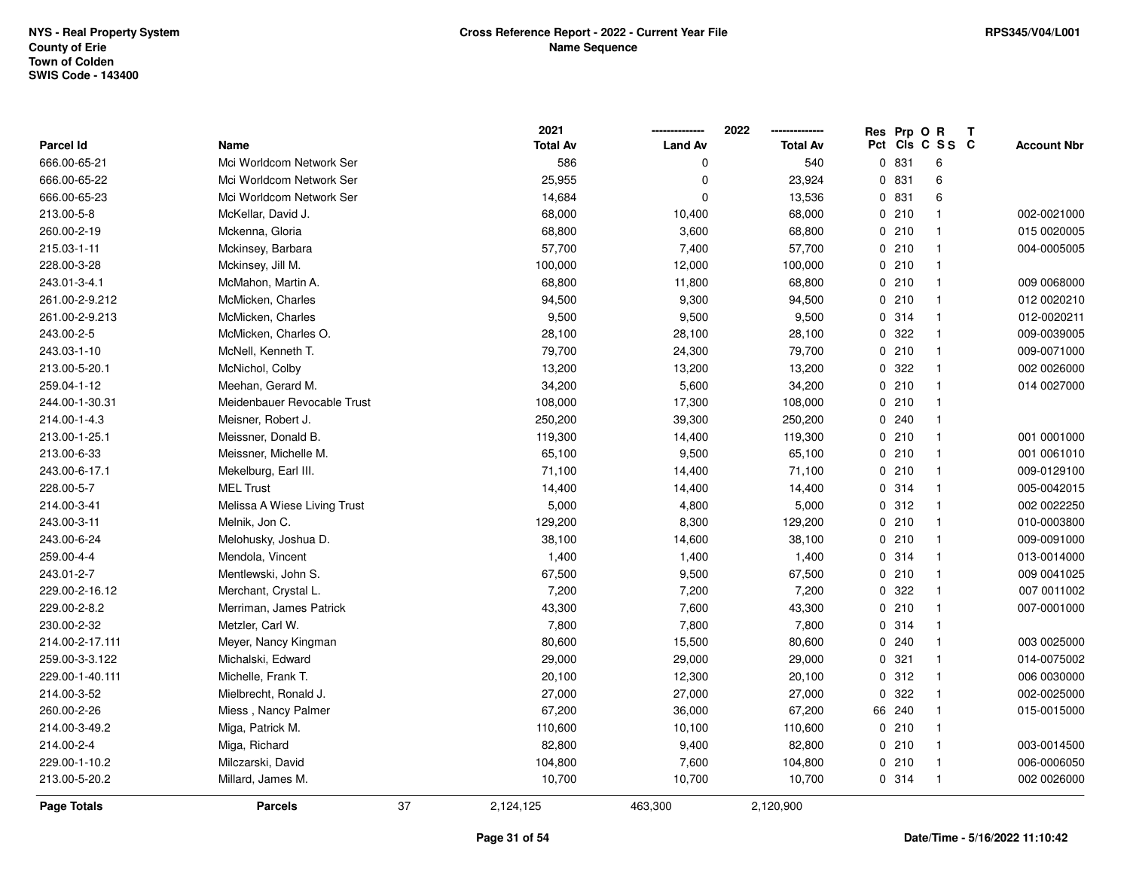$\overline{\phantom{a}}$ 

**2021 -------------- 2022**

**--------------**

|                 |                              |    | 2021            |                | 2022            | Res | Prp O R | T               |                    |
|-----------------|------------------------------|----|-----------------|----------------|-----------------|-----|---------|-----------------|--------------------|
| Parcel Id       | Name                         |    | <b>Total Av</b> | <b>Land Av</b> | <b>Total Av</b> |     |         | Pct Cls C S S C | <b>Account Nbr</b> |
| 666.00-65-21    | Mci Worldcom Network Ser     |    | 586             | <sup>0</sup>   | 540             |     | 0831    | 6               |                    |
| 666.00-65-22    | Mci Worldcom Network Ser     |    | 25,955          | $\mathbf 0$    | 23,924          | 0   | 831     | 6               |                    |
| 666.00-65-23    | Mci Worldcom Network Ser     |    | 14,684          | 0              | 13,536          |     | 0 831   | 6               |                    |
| 213.00-5-8      | McKellar, David J.           |    | 68,000          | 10,400         | 68,000          |     | 0210    |                 | 002-0021000        |
| 260.00-2-19     | Mckenna, Gloria              |    | 68,800          | 3,600          | 68,800          |     | 0210    |                 | 015 0020005        |
| 215.03-1-11     | Mckinsey, Barbara            |    | 57,700          | 7,400          | 57,700          |     | 0210    |                 | 004-0005005        |
| 228.00-3-28     | Mckinsey, Jill M.            |    | 100,000         | 12,000         | 100,000         |     | 0210    | $\mathbf{1}$    |                    |
| 243.01-3-4.1    | McMahon, Martin A.           |    | 68,800          | 11,800         | 68,800          |     | 0210    | -1              | 009 0068000        |
| 261.00-2-9.212  | McMicken, Charles            |    | 94,500          | 9,300          | 94,500          |     | 0210    |                 | 012 0020210        |
| 261.00-2-9.213  | McMicken, Charles            |    | 9,500           | 9,500          | 9,500           |     | 0.314   |                 | 012-0020211        |
| 243.00-2-5      | McMicken, Charles O.         |    | 28,100          | 28,100         | 28,100          |     | 0.322   |                 | 009-0039005        |
| 243.03-1-10     | McNell, Kenneth T.           |    | 79,700          | 24,300         | 79,700          |     | 0210    |                 | 009-0071000        |
| 213.00-5-20.1   | McNichol, Colby              |    | 13,200          | 13,200         | 13,200          |     | 0 322   |                 | 002 0026000        |
| 259.04-1-12     | Meehan, Gerard M.            |    | 34,200          | 5,600          | 34,200          |     | 0210    |                 | 014 0027000        |
| 244.00-1-30.31  | Meidenbauer Revocable Trust  |    | 108,000         | 17,300         | 108,000         |     | 0210    | -1              |                    |
| 214.00-1-4.3    | Meisner, Robert J.           |    | 250,200         | 39,300         | 250,200         |     | 0.240   |                 |                    |
| 213.00-1-25.1   | Meissner, Donald B.          |    | 119,300         | 14,400         | 119,300         |     | 0210    | $\mathbf{1}$    | 001 0001000        |
| 213.00-6-33     | Meissner, Michelle M.        |    | 65,100          | 9,500          | 65,100          |     | 0210    |                 | 001 0061010        |
| 243.00-6-17.1   | Mekelburg, Earl III.         |    | 71,100          | 14,400         | 71,100          |     | 0210    |                 | 009-0129100        |
| 228.00-5-7      | <b>MEL Trust</b>             |    | 14,400          | 14,400         | 14,400          |     | 0.314   |                 | 005-0042015        |
| 214.00-3-41     | Melissa A Wiese Living Trust |    | 5,000           | 4,800          | 5,000           |     | 0.312   | -1              | 002 0022250        |
| 243.00-3-11     | Melnik, Jon C.               |    | 129,200         | 8,300          | 129,200         |     | 0210    | -1              | 010-0003800        |
| 243.00-6-24     | Melohusky, Joshua D.         |    | 38,100          | 14,600         | 38,100          |     | 0210    | -1              | 009-0091000        |
| 259.00-4-4      | Mendola, Vincent             |    | 1,400           | 1,400          | 1,400           |     | 0.314   |                 | 013-0014000        |
| 243.01-2-7      | Mentlewski, John S.          |    | 67,500          | 9,500          | 67,500          |     | 0210    |                 | 009 0041025        |
| 229.00-2-16.12  | Merchant, Crystal L.         |    | 7,200           | 7,200          | 7,200           |     | 0.322   |                 | 007 0011002        |
| 229.00-2-8.2    | Merriman, James Patrick      |    | 43,300          | 7,600          | 43,300          |     | 0210    |                 | 007-0001000        |
| 230.00-2-32     | Metzler, Carl W.             |    | 7,800           | 7,800          | 7,800           |     | 0 314   |                 |                    |
| 214.00-2-17.111 | Meyer, Nancy Kingman         |    | 80,600          | 15,500         | 80,600          |     | 0.240   | -1              | 003 0025000        |
| 259.00-3-3.122  | Michalski, Edward            |    | 29,000          | 29,000         | 29,000          | 0   | 321     | -1              | 014-0075002        |
| 229.00-1-40.111 | Michelle, Frank T.           |    | 20,100          | 12,300         | 20,100          |     | 0.312   | $\mathbf{1}$    | 006 0030000        |
| 214.00-3-52     | Mielbrecht, Ronald J.        |    | 27,000          | 27,000         | 27,000          |     | 0.322   | $\mathbf{1}$    | 002-0025000        |
| 260.00-2-26     | Miess, Nancy Palmer          |    | 67,200          | 36,000         | 67,200          |     | 66 240  |                 | 015-0015000        |
| 214.00-3-49.2   | Miga, Patrick M.             |    | 110,600         | 10,100         | 110,600         |     | 0210    |                 |                    |
| 214.00-2-4      | Miga, Richard                |    | 82,800          | 9,400          | 82,800          |     | 0210    |                 | 003-0014500        |
| 229.00-1-10.2   | Milczarski, David            |    | 104,800         | 7,600          | 104,800         |     | 0210    | -1              | 006-0006050        |
| 213.00-5-20.2   | Millard, James M.            |    | 10,700          | 10,700         | 10,700          |     | 0.314   | $\mathbf{1}$    | 002 0026000        |
| Page Totals     | <b>Parcels</b>               | 37 | 2,124,125       | 463,300        | 2,120,900       |     |         |                 |                    |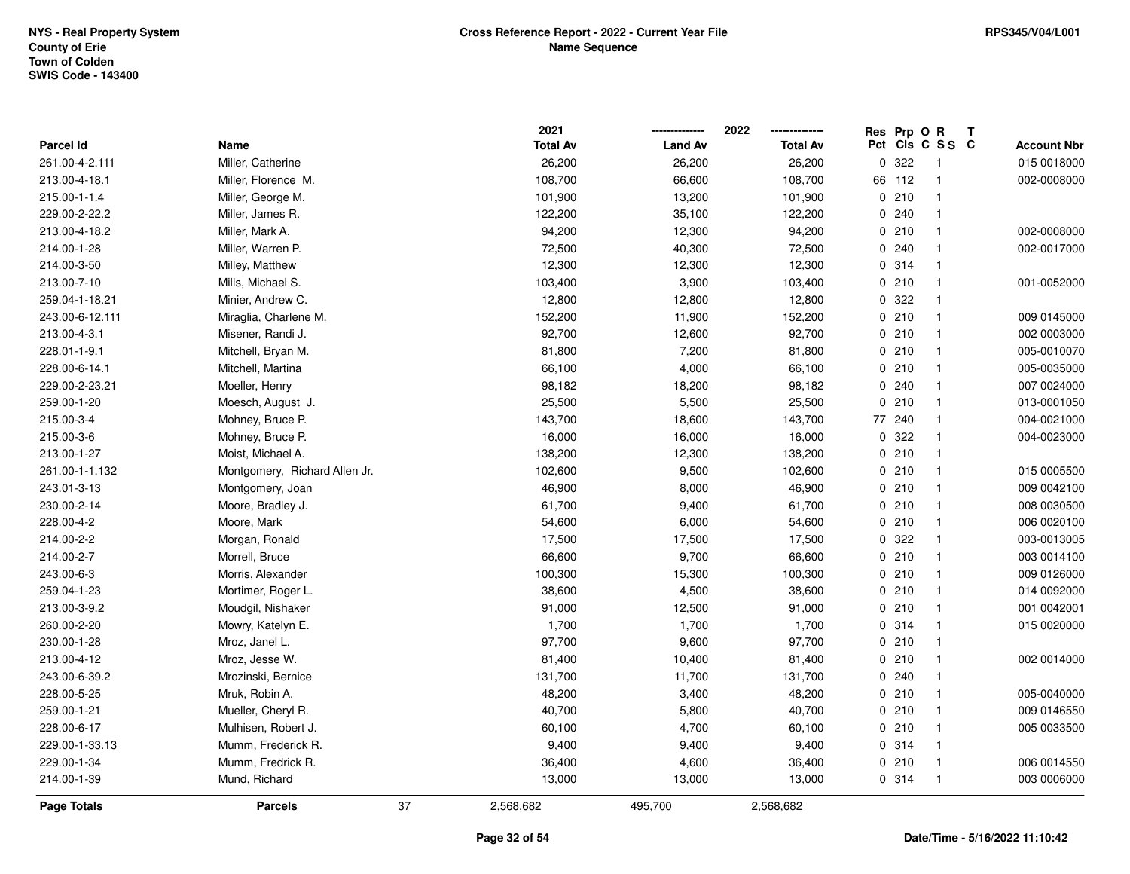|                  |                               |    | 2021            |                | 2022            | Res         | Prp O R |                         | Т |                    |
|------------------|-------------------------------|----|-----------------|----------------|-----------------|-------------|---------|-------------------------|---|--------------------|
| <b>Parcel Id</b> | Name                          |    | <b>Total Av</b> | <b>Land Av</b> | <b>Total Av</b> |             |         | Pct Cls C S S C         |   | <b>Account Nbr</b> |
| 261.00-4-2.111   | Miller, Catherine             |    | 26,200          | 26,200         | 26,200          | $\mathbf 0$ | 322     | -1                      |   | 015 0018000        |
| 213.00-4-18.1    | Miller, Florence M.           |    | 108,700         | 66,600         | 108,700         | 66          | 112     | $\mathbf{1}$            |   | 002-0008000        |
| 215.00-1-1.4     | Miller, George M.             |    | 101,900         | 13,200         | 101,900         |             | 0210    | $\mathbf{1}$            |   |                    |
| 229.00-2-22.2    | Miller, James R.              |    | 122,200         | 35,100         | 122,200         |             | 0.240   | -1                      |   |                    |
| 213.00-4-18.2    | Miller, Mark A.               |    | 94,200          | 12,300         | 94,200          |             | 0210    | -1                      |   | 002-0008000        |
| 214.00-1-28      | Miller, Warren P.             |    | 72,500          | 40,300         | 72,500          |             | 0.240   | $\mathbf 1$             |   | 002-0017000        |
| 214.00-3-50      | Milley, Matthew               |    | 12,300          | 12,300         | 12,300          |             | 0.314   | $\mathbf{1}$            |   |                    |
| 213.00-7-10      | Mills, Michael S.             |    | 103,400         | 3,900          | 103,400         |             | 0210    | $\mathbf{1}$            |   | 001-0052000        |
| 259.04-1-18.21   | Minier, Andrew C.             |    | 12,800          | 12,800         | 12,800          | 0           | 322     | $\mathbf 1$             |   |                    |
| 243.00-6-12.111  | Miraglia, Charlene M.         |    | 152,200         | 11,900         | 152,200         |             | 0210    | $\mathbf{1}$            |   | 009 0145000        |
| 213.00-4-3.1     | Misener, Randi J.             |    | 92,700          | 12,600         | 92,700          |             | 0210    | $\mathbf{1}$            |   | 002 0003000        |
| 228.01-1-9.1     | Mitchell, Bryan M.            |    | 81,800          | 7,200          | 81,800          |             | 0210    | $\overline{\mathbf{1}}$ |   | 005-0010070        |
| 228.00-6-14.1    | Mitchell, Martina             |    | 66,100          | 4,000          | 66,100          |             | 0210    | -1                      |   | 005-0035000        |
| 229.00-2-23.21   | Moeller, Henry                |    | 98,182          | 18,200         | 98,182          |             | 0.240   | $\mathbf{1}$            |   | 007 0024000        |
| 259.00-1-20      | Moesch, August J.             |    | 25,500          | 5,500          | 25,500          | 0           | 210     | $\mathbf{1}$            |   | 013-0001050        |
| 215.00-3-4       | Mohney, Bruce P.              |    | 143,700         | 18,600         | 143,700         | 77          | 240     | $\mathbf{1}$            |   | 004-0021000        |
| 215.00-3-6       | Mohney, Bruce P.              |    | 16,000          | 16,000         | 16,000          | $\mathbf 0$ | 322     | $\mathbf{1}$            |   | 004-0023000        |
| 213.00-1-27      | Moist, Michael A.             |    | 138,200         | 12,300         | 138,200         |             | 0210    | $\mathbf{1}$            |   |                    |
| 261.00-1-1.132   | Montgomery, Richard Allen Jr. |    | 102,600         | 9,500          | 102,600         |             | 0210    | -1                      |   | 015 0005500        |
| 243.01-3-13      | Montgomery, Joan              |    | 46,900          | 8,000          | 46,900          |             | 0210    | $\mathbf{1}$            |   | 009 0042100        |
| 230.00-2-14      | Moore, Bradley J.             |    | 61,700          | 9,400          | 61,700          |             | 0210    | $\mathbf{1}$            |   | 008 0030500        |
| 228.00-4-2       | Moore, Mark                   |    | 54,600          | 6,000          | 54,600          |             | 0210    | $\mathbf{1}$            |   | 006 0020100        |
| 214.00-2-2       | Morgan, Ronald                |    | 17,500          | 17,500         | 17,500          | 0           | 322     | $\mathbf{1}$            |   | 003-0013005        |
| 214.00-2-7       | Morrell, Bruce                |    | 66,600          | 9,700          | 66,600          |             | 0210    | $\mathbf{1}$            |   | 003 0014100        |
| 243.00-6-3       | Morris, Alexander             |    | 100,300         | 15,300         | 100,300         |             | 0210    | $\mathbf{1}$            |   | 009 0126000        |
| 259.04-1-23      | Mortimer, Roger L.            |    | 38,600          | 4,500          | 38,600          |             | 0210    |                         |   | 014 0092000        |
| 213.00-3-9.2     | Moudgil, Nishaker             |    | 91,000          | 12,500         | 91,000          |             | 0210    | -1                      |   | 001 0042001        |
| 260.00-2-20      | Mowry, Katelyn E.             |    | 1,700           | 1,700          | 1,700           |             | 0 314   | -1                      |   | 015 0020000        |
| 230.00-1-28      | Mroz, Janel L.                |    | 97,700          | 9,600          | 97,700          |             | 0210    | $\mathbf{1}$            |   |                    |
| 213.00-4-12      | Mroz, Jesse W.                |    | 81,400          | 10,400         | 81,400          |             | 0210    | $\mathbf{1}$            |   | 002 0014000        |
| 243.00-6-39.2    | Mrozinski, Bernice            |    | 131,700         | 11,700         | 131,700         |             | 0.240   | $\mathbf{1}$            |   |                    |
| 228.00-5-25      | Mruk, Robin A.                |    | 48,200          | 3,400          | 48,200          |             | 0210    | $\mathbf{1}$            |   | 005-0040000        |
| 259.00-1-21      | Mueller, Cheryl R.            |    | 40,700          | 5,800          | 40,700          |             | 0210    | $\mathbf{1}$            |   | 009 0146550        |
| 228.00-6-17      | Mulhisen, Robert J.           |    | 60,100          | 4,700          | 60,100          |             | 0210    | $\mathbf{1}$            |   | 005 0033500        |
| 229.00-1-33.13   | Mumm, Frederick R.            |    | 9,400           | 9,400          | 9,400           |             | 0 314   | $\mathbf{1}$            |   |                    |
| 229.00-1-34      | Mumm, Fredrick R.             |    | 36,400          | 4,600          | 36,400          |             | 0210    | $\mathbf{1}$            |   | 006 0014550        |
| 214.00-1-39      | Mund, Richard                 |    | 13,000          | 13,000         | 13,000          |             | 0.314   | $\overline{1}$          |   | 003 0006000        |
| Page Totals      | <b>Parcels</b>                | 37 | 2,568,682       | 495,700        | 2,568,682       |             |         |                         |   |                    |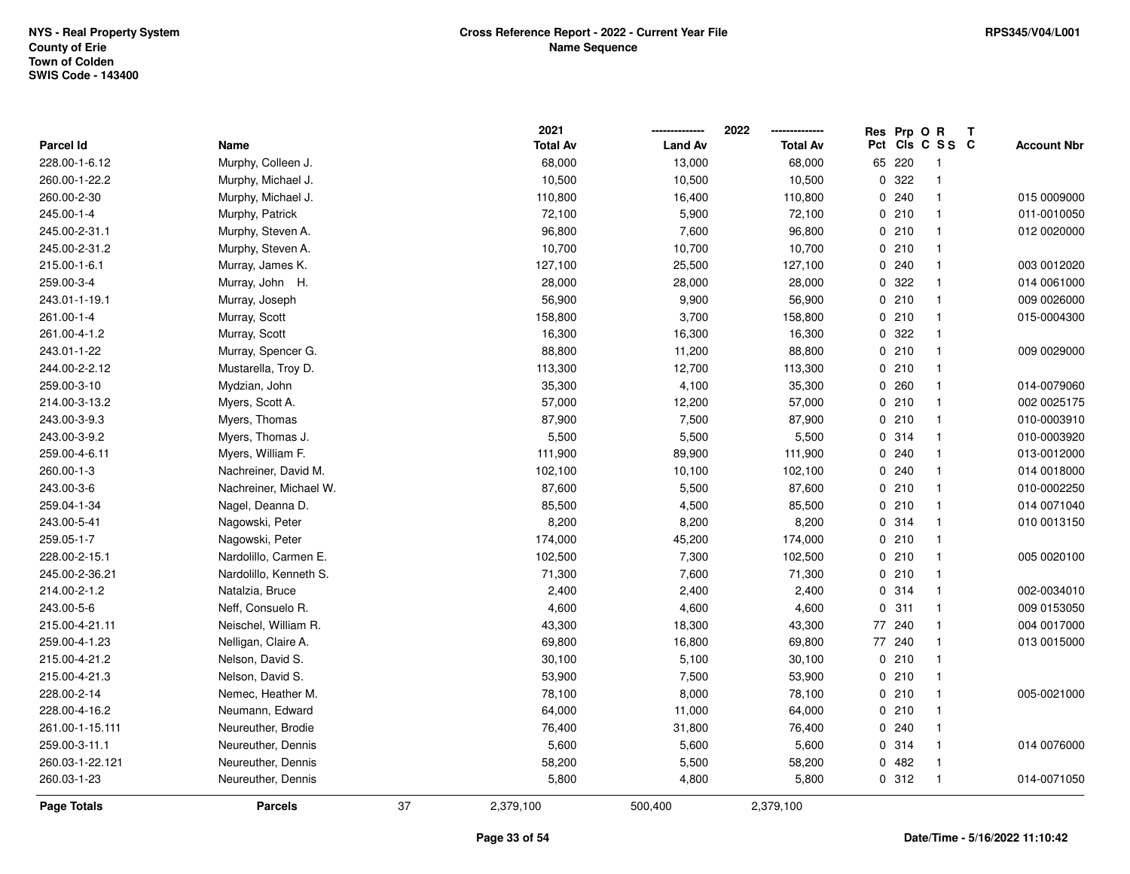| 215.00-4-21.3                 | Nelson, David S.       | 53,900          | 7,500          | 53,900          | 0210         | $\mathbf{1}$                 |   |                            |
|-------------------------------|------------------------|-----------------|----------------|-----------------|--------------|------------------------------|---|----------------------------|
| 215.00-4-21.2                 | Nelson, David S.       | 30,100          | 5,100          | 30,100          | 0210         | $\mathbf{1}$                 |   |                            |
| 259.00-4-1.23                 | Nelligan, Claire A.    | 69,800          | 16,800         | 69,800          | 77 240       | $\mathbf{1}$                 |   | 013 0015000                |
| 215.00-4-21.11                | Neischel, William R.   | 43,300          | 18,300         | 43,300          | 77 240       | $\mathbf 1$                  |   | 004 0017000                |
| 243.00-5-6                    | Neff, Consuelo R.      | 4,600           | 4,600          | 4,600           | 0.311        | $\mathbf{1}$                 |   | 009 0153050                |
| 214.00-2-1.2                  | Natalzia, Bruce        | 2,400           | 2,400          | 2,400           | 0.314        | $\mathbf{1}$                 |   | 002-0034010                |
| 245.00-2-36.21                | Nardolillo, Kenneth S. | 71,300          | 7,600          | 71,300          | 0210         | $\mathbf{1}$                 |   |                            |
| 228.00-2-15.1                 | Nardolillo, Carmen E.  | 102,500         | 7,300          | 102,500         | 0210         | $\mathbf{1}$                 |   | 005 0020100                |
| 259.05-1-7                    | Nagowski, Peter        | 174,000         | 45,200         | 174,000         | 0210         | $\mathbf{1}$                 |   |                            |
| 243.00-5-41                   | Nagowski, Peter        | 8,200           | 8,200          | 8,200           | 0 314        | $\mathbf{1}$                 |   | 010 0013150                |
| 259.04-1-34                   | Nagel, Deanna D.       | 85,500          | 4,500          | 85,500          | 0210         | $\mathbf{1}$                 |   | 014 0071040                |
| 243.00-3-6                    | Nachreiner, Michael W. | 87,600          | 5,500          | 87,600          | 0210         | $\mathbf{1}$                 |   | 010-0002250                |
| 260.00-1-3                    | Nachreiner, David M.   | 102,100         | 10,100         | 102,100         | 0.240        |                              |   | 014 0018000                |
| 259.00-4-6.11                 | Myers, William F.      | 111,900         | 89,900         | 111,900         | 0.240        | $\mathbf{1}$                 |   | 013-0012000                |
| 243.00-3-9.2                  | Myers, Thomas J.       | 5,500           | 5,500          | 5,500           |              | $\mathbf{1}$                 |   |                            |
|                               | Myers, Thomas          | 87,900          | 7,500          | 87,900          | 0.314        | $\mathbf{1}$                 |   | 010-0003920                |
| 214.00-3-13.2<br>243.00-3-9.3 | Myers, Scott A.        | 57,000          | 12,200         | 57,000          | 0210<br>0210 | $\mathbf{1}$<br>$\mathbf{1}$ |   | 002 0025175<br>010-0003910 |
| 259.00-3-10                   | Mydzian, John          | 35,300          | 4,100          | 35,300          | 0.260        | $\mathbf{1}$                 |   | 014-0079060                |
| 244.00-2-2.12                 | Mustarella, Troy D.    | 113,300         | 12,700         | 113,300         | 0210         | $\mathbf{1}$                 |   |                            |
| 243.01-1-22                   | Murray, Spencer G.     | 88,800          | 11,200         | 88,800          | 0210         | $\mathbf{1}$                 |   | 009 0029000                |
| 261.00-4-1.2                  | Murray, Scott          | 16,300          | 16,300         | 16,300          | 0 322        | $\mathbf{1}$                 |   |                            |
| 261.00-1-4                    | Murray, Scott          | 158,800         | 3,700          | 158,800         | 0210         | $\mathbf{1}$                 |   | 015-0004300                |
| 243.01-1-19.1                 | Murray, Joseph         | 56,900          | 9,900          | 56,900          | 0210         | $\mathbf{1}$                 |   | 009 0026000                |
| 259.00-3-4                    | Murray, John H.        | 28,000          | 28,000         | 28,000          | 0.322        | $\mathbf{1}$                 |   | 014 0061000                |
| 215.00-1-6.1                  | Murray, James K.       | 127,100         | 25,500         | 127,100         | 0.240        | $\mathbf{1}$                 |   | 003 0012020                |
| 245.00-2-31.2                 | Murphy, Steven A.      | 10,700          | 10,700         | 10,700          | 0210         | $\mathbf 1$                  |   |                            |
| 245.00-2-31.1                 | Murphy, Steven A.      | 96,800          | 7,600          | 96,800          | 0210         | $\mathbf{1}$                 |   | 012 0020000                |
| 245.00-1-4                    | Murphy, Patrick        | 72,100          | 5,900          | 72,100          | 0210         | $\mathbf{1}$                 |   | 011-0010050                |
| 260.00-2-30                   | Murphy, Michael J.     | 110,800         | 16,400         | 110,800         | 0.240        | $\mathbf{1}$                 |   | 015 0009000                |
| 260.00-1-22.2                 | Murphy, Michael J.     | 10,500          | 10,500         | 10,500          | 0.322        | $\mathbf{1}$                 |   |                            |
| 228.00-1-6.12                 | Murphy, Colleen J.     | 68,000          | 13,000         | 68,000          | 65 220       | $\mathbf{1}$                 |   |                            |
| <b>Parcel Id</b>              | Name                   | <b>Total Av</b> | <b>Land Av</b> | <b>Total Av</b> |              |                              |   | <b>Account Nbr</b>         |
|                               |                        | 2021            |                | 2022            | Res Prp O R  | Pct Cls C S S C              | T |                            |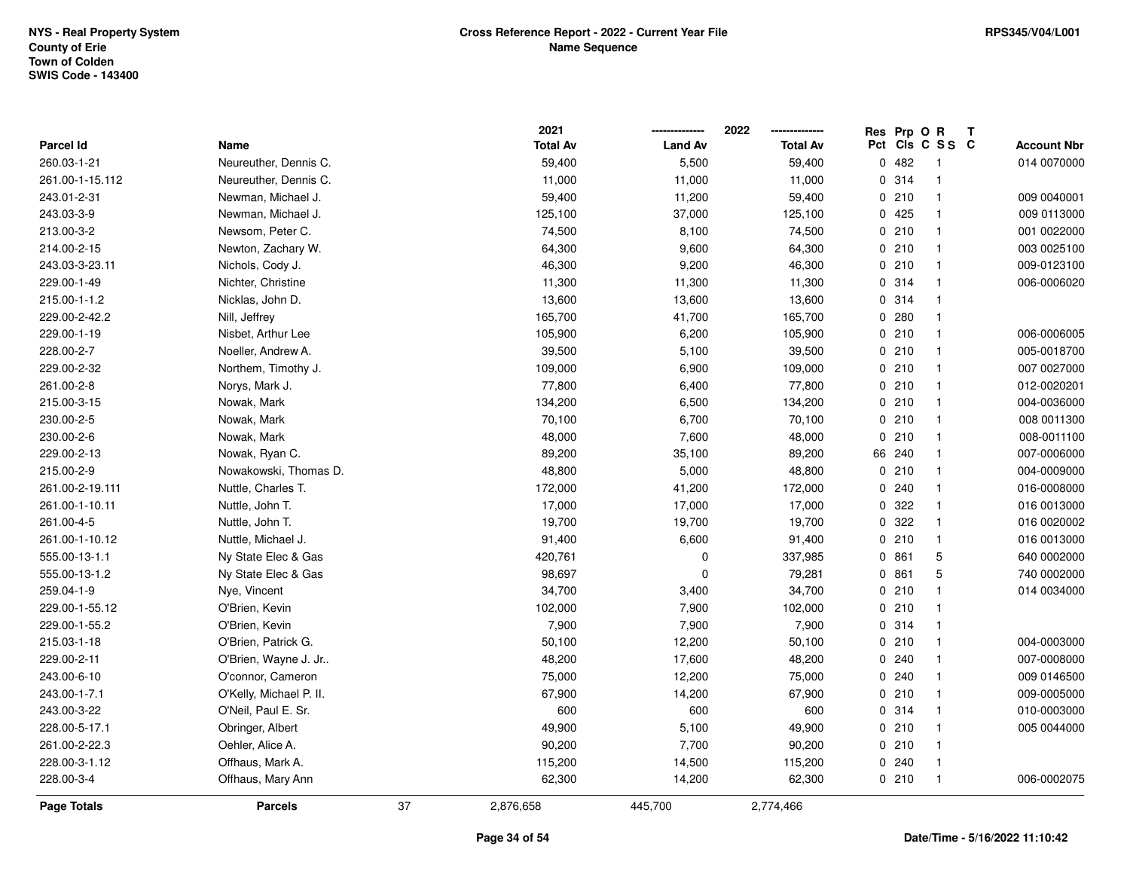|                  |                         |    | 2021            |                | 2022            |             | Res Prp O R |                         | Т |                    |
|------------------|-------------------------|----|-----------------|----------------|-----------------|-------------|-------------|-------------------------|---|--------------------|
| <b>Parcel Id</b> | Name                    |    | <b>Total Av</b> | <b>Land Av</b> | <b>Total Av</b> | Pct         |             | CIS C S S C             |   | <b>Account Nbr</b> |
| 260.03-1-21      | Neureuther, Dennis C.   |    | 59,400          | 5,500          | 59,400          |             | 0.482       | $\overline{\mathbf{1}}$ |   | 014 0070000        |
| 261.00-1-15.112  | Neureuther, Dennis C.   |    | 11,000          | 11,000         | 11,000          | 0           | 314         | $\mathbf{1}$            |   |                    |
| 243.01-2-31      | Newman, Michael J.      |    | 59,400          | 11,200         | 59,400          |             | 0210        | $\mathbf{1}$            |   | 009 0040001        |
| 243.03-3-9       | Newman, Michael J.      |    | 125,100         | 37,000         | 125,100         |             | 0425        | -1                      |   | 009 0113000        |
| 213.00-3-2       | Newsom, Peter C.        |    | 74,500          | 8,100          | 74,500          |             | 0210        | $\mathbf{1}$            |   | 001 0022000        |
| 214.00-2-15      | Newton, Zachary W.      |    | 64,300          | 9,600          | 64,300          |             | 0210        | $\overline{1}$          |   | 003 0025100        |
| 243.03-3-23.11   | Nichols, Cody J.        |    | 46,300          | 9,200          | 46,300          |             | 0210        | $\mathbf{1}$            |   | 009-0123100        |
| 229.00-1-49      | Nichter, Christine      |    | 11,300          | 11,300         | 11,300          |             | 0.314       | $\mathbf{1}$            |   | 006-0006020        |
| 215.00-1-1.2     | Nicklas, John D.        |    | 13,600          | 13,600         | 13,600          |             | 0.314       | $\overline{1}$          |   |                    |
| 229.00-2-42.2    | Nill, Jeffrey           |    | 165,700         | 41,700         | 165,700         |             | 0.280       | $\mathbf{1}$            |   |                    |
| 229.00-1-19      | Nisbet, Arthur Lee      |    | 105,900         | 6,200          | 105,900         |             | 0210        | -1                      |   | 006-0006005        |
| 228.00-2-7       | Noeller, Andrew A.      |    | 39,500          | 5,100          | 39,500          |             | 0210        | -1                      |   | 005-0018700        |
| 229.00-2-32      | Northem, Timothy J.     |    | 109,000         | 6,900          | 109,000         |             | 0210        | -1                      |   | 007 0027000        |
| 261.00-2-8       | Norys, Mark J.          |    | 77,800          | 6,400          | 77,800          |             | 0210        | $\mathbf{1}$            |   | 012-0020201        |
| 215.00-3-15      | Nowak, Mark             |    | 134,200         | 6,500          | 134,200         |             | 0210        | $\mathbf{1}$            |   | 004-0036000        |
| 230.00-2-5       | Nowak, Mark             |    | 70,100          | 6,700          | 70,100          |             | 0210        | $\mathbf{1}$            |   | 008 0011300        |
| 230.00-2-6       | Nowak, Mark             |    | 48,000          | 7,600          | 48,000          | $\mathbf 0$ | 210         | $\mathbf{1}$            |   | 008-0011100        |
| 229.00-2-13      | Nowak, Ryan C.          |    | 89,200          | 35,100         | 89,200          |             | 66 240      | -1                      |   | 007-0006000        |
| 215.00-2-9       | Nowakowski, Thomas D.   |    | 48,800          | 5,000          | 48,800          |             | 0210        | $\mathbf{1}$            |   | 004-0009000        |
| 261.00-2-19.111  | Nuttle, Charles T.      |    | 172,000         | 41,200         | 172,000         |             | 0.240       | -1                      |   | 016-0008000        |
| 261.00-1-10.11   | Nuttle, John T.         |    | 17,000          | 17,000         | 17,000          |             | 0 322       | $\mathbf{1}$            |   | 016 0013000        |
| 261.00-4-5       | Nuttle, John T.         |    | 19,700          | 19,700         | 19,700          | $\mathbf 0$ | 322         | $\mathbf{1}$            |   | 016 0020002        |
| 261.00-1-10.12   | Nuttle, Michael J.      |    | 91,400          | 6,600          | 91,400          |             | 0210        | $\mathbf{1}$            |   | 016 0013000        |
| 555.00-13-1.1    | Ny State Elec & Gas     |    | 420,761         | $\mathbf 0$    | 337,985         |             | 0 861       | 5                       |   | 640 0002000        |
| 555.00-13-1.2    | Ny State Elec & Gas     |    | 98,697          | $\mathbf 0$    | 79,281          |             | 0861        | 5                       |   | 740 0002000        |
| 259.04-1-9       | Nye, Vincent            |    | 34,700          | 3,400          | 34,700          |             | 0210        | $\mathbf{1}$            |   | 014 0034000        |
| 229.00-1-55.12   | O'Brien, Kevin          |    | 102,000         | 7,900          | 102,000         |             | 0210        | $\mathbf{1}$            |   |                    |
| 229.00-1-55.2    | O'Brien, Kevin          |    | 7,900           | 7,900          | 7,900           |             | 0.314       | -1                      |   |                    |
| 215.03-1-18      | O'Brien, Patrick G.     |    | 50,100          | 12,200         | 50,100          |             | 0210        | $\mathbf{1}$            |   | 004-0003000        |
| 229.00-2-11      | O'Brien, Wayne J. Jr    |    | 48,200          | 17,600         | 48,200          |             | 0.240       | $\mathbf{1}$            |   | 007-0008000        |
| 243.00-6-10      | O'connor, Cameron       |    | 75,000          | 12,200         | 75,000          |             | 0.240       | $\mathbf{1}$            |   | 009 0146500        |
| 243.00-1-7.1     | O'Kelly, Michael P. II. |    | 67,900          | 14,200         | 67,900          |             | 0210        | $\mathbf{1}$            |   | 009-0005000        |
| 243.00-3-22      | O'Neil, Paul E. Sr.     |    | 600             | 600            | 600             |             | 0.314       | -1                      |   | 010-0003000        |
| 228.00-5-17.1    | Obringer, Albert        |    | 49,900          | 5,100          | 49,900          |             | 0210        | $\overline{1}$          |   | 005 0044000        |
| 261.00-2-22.3    | Oehler, Alice A.        |    | 90,200          | 7,700          | 90,200          |             | 0210        | $\overline{1}$          |   |                    |
| 228.00-3-1.12    | Offhaus, Mark A.        |    | 115,200         | 14,500         | 115,200         |             | 0.240       | -1                      |   |                    |
| 228.00-3-4       | Offhaus, Mary Ann       |    | 62,300          | 14,200         | 62,300          |             | 0210        | $\overline{1}$          |   | 006-0002075        |
| Page Totals      | <b>Parcels</b>          | 37 | 2,876,658       | 445,700        | 2,774,466       |             |             |                         |   |                    |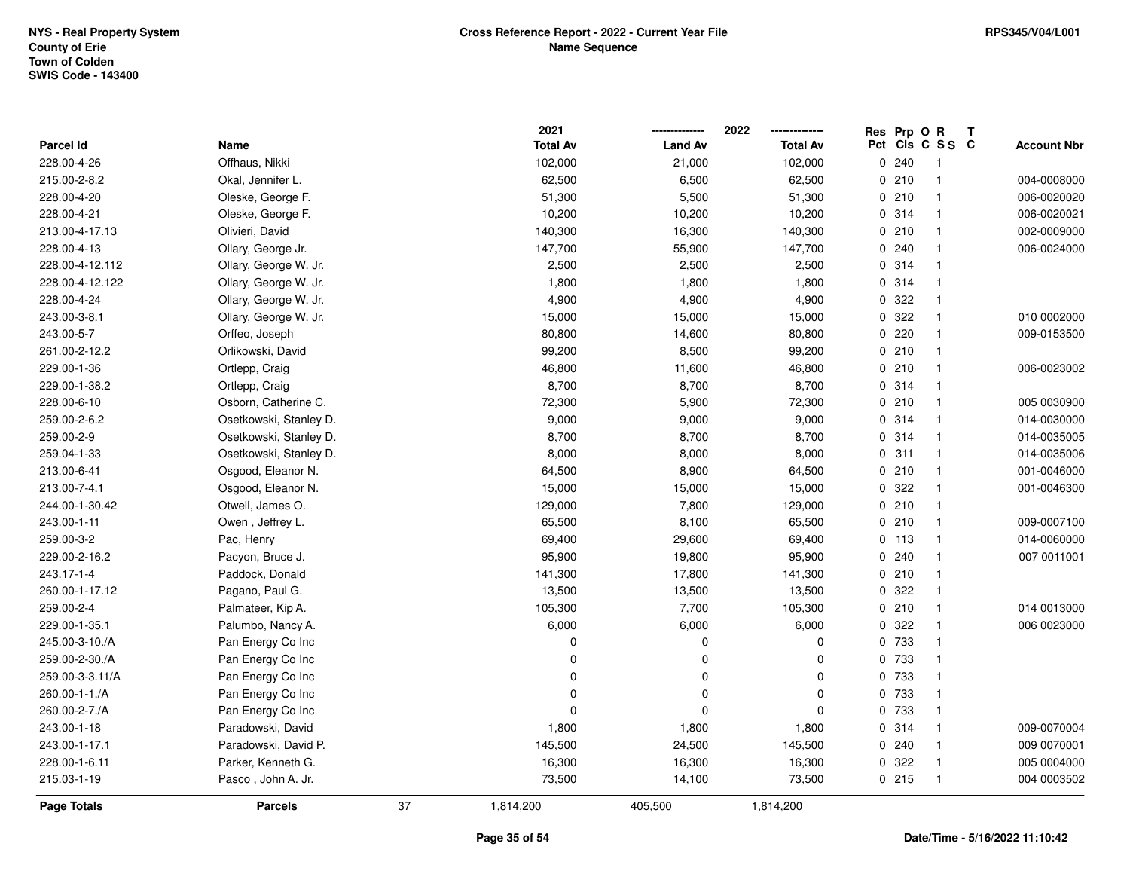|                 |                        |    | 2021            |                | 2022            |     | Res Prp O R |              | Т |                    |
|-----------------|------------------------|----|-----------------|----------------|-----------------|-----|-------------|--------------|---|--------------------|
| Parcel Id       | Name                   |    | <b>Total Av</b> | <b>Land Av</b> | <b>Total Av</b> | Pct |             | CIS C S S C  |   | <b>Account Nbr</b> |
| 228.00-4-26     | Offhaus, Nikki         |    | 102,000         | 21,000         | 102,000         |     | 0.240       | $\mathbf{1}$ |   |                    |
| 215.00-2-8.2    | Okal, Jennifer L.      |    | 62,500          | 6,500          | 62,500          |     | 0210        | $\mathbf{1}$ |   | 004-0008000        |
| 228.00-4-20     | Oleske, George F.      |    | 51,300          | 5,500          | 51,300          |     | 0210        | $\mathbf{1}$ |   | 006-0020020        |
| 228.00-4-21     | Oleske, George F.      |    | 10,200          | 10,200         | 10,200          |     | 0 314       | $\mathbf{1}$ |   | 006-0020021        |
| 213.00-4-17.13  | Olivieri, David        |    | 140,300         | 16,300         | 140,300         |     | 0210        | $\mathbf{1}$ |   | 002-0009000        |
| 228.00-4-13     | Ollary, George Jr.     |    | 147,700         | 55,900         | 147,700         |     | 0.240       | $\mathbf 1$  |   | 006-0024000        |
| 228.00-4-12.112 | Ollary, George W. Jr.  |    | 2,500           | 2,500          | 2,500           |     | 0.314       | $\mathbf{1}$ |   |                    |
| 228.00-4-12.122 | Ollary, George W. Jr.  |    | 1,800           | 1,800          | 1,800           |     | 0 314       | $\mathbf{1}$ |   |                    |
| 228.00-4-24     | Ollary, George W. Jr.  |    | 4,900           | 4,900          | 4,900           |     | 0 322       | $\mathbf{1}$ |   |                    |
| 243.00-3-8.1    | Ollary, George W. Jr.  |    | 15,000          | 15,000         | 15,000          |     | 0.322       | $\mathbf{1}$ |   | 010 0002000        |
| 243.00-5-7      | Orffeo, Joseph         |    | 80,800          | 14,600         | 80,800          |     | 0.220       | $\mathbf{1}$ |   | 009-0153500        |
| 261.00-2-12.2   | Orlikowski, David      |    | 99,200          | 8,500          | 99,200          |     | 0210        | $\mathbf{1}$ |   |                    |
| 229.00-1-36     | Ortlepp, Craig         |    | 46,800          | 11,600         | 46,800          |     | 0210        | $\mathbf 1$  |   | 006-0023002        |
| 229.00-1-38.2   | Ortlepp, Craig         |    | 8,700           | 8,700          | 8,700           |     | 0.314       | $\mathbf{1}$ |   |                    |
| 228.00-6-10     | Osborn, Catherine C.   |    | 72,300          | 5,900          | 72,300          |     | 0210        | $\mathbf{1}$ |   | 005 0030900        |
| 259.00-2-6.2    | Osetkowski, Stanley D. |    | 9,000           | 9,000          | 9,000           |     | 0.314       | $\mathbf{1}$ |   | 014-0030000        |
| 259.00-2-9      | Osetkowski, Stanley D. |    | 8,700           | 8,700          | 8,700           |     | 0 314       | $\mathbf{1}$ |   | 014-0035005        |
| 259.04-1-33     | Osetkowski, Stanley D. |    | 8,000           | 8,000          | 8,000           |     | 0.311       | $\mathbf{1}$ |   | 014-0035006        |
| 213.00-6-41     | Osgood, Eleanor N.     |    | 64,500          | 8,900          | 64,500          |     | 0210        | $\mathbf{1}$ |   | 001-0046000        |
| 213.00-7-4.1    | Osgood, Eleanor N.     |    | 15,000          | 15,000         | 15,000          |     | 0 322       | $\mathbf{1}$ |   | 001-0046300        |
| 244.00-1-30.42  | Otwell, James O.       |    | 129,000         | 7,800          | 129,000         |     | 0210        | $\mathbf{1}$ |   |                    |
| 243.00-1-11     | Owen, Jeffrey L.       |    | 65,500          | 8,100          | 65,500          |     | 0210        | $\mathbf{1}$ |   | 009-0007100        |
| 259.00-3-2      | Pac, Henry             |    | 69,400          | 29,600         | 69,400          |     | $0$ 113     | $\mathbf{1}$ |   | 014-0060000        |
| 229.00-2-16.2   | Pacyon, Bruce J.       |    | 95,900          | 19,800         | 95,900          |     | 0.240       | $\mathbf{1}$ |   | 007 0011001        |
| 243.17-1-4      | Paddock, Donald        |    | 141,300         | 17,800         | 141,300         |     | 0210        | $\mathbf{1}$ |   |                    |
| 260.00-1-17.12  | Pagano, Paul G.        |    | 13,500          | 13,500         | 13,500          |     | 0 322       | $\mathbf{1}$ |   |                    |
| 259.00-2-4      | Palmateer, Kip A.      |    | 105,300         | 7,700          | 105,300         |     | 0210        | $\mathbf{1}$ |   | 014 0013000        |
| 229.00-1-35.1   | Palumbo, Nancy A.      |    | 6,000           | 6,000          | 6,000           |     | 0.322       | $\mathbf{1}$ |   | 006 0023000        |
| 245.00-3-10./A  | Pan Energy Co Inc      |    | $\pmb{0}$       | $\mathbf 0$    | $\mathbf 0$     |     | 0 733       | $\mathbf{1}$ |   |                    |
| 259.00-2-30./A  | Pan Energy Co Inc      |    | $\pmb{0}$       | $\mathbf 0$    | $\mathbf 0$     |     | 0 733       | $\mathbf{1}$ |   |                    |
| 259.00-3-3.11/A | Pan Energy Co Inc      |    | 0               | 0              | 0               |     | 0 733       | $\mathbf{1}$ |   |                    |
| 260.00-1-1./A   | Pan Energy Co Inc      |    | 0               | $\mathbf 0$    | $\mathbf{0}$    |     | 0 733       | $\mathbf{1}$ |   |                    |
| 260.00-2-7./A   | Pan Energy Co Inc      |    | $\mathbf 0$     | $\mathbf 0$    | $\Omega$        |     | 0 733       | $\mathbf{1}$ |   |                    |
| 243.00-1-18     | Paradowski, David      |    | 1,800           | 1,800          | 1,800           |     | 0 314       | $\mathbf{1}$ |   | 009-0070004        |
| 243.00-1-17.1   | Paradowski, David P.   |    | 145,500         | 24,500         | 145,500         |     | 0.240       | $\mathbf{1}$ |   | 009 0070001        |
| 228.00-1-6.11   | Parker, Kenneth G.     |    | 16,300          | 16,300         | 16,300          |     | 0 322       | $\mathbf{1}$ |   | 005 0004000        |
| 215.03-1-19     | Pasco, John A. Jr.     |    | 73,500          | 14,100         | 73,500          |     | 0215        | $\mathbf{1}$ |   | 004 0003502        |
| Page Totals     | <b>Parcels</b>         | 37 | 1,814,200       | 405,500        | 1,814,200       |     |             |              |   |                    |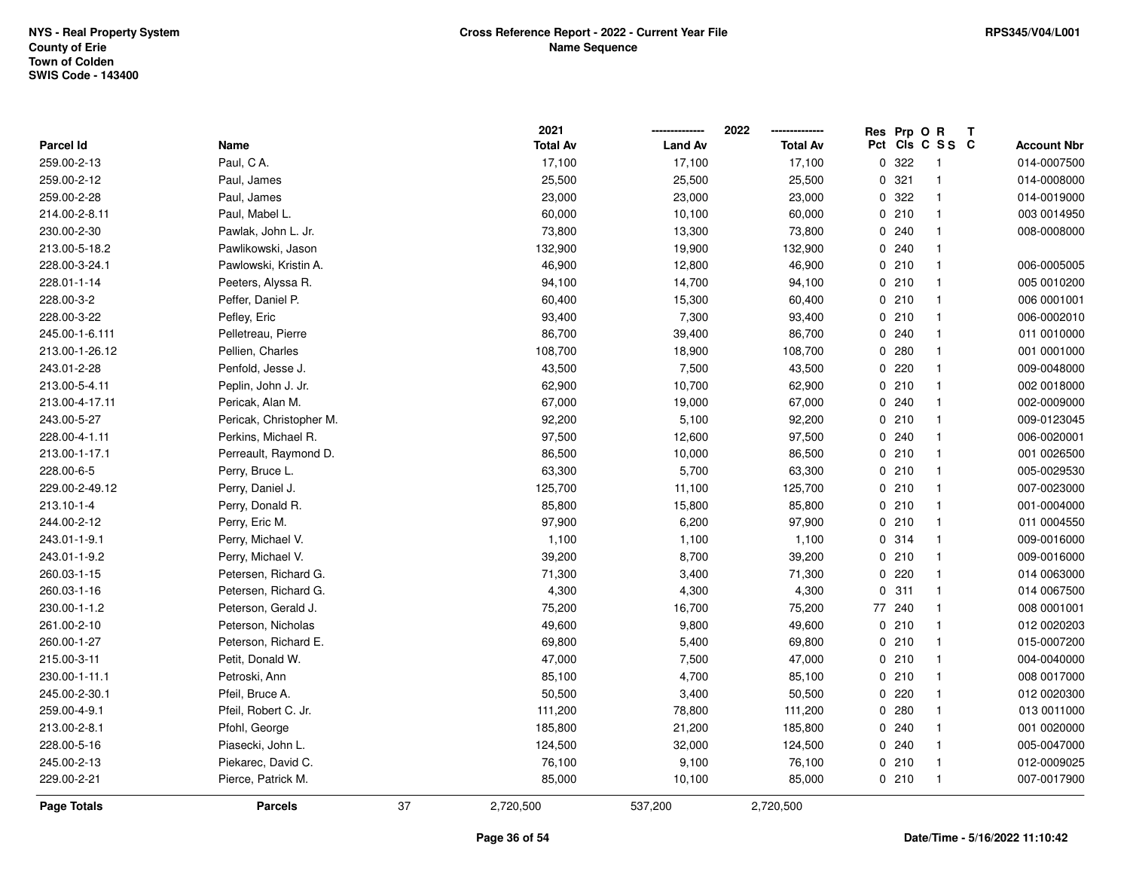|                  |                         |    | 2021            |                | 2022            | Res Prp O R |                         | Т |                    |
|------------------|-------------------------|----|-----------------|----------------|-----------------|-------------|-------------------------|---|--------------------|
| <b>Parcel Id</b> | Name                    |    | <b>Total Av</b> | <b>Land Av</b> | <b>Total Av</b> |             | Pct Cls C S S C         |   | <b>Account Nbr</b> |
| 259.00-2-13      | Paul, CA.               |    | 17,100          | 17,100         | 17,100          | 0 322       | -1                      |   | 014-0007500        |
| 259.00-2-12      | Paul, James             |    | 25,500          | 25,500         | 25,500          | 0.321       | $\overline{1}$          |   | 014-0008000        |
| 259.00-2-28      | Paul, James             |    | 23,000          | 23,000         | 23,000          | 0.322       | $\mathbf{1}$            |   | 014-0019000        |
| 214.00-2-8.11    | Paul, Mabel L.          |    | 60,000          | 10,100         | 60,000          | 0210        | $\overline{1}$          |   | 003 0014950        |
| 230.00-2-30      | Pawlak, John L. Jr.     |    | 73,800          | 13,300         | 73,800          | 0.240       | $\mathbf{1}$            |   | 008-0008000        |
| 213.00-5-18.2    | Pawlikowski, Jason      |    | 132,900         | 19,900         | 132,900         | 0.240       |                         |   |                    |
| 228.00-3-24.1    | Pawlowski, Kristin A.   |    | 46,900          | 12,800         | 46,900          | 0210        | $\overline{1}$          |   | 006-0005005        |
| 228.01-1-14      | Peeters, Alyssa R.      |    | 94,100          | 14,700         | 94,100          | 0210        | $\mathbf{1}$            |   | 005 0010200        |
| 228.00-3-2       | Peffer, Daniel P.       |    | 60,400          | 15,300         | 60,400          | 0210        | $\overline{1}$          |   | 006 0001001        |
| 228.00-3-22      | Pefley, Eric            |    | 93,400          | 7,300          | 93,400          | 0210        | $\mathbf{1}$            |   | 006-0002010        |
| 245.00-1-6.111   | Pelletreau, Pierre      |    | 86,700          | 39,400         | 86,700          | 0.240       | $\mathbf{1}$            |   | 011 0010000        |
| 213.00-1-26.12   | Pellien, Charles        |    | 108,700         | 18,900         | 108,700         | 0.280       | $\mathbf{1}$            |   | 001 0001000        |
| 243.01-2-28      | Penfold, Jesse J.       |    | 43,500          | 7,500          | 43,500          | 0220        |                         |   | 009-0048000        |
| 213.00-5-4.11    | Peplin, John J. Jr.     |    | 62,900          | 10,700         | 62,900          | 0210        | $\mathbf{1}$            |   | 002 0018000        |
| 213.00-4-17.11   | Pericak, Alan M.        |    | 67,000          | 19,000         | 67,000          | 0 240       | $\overline{1}$          |   | 002-0009000        |
| 243.00-5-27      | Pericak, Christopher M. |    | 92,200          | 5,100          | 92,200          | 0210        | $\mathbf{1}$            |   | 009-0123045        |
| 228.00-4-1.11    | Perkins, Michael R.     |    | 97,500          | 12,600         | 97,500          | 0.240       | $\mathbf{1}$            |   | 006-0020001        |
| 213.00-1-17.1    | Perreault, Raymond D.   |    | 86,500          | 10,000         | 86,500          | 0210        | $\overline{1}$          |   | 001 0026500        |
| 228.00-6-5       | Perry, Bruce L.         |    | 63,300          | 5,700          | 63,300          | 0210        | $\overline{1}$          |   | 005-0029530        |
| 229.00-2-49.12   | Perry, Daniel J.        |    | 125,700         | 11,100         | 125,700         | 0210        | $\overline{\mathbf{1}}$ |   | 007-0023000        |
| 213.10-1-4       | Perry, Donald R.        |    | 85,800          | 15,800         | 85,800          | 0210        | $\overline{1}$          |   | 001-0004000        |
| 244.00-2-12      | Perry, Eric M.          |    | 97,900          | 6,200          | 97,900          | 0210        | $\mathbf{1}$            |   | 011 0004550        |
| 243.01-1-9.1     | Perry, Michael V.       |    | 1,100           | 1,100          | 1,100           | 0 314       | $\overline{1}$          |   | 009-0016000        |
| 243.01-1-9.2     | Perry, Michael V.       |    | 39,200          | 8,700          | 39,200          | 0210        | $\overline{\mathbf{1}}$ |   | 009-0016000        |
| 260.03-1-15      | Petersen, Richard G.    |    | 71,300          | 3,400          | 71,300          | 0220        | $\overline{1}$          |   | 014 0063000        |
| 260.03-1-16      | Petersen, Richard G.    |    | 4,300           | 4,300          | 4,300           | 0.311       | $\mathbf{1}$            |   | 014 0067500        |
| 230.00-1-1.2     | Peterson, Gerald J.     |    | 75,200          | 16,700         | 75,200          | 77 240      | $\mathbf{1}$            |   | 008 0001001        |
| 261.00-2-10      | Peterson, Nicholas      |    | 49,600          | 9,800          | 49,600          | 0210        | $\mathbf{1}$            |   | 012 0020203        |
| 260.00-1-27      | Peterson, Richard E.    |    | 69,800          | 5,400          | 69,800          | 0210        | $\overline{1}$          |   | 015-0007200        |
| 215.00-3-11      | Petit, Donald W.        |    | 47,000          | 7,500          | 47,000          | 0210        | $\mathbf{1}$            |   | 004-0040000        |
| 230.00-1-11.1    | Petroski, Ann           |    | 85,100          | 4,700          | 85,100          | 0210        | $\overline{1}$          |   | 008 0017000        |
| 245.00-2-30.1    | Pfeil, Bruce A.         |    | 50,500          | 3,400          | 50,500          | 0220        | $\overline{1}$          |   | 012 0020300        |
| 259.00-4-9.1     | Pfeil, Robert C. Jr.    |    | 111,200         | 78,800         | 111,200         | 0.280       | $\overline{1}$          |   | 013 0011000        |
| 213.00-2-8.1     | Pfohl, George           |    | 185,800         | 21,200         | 185,800         | 0.240       | $\mathbf{1}$            |   | 001 0020000        |
| 228.00-5-16      | Piasecki, John L.       |    | 124,500         | 32,000         | 124,500         | 0.240       | $\mathbf{1}$            |   | 005-0047000        |
| 245.00-2-13      | Piekarec, David C.      |    | 76,100          | 9,100          | 76,100          | 0210        | $\overline{1}$          |   | 012-0009025        |
| 229.00-2-21      | Pierce, Patrick M.      |    | 85,000          | 10,100         | 85,000          | 0210        | $\overline{1}$          |   | 007-0017900        |
| Page Totals      | <b>Parcels</b>          | 37 | 2,720,500       | 537,200        | 2,720,500       |             |                         |   |                    |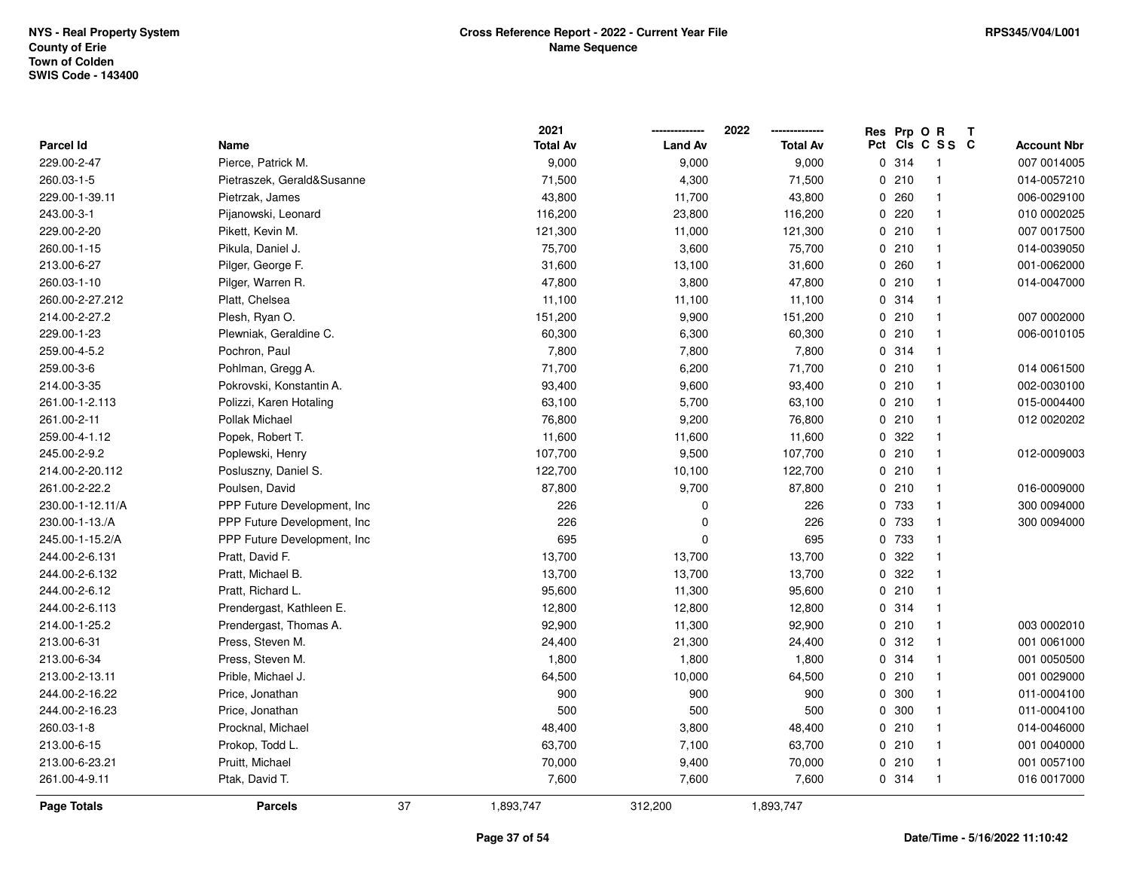|                    |                              |    | 2021            |                | 2022            | Res | Prp O R |                 | $\mathbf{T}$ |                    |
|--------------------|------------------------------|----|-----------------|----------------|-----------------|-----|---------|-----------------|--------------|--------------------|
| <b>Parcel Id</b>   | Name                         |    | <b>Total Av</b> | <b>Land Av</b> | <b>Total Av</b> |     |         | Pct Cls C S S C |              | <b>Account Nbr</b> |
| 229.00-2-47        | Pierce, Patrick M.           |    | 9,000           | 9,000          | 9,000           |     | 0.314   | $\mathbf 1$     |              | 007 0014005        |
| 260.03-1-5         | Pietraszek, Gerald&Susanne   |    | 71,500          | 4,300          | 71,500          |     | 0210    | $\mathbf{1}$    |              | 014-0057210        |
| 229.00-1-39.11     | Pietrzak, James              |    | 43,800          | 11,700         | 43,800          |     | 0.260   | $\mathbf{1}$    |              | 006-0029100        |
| 243.00-3-1         | Pijanowski, Leonard          |    | 116,200         | 23,800         | 116,200         |     | 0.220   | $\mathbf{1}$    |              | 010 0002025        |
| 229.00-2-20        | Pikett, Kevin M.             |    | 121,300         | 11,000         | 121,300         |     | 0210    | $\mathbf{1}$    |              | 007 0017500        |
| 260.00-1-15        | Pikula, Daniel J.            |    | 75,700          | 3,600          | 75,700          |     | 0210    | $\mathbf{1}$    |              | 014-0039050        |
| 213.00-6-27        | Pilger, George F.            |    | 31,600          | 13,100         | 31,600          |     | 0.260   | $\mathbf{1}$    |              | 001-0062000        |
| 260.03-1-10        | Pilger, Warren R.            |    | 47,800          | 3,800          | 47,800          |     | 0210    | 1               |              | 014-0047000        |
| 260.00-2-27.212    | Platt, Chelsea               |    | 11,100          | 11,100         | 11,100          |     | 0 314   | $\mathbf{1}$    |              |                    |
| 214.00-2-27.2      | Plesh, Ryan O.               |    | 151,200         | 9,900          | 151,200         |     | 0210    | $\mathbf{1}$    |              | 007 0002000        |
| 229.00-1-23        | Plewniak, Geraldine C.       |    | 60,300          | 6,300          | 60,300          |     | 0210    | $\mathbf{1}$    |              | 006-0010105        |
| 259.00-4-5.2       | Pochron, Paul                |    | 7,800           | 7,800          | 7,800           |     | 0.314   | $\mathbf{1}$    |              |                    |
| 259.00-3-6         | Pohlman, Gregg A.            |    | 71,700          | 6,200          | 71,700          |     | 0210    | $\mathbf{1}$    |              | 014 0061500        |
| 214.00-3-35        | Pokrovski, Konstantin A.     |    | 93,400          | 9,600          | 93,400          |     | 0210    | $\mathbf{1}$    |              | 002-0030100        |
| 261.00-1-2.113     | Polizzi, Karen Hotaling      |    | 63,100          | 5,700          | 63,100          |     | 0210    | $\mathbf{1}$    |              | 015-0004400        |
| 261.00-2-11        | Pollak Michael               |    | 76,800          | 9,200          | 76,800          |     | 0210    | $\mathbf{1}$    |              | 012 0020202        |
| 259.00-4-1.12      | Popek, Robert T.             |    | 11,600          | 11,600         | 11,600          |     | 0 322   | $\mathbf{1}$    |              |                    |
| 245.00-2-9.2       | Poplewski, Henry             |    | 107,700         | 9,500          | 107,700         |     | 0210    | $\mathbf{1}$    |              | 012-0009003        |
| 214.00-2-20.112    | Posluszny, Daniel S.         |    | 122,700         | 10,100         | 122,700         |     | 0210    | $\mathbf{1}$    |              |                    |
| 261.00-2-22.2      | Poulsen, David               |    | 87,800          | 9,700          | 87,800          |     | 0210    | $\mathbf{1}$    |              | 016-0009000        |
| 230.00-1-12.11/A   | PPP Future Development, Inc. |    | 226             | 0              | 226             |     | 0 733   | $\mathbf{1}$    |              | 300 0094000        |
| 230.00-1-13./A     | PPP Future Development, Inc  |    | 226             | 0              | 226             |     | 0 733   | $\mathbf{1}$    |              | 300 0094000        |
| 245.00-1-15.2/A    | PPP Future Development, Inc. |    | 695             | 0              | 695             |     | 0 733   | $\mathbf{1}$    |              |                    |
| 244.00-2-6.131     | Pratt, David F.              |    | 13,700          | 13,700         | 13,700          |     | 0.322   | $\mathbf{1}$    |              |                    |
| 244.00-2-6.132     | Pratt, Michael B.            |    | 13,700          | 13,700         | 13,700          |     | 0.322   | $\mathbf{1}$    |              |                    |
| 244.00-2-6.12      | Pratt, Richard L.            |    | 95,600          | 11,300         | 95,600          |     | 0210    | $\mathbf{1}$    |              |                    |
| 244.00-2-6.113     | Prendergast, Kathleen E.     |    | 12,800          | 12,800         | 12,800          |     | 0.314   | $\mathbf{1}$    |              |                    |
| 214.00-1-25.2      | Prendergast, Thomas A.       |    | 92,900          | 11,300         | 92,900          |     | 0210    | $\mathbf{1}$    |              | 003 0002010        |
| 213.00-6-31        | Press, Steven M.             |    | 24,400          | 21,300         | 24,400          |     | 0.312   | $\mathbf{1}$    |              | 001 0061000        |
| 213.00-6-34        | Press, Steven M.             |    | 1,800           | 1,800          | 1,800           |     | 0 314   | $\mathbf{1}$    |              | 001 0050500        |
| 213.00-2-13.11     | Prible, Michael J.           |    | 64,500          | 10,000         | 64,500          |     | 0210    | $\mathbf{1}$    |              | 001 0029000        |
| 244.00-2-16.22     | Price, Jonathan              |    | 900             | 900            | 900             |     | 0 300   | $\mathbf{1}$    |              | 011-0004100        |
| 244.00-2-16.23     | Price, Jonathan              |    | 500             | 500            | 500             |     | 0 300   | $\mathbf{1}$    |              | 011-0004100        |
| 260.03-1-8         | Procknal, Michael            |    | 48,400          | 3,800          | 48,400          |     | 0210    | $\mathbf{1}$    |              | 014-0046000        |
| 213.00-6-15        | Prokop, Todd L.              |    | 63,700          | 7,100          | 63,700          |     | 0210    | $\mathbf{1}$    |              | 001 0040000        |
| 213.00-6-23.21     | Pruitt, Michael              |    | 70,000          | 9,400          | 70,000          |     | 0210    | $\mathbf{1}$    |              | 001 0057100        |
| 261.00-4-9.11      | Ptak, David T.               |    | 7,600           | 7,600          | 7,600           |     | 0.314   | $\mathbf{1}$    |              | 016 0017000        |
| <b>Page Totals</b> | <b>Parcels</b>               | 37 | 1,893,747       | 312,200        | 1,893,747       |     |         |                 |              |                    |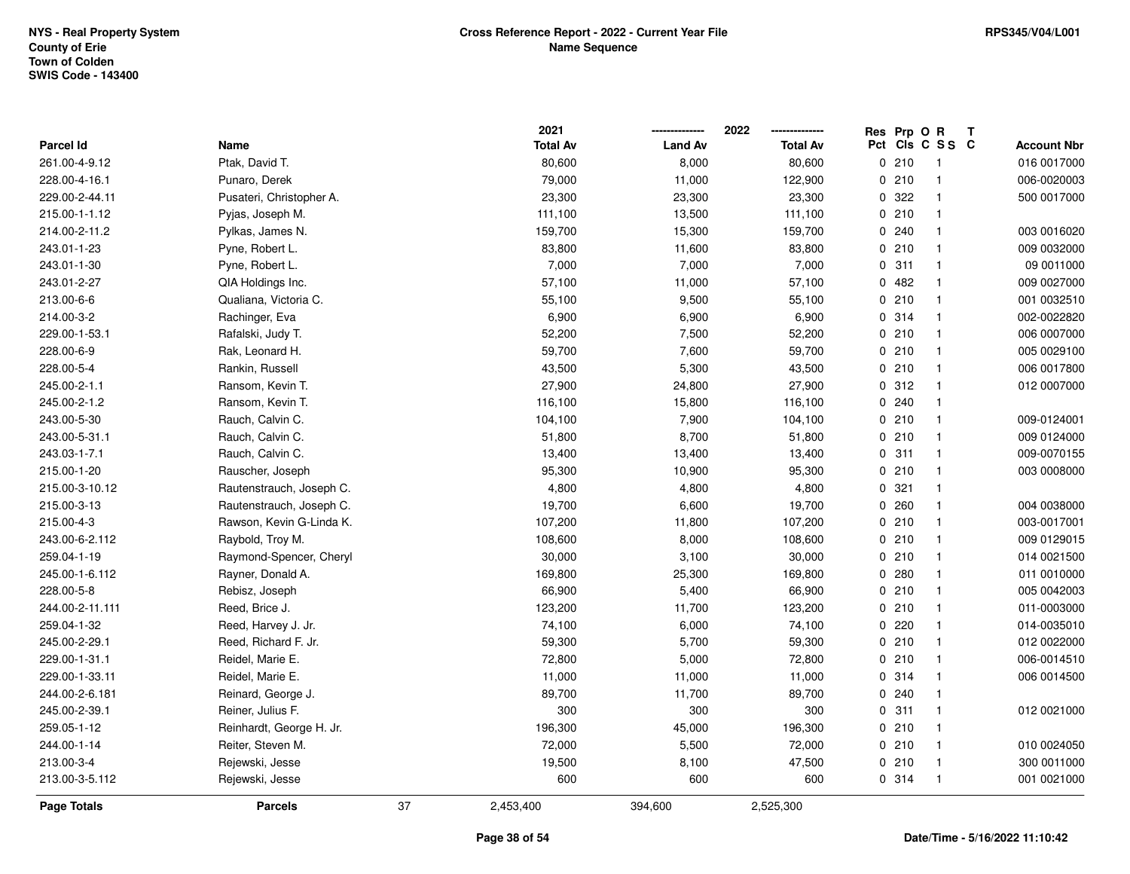|                  |                          |    | 2021            |                | 2022            | Res Prp O R |                         | Т |                    |
|------------------|--------------------------|----|-----------------|----------------|-----------------|-------------|-------------------------|---|--------------------|
| <b>Parcel Id</b> | Name                     |    | <b>Total Av</b> | <b>Land Av</b> | <b>Total Av</b> |             | Pct Cls C S S C         |   | <b>Account Nbr</b> |
| 261.00-4-9.12    | Ptak, David T.           |    | 80,600          | 8,000          | 80,600          | 0210        | $\overline{\mathbf{1}}$ |   | 016 0017000        |
| 228.00-4-16.1    | Punaro, Derek            |    | 79,000          | 11,000         | 122,900         | 0210        | $\overline{1}$          |   | 006-0020003        |
| 229.00-2-44.11   | Pusateri, Christopher A. |    | 23,300          | 23,300         | 23,300          | 0.322       | $\overline{\mathbf{1}}$ |   | 500 0017000        |
| 215.00-1-1.12    | Pyjas, Joseph M.         |    | 111,100         | 13,500         | 111,100         | 0210        | $\overline{1}$          |   |                    |
| 214.00-2-11.2    | Pylkas, James N.         |    | 159,700         | 15,300         | 159,700         | 0.240       | $\overline{\mathbf{1}}$ |   | 003 0016020        |
| 243.01-1-23      | Pyne, Robert L.          |    | 83,800          | 11,600         | 83,800          | 0210        | $\overline{\mathbf{1}}$ |   | 009 0032000        |
| 243.01-1-30      | Pyne, Robert L.          |    | 7,000           | 7,000          | 7,000           | 0.311       | $\overline{1}$          |   | 09 0011000         |
| 243.01-2-27      | QIA Holdings Inc.        |    | 57,100          | 11,000         | 57,100          | 0482        | $\overline{1}$          |   | 009 0027000        |
| 213.00-6-6       | Qualiana, Victoria C.    |    | 55,100          | 9,500          | 55,100          | 0210        | $\overline{1}$          |   | 001 0032510        |
| 214.00-3-2       | Rachinger, Eva           |    | 6,900           | 6,900          | 6,900           | 0.314       | $\overline{\mathbf{1}}$ |   | 002-0022820        |
| 229.00-1-53.1    | Rafalski, Judy T.        |    | 52,200          | 7,500          | 52,200          | 0210        | $\overline{1}$          |   | 006 0007000        |
| 228.00-6-9       | Rak, Leonard H.          |    | 59,700          | 7,600          | 59,700          | 0210        | $\overline{\mathbf{1}}$ |   | 005 0029100        |
| 228.00-5-4       | Rankin, Russell          |    | 43,500          | 5,300          | 43,500          | 0210        | -1                      |   | 006 0017800        |
| 245.00-2-1.1     | Ransom, Kevin T.         |    | 27,900          | 24,800         | 27,900          | 0.312       | $\overline{\mathbf{1}}$ |   | 012 0007000        |
| 245.00-2-1.2     | Ransom, Kevin T.         |    | 116,100         | 15,800         | 116,100         | 0.240       | $\overline{1}$          |   |                    |
| 243.00-5-30      | Rauch, Calvin C.         |    | 104,100         | 7,900          | 104,100         | 0210        | $\overline{1}$          |   | 009-0124001        |
| 243.00-5-31.1    | Rauch, Calvin C.         |    | 51,800          | 8,700          | 51,800          | 0210        | $\overline{\mathbf{1}}$ |   | 009 0124000        |
| 243.03-1-7.1     | Rauch, Calvin C.         |    | 13,400          | 13,400         | 13,400          | 0.311       | $\overline{1}$          |   | 009-0070155        |
| 215.00-1-20      | Rauscher, Joseph         |    | 95,300          | 10,900         | 95,300          | 0210        | $\overline{\mathbf{1}}$ |   | 003 0008000        |
| 215.00-3-10.12   | Rautenstrauch, Joseph C. |    | 4,800           | 4,800          | 4,800           | 0.321       | $\overline{\mathbf{1}}$ |   |                    |
| 215.00-3-13      | Rautenstrauch, Joseph C. |    | 19,700          | 6,600          | 19,700          | 0.260       | $\overline{\mathbf{1}}$ |   | 004 0038000        |
| 215.00-4-3       | Rawson, Kevin G-Linda K. |    | 107,200         | 11,800         | 107,200         | 0210        | $\overline{1}$          |   | 003-0017001        |
| 243.00-6-2.112   | Raybold, Troy M.         |    | 108,600         | 8,000          | 108,600         | 0210        | $\overline{1}$          |   | 009 0129015        |
| 259.04-1-19      | Raymond-Spencer, Cheryl  |    | 30,000          | 3,100          | 30,000          | 0210        | $\overline{\mathbf{1}}$ |   | 014 0021500        |
| 245.00-1-6.112   | Rayner, Donald A.        |    | 169,800         | 25,300         | 169,800         | 0.280       | $\overline{\mathbf{1}}$ |   | 011 0010000        |
| 228.00-5-8       | Rebisz, Joseph           |    | 66,900          | 5,400          | 66,900          | 0210        | -1                      |   | 005 0042003        |
| 244.00-2-11.111  | Reed, Brice J.           |    | 123,200         | 11,700         | 123,200         | 0210        | -1                      |   | 011-0003000        |
| 259.04-1-32      | Reed, Harvey J. Jr.      |    | 74,100          | 6,000          | 74,100          | 0220        | $\overline{\mathbf{1}}$ |   | 014-0035010        |
| 245.00-2-29.1    | Reed, Richard F. Jr.     |    | 59,300          | 5,700          | 59,300          | 0210        | $\overline{1}$          |   | 012 0022000        |
| 229.00-1-31.1    | Reidel, Marie E.         |    | 72,800          | 5,000          | 72,800          | 0210        | $\overline{1}$          |   | 006-0014510        |
| 229.00-1-33.11   | Reidel, Marie E.         |    | 11,000          | 11,000         | 11,000          | 0.314       | $\overline{\mathbf{1}}$ |   | 006 0014500        |
| 244.00-2-6.181   | Reinard, George J.       |    | 89,700          | 11,700         | 89,700          | 0.240       | $\overline{\mathbf{1}}$ |   |                    |
| 245.00-2-39.1    | Reiner, Julius F.        |    | 300             | 300            | 300             | 0.311       | $\overline{1}$          |   | 012 0021000        |
| 259.05-1-12      | Reinhardt, George H. Jr. |    | 196,300         | 45,000         | 196,300         | 0210        | $\overline{\mathbf{1}}$ |   |                    |
| 244.00-1-14      | Reiter, Steven M.        |    | 72,000          | 5,500          | 72,000          | 0210        | $\overline{\mathbf{1}}$ |   | 010 0024050        |
| 213.00-3-4       | Rejewski, Jesse          |    | 19,500          | 8,100          | 47,500          | 0210        | $\overline{1}$          |   | 300 0011000        |
| 213.00-3-5.112   | Rejewski, Jesse          |    | 600             | 600            | 600             | 0.314       | $\overline{1}$          |   | 001 0021000        |
| Page Totals      | <b>Parcels</b>           | 37 | 2,453,400       | 394,600        | 2,525,300       |             |                         |   |                    |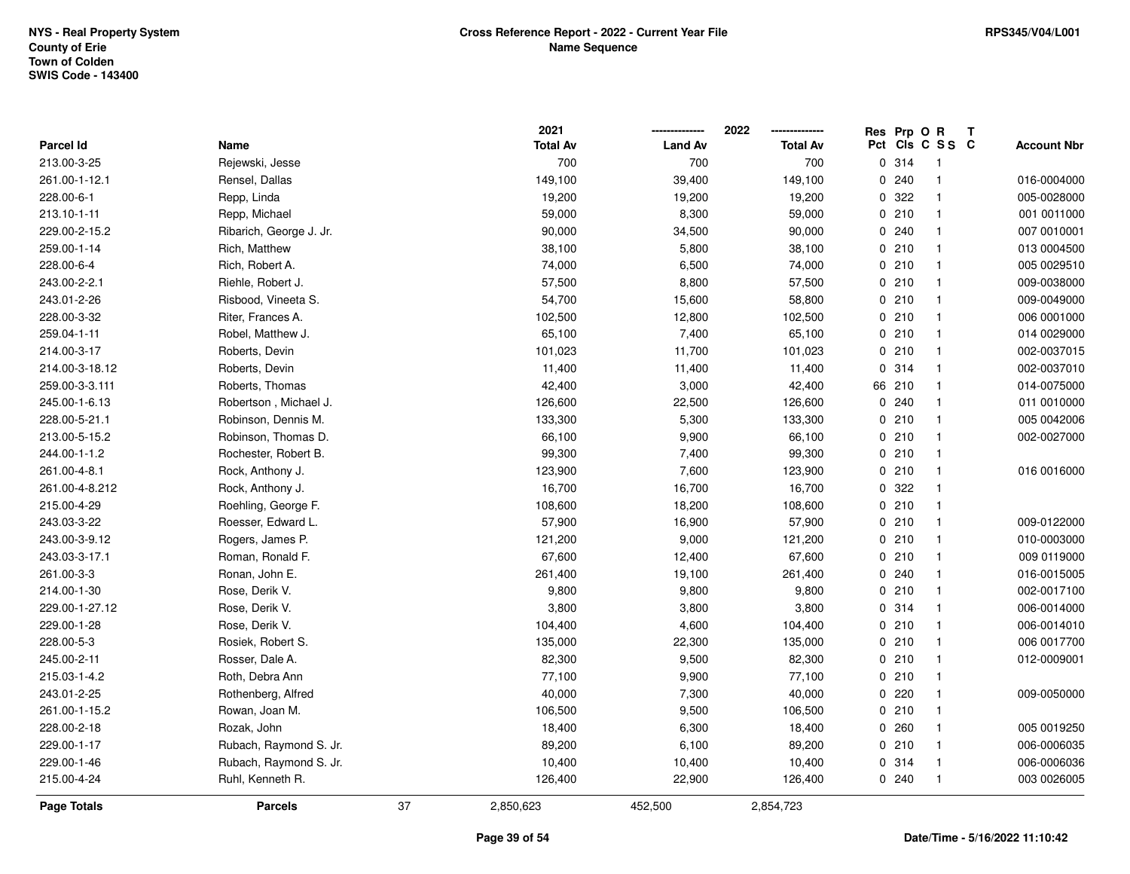|                  |                         |    | 2021            |                | 2022            | Res Prp O R |                 | Т |                    |
|------------------|-------------------------|----|-----------------|----------------|-----------------|-------------|-----------------|---|--------------------|
| <b>Parcel Id</b> | Name                    |    | <b>Total Av</b> | <b>Land Av</b> | <b>Total Av</b> |             | Pct Cls C S S C |   | <b>Account Nbr</b> |
| 213.00-3-25      | Rejewski, Jesse         |    | 700             | 700            | 700             | 0.314       | $\overline{1}$  |   |                    |
| 261.00-1-12.1    | Rensel, Dallas          |    | 149,100         | 39,400         | 149,100         | 0.240       | $\mathbf{1}$    |   | 016-0004000        |
| 228.00-6-1       | Repp, Linda             |    | 19,200          | 19,200         | 19,200          | 0.322       | $\mathbf{1}$    |   | 005-0028000        |
| 213.10-1-11      | Repp, Michael           |    | 59,000          | 8,300          | 59,000          | 0210        | $\mathbf{1}$    |   | 001 0011000        |
| 229.00-2-15.2    | Ribarich, George J. Jr. |    | 90,000          | 34,500         | 90,000          | 0.240       | $\mathbf{1}$    |   | 007 0010001        |
| 259.00-1-14      | Rich, Matthew           |    | 38,100          | 5,800          | 38,100          | 0210        | 1               |   | 013 0004500        |
| 228.00-6-4       | Rich, Robert A.         |    | 74,000          | 6,500          | 74,000          | 0210        | $\mathbf{1}$    |   | 005 0029510        |
| 243.00-2-2.1     | Riehle, Robert J.       |    | 57,500          | 8,800          | 57,500          | 0210        | $\mathbf{1}$    |   | 009-0038000        |
| 243.01-2-26      | Risbood, Vineeta S.     |    | 54,700          | 15,600         | 58,800          | 0210        | $\mathbf{1}$    |   | 009-0049000        |
| 228.00-3-32      | Riter, Frances A.       |    | 102,500         | 12,800         | 102,500         | 0210        | $\mathbf{1}$    |   | 006 0001000        |
| 259.04-1-11      | Robel, Matthew J.       |    | 65,100          | 7,400          | 65,100          | 0210        | $\mathbf{1}$    |   | 014 0029000        |
| 214.00-3-17      | Roberts, Devin          |    | 101,023         | 11,700         | 101,023         | 0210        | $\mathbf{1}$    |   | 002-0037015        |
| 214.00-3-18.12   | Roberts, Devin          |    | 11,400          | 11,400         | 11,400          | 0.314       | 1               |   | 002-0037010        |
| 259.00-3-3.111   | Roberts, Thomas         |    | 42,400          | 3,000          | 42,400          | 66 210      | 1               |   | 014-0075000        |
| 245.00-1-6.13    | Robertson, Michael J.   |    | 126,600         | 22,500         | 126,600         | 0.240       | $\mathbf{1}$    |   | 011 0010000        |
| 228.00-5-21.1    | Robinson, Dennis M.     |    | 133,300         | 5,300          | 133,300         | 0210        | $\mathbf{1}$    |   | 005 0042006        |
| 213.00-5-15.2    | Robinson, Thomas D.     |    | 66,100          | 9,900          | 66,100          | 0210        | $\mathbf{1}$    |   | 002-0027000        |
| 244.00-1-1.2     | Rochester, Robert B.    |    | 99,300          | 7,400          | 99,300          | 0210        | $\mathbf{1}$    |   |                    |
| 261.00-4-8.1     | Rock, Anthony J.        |    | 123,900         | 7,600          | 123,900         | 0210        | $\mathbf{1}$    |   | 016 0016000        |
| 261.00-4-8.212   | Rock, Anthony J.        |    | 16,700          | 16,700         | 16,700          | 0.322       | 1               |   |                    |
| 215.00-4-29      | Roehling, George F.     |    | 108,600         | 18,200         | 108,600         | 0210        | $\mathbf{1}$    |   |                    |
| 243.03-3-22      | Roesser, Edward L.      |    | 57,900          | 16,900         | 57,900          | 0210        | $\mathbf{1}$    |   | 009-0122000        |
| 243.00-3-9.12    | Rogers, James P.        |    | 121,200         | 9,000          | 121,200         | 0210        | $\mathbf{1}$    |   | 010-0003000        |
| 243.03-3-17.1    | Roman, Ronald F.        |    | 67,600          | 12,400         | 67,600          | 0210        | $\mathbf{1}$    |   | 009 0119000        |
| 261.00-3-3       | Ronan, John E.          |    | 261,400         | 19,100         | 261,400         | 0.240       | $\mathbf{1}$    |   | 016-0015005        |
| 214.00-1-30      | Rose, Derik V.          |    | 9,800           | 9,800          | 9,800           | 0210        | $\mathbf{1}$    |   | 002-0017100        |
| 229.00-1-27.12   | Rose, Derik V.          |    | 3,800           | 3,800          | 3,800           | 0.314       | 1               |   | 006-0014000        |
| 229.00-1-28      | Rose, Derik V.          |    | 104,400         | 4,600          | 104,400         | 0210        | $\mathbf{1}$    |   | 006-0014010        |
| 228.00-5-3       | Rosiek, Robert S.       |    | 135,000         | 22,300         | 135,000         | 0210        | $\mathbf{1}$    |   | 006 0017700        |
| 245.00-2-11      | Rosser, Dale A.         |    | 82,300          | 9,500          | 82,300          | 0210        | $\mathbf{1}$    |   | 012-0009001        |
| 215.03-1-4.2     | Roth, Debra Ann         |    | 77,100          | 9,900          | 77,100          | 0210        | $\mathbf{1}$    |   |                    |
| 243.01-2-25      | Rothenberg, Alfred      |    | 40,000          | 7,300          | 40,000          | 0220        | $\mathbf{1}$    |   | 009-0050000        |
| 261.00-1-15.2    | Rowan, Joan M.          |    | 106,500         | 9,500          | 106,500         | 0210        | $\mathbf{1}$    |   |                    |
| 228.00-2-18      | Rozak, John             |    | 18,400          | 6,300          | 18,400          | 0.260       | 1               |   | 005 0019250        |
| 229.00-1-17      | Rubach, Raymond S. Jr.  |    | 89,200          | 6,100          | 89,200          | 0210        | $\mathbf{1}$    |   | 006-0006035        |
| 229.00-1-46      | Rubach, Raymond S. Jr.  |    | 10,400          | 10,400         | 10,400          | 0 314       | $\mathbf{1}$    |   | 006-0006036        |
| 215.00-4-24      | Ruhl, Kenneth R.        |    | 126,400         | 22,900         | 126,400         | 0.240       | $\mathbf{1}$    |   | 003 0026005        |
| Page Totals      | <b>Parcels</b>          | 37 | 2,850,623       | 452,500        | 2,854,723       |             |                 |   |                    |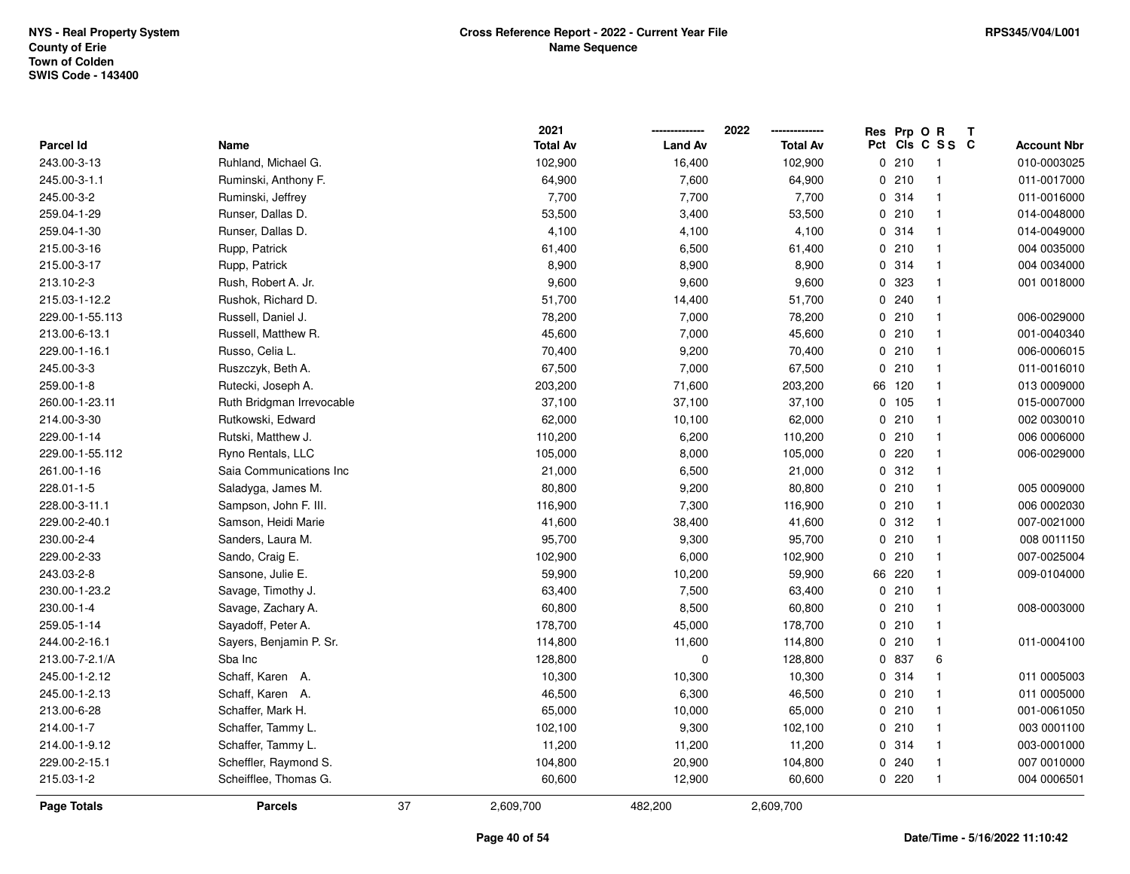|                 |                           |    | 2021            |                | 2022            | Res Prp O R |                 | Т |                    |
|-----------------|---------------------------|----|-----------------|----------------|-----------------|-------------|-----------------|---|--------------------|
| Parcel Id       | Name                      |    | <b>Total Av</b> | <b>Land Av</b> | <b>Total Av</b> |             | Pct Cls C S S C |   | <b>Account Nbr</b> |
| 243.00-3-13     | Ruhland, Michael G.       |    | 102,900         | 16,400         | 102,900         | 0210        | $\overline{1}$  |   | 010-0003025        |
| 245.00-3-1.1    | Ruminski, Anthony F.      |    | 64,900          | 7,600          | 64,900          | 0210        | $\mathbf{1}$    |   | 011-0017000        |
| 245.00-3-2      | Ruminski, Jeffrey         |    | 7,700           | 7,700          | 7,700           | 0.314       | $\mathbf{1}$    |   | 011-0016000        |
| 259.04-1-29     | Runser, Dallas D.         |    | 53,500          | 3,400          | 53,500          | 0210        | $\mathbf{1}$    |   | 014-0048000        |
| 259.04-1-30     | Runser, Dallas D.         |    | 4,100           | 4,100          | 4,100           | 0.314       | $\mathbf{1}$    |   | 014-0049000        |
| 215.00-3-16     | Rupp, Patrick             |    | 61,400          | 6,500          | 61,400          | 0210        | $\mathbf{1}$    |   | 004 0035000        |
| 215.00-3-17     | Rupp, Patrick             |    | 8,900           | 8,900          | 8,900           | 0.314       | $\mathbf{1}$    |   | 004 0034000        |
| 213.10-2-3      | Rush, Robert A. Jr.       |    | 9,600           | 9,600          | 9,600           | 0 323       | $\mathbf{1}$    |   | 001 0018000        |
| 215.03-1-12.2   | Rushok, Richard D.        |    | 51,700          | 14,400         | 51,700          | 0.240       | $\mathbf{1}$    |   |                    |
| 229.00-1-55.113 | Russell, Daniel J.        |    | 78,200          | 7,000          | 78,200          | 0210        | $\mathbf{1}$    |   | 006-0029000        |
| 213.00-6-13.1   | Russell, Matthew R.       |    | 45,600          | 7,000          | 45,600          | 0210        | $\mathbf{1}$    |   | 001-0040340        |
| 229.00-1-16.1   | Russo, Celia L.           |    | 70,400          | 9,200          | 70,400          | 0210        | $\mathbf{1}$    |   | 006-0006015        |
| 245.00-3-3      | Ruszczyk, Beth A.         |    | 67,500          | 7,000          | 67,500          | 0210        | $\mathbf 1$     |   | 011-0016010        |
| 259.00-1-8      | Rutecki, Joseph A.        |    | 203,200         | 71,600         | 203,200         | 66 120      | $\mathbf{1}$    |   | 013 0009000        |
| 260.00-1-23.11  | Ruth Bridgman Irrevocable |    | 37,100          | 37,100         | 37,100          | 0 105       | $\mathbf{1}$    |   | 015-0007000        |
| 214.00-3-30     | Rutkowski, Edward         |    | 62,000          | 10,100         | 62,000          | 0210        | $\mathbf{1}$    |   | 002 0030010        |
| 229.00-1-14     | Rutski, Matthew J.        |    | 110,200         | 6,200          | 110,200         | 0210        | $\mathbf{1}$    |   | 006 0006000        |
| 229.00-1-55.112 | Ryno Rentals, LLC         |    | 105,000         | 8,000          | 105,000         | 0220        | $\mathbf{1}$    |   | 006-0029000        |
| 261.00-1-16     | Saia Communications Inc   |    | 21,000          | 6,500          | 21,000          | 0.312       | $\mathbf{1}$    |   |                    |
| 228.01-1-5      | Saladyga, James M.        |    | 80,800          | 9,200          | 80,800          | 0210        | $\mathbf{1}$    |   | 005 0009000        |
| 228.00-3-11.1   | Sampson, John F. III.     |    | 116,900         | 7,300          | 116,900         | 0210        | $\mathbf{1}$    |   | 006 0002030        |
| 229.00-2-40.1   | Samson, Heidi Marie       |    | 41,600          | 38,400         | 41,600          | 0.312       | $\mathbf{1}$    |   | 007-0021000        |
| 230.00-2-4      | Sanders, Laura M.         |    | 95,700          | 9,300          | 95,700          | 0210        | $\mathbf{1}$    |   | 008 0011150        |
| 229.00-2-33     | Sando, Craig E.           |    | 102,900         | 6,000          | 102,900         | 0210        | $\mathbf{1}$    |   | 007-0025004        |
| 243.03-2-8      | Sansone, Julie E.         |    | 59,900          | 10,200         | 59,900          | 66 220      | $\mathbf{1}$    |   | 009-0104000        |
| 230.00-1-23.2   | Savage, Timothy J.        |    | 63,400          | 7,500          | 63,400          | 0210        | $\mathbf{1}$    |   |                    |
| 230.00-1-4      | Savage, Zachary A.        |    | 60,800          | 8,500          | 60,800          | 0210        | $\mathbf{1}$    |   | 008-0003000        |
| 259.05-1-14     | Sayadoff, Peter A.        |    | 178,700         | 45,000         | 178,700         | 0210        | $\mathbf{1}$    |   |                    |
| 244.00-2-16.1   | Sayers, Benjamin P. Sr.   |    | 114,800         | 11,600         | 114,800         | 0210        | $\mathbf{1}$    |   | 011-0004100        |
| 213.00-7-2.1/A  | Sba Inc                   |    | 128,800         | $\pmb{0}$      | 128,800         | 0 837       | 6               |   |                    |
| 245.00-1-2.12   | Schaff, Karen A.          |    | 10,300          | 10,300         | 10,300          | 0.314       | $\mathbf{1}$    |   | 011 0005003        |
| 245.00-1-2.13   | Schaff, Karen A.          |    | 46,500          | 6,300          | 46,500          | 0210        | $\mathbf{1}$    |   | 011 0005000        |
| 213.00-6-28     | Schaffer, Mark H.         |    | 65,000          | 10,000         | 65,000          | 0210        | $\mathbf{1}$    |   | 001-0061050        |
| 214.00-1-7      | Schaffer, Tammy L.        |    | 102,100         | 9,300          | 102,100         | 0210        | $\mathbf{1}$    |   | 003 0001100        |
| 214.00-1-9.12   | Schaffer, Tammy L.        |    | 11,200          | 11,200         | 11,200          | 0.314       | $\mathbf{1}$    |   | 003-0001000        |
| 229.00-2-15.1   | Scheffler, Raymond S.     |    | 104,800         | 20,900         | 104,800         | 0.240       | $\mathbf{1}$    |   | 007 0010000        |
| 215.03-1-2      | Scheifflee, Thomas G.     |    | 60,600          | 12,900         | 60,600          | 0220        | $\mathbf{1}$    |   | 004 0006501        |
| Page Totals     | <b>Parcels</b>            | 37 | 2,609,700       | 482,200        | 2,609,700       |             |                 |   |                    |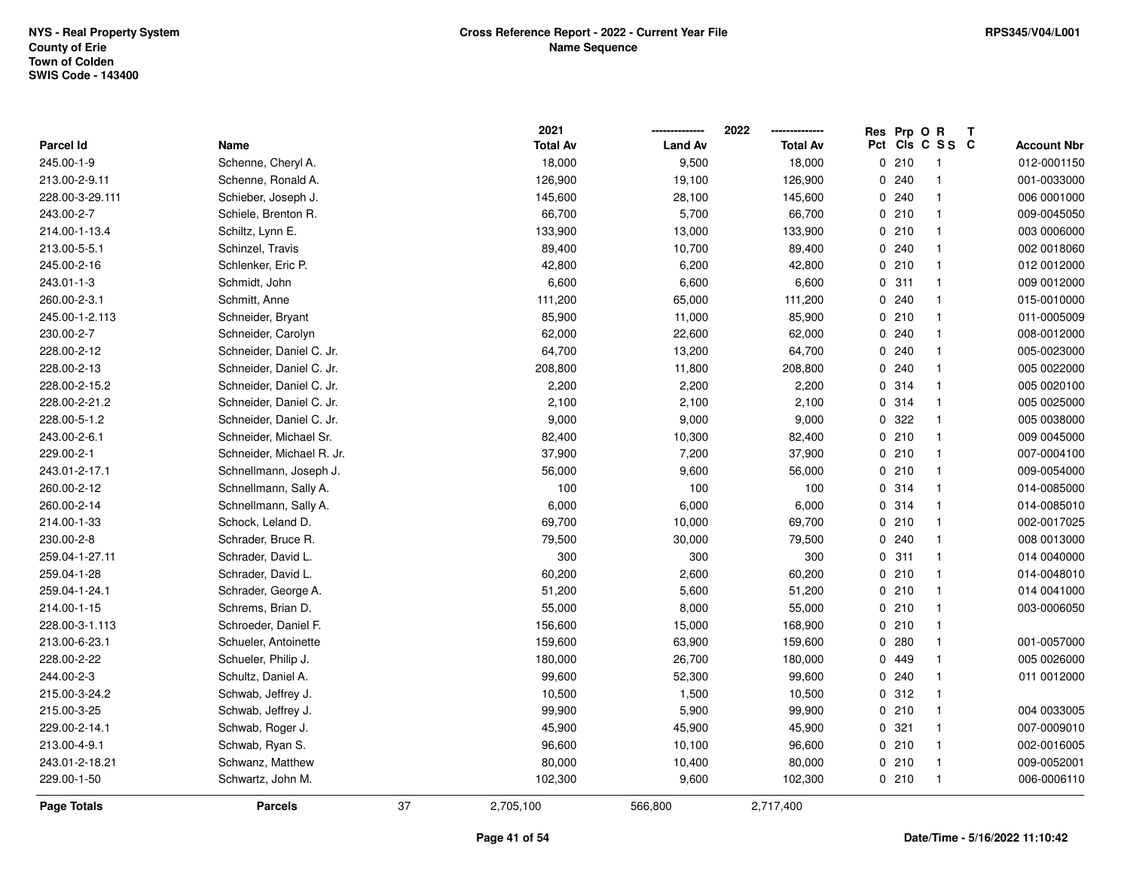|                    |                           |    | 2021            |                | 2022            | Res Prp O R |                 | Т |                    |
|--------------------|---------------------------|----|-----------------|----------------|-----------------|-------------|-----------------|---|--------------------|
| Parcel Id          | Name                      |    | <b>Total Av</b> | <b>Land Av</b> | <b>Total Av</b> |             | Pct Cls C S S C |   | <b>Account Nbr</b> |
| 245.00-1-9         | Schenne, Cheryl A.        |    | 18,000          | 9,500          | 18,000          | 0210        | $\overline{1}$  |   | 012-0001150        |
| 213.00-2-9.11      | Schenne, Ronald A.        |    | 126,900         | 19,100         | 126,900         | 0.240       | $\mathbf{1}$    |   | 001-0033000        |
| 228.00-3-29.111    | Schieber, Joseph J.       |    | 145,600         | 28,100         | 145,600         | 0.240       | $\mathbf{1}$    |   | 006 0001000        |
| 243.00-2-7         | Schiele, Brenton R.       |    | 66,700          | 5,700          | 66,700          | 0210        | $\mathbf{1}$    |   | 009-0045050        |
| 214.00-1-13.4      | Schiltz, Lynn E.          |    | 133,900         | 13,000         | 133,900         | 0210        | $\mathbf{1}$    |   | 003 0006000        |
| 213.00-5-5.1       | Schinzel, Travis          |    | 89,400          | 10,700         | 89,400          | 0.240       | $\mathbf{1}$    |   | 002 0018060        |
| 245.00-2-16        | Schlenker, Eric P.        |    | 42,800          | 6,200          | 42,800          | 0210        | $\mathbf{1}$    |   | 012 0012000        |
| 243.01-1-3         | Schmidt, John             |    | 6,600           | 6,600          | 6,600           | 0.311       | $\mathbf{1}$    |   | 009 0012000        |
| 260.00-2-3.1       | Schmitt, Anne             |    | 111,200         | 65,000         | 111,200         | 0.240       | $\mathbf{1}$    |   | 015-0010000        |
| 245.00-1-2.113     | Schneider, Bryant         |    | 85,900          | 11,000         | 85,900          | 0210        | $\mathbf{1}$    |   | 011-0005009        |
| 230.00-2-7         | Schneider, Carolyn        |    | 62,000          | 22,600         | 62,000          | 0.240       | $\mathbf{1}$    |   | 008-0012000        |
| 228.00-2-12        | Schneider, Daniel C. Jr.  |    | 64,700          | 13,200         | 64,700          | 0.240       | $\mathbf{1}$    |   | 005-0023000        |
| 228.00-2-13        | Schneider, Daniel C. Jr.  |    | 208,800         | 11,800         | 208,800         | 0.240       | $\overline{1}$  |   | 005 0022000        |
| 228.00-2-15.2      | Schneider, Daniel C. Jr.  |    | 2,200           | 2,200          | 2,200           | 0.314       | $\mathbf{1}$    |   | 005 0020100        |
| 228.00-2-21.2      | Schneider, Daniel C. Jr.  |    | 2,100           | 2,100          | 2,100           | 0.314       | $\mathbf{1}$    |   | 005 0025000        |
| 228.00-5-1.2       | Schneider, Daniel C. Jr.  |    | 9,000           | 9,000          | 9,000           | 0.322       | $\mathbf{1}$    |   | 005 0038000        |
| 243.00-2-6.1       | Schneider, Michael Sr.    |    | 82,400          | 10,300         | 82,400          | 0210        | $\mathbf{1}$    |   | 009 0045000        |
| 229.00-2-1         | Schneider, Michael R. Jr. |    | 37,900          | 7,200          | 37,900          | 0210        | $\mathbf{1}$    |   | 007-0004100        |
| 243.01-2-17.1      | Schnellmann, Joseph J.    |    | 56,000          | 9,600          | 56,000          | 0210        | $\mathbf{1}$    |   | 009-0054000        |
| 260.00-2-12        | Schnellmann, Sally A.     |    | 100             | 100            | 100             | 0.314       | $\mathbf{1}$    |   | 014-0085000        |
| 260.00-2-14        | Schnellmann, Sally A.     |    | 6,000           | 6,000          | 6,000           | 0 314       | $\mathbf{1}$    |   | 014-0085010        |
| 214.00-1-33        | Schock, Leland D.         |    | 69,700          | 10,000         | 69,700          | 0210        | $\overline{1}$  |   | 002-0017025        |
| 230.00-2-8         | Schrader, Bruce R.        |    | 79,500          | 30,000         | 79,500          | 0.240       | $\mathbf{1}$    |   | 008 0013000        |
| 259.04-1-27.11     | Schrader, David L.        |    | 300             | 300            | 300             | 0.311       | $\mathbf{1}$    |   | 014 0040000        |
| 259.04-1-28        | Schrader, David L.        |    | 60,200          | 2,600          | 60,200          | 0210        | $\mathbf{1}$    |   | 014-0048010        |
| 259.04-1-24.1      | Schrader, George A.       |    | 51,200          | 5,600          | 51,200          | 0210        | $\mathbf{1}$    |   | 014 0041000        |
| 214.00-1-15        | Schrems, Brian D.         |    | 55,000          | 8,000          | 55,000          | 0210        | $\mathbf{1}$    |   | 003-0006050        |
| 228.00-3-1.113     | Schroeder, Daniel F.      |    | 156,600         | 15,000         | 168,900         | 0210        | $\mathbf{1}$    |   |                    |
| 213.00-6-23.1      | Schueler, Antoinette      |    | 159,600         | 63,900         | 159,600         | 0.280       | $\mathbf{1}$    |   | 001-0057000        |
| 228.00-2-22        | Schueler, Philip J.       |    | 180,000         | 26,700         | 180,000         | 0 449       | $\mathbf{1}$    |   | 005 0026000        |
| 244.00-2-3         | Schultz, Daniel A.        |    | 99,600          | 52,300         | 99,600          | 0.240       | $\mathbf{1}$    |   | 011 0012000        |
| 215.00-3-24.2      | Schwab, Jeffrey J.        |    | 10,500          | 1,500          | 10,500          | 0.312       | $\mathbf{1}$    |   |                    |
| 215.00-3-25        | Schwab, Jeffrey J.        |    | 99,900          | 5,900          | 99,900          | 0210        | $\mathbf{1}$    |   | 004 0033005        |
| 229.00-2-14.1      | Schwab, Roger J.          |    | 45,900          | 45,900         | 45,900          | 0.321       | $\mathbf{1}$    |   | 007-0009010        |
| 213.00-4-9.1       | Schwab, Ryan S.           |    | 96,600          | 10,100         | 96,600          | 0210        | $\mathbf{1}$    |   | 002-0016005        |
| 243.01-2-18.21     | Schwanz, Matthew          |    | 80,000          | 10,400         | 80,000          | 0210        | $\mathbf{1}$    |   | 009-0052001        |
| 229.00-1-50        | Schwartz, John M.         |    | 102,300         | 9,600          | 102,300         | 0210        | $\mathbf{1}$    |   | 006-0006110        |
| <b>Page Totals</b> | <b>Parcels</b>            | 37 | 2,705,100       | 566,800        | 2,717,400       |             |                 |   |                    |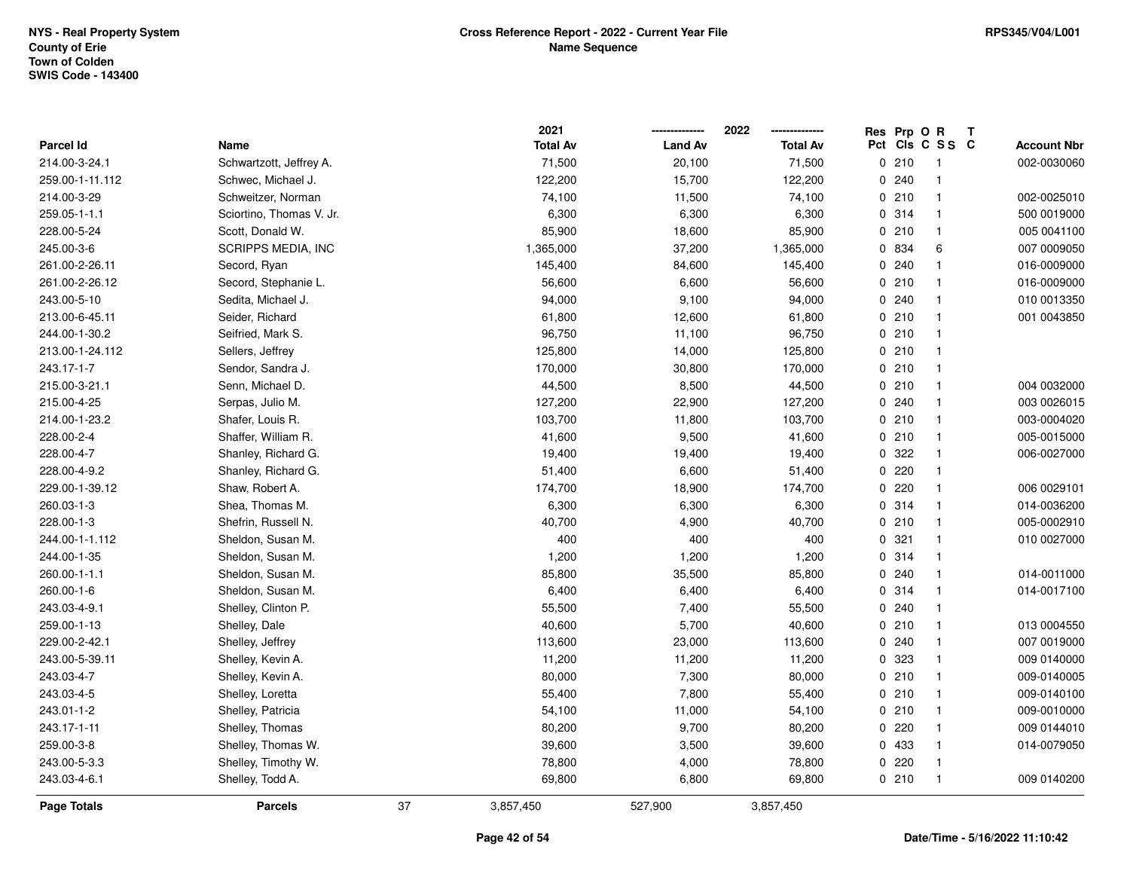|                  |                          |    | 2021            |                | 2022            | Res Prp O R |                 | Т |                    |
|------------------|--------------------------|----|-----------------|----------------|-----------------|-------------|-----------------|---|--------------------|
| <b>Parcel Id</b> | Name                     |    | <b>Total Av</b> | <b>Land Av</b> | <b>Total Av</b> |             | Pct Cls C S S C |   | <b>Account Nbr</b> |
| 214.00-3-24.1    | Schwartzott, Jeffrey A.  |    | 71,500          | 20,100         | 71,500          | 0210        | $\overline{1}$  |   | 002-0030060        |
| 259.00-1-11.112  | Schwec, Michael J.       |    | 122,200         | 15,700         | 122,200         | 0.240       | $\overline{1}$  |   |                    |
| 214.00-3-29      | Schweitzer, Norman       |    | 74,100          | 11,500         | 74,100          | 0210        | $\mathbf{1}$    |   | 002-0025010        |
| 259.05-1-1.1     | Sciortino, Thomas V. Jr. |    | 6,300           | 6,300          | 6,300           | 0.314       | $\mathbf{1}$    |   | 500 0019000        |
| 228.00-5-24      | Scott, Donald W.         |    | 85,900          | 18,600         | 85,900          | 0210        | $\mathbf{1}$    |   | 005 0041100        |
| 245.00-3-6       | SCRIPPS MEDIA, INC       |    | 1,365,000       | 37,200         | 1,365,000       | 0 834       | 6               |   | 007 0009050        |
| 261.00-2-26.11   | Secord, Ryan             |    | 145,400         | 84,600         | 145,400         | 0.240       | $\mathbf{1}$    |   | 016-0009000        |
| 261.00-2-26.12   | Secord, Stephanie L.     |    | 56,600          | 6,600          | 56,600          | 0210        | $\overline{1}$  |   | 016-0009000        |
| 243.00-5-10      | Sedita, Michael J.       |    | 94,000          | 9,100          | 94,000          | 0.240       | $\mathbf{1}$    |   | 010 0013350        |
| 213.00-6-45.11   | Seider, Richard          |    | 61,800          | 12,600         | 61,800          | 0210        | $\mathbf{1}$    |   | 001 0043850        |
| 244.00-1-30.2    | Seifried, Mark S.        |    | 96,750          | 11,100         | 96,750          | 0210        | $\mathbf{1}$    |   |                    |
| 213.00-1-24.112  | Sellers, Jeffrey         |    | 125,800         | 14,000         | 125,800         | 0210        | $\overline{1}$  |   |                    |
| 243.17-1-7       | Sendor, Sandra J.        |    | 170,000         | 30,800         | 170,000         | 0210        | -1              |   |                    |
| 215.00-3-21.1    | Senn, Michael D.         |    | 44,500          | 8,500          | 44,500          | 0210        | $\overline{1}$  |   | 004 0032000        |
| 215.00-4-25      | Serpas, Julio M.         |    | 127,200         | 22,900         | 127,200         | 0.240       | $\mathbf{1}$    |   | 003 0026015        |
| 214.00-1-23.2    | Shafer, Louis R.         |    | 103,700         | 11,800         | 103,700         | 0210        | $\mathbf{1}$    |   | 003-0004020        |
| 228.00-2-4       | Shaffer, William R.      |    | 41,600          | 9,500          | 41,600          | 0210        | $\overline{1}$  |   | 005-0015000        |
| 228.00-4-7       | Shanley, Richard G.      |    | 19,400          | 19,400         | 19,400          | 0 322       | $\mathbf{1}$    |   | 006-0027000        |
| 228.00-4-9.2     | Shanley, Richard G.      |    | 51,400          | 6,600          | 51,400          | 0220        | $\mathbf{1}$    |   |                    |
| 229.00-1-39.12   | Shaw, Robert A.          |    | 174,700         | 18,900         | 174,700         | 0220        | $\overline{1}$  |   | 006 0029101        |
| 260.03-1-3       | Shea, Thomas M.          |    | 6,300           | 6,300          | 6,300           | 0 314       | $\mathbf{1}$    |   | 014-0036200        |
| 228.00-1-3       | Shefrin, Russell N.      |    | 40,700          | 4,900          | 40,700          | 0210        | $\mathbf{1}$    |   | 005-0002910        |
| 244.00-1-1.112   | Sheldon, Susan M.        |    | 400             | 400            | 400             | 0.321       | $\overline{1}$  |   | 010 0027000        |
| 244.00-1-35      | Sheldon, Susan M.        |    | 1,200           | 1,200          | 1,200           | 0.314       | $\overline{1}$  |   |                    |
| 260.00-1-1.1     | Sheldon, Susan M.        |    | 85,800          | 35,500         | 85,800          | 0.240       | $\mathbf{1}$    |   | 014-0011000        |
| 260.00-1-6       | Sheldon, Susan M.        |    | 6,400           | 6,400          | 6,400           | 0.314       | $\mathbf{1}$    |   | 014-0017100        |
| 243.03-4-9.1     | Shelley, Clinton P.      |    | 55,500          | 7,400          | 55,500          | 0.240       | $\mathbf{1}$    |   |                    |
| 259.00-1-13      | Shelley, Dale            |    | 40,600          | 5,700          | 40,600          | 0210        | $\mathbf{1}$    |   | 013 0004550        |
| 229.00-2-42.1    | Shelley, Jeffrey         |    | 113,600         | 23,000         | 113,600         | 0.240       | $\mathbf{1}$    |   | 007 0019000        |
| 243.00-5-39.11   | Shelley, Kevin A.        |    | 11,200          | 11,200         | 11,200          | 0 323       | $\mathbf{1}$    |   | 009 0140000        |
| 243.03-4-7       | Shelley, Kevin A.        |    | 80,000          | 7,300          | 80,000          | 0210        | $\overline{1}$  |   | 009-0140005        |
| 243.03-4-5       | Shelley, Loretta         |    | 55,400          | 7,800          | 55,400          | 0210        | $\overline{1}$  |   | 009-0140100        |
| 243.01-1-2       | Shelley, Patricia        |    | 54,100          | 11,000         | 54,100          | 0210        | $\mathbf{1}$    |   | 009-0010000        |
| 243.17-1-11      | Shelley, Thomas          |    | 80,200          | 9,700          | 80,200          | 0220        | $\mathbf{1}$    |   | 009 0144010        |
| 259.00-3-8       | Shelley, Thomas W.       |    | 39,600          | 3,500          | 39,600          | 0 433       | $\mathbf{1}$    |   | 014-0079050        |
| 243.00-5-3.3     | Shelley, Timothy W.      |    | 78,800          | 4,000          | 78,800          | 0220        | $\overline{1}$  |   |                    |
| 243.03-4-6.1     | Shelley, Todd A.         |    | 69,800          | 6,800          | 69,800          | 0210        | $\overline{1}$  |   | 009 0140200        |
| Page Totals      | <b>Parcels</b>           | 37 | 3,857,450       | 527,900        | 3,857,450       |             |                 |   |                    |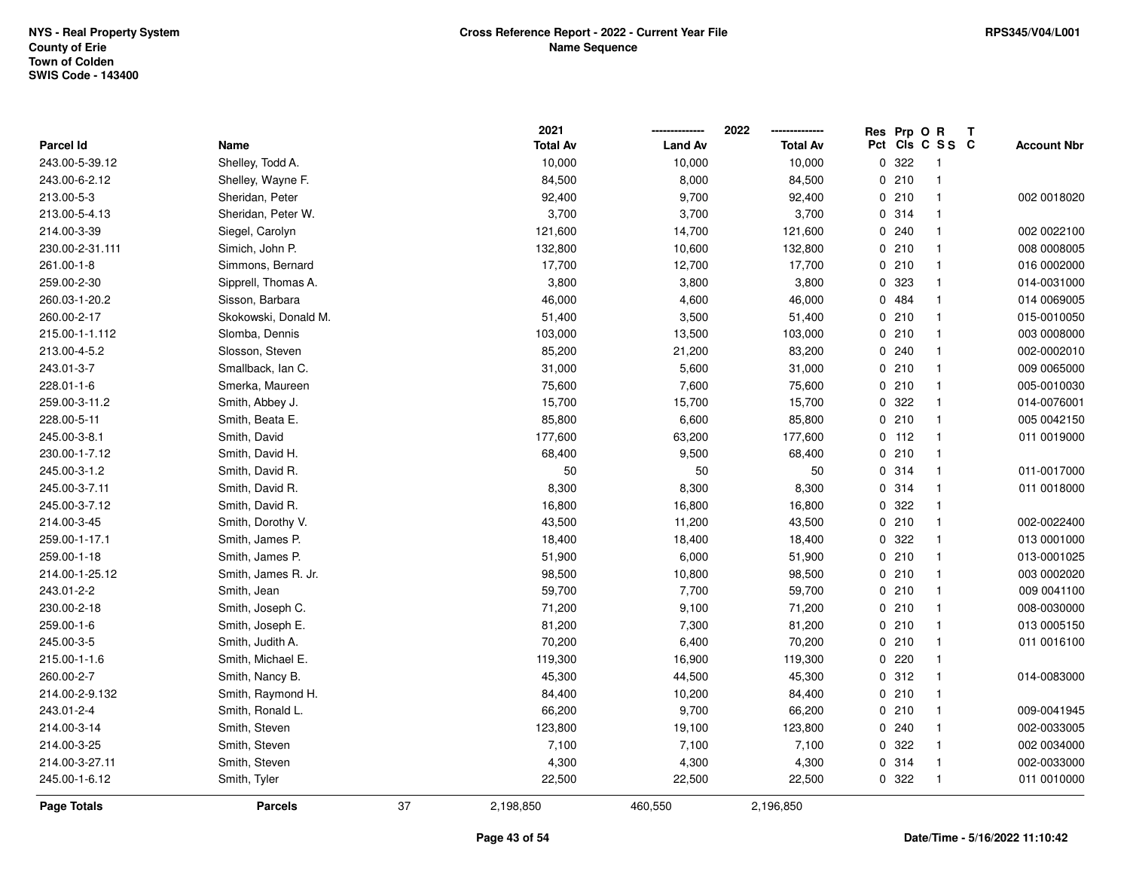|                  |                      |    | 2021            |                | 2022            |     | Res Prp O R |                | Т |                    |
|------------------|----------------------|----|-----------------|----------------|-----------------|-----|-------------|----------------|---|--------------------|
| <b>Parcel Id</b> | Name                 |    | <b>Total Av</b> | <b>Land Av</b> | <b>Total Av</b> | Pct |             | CIs C S S C    |   | <b>Account Nbr</b> |
| 243.00-5-39.12   | Shelley, Todd A.     |    | 10,000          | 10,000         | 10,000          |     | 0.322       | $\overline{1}$ |   |                    |
| 243.00-6-2.12    | Shelley, Wayne F.    |    | 84,500          | 8,000          | 84,500          |     | 0210        | $\mathbf{1}$   |   |                    |
| 213.00-5-3       | Sheridan, Peter      |    | 92,400          | 9,700          | 92,400          |     | 0210        | $\overline{1}$ |   | 002 0018020        |
| 213.00-5-4.13    | Sheridan, Peter W.   |    | 3,700           | 3,700          | 3,700           |     | 0.314       | -1             |   |                    |
| 214.00-3-39      | Siegel, Carolyn      |    | 121,600         | 14,700         | 121,600         |     | 0.240       | $\mathbf 1$    |   | 002 0022100        |
| 230.00-2-31.111  | Simich, John P.      |    | 132,800         | 10,600         | 132,800         |     | 0210        | $\mathbf 1$    |   | 008 0008005        |
| 261.00-1-8       | Simmons, Bernard     |    | 17,700          | 12,700         | 17,700          |     | 0210        | $\overline{1}$ |   | 016 0002000        |
| 259.00-2-30      | Sipprell, Thomas A.  |    | 3,800           | 3,800          | 3,800           |     | 0 323       | $\overline{1}$ |   | 014-0031000        |
| 260.03-1-20.2    | Sisson, Barbara      |    | 46,000          | 4,600          | 46,000          |     | 0 484       | $\mathbf{1}$   |   | 014 0069005        |
| 260.00-2-17      | Skokowski, Donald M. |    | 51,400          | 3,500          | 51,400          |     | 0210        | $\overline{1}$ |   | 015-0010050        |
| 215.00-1-1.112   | Slomba, Dennis       |    | 103,000         | 13,500         | 103,000         |     | 0210        | $\mathbf 1$    |   | 003 0008000        |
| 213.00-4-5.2     | Slosson, Steven      |    | 85,200          | 21,200         | 83,200          |     | 0.240       |                |   | 002-0002010        |
| 243.01-3-7       | Smallback, Ian C.    |    | 31,000          | 5,600          | 31,000          |     | 0210        |                |   | 009 0065000        |
| 228.01-1-6       | Smerka, Maureen      |    | 75,600          | 7,600          | 75,600          |     | 0210        | $\mathbf 1$    |   | 005-0010030        |
| 259.00-3-11.2    | Smith, Abbey J.      |    | 15,700          | 15,700         | 15,700          |     | 0.322       | $\mathbf{1}$   |   | 014-0076001        |
| 228.00-5-11      | Smith, Beata E.      |    | 85,800          | 6,600          | 85,800          |     | 0210        | $\overline{1}$ |   | 005 0042150        |
| 245.00-3-8.1     | Smith, David         |    | 177,600         | 63,200         | 177,600         |     | $0$ 112     | $\mathbf{1}$   |   | 011 0019000        |
| 230.00-1-7.12    | Smith, David H.      |    | 68,400          | 9,500          | 68,400          |     | 0210        | $\mathbf{1}$   |   |                    |
| 245.00-3-1.2     | Smith, David R.      |    | 50              | 50             | 50              |     | 0.314       | $\mathbf{1}$   |   | 011-0017000        |
| 245.00-3-7.11    | Smith, David R.      |    | 8,300           | 8,300          | 8,300           |     | 0.314       |                |   | 011 0018000        |
| 245.00-3-7.12    | Smith, David R.      |    | 16,800          | 16,800         | 16,800          |     | 0.322       | $\mathbf{1}$   |   |                    |
| 214.00-3-45      | Smith, Dorothy V.    |    | 43,500          | 11,200         | 43,500          |     | 0210        | $\mathbf{1}$   |   | 002-0022400        |
| 259.00-1-17.1    | Smith, James P.      |    | 18,400          | 18,400         | 18,400          |     | 0 322       | $\mathbf{1}$   |   | 013 0001000        |
| 259.00-1-18      | Smith, James P.      |    | 51,900          | 6,000          | 51,900          |     | 0210        | $\mathbf{1}$   |   | 013-0001025        |
| 214.00-1-25.12   | Smith, James R. Jr.  |    | 98,500          | 10,800         | 98,500          |     | 0210        | $\mathbf{1}$   |   | 003 0002020        |
| 243.01-2-2       | Smith, Jean          |    | 59,700          | 7,700          | 59,700          |     | 0210        | -1             |   | 009 0041100        |
| 230.00-2-18      | Smith, Joseph C.     |    | 71,200          | 9,100          | 71,200          |     | 0210        |                |   | 008-0030000        |
| 259.00-1-6       | Smith, Joseph E.     |    | 81,200          | 7,300          | 81,200          |     | 0210        | $\mathbf{1}$   |   | 013 0005150        |
| 245.00-3-5       | Smith, Judith A.     |    | 70,200          | 6,400          | 70,200          |     | 0210        | $\mathbf{1}$   |   | 011 0016100        |
| 215.00-1-1.6     | Smith, Michael E.    |    | 119,300         | 16,900         | 119,300         |     | 0220        | $\mathbf{1}$   |   |                    |
| 260.00-2-7       | Smith, Nancy B.      |    | 45,300          | 44,500         | 45,300          |     | 0.312       | $\overline{1}$ |   | 014-0083000        |
| 214.00-2-9.132   | Smith, Raymond H.    |    | 84,400          | 10,200         | 84,400          |     | 0210        | $\mathbf{1}$   |   |                    |
| 243.01-2-4       | Smith, Ronald L.     |    | 66,200          | 9,700          | 66,200          |     | 0210        | $\overline{1}$ |   | 009-0041945        |
| 214.00-3-14      | Smith, Steven        |    | 123,800         | 19,100         | 123,800         |     | 0240        | $\overline{1}$ |   | 002-0033005        |
| 214.00-3-25      | Smith, Steven        |    | 7,100           | 7,100          | 7,100           |     | 0.322       | $\overline{1}$ |   | 002 0034000        |
| 214.00-3-27.11   | Smith, Steven        |    | 4,300           | 4,300          | 4,300           |     | 0 314       | $\mathbf{1}$   |   | 002-0033000        |
| 245.00-1-6.12    | Smith, Tyler         |    | 22,500          | 22,500         | 22,500          |     | 0 322       | $\mathbf{1}$   |   | 011 0010000        |
| Page Totals      | <b>Parcels</b>       | 37 | 2,198,850       | 460,550        | 2,196,850       |     |             |                |   |                    |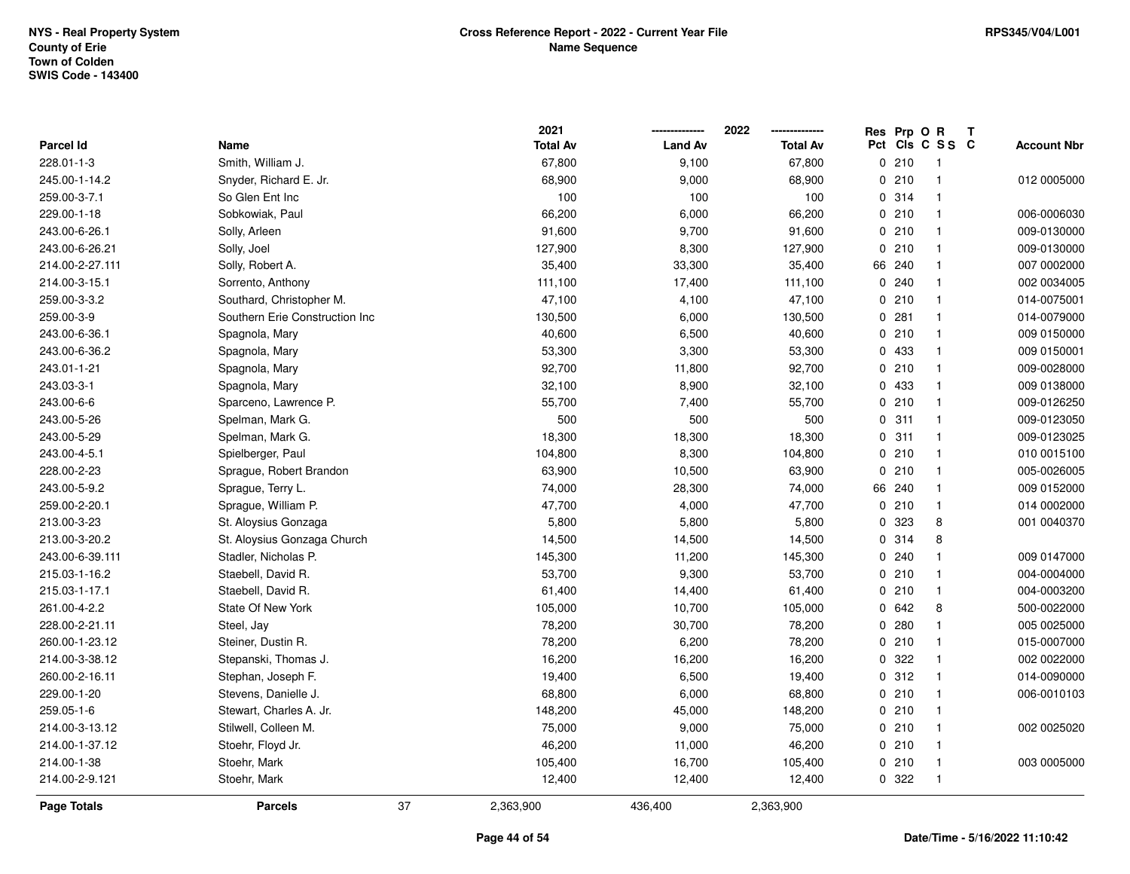| <b>Page Totals</b> | <b>Parcels</b>                 | 37 | 2,363,900       | 436,400        | 2,363,900       |             |                         |                    |
|--------------------|--------------------------------|----|-----------------|----------------|-----------------|-------------|-------------------------|--------------------|
| 214.00-2-9.121     | Stoehr, Mark                   |    | 12,400          | 12,400         | 12,400          | 0.322       | $\overline{\mathbf{1}}$ |                    |
| 214.00-1-38        | Stoehr, Mark                   |    | 105,400         | 16,700         | 105,400         | 0210        | $\overline{\mathbf{1}}$ | 003 0005000        |
| 214.00-1-37.12     | Stoehr, Floyd Jr.              |    | 46,200          | 11,000         | 46,200          | 0210        | $\overline{\mathbf{1}}$ |                    |
| 214.00-3-13.12     | Stilwell, Colleen M.           |    | 75,000          | 9,000          | 75,000          | 0210        | $\overline{\mathbf{1}}$ | 002 0025020        |
| 259.05-1-6         | Stewart, Charles A. Jr.        |    | 148,200         | 45,000         | 148,200         | 0210        | $\overline{\mathbf{1}}$ |                    |
| 229.00-1-20        | Stevens, Danielle J.           |    | 68,800          | 6,000          | 68,800          | 0 210       | $\overline{\mathbf{1}}$ | 006-0010103        |
| 260.00-2-16.11     | Stephan, Joseph F.             |    | 19,400          | 6,500          | 19,400          | 0.312       | $\overline{1}$          | 014-0090000        |
| 214.00-3-38.12     | Stepanski, Thomas J.           |    | 16,200          | 16,200         | 16,200          | 0.322       | $\overline{1}$          | 002 0022000        |
| 260.00-1-23.12     | Steiner, Dustin R.             |    | 78,200          | 6,200          | 78,200          | 0210        | $\mathbf{1}$            | 015-0007000        |
| 228.00-2-21.11     | Steel, Jay                     |    | 78,200          | 30,700         | 78,200          | 0.280       | $\overline{\mathbf{1}}$ | 005 0025000        |
| 261.00-4-2.2       | State Of New York              |    | 105,000         | 10,700         | 105,000         | 0.642       | 8                       | 500-0022000        |
| 215.03-1-17.1      | Staebell, David R.             |    | 61,400          | 14,400         | 61,400          | 0210        | $\overline{\mathbf{1}}$ | 004-0003200        |
| 215.03-1-16.2      | Staebell, David R.             |    | 53,700          | 9,300          | 53,700          | 0210        | $\overline{1}$          | 004-0004000        |
| 243.00-6-39.111    | Stadler, Nicholas P.           |    | 145,300         | 11,200         | 145,300         | 0.240       | $\overline{\mathbf{1}}$ | 009 0147000        |
| 213.00-3-20.2      | St. Aloysius Gonzaga Church    |    | 14,500          | 14,500         | 14,500          | 0.314       | 8                       |                    |
| 213.00-3-23        | St. Aloysius Gonzaga           |    | 5,800           | 5,800          | 5,800           | 0 323       | 8                       | 001 0040370        |
| 259.00-2-20.1      | Sprague, William P.            |    | 47,700          | 4,000          | 47,700          | 0210        | $\overline{1}$          | 014 0002000        |
| 243.00-5-9.2       | Sprague, Terry L.              |    | 74,000          | 28,300         | 74,000          | 66 240      | $\mathbf{1}$            | 009 0152000        |
| 228.00-2-23        | Sprague, Robert Brandon        |    | 63,900          | 10,500         | 63,900          | 0210        | $\overline{\mathbf{1}}$ | 005-0026005        |
| 243.00-4-5.1       | Spielberger, Paul              |    | 104,800         | 8,300          | 104,800         | 0210        | $\overline{\mathbf{1}}$ | 010 0015100        |
| 243.00-5-29        | Spelman, Mark G.               |    | 18,300          | 18,300         | 18,300          | 0.311       | $\overline{1}$          | 009-0123025        |
| 243.00-5-26        | Spelman, Mark G.               |    | 500             | 500            | 500             | 0.311       | $\overline{1}$          | 009-0123050        |
| 243.00-6-6         | Sparceno, Lawrence P.          |    | 55,700          | 7,400          | 55,700          | 0210        | $\overline{1}$          | 009-0126250        |
| 243.03-3-1         | Spagnola, Mary                 |    | 32,100          | 8,900          | 32,100          | 0 433       | $\overline{\mathbf{1}}$ | 009 0138000        |
| 243.01-1-21        | Spagnola, Mary                 |    | 92,700          | 11,800         | 92,700          | 0210        | $\overline{\mathbf{1}}$ | 009-0028000        |
| 243.00-6-36.2      | Spagnola, Mary                 |    | 53,300          | 3,300          | 53,300          | 0 433       | $\overline{\mathbf{1}}$ | 009 0150001        |
| 243.00-6-36.1      | Spagnola, Mary                 |    | 40,600          | 6,500          | 40,600          | 0210        | $\overline{\mathbf{1}}$ | 009 0150000        |
| 259.00-3-9         | Southern Erie Construction Inc |    | 130,500         | 6,000          | 130,500         | 0.281       | $\overline{\mathbf{1}}$ | 014-0079000        |
| 259.00-3-3.2       | Southard, Christopher M.       |    | 47,100          | 4,100          | 47,100          | 0210        | $\overline{\mathbf{1}}$ | 014-0075001        |
| 214.00-3-15.1      | Sorrento, Anthony              |    | 111,100         | 17,400         | 111,100         | 0.240       | $\overline{\mathbf{1}}$ | 002 0034005        |
| 214.00-2-27.111    | Solly, Robert A.               |    | 35,400          | 33,300         | 35,400          | 66 240      | $\mathbf{1}$            | 007 0002000        |
| 243.00-6-26.21     | Solly, Joel                    |    | 127,900         | 8,300          | 127,900         | 0210        | $\overline{\mathbf{1}}$ | 009-0130000        |
| 243.00-6-26.1      | Solly, Arleen                  |    | 91,600          | 9,700          | 91,600          | 0210        | $\overline{\mathbf{1}}$ | 009-0130000        |
| 229.00-1-18        | Sobkowiak, Paul                |    | 66,200          | 6,000          | 66,200          | 0210        | $\overline{\mathbf{1}}$ | 006-0006030        |
| 259.00-3-7.1       | So Glen Ent Inc                |    | 100             | 100            | 100             | 0.314       | $\overline{\mathbf{1}}$ |                    |
| 245.00-1-14.2      | Snyder, Richard E. Jr.         |    | 68,900          | 9,000          | 68,900          | 0210        | $\overline{1}$          | 012 0005000        |
| 228.01-1-3         | Smith, William J.              |    | 67,800          | 9,100          | 67,800          | 0210        | -1                      |                    |
| Parcel Id          | Name                           |    | <b>Total Av</b> | <b>Land Av</b> | <b>Total Av</b> |             | Pct Cls C S S C         | <b>Account Nbr</b> |
|                    |                                |    | 2021            |                | 2022            | Res Prp O R |                         | Т                  |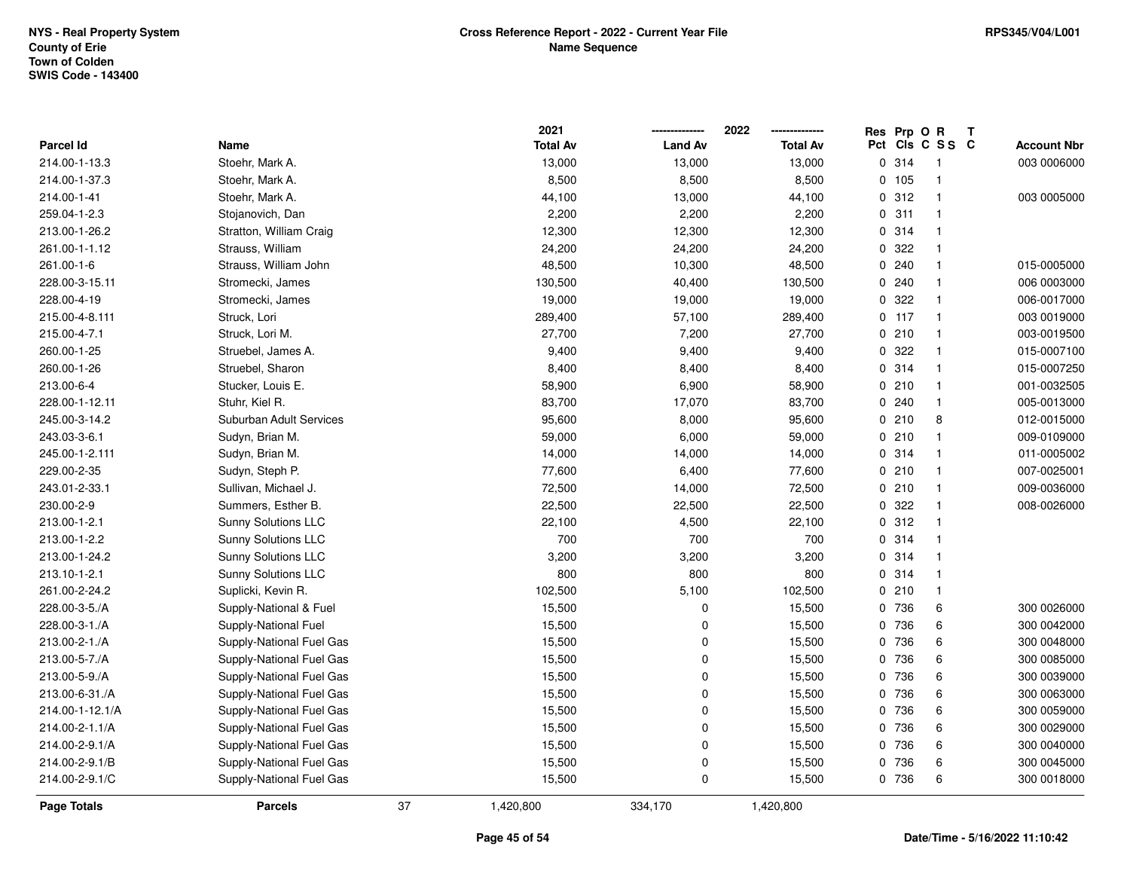|                  |                          |    | 2021            |                | 2022            |          | Res Prp O R |                         | T |                    |
|------------------|--------------------------|----|-----------------|----------------|-----------------|----------|-------------|-------------------------|---|--------------------|
| <b>Parcel Id</b> | Name                     |    | <b>Total Av</b> | <b>Land Av</b> | <b>Total Av</b> | Pct      |             | CIs C S S C             |   | <b>Account Nbr</b> |
| 214.00-1-13.3    | Stoehr, Mark A.          |    | 13,000          | 13,000         | 13,000          | 0        | 314         | - 1                     |   | 003 0006000        |
| 214.00-1-37.3    | Stoehr, Mark A.          |    | 8,500           | 8,500          | 8,500           | 0        | 105         | $\overline{1}$          |   |                    |
| 214.00-1-41      | Stoehr, Mark A.          |    | 44,100          | 13,000         | 44,100          |          | 0.312       | $\overline{\mathbf{1}}$ |   | 003 0005000        |
| 259.04-1-2.3     | Stojanovich, Dan         |    | 2,200           | 2,200          | 2,200           |          | 0.311       | -1                      |   |                    |
| 213.00-1-26.2    | Stratton, William Craig  |    | 12,300          | 12,300         | 12,300          |          | 0.314       | 1                       |   |                    |
| 261.00-1-1.12    | Strauss, William         |    | 24,200          | 24,200         | 24,200          | 0        | 322         | $\mathbf{1}$            |   |                    |
| 261.00-1-6       | Strauss, William John    |    | 48,500          | 10,300         | 48,500          | 0        | 240         | $\overline{\mathbf{1}}$ |   | 015-0005000        |
| 228.00-3-15.11   | Stromecki, James         |    | 130,500         | 40,400         | 130,500         | $\Omega$ | 240         | $\overline{1}$          |   | 006 0003000        |
| 228.00-4-19      | Stromecki, James         |    | 19,000          | 19,000         | 19,000          | 0        | 322         | $\overline{1}$          |   | 006-0017000        |
| 215.00-4-8.111   | Struck, Lori             |    | 289,400         | 57,100         | 289,400         |          | 0.117       | $\overline{1}$          |   | 003 0019000        |
| 215.00-4-7.1     | Struck, Lori M.          |    | 27,700          | 7,200          | 27,700          |          | 0210        | $\overline{\mathbf{1}}$ |   | 003-0019500        |
| 260.00-1-25      | Struebel, James A.       |    | 9,400           | 9,400          | 9,400           |          | 0.322       | -1                      |   | 015-0007100        |
| 260.00-1-26      | Struebel, Sharon         |    | 8,400           | 8,400          | 8,400           |          | 0.314       | $\mathbf 1$             |   | 015-0007250        |
| 213.00-6-4       | Stucker, Louis E.        |    | 58,900          | 6,900          | 58,900          |          | 0210        | $\overline{\mathbf{1}}$ |   | 001-0032505        |
| 228.00-1-12.11   | Stuhr, Kiel R.           |    | 83,700          | 17,070         | 83,700          | 0        | 240         | $\overline{1}$          |   | 005-0013000        |
| 245.00-3-14.2    | Suburban Adult Services  |    | 95,600          | 8,000          | 95,600          | 0        | 210         | 8                       |   | 012-0015000        |
| 243.03-3-6.1     | Sudyn, Brian M.          |    | 59,000          | 6,000          | 59,000          |          | 0210        | $\overline{1}$          |   | 009-0109000        |
| 245.00-1-2.111   | Sudyn, Brian M.          |    | 14,000          | 14,000         | 14,000          |          | 0.314       | -1                      |   | 011-0005002        |
| 229.00-2-35      | Sudyn, Steph P.          |    | 77,600          | 6,400          | 77,600          |          | 0210        | -1                      |   | 007-0025001        |
| 243.01-2-33.1    | Sullivan, Michael J.     |    | 72,500          | 14,000         | 72,500          |          | 0210        | $\overline{\mathbf{1}}$ |   | 009-0036000        |
| 230.00-2-9       | Summers, Esther B.       |    | 22,500          | 22,500         | 22,500          |          | 0.322       | $\overline{\mathbf{1}}$ |   | 008-0026000        |
| 213.00-1-2.1     | Sunny Solutions LLC      |    | 22,100          | 4,500          | 22,100          |          | 0.312       | $\mathbf{1}$            |   |                    |
| 213.00-1-2.2     | Sunny Solutions LLC      |    | 700             | 700            | 700             | 0        | 314         | $\mathbf{1}$            |   |                    |
| 213.00-1-24.2    | Sunny Solutions LLC      |    | 3,200           | 3,200          | 3,200           |          | 0.314       | $\overline{1}$          |   |                    |
| 213.10-1-2.1     | Sunny Solutions LLC      |    | 800             | 800            | 800             |          | 0.314       | $\mathbf{1}$            |   |                    |
| 261.00-2-24.2    | Suplicki, Kevin R.       |    | 102,500         | 5,100          | 102,500         |          | 0210        | -1                      |   |                    |
| 228.00-3-5./A    | Supply-National & Fuel   |    | 15,500          | 0              | 15,500          |          | 0 736       | 6                       |   | 300 0026000        |
| 228.00-3-1./A    | Supply-National Fuel     |    | 15,500          | 0              | 15,500          | 0        | 736         | 6                       |   | 300 0042000        |
| 213.00-2-1./A    | Supply-National Fuel Gas |    | 15,500          | 0              | 15,500          | 0        | 736         | 6                       |   | 300 0048000        |
| 213.00-5-7./A    | Supply-National Fuel Gas |    | 15,500          | 0              | 15,500          | 0        | 736         | 6                       |   | 300 0085000        |
| 213.00-5-9./A    | Supply-National Fuel Gas |    | 15,500          | 0              | 15,500          | 0        | 736         | 6                       |   | 300 0039000        |
| 213.00-6-31./A   | Supply-National Fuel Gas |    | 15,500          | 0              | 15,500          | 0        | 736         | 6                       |   | 300 0063000        |
| 214.00-1-12.1/A  | Supply-National Fuel Gas |    | 15,500          | 0              | 15,500          | 0        | 736         | 6                       |   | 300 0059000        |
| 214.00-2-1.1/A   | Supply-National Fuel Gas |    | 15,500          | 0              | 15,500          |          | 0 736       | 6                       |   | 300 0029000        |
| 214.00-2-9.1/A   | Supply-National Fuel Gas |    | 15,500          | 0              | 15,500          | 0        | 736         | 6                       |   | 300 0040000        |
| 214.00-2-9.1/B   | Supply-National Fuel Gas |    | 15,500          | 0              | 15,500          | 0        | 736         | 6                       |   | 300 0045000        |
| 214.00-2-9.1/C   | Supply-National Fuel Gas |    | 15,500          | 0              | 15,500          |          | 0 736       | 6                       |   | 300 0018000        |
| Page Totals      | <b>Parcels</b>           | 37 | 1,420,800       | 334,170        | 1,420,800       |          |             |                         |   |                    |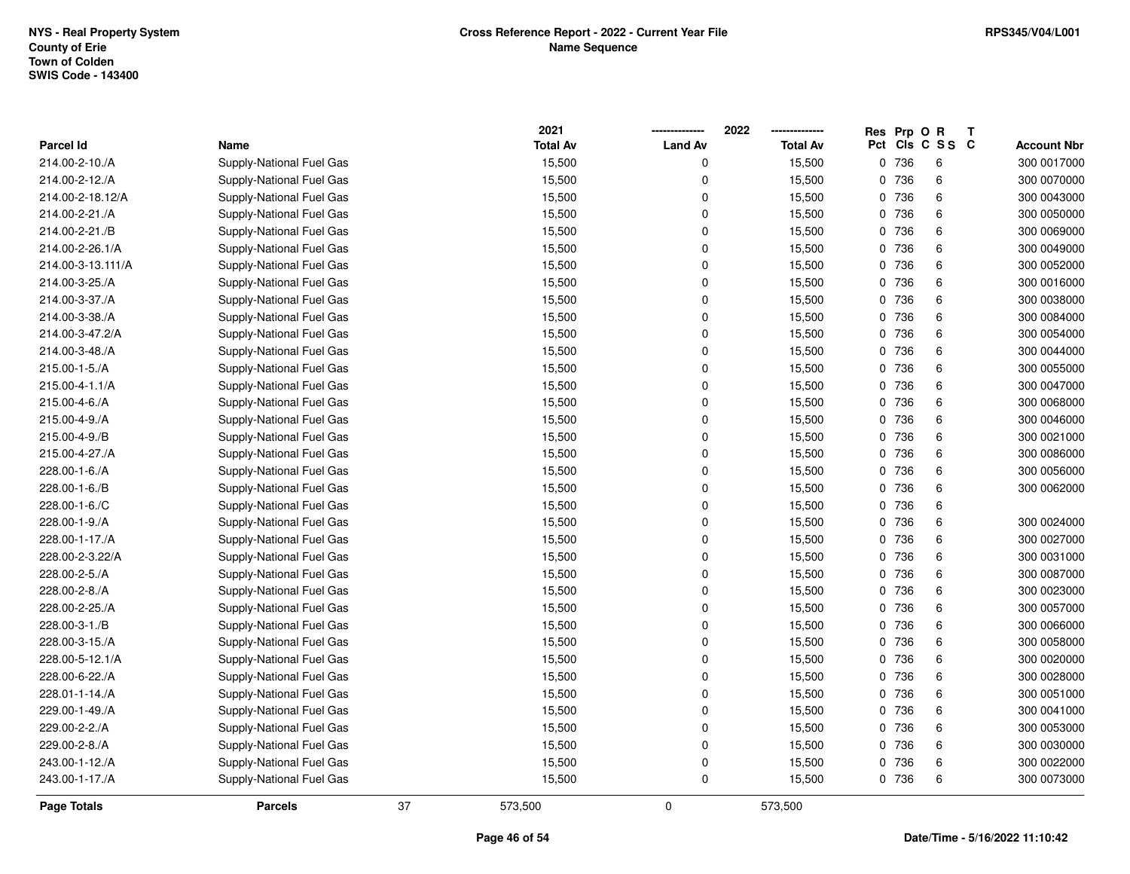|                   |                          |    | 2021            |                | 2022            | Res Prp O R |                 | Т |                    |
|-------------------|--------------------------|----|-----------------|----------------|-----------------|-------------|-----------------|---|--------------------|
| <b>Parcel Id</b>  | Name                     |    | <b>Total Av</b> | <b>Land Av</b> | <b>Total Av</b> |             | Pct Cls C S S C |   | <b>Account Nbr</b> |
| 214.00-2-10./A    | Supply-National Fuel Gas |    | 15,500          | 0              | 15,500          | 0 736       | 6               |   | 300 0017000        |
| 214.00-2-12./A    | Supply-National Fuel Gas |    | 15,500          | 0              | 15,500          | 0 736       | 6               |   | 300 0070000        |
| 214.00-2-18.12/A  | Supply-National Fuel Gas |    | 15,500          | 0              | 15,500          | 0 736       | 6               |   | 300 0043000        |
| 214.00-2-21./A    | Supply-National Fuel Gas |    | 15,500          | 0              | 15,500          | 0 736       | $\,6\,$         |   | 300 0050000        |
| 214.00-2-21./B    | Supply-National Fuel Gas |    | 15,500          | 0              | 15,500          | 0 736       | 6               |   | 300 0069000        |
| 214.00-2-26.1/A   | Supply-National Fuel Gas |    | 15,500          | 0              | 15,500          | 0 736       | 6               |   | 300 0049000        |
| 214.00-3-13.111/A | Supply-National Fuel Gas |    | 15,500          | 0              | 15,500          | 0 736       | 6               |   | 300 0052000        |
| 214.00-3-25./A    | Supply-National Fuel Gas |    | 15,500          | 0              | 15,500          | 0 736       | $\,6\,$         |   | 300 0016000        |
| 214.00-3-37./A    | Supply-National Fuel Gas |    | 15,500          | 0              | 15,500          | 0 736       | 6               |   | 300 0038000        |
| 214.00-3-38./A    | Supply-National Fuel Gas |    | 15,500          | 0              | 15,500          | 0 736       | 6               |   | 300 0084000        |
| 214.00-3-47.2/A   | Supply-National Fuel Gas |    | 15,500          | 0              | 15,500          | 0 736       | 6               |   | 300 0054000        |
| 214.00-3-48./A    | Supply-National Fuel Gas |    | 15,500          | 0              | 15,500          | 0 736       | 6               |   | 300 0044000        |
| 215.00-1-5./A     | Supply-National Fuel Gas |    | 15,500          | 0              | 15,500          | 0 736       | 6               |   | 300 0055000        |
| 215.00-4-1.1/A    | Supply-National Fuel Gas |    | 15,500          | 0              | 15,500          | 0 736       | 6               |   | 300 0047000        |
| 215.00-4-6./A     | Supply-National Fuel Gas |    | 15,500          | 0              | 15,500          | 0 736       | 6               |   | 300 0068000        |
| 215.00-4-9./A     | Supply-National Fuel Gas |    | 15,500          | 0              | 15,500          | 0 736       | 6               |   | 300 0046000        |
| 215.00-4-9./B     | Supply-National Fuel Gas |    | 15,500          | 0              | 15,500          | 0 736       | 6               |   | 300 0021000        |
| 215.00-4-27./A    | Supply-National Fuel Gas |    | 15,500          | 0              | 15,500          | 0 736       | 6               |   | 300 0086000        |
| 228.00-1-6./A     | Supply-National Fuel Gas |    | 15,500          | 0              | 15,500          | 0 736       | 6               |   | 300 0056000        |
| 228.00-1-6./B     | Supply-National Fuel Gas |    | 15,500          | 0              | 15,500          | 0 736       | 6               |   | 300 0062000        |
| 228.00-1-6./C     | Supply-National Fuel Gas |    | 15,500          | 0              | 15,500          | 0 736       | 6               |   |                    |
| 228.00-1-9./A     | Supply-National Fuel Gas |    | 15,500          | 0              | 15,500          | 0 736       | $\,6\,$         |   | 300 0024000        |
| 228.00-1-17./A    | Supply-National Fuel Gas |    | 15,500          | 0              | 15,500          | 0 736       | 6               |   | 300 0027000        |
| 228.00-2-3.22/A   | Supply-National Fuel Gas |    | 15,500          | 0              | 15,500          | 0 736       | 6               |   | 300 0031000        |
| 228.00-2-5./A     | Supply-National Fuel Gas |    | 15,500          | $\Omega$       | 15,500          | 0 736       | $\,6\,$         |   | 300 0087000        |
| 228.00-2-8./A     | Supply-National Fuel Gas |    | 15,500          | 0              | 15,500          | 0 736       | 6               |   | 300 0023000        |
| 228.00-2-25./A    | Supply-National Fuel Gas |    | 15,500          | 0              | 15,500          | 0 736       | 6               |   | 300 0057000        |
| 228.00-3-1./B     | Supply-National Fuel Gas |    | 15,500          | 0              | 15,500          | 0 736       | 6               |   | 300 0066000        |
| 228.00-3-15./A    | Supply-National Fuel Gas |    | 15,500          | 0              | 15,500          | 0 736       | $\,6\,$         |   | 300 0058000        |
| 228.00-5-12.1/A   | Supply-National Fuel Gas |    | 15,500          | 0              | 15,500          | 0 736       | 6               |   | 300 0020000        |
| 228.00-6-22./A    | Supply-National Fuel Gas |    | 15,500          | 0              | 15,500          | 0 736       | 6               |   | 300 0028000        |
| 228.01-1-14./A    | Supply-National Fuel Gas |    | 15,500          | 0              | 15,500          | 0 736       | 6               |   | 300 0051000        |
| 229.00-1-49./A    | Supply-National Fuel Gas |    | 15,500          | 0              | 15,500          | 0 736       | 6               |   | 300 0041000        |
| 229.00-2-2./A     | Supply-National Fuel Gas |    | 15,500          | 0              | 15,500          | 0 736       | 6               |   | 300 0053000        |
| 229.00-2-8./A     | Supply-National Fuel Gas |    | 15,500          | 0              | 15,500          | 0 736       | 6               |   | 300 0030000        |
| 243.00-1-12./A    | Supply-National Fuel Gas |    | 15,500          | 0              | 15,500          | 0 736       | 6               |   | 300 0022000        |
| 243.00-1-17./A    | Supply-National Fuel Gas |    | 15,500          | 0              | 15,500          | 0 736       | 6               |   | 300 0073000        |
| Page Totals       | <b>Parcels</b>           | 37 | 573,500         | $\mathbf 0$    | 573,500         |             |                 |   |                    |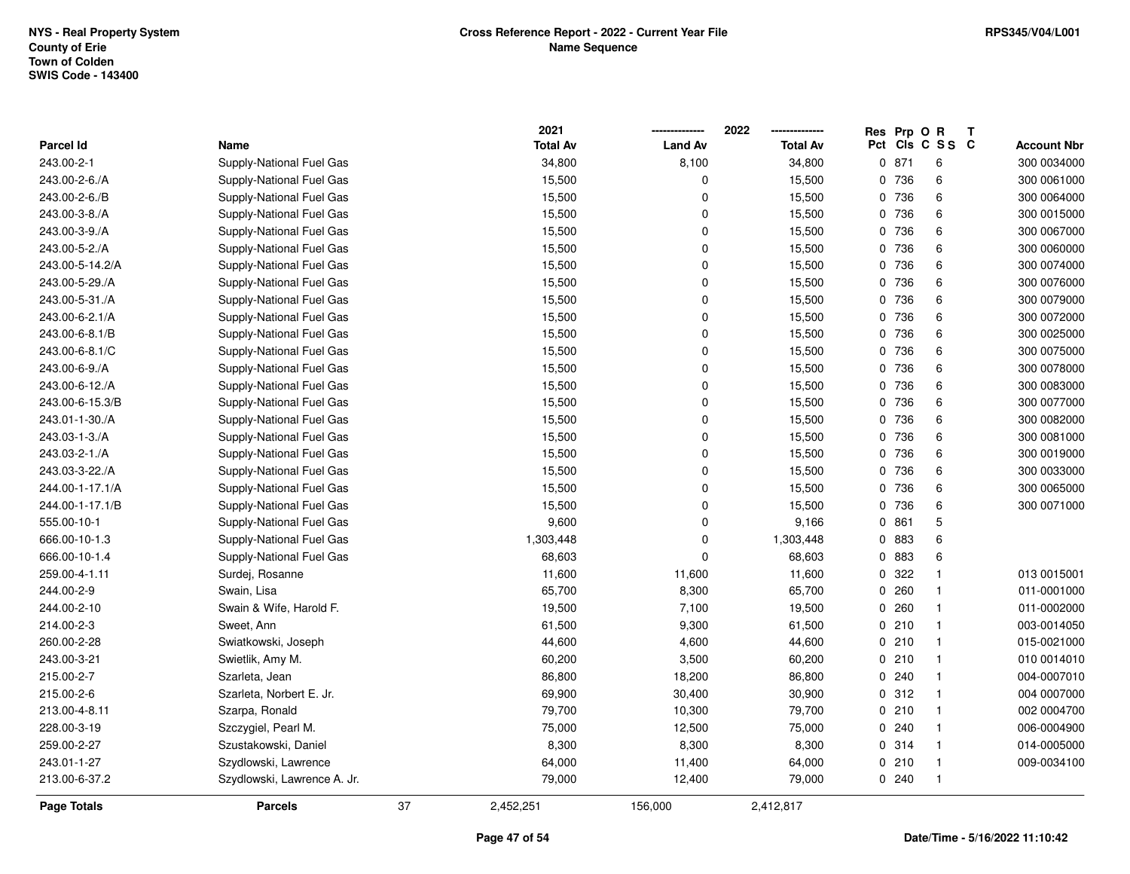|                 |                             |    | 2021            |                | 2022            | Res Prp O R |                 | Т |                    |
|-----------------|-----------------------------|----|-----------------|----------------|-----------------|-------------|-----------------|---|--------------------|
| Parcel Id       | Name                        |    | <b>Total Av</b> | <b>Land Av</b> | <b>Total Av</b> |             | Pct Cls C S S C |   | <b>Account Nbr</b> |
| 243.00-2-1      | Supply-National Fuel Gas    |    | 34,800          | 8,100          | 34,800          | 0871        | 6               |   | 300 0034000        |
| 243.00-2-6./A   | Supply-National Fuel Gas    |    | 15,500          | 0              | 15,500          | 0 736       | 6               |   | 300 0061000        |
| 243.00-2-6./B   | Supply-National Fuel Gas    |    | 15,500          | $\pmb{0}$      | 15,500          | 0 736       | 6               |   | 300 0064000        |
| 243.00-3-8./A   | Supply-National Fuel Gas    |    | 15,500          | 0              | 15,500          | 0 736       | $\,6\,$         |   | 300 0015000        |
| 243.00-3-9./A   | Supply-National Fuel Gas    |    | 15,500          | 0              | 15,500          | 0 736       | 6               |   | 300 0067000        |
| 243.00-5-2./A   | Supply-National Fuel Gas    |    | 15,500          | 0              | 15,500          | 0 736       | 6               |   | 300 0060000        |
| 243.00-5-14.2/A | Supply-National Fuel Gas    |    | 15,500          | 0              | 15,500          | 0 736       | 6               |   | 300 0074000        |
| 243.00-5-29./A  | Supply-National Fuel Gas    |    | 15,500          | 0              | 15,500          | 0 736       | $\,6\,$         |   | 300 0076000        |
| 243.00-5-31./A  | Supply-National Fuel Gas    |    | 15,500          | 0              | 15,500          | 0 736       | $\,6\,$         |   | 300 0079000        |
| 243.00-6-2.1/A  | Supply-National Fuel Gas    |    | 15,500          | 0              | 15,500          | 0 736       | 6               |   | 300 0072000        |
| 243.00-6-8.1/B  | Supply-National Fuel Gas    |    | 15,500          | $\mathbf 0$    | 15,500          | 0 736       | 6               |   | 300 0025000        |
| 243.00-6-8.1/C  | Supply-National Fuel Gas    |    | 15,500          | $\mathbf 0$    | 15,500          | 0 736       | 6               |   | 300 0075000        |
| 243.00-6-9./A   | Supply-National Fuel Gas    |    | 15,500          | $\pmb{0}$      | 15,500          | 0 736       | 6               |   | 300 0078000        |
| 243.00-6-12./A  | Supply-National Fuel Gas    |    | 15,500          | 0              | 15,500          | 0 736       | 6               |   | 300 0083000        |
| 243.00-6-15.3/B | Supply-National Fuel Gas    |    | 15,500          | 0              | 15,500          | 0 736       | 6               |   | 300 0077000        |
| 243.01-1-30./A  | Supply-National Fuel Gas    |    | 15,500          | 0              | 15,500          | 0 736       | 6               |   | 300 0082000        |
| 243.03-1-3./A   | Supply-National Fuel Gas    |    | 15,500          | 0              | 15,500          | 0 736       | 6               |   | 300 0081000        |
| 243.03-2-1./A   | Supply-National Fuel Gas    |    | 15,500          | 0              | 15,500          | 0 736       | 6               |   | 300 0019000        |
| 243.03-3-22./A  | Supply-National Fuel Gas    |    | 15,500          | 0              | 15,500          | 0 736       | 6               |   | 300 0033000        |
| 244.00-1-17.1/A | Supply-National Fuel Gas    |    | 15,500          | 0              | 15,500          | 0 736       | 6               |   | 300 0065000        |
| 244.00-1-17.1/B | Supply-National Fuel Gas    |    | 15,500          | 0              | 15,500          | 0 736       | 6               |   | 300 0071000        |
| 555.00-10-1     | Supply-National Fuel Gas    |    | 9,600           | $\overline{0}$ | 9,166           | 0861        | $\mathbf 5$     |   |                    |
| 666.00-10-1.3   | Supply-National Fuel Gas    |    | 1,303,448       | 0              | 1,303,448       | 0 883       | 6               |   |                    |
| 666.00-10-1.4   | Supply-National Fuel Gas    |    | 68,603          | $\Omega$       | 68,603          | 0 883       | 6               |   |                    |
| 259.00-4-1.11   | Surdej, Rosanne             |    | 11,600          | 11,600         | 11,600          | 0 322       | $\mathbf{1}$    |   | 013 0015001        |
| 244.00-2-9      | Swain, Lisa                 |    | 65,700          | 8,300          | 65,700          | 0.260       | $\mathbf{1}$    |   | 011-0001000        |
| 244.00-2-10     | Swain & Wife, Harold F.     |    | 19,500          | 7,100          | 19,500          | 0.260       | $\mathbf{1}$    |   | 011-0002000        |
| 214.00-2-3      | Sweet, Ann                  |    | 61,500          | 9,300          | 61,500          | 0210        | $\mathbf{1}$    |   | 003-0014050        |
| 260.00-2-28     | Swiatkowski, Joseph         |    | 44,600          | 4,600          | 44,600          | 0210        | $\mathbf{1}$    |   | 015-0021000        |
| 243.00-3-21     | Swietlik, Amy M.            |    | 60,200          | 3,500          | 60,200          | 0210        | $\mathbf{1}$    |   | 010 0014010        |
| 215.00-2-7      | Szarleta, Jean              |    | 86,800          | 18,200         | 86,800          | 0.240       | $\mathbf{1}$    |   | 004-0007010        |
| 215.00-2-6      | Szarleta, Norbert E. Jr.    |    | 69,900          | 30,400         | 30,900          | 0.312       | $\mathbf{1}$    |   | 004 0007000        |
| 213.00-4-8.11   | Szarpa, Ronald              |    | 79,700          | 10,300         | 79,700          | 0210        | $\mathbf{1}$    |   | 002 0004700        |
| 228.00-3-19     | Szczygiel, Pearl M.         |    | 75,000          | 12,500         | 75,000          | 0.240       | $\mathbf{1}$    |   | 006-0004900        |
| 259.00-2-27     | Szustakowski, Daniel        |    | 8,300           | 8,300          | 8,300           | 0 314       | $\mathbf{1}$    |   | 014-0005000        |
| 243.01-1-27     | Szydlowski, Lawrence        |    | 64,000          | 11,400         | 64,000          | 0210        | $\mathbf{1}$    |   | 009-0034100        |
| 213.00-6-37.2   | Szydlowski, Lawrence A. Jr. |    | 79,000          | 12,400         | 79,000          | 0.240       | $\mathbf{1}$    |   |                    |
| Page Totals     | <b>Parcels</b>              | 37 | 2,452,251       | 156,000        | 2,412,817       |             |                 |   |                    |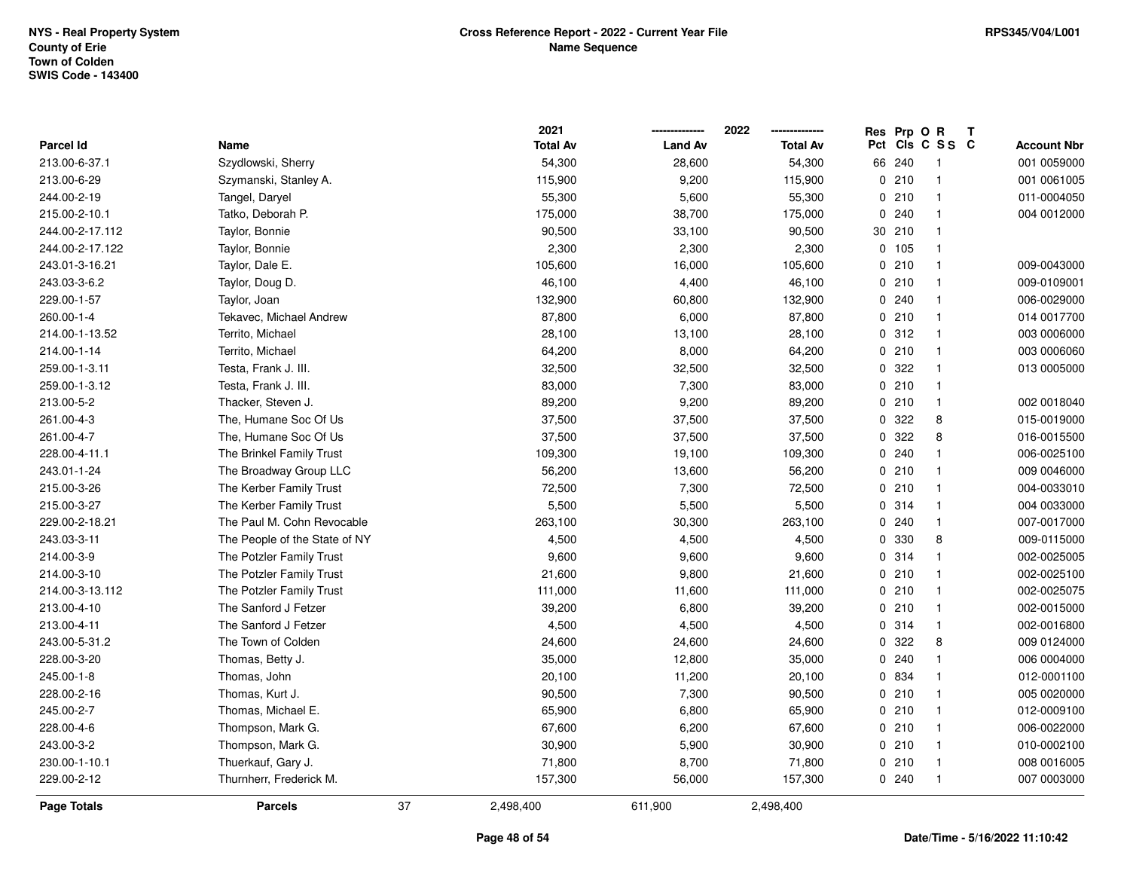|                    |                               |    | 2021            |                | 2022            | Res      | Prp O  | $\mathsf{R}$   | $\mathbf{T}$ |                    |
|--------------------|-------------------------------|----|-----------------|----------------|-----------------|----------|--------|----------------|--------------|--------------------|
| <b>Parcel Id</b>   | Name                          |    | <b>Total Av</b> | <b>Land Av</b> | <b>Total Av</b> | Pct      |        | CIs C S S C    |              | <b>Account Nbr</b> |
| 213.00-6-37.1      | Szydlowski, Sherry            |    | 54,300          | 28,600         | 54,300          |          | 66 240 |                |              | 001 0059000        |
| 213.00-6-29        | Szymanski, Stanley A.         |    | 115,900         | 9,200          | 115,900         | 0        | 210    |                |              | 001 0061005        |
| 244.00-2-19        | Tangel, Daryel                |    | 55,300          | 5,600          | 55,300          |          | 0210   | -1             |              | 011-0004050        |
| 215.00-2-10.1      | Tatko, Deborah P.             |    | 175,000         | 38,700         | 175,000         | 0        | 240    | $\mathbf 1$    |              | 004 0012000        |
| 244.00-2-17.112    | Taylor, Bonnie                |    | 90,500          | 33,100         | 90,500          | 30       | 210    | $\mathbf 1$    |              |                    |
| 244.00-2-17.122    | Taylor, Bonnie                |    | 2,300           | 2,300          | 2,300           |          | 0, 105 | $\mathbf 1$    |              |                    |
| 243.01-3-16.21     | Taylor, Dale E.               |    | 105,600         | 16,000         | 105,600         |          | 0210   |                |              | 009-0043000        |
| 243.03-3-6.2       | Taylor, Doug D.               |    | 46,100          | 4,400          | 46,100          |          | 0210   | $\mathbf 1$    |              | 009-0109001        |
| 229.00-1-57        | Taylor, Joan                  |    | 132,900         | 60,800         | 132,900         |          | 0.240  | $\mathbf 1$    |              | 006-0029000        |
| 260.00-1-4         | Tekavec, Michael Andrew       |    | 87,800          | 6,000          | 87,800          |          | 0210   | $\mathbf{1}$   |              | 014 0017700        |
| 214.00-1-13.52     | Territo, Michael              |    | 28,100          | 13,100         | 28,100          |          | 0.312  | $\overline{1}$ |              | 003 0006000        |
| 214.00-1-14        | Territo, Michael              |    | 64,200          | 8,000          | 64,200          |          | 0210   | $\mathbf{1}$   |              | 003 0006060        |
| 259.00-1-3.11      | Testa, Frank J. III.          |    | 32,500          | 32,500         | 32,500          |          | 0.322  |                |              | 013 0005000        |
| 259.00-1-3.12      | Testa, Frank J. III.          |    | 83,000          | 7,300          | 83,000          |          | 0210   | $\mathbf 1$    |              |                    |
| 213.00-5-2         | Thacker, Steven J.            |    | 89,200          | 9,200          | 89,200          |          | 0210   | -1             |              | 002 0018040        |
| 261.00-4-3         | The, Humane Soc Of Us         |    | 37,500          | 37,500         | 37,500          | 0        | 322    | 8              |              | 015-0019000        |
| 261.00-4-7         | The, Humane Soc Of Us         |    | 37,500          | 37,500         | 37,500          | $\Omega$ | 322    | 8              |              | 016-0015500        |
| 228.00-4-11.1      | The Brinkel Family Trust      |    | 109,300         | 19,100         | 109,300         |          | 0.240  | $\mathbf 1$    |              | 006-0025100        |
| 243.01-1-24        | The Broadway Group LLC        |    | 56,200          | 13,600         | 56,200          |          | 0210   | $\mathbf{1}$   |              | 009 0046000        |
| 215.00-3-26        | The Kerber Family Trust       |    | 72,500          | 7,300          | 72,500          |          | 0210   |                |              | 004-0033010        |
| 215.00-3-27        | The Kerber Family Trust       |    | 5,500           | 5,500          | 5,500           |          | 0.314  | $\mathbf 1$    |              | 004 0033000        |
| 229.00-2-18.21     | The Paul M. Cohn Revocable    |    | 263,100         | 30,300         | 263,100         |          | 0.240  | -1             |              | 007-0017000        |
| 243.03-3-11        | The People of the State of NY |    | 4,500           | 4,500          | 4,500           | 0        | 330    | 8              |              | 009-0115000        |
| 214.00-3-9         | The Potzler Family Trust      |    | 9,600           | 9,600          | 9,600           |          | 0.314  | $\mathbf{1}$   |              | 002-0025005        |
| 214.00-3-10        | The Potzler Family Trust      |    | 21,600          | 9,800          | 21,600          |          | 0210   | -1             |              | 002-0025100        |
| 214.00-3-13.112    | The Potzler Family Trust      |    | 111,000         | 11,600         | 111,000         |          | 0210   | $\mathbf 1$    |              | 002-0025075        |
| 213.00-4-10        | The Sanford J Fetzer          |    | 39,200          | 6,800          | 39,200          |          | 0210   | $\mathbf 1$    |              | 002-0015000        |
| 213.00-4-11        | The Sanford J Fetzer          |    | 4,500           | 4,500          | 4,500           |          | 0.314  | $\mathbf 1$    |              | 002-0016800        |
| 243.00-5-31.2      | The Town of Colden            |    | 24,600          | 24,600         | 24,600          | 0        | 322    | 8              |              | 009 0124000        |
| 228.00-3-20        | Thomas, Betty J.              |    | 35,000          | 12,800         | 35,000          | 0        | 240    | $\mathbf 1$    |              | 006 0004000        |
| 245.00-1-8         | Thomas, John                  |    | 20,100          | 11,200         | 20,100          |          | 0 834  | $\mathbf{1}$   |              | 012-0001100        |
| 228.00-2-16        | Thomas, Kurt J.               |    | 90,500          | 7,300          | 90,500          |          | 0210   | $\mathbf 1$    |              | 005 0020000        |
| 245.00-2-7         | Thomas, Michael E.            |    | 65,900          | 6,800          | 65,900          |          | 0210   | $\mathbf 1$    |              | 012-0009100        |
| 228.00-4-6         | Thompson, Mark G.             |    | 67,600          | 6,200          | 67,600          |          | 0210   | $\mathbf{1}$   |              | 006-0022000        |
| 243.00-3-2         | Thompson, Mark G.             |    | 30,900          | 5,900          | 30,900          |          | 0210   | $\mathbf 1$    |              | 010-0002100        |
| 230.00-1-10.1      | Thuerkauf, Gary J.            |    | 71,800          | 8,700          | 71,800          |          | 0210   | $\mathbf 1$    |              | 008 0016005        |
| 229.00-2-12        | Thurnherr, Frederick M.       |    | 157,300         | 56,000         | 157,300         |          | 0.240  | -1             |              | 007 0003000        |
| <b>Page Totals</b> | <b>Parcels</b>                | 37 | 2,498,400       | 611,900        | 2,498,400       |          |        |                |              |                    |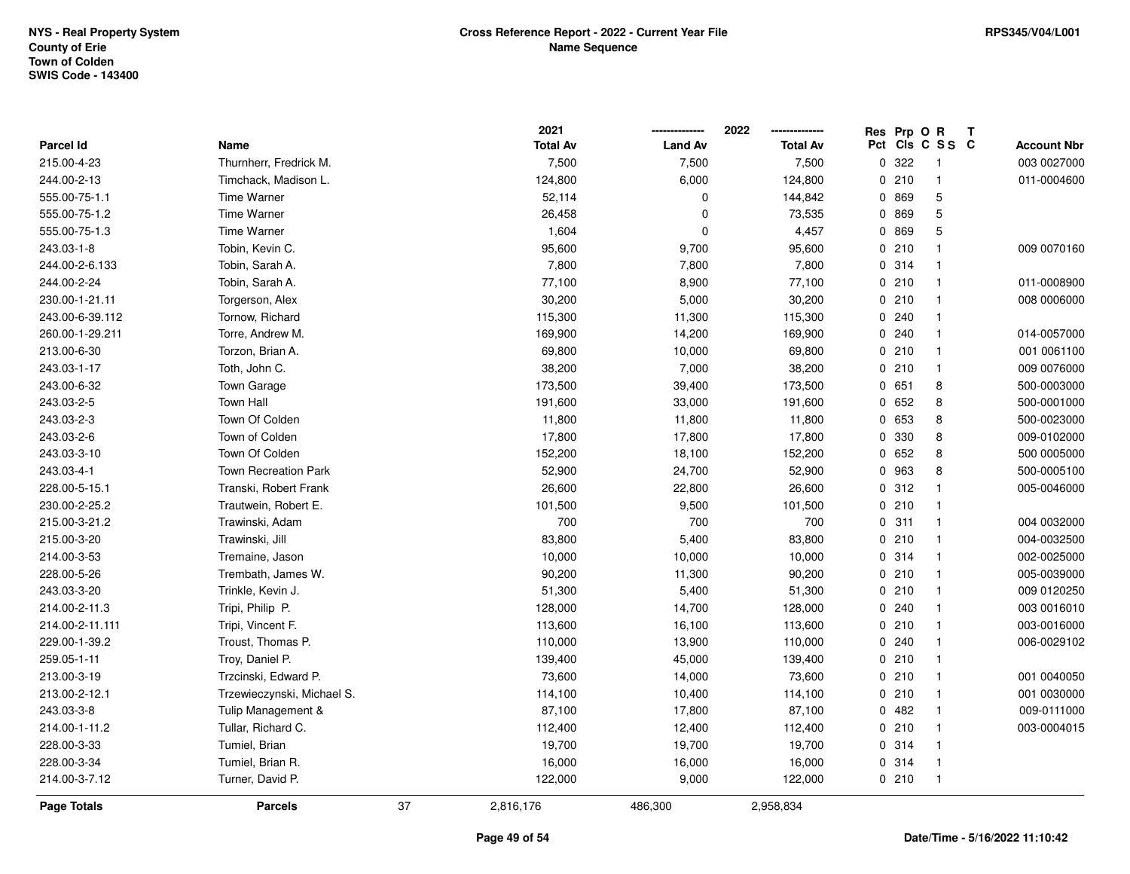|                  |                             |    | 2021            |                | 2022            | Res Prp O R |                         | Т                  |
|------------------|-----------------------------|----|-----------------|----------------|-----------------|-------------|-------------------------|--------------------|
| <b>Parcel Id</b> | Name                        |    | <b>Total Av</b> | <b>Land Av</b> | <b>Total Av</b> |             | Pct Cls C S S C         | <b>Account Nbr</b> |
| 215.00-4-23      | Thurnherr, Fredrick M.      |    | 7,500           | 7,500          | 7,500           | 0 322       | $\overline{\mathbf{1}}$ | 003 0027000        |
| 244.00-2-13      | Timchack, Madison L.        |    | 124,800         | 6,000          | 124,800         | 0210        | $\overline{\mathbf{1}}$ | 011-0004600        |
| 555.00-75-1.1    | <b>Time Warner</b>          |    | 52,114          | $\mathbf{0}$   | 144,842         | 0 869       | $\mathbf 5$             |                    |
| 555.00-75-1.2    | Time Warner                 |    | 26,458          | $\Omega$       | 73,535          | 0 869       | 5                       |                    |
| 555.00-75-1.3    | <b>Time Warner</b>          |    | 1,604           | 0              | 4,457           | 0 869       | 5                       |                    |
| 243.03-1-8       | Tobin, Kevin C.             |    | 95,600          | 9,700          | 95,600          | 0210        | $\mathbf{1}$            | 009 0070160        |
| 244.00-2-6.133   | Tobin, Sarah A.             |    | 7,800           | 7,800          | 7,800           | 0 314       | $\overline{\mathbf{1}}$ |                    |
| 244.00-2-24      | Tobin, Sarah A.             |    | 77,100          | 8,900          | 77,100          | 0210        | $\overline{1}$          | 011-0008900        |
| 230.00-1-21.11   | Torgerson, Alex             |    | 30,200          | 5,000          | 30,200          | 0210        | $\overline{\mathbf{1}}$ | 008 0006000        |
| 243.00-6-39.112  | Tornow, Richard             |    | 115,300         | 11,300         | 115,300         | 0.240       | $\mathbf{1}$            |                    |
| 260.00-1-29.211  | Torre, Andrew M.            |    | 169,900         | 14,200         | 169,900         | 0.240       | $\overline{\mathbf{1}}$ | 014-0057000        |
| 213.00-6-30      | Torzon, Brian A.            |    | 69,800          | 10,000         | 69,800          | 0210        | $\overline{\mathbf{1}}$ | 001 0061100        |
| 243.03-1-17      | Toth, John C.               |    | 38,200          | 7,000          | 38,200          | 0210        | -1                      | 009 0076000        |
| 243.00-6-32      | Town Garage                 |    | 173,500         | 39,400         | 173,500         | 0651        | 8                       | 500-0003000        |
| 243.03-2-5       | <b>Town Hall</b>            |    | 191,600         | 33,000         | 191,600         | 0652        | 8                       | 500-0001000        |
| 243.03-2-3       | Town Of Colden              |    | 11,800          | 11,800         | 11,800          | 0 653       | 8                       | 500-0023000        |
| 243.03-2-6       | Town of Colden              |    | 17,800          | 17,800         | 17,800          | 0 330       | 8                       | 009-0102000        |
| 243.03-3-10      | Town Of Colden              |    | 152,200         | 18,100         | 152,200         | 0652        | 8                       | 500 0005000        |
| 243.03-4-1       | <b>Town Recreation Park</b> |    | 52,900          | 24,700         | 52,900          | 0 963       | 8                       | 500-0005100        |
| 228.00-5-15.1    | Transki, Robert Frank       |    | 26,600          | 22,800         | 26,600          | 0.312       | $\overline{\mathbf{1}}$ | 005-0046000        |
| 230.00-2-25.2    | Trautwein, Robert E.        |    | 101,500         | 9,500          | 101,500         | 0210        | $\overline{1}$          |                    |
| 215.00-3-21.2    | Trawinski, Adam             |    | 700             | 700            | 700             | 0.311       | $\overline{1}$          | 004 0032000        |
| 215.00-3-20      | Trawinski, Jill             |    | 83,800          | 5,400          | 83,800          | 0210        | $\overline{\mathbf{1}}$ | 004-0032500        |
| 214.00-3-53      | Tremaine, Jason             |    | 10,000          | 10,000         | 10,000          | 0.314       | $\overline{\mathbf{1}}$ | 002-0025000        |
| 228.00-5-26      | Trembath, James W.          |    | 90,200          | 11,300         | 90,200          | 0210        | $\overline{\mathbf{1}}$ | 005-0039000        |
| 243.03-3-20      | Trinkle, Kevin J.           |    | 51,300          | 5,400          | 51,300          | 0210        | -1                      | 009 0120250        |
| 214.00-2-11.3    | Tripi, Philip P.            |    | 128,000         | 14,700         | 128,000         | 0.240       | -1                      | 003 0016010        |
| 214.00-2-11.111  | Tripi, Vincent F.           |    | 113,600         | 16,100         | 113,600         | 0210        | $\overline{\mathbf{1}}$ | 003-0016000        |
| 229.00-1-39.2    | Troust, Thomas P.           |    | 110,000         | 13,900         | 110,000         | 0.240       | $\overline{\mathbf{1}}$ | 006-0029102        |
| 259.05-1-11      | Troy, Daniel P.             |    | 139,400         | 45,000         | 139,400         | 0210        | $\overline{1}$          |                    |
| 213.00-3-19      | Trzcinski, Edward P.        |    | 73,600          | 14,000         | 73,600          | 0210        | $\overline{\mathbf{1}}$ | 001 0040050        |
| 213.00-2-12.1    | Trzewieczynski, Michael S.  |    | 114,100         | 10,400         | 114,100         | 0210        | $\overline{\mathbf{1}}$ | 001 0030000        |
| 243.03-3-8       | Tulip Management &          |    | 87,100          | 17,800         | 87,100          | 0482        | $\mathbf{1}$            | 009-0111000        |
| 214.00-1-11.2    | Tullar, Richard C.          |    | 112,400         | 12,400         | 112,400         | 0210        | $\overline{\mathbf{1}}$ | 003-0004015        |
| 228.00-3-33      | Tumiel, Brian               |    | 19,700          | 19,700         | 19,700          | 0 314       | $\overline{\mathbf{1}}$ |                    |
| 228.00-3-34      | Tumiel, Brian R.            |    | 16,000          | 16,000         | 16,000          | 0.314       | $\overline{1}$          |                    |
| 214.00-3-7.12    | Turner, David P.            |    | 122,000         | 9,000          | 122,000         | 0210        | $\overline{1}$          |                    |
| Page Totals      | <b>Parcels</b>              | 37 | 2,816,176       | 486,300        | 2,958,834       |             |                         |                    |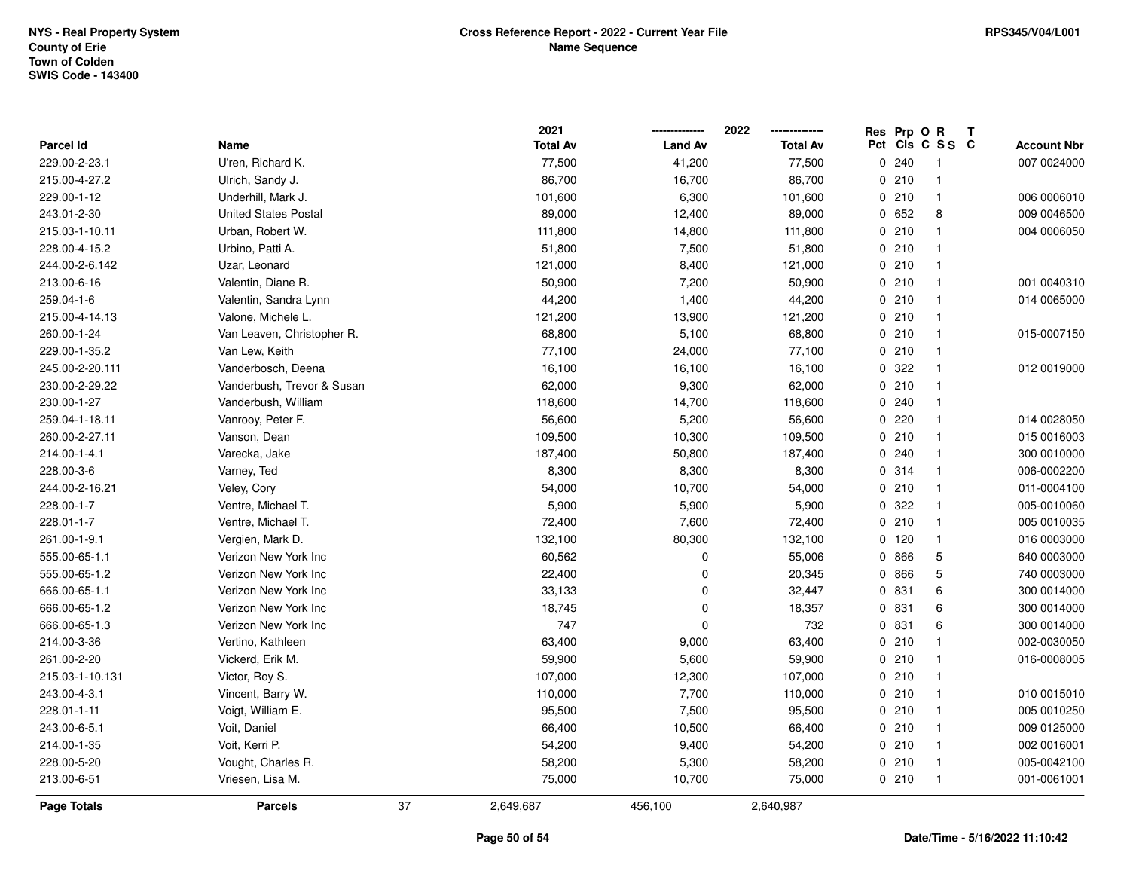|                  |                             |    | 2021            |                | 2022            |     | Res Prp O R | Т              |                    |
|------------------|-----------------------------|----|-----------------|----------------|-----------------|-----|-------------|----------------|--------------------|
| <b>Parcel Id</b> | Name                        |    | <b>Total Av</b> | <b>Land Av</b> | <b>Total Av</b> | Pct |             | CIS C S S C    | <b>Account Nbr</b> |
| 229.00-2-23.1    | U'ren, Richard K.           |    | 77,500          | 41,200         | 77,500          | 0   | 240         | $\mathbf{1}$   | 007 0024000        |
| 215.00-4-27.2    | Ulrich, Sandy J.            |    | 86,700          | 16,700         | 86,700          |     | 0210        | $\overline{1}$ |                    |
| 229.00-1-12      | Underhill, Mark J.          |    | 101,600         | 6,300          | 101,600         |     | 0210        | $\overline{1}$ | 006 0006010        |
| 243.01-2-30      | <b>United States Postal</b> |    | 89,000          | 12,400         | 89,000          |     | 0 652       | 8              | 009 0046500        |
| 215.03-1-10.11   | Urban, Robert W.            |    | 111,800         | 14,800         | 111,800         |     | 0210        | $\mathbf{1}$   | 004 0006050        |
| 228.00-4-15.2    | Urbino, Patti A.            |    | 51,800          | 7,500          | 51,800          |     | 0210        | $\mathbf{1}$   |                    |
| 244.00-2-6.142   | Uzar, Leonard               |    | 121,000         | 8,400          | 121,000         |     | 0210        | $\overline{1}$ |                    |
| 213.00-6-16      | Valentin, Diane R.          |    | 50,900          | 7,200          | 50,900          |     | 0210        | $\overline{1}$ | 001 0040310        |
| 259.04-1-6       | Valentin, Sandra Lynn       |    | 44,200          | 1,400          | 44,200          |     | 0210        | $\overline{1}$ | 014 0065000        |
| 215.00-4-14.13   | Valone, Michele L.          |    | 121,200         | 13,900         | 121,200         |     | 0210        | $\overline{1}$ |                    |
| 260.00-1-24      | Van Leaven, Christopher R.  |    | 68,800          | 5,100          | 68,800          |     | 0210        | $\mathbf{1}$   | 015-0007150        |
| 229.00-1-35.2    | Van Lew, Keith              |    | 77,100          | 24,000         | 77,100          |     | 0210        | $\mathbf 1$    |                    |
| 245.00-2-20.111  | Vanderbosch, Deena          |    | 16,100          | 16,100         | 16,100          |     | 0 322       |                | 012 0019000        |
| 230.00-2-29.22   | Vanderbush, Trevor & Susan  |    | 62,000          | 9,300          | 62,000          |     | 0210        | $\mathbf 1$    |                    |
| 230.00-1-27      | Vanderbush, William         |    | 118,600         | 14,700         | 118,600         |     | 0.240       | $\mathbf{1}$   |                    |
| 259.04-1-18.11   | Vanrooy, Peter F.           |    | 56,600          | 5,200          | 56,600          |     | 0220        | $\overline{1}$ | 014 0028050        |
| 260.00-2-27.11   | Vanson, Dean                |    | 109,500         | 10,300         | 109,500         |     | 0210        | $\mathbf{1}$   | 015 0016003        |
| 214.00-1-4.1     | Varecka, Jake               |    | 187,400         | 50,800         | 187,400         |     | 0 240       | $\mathbf{1}$   | 300 0010000        |
| 228.00-3-6       | Varney, Ted                 |    | 8,300           | 8,300          | 8,300           |     | 0.314       | $\mathbf 1$    | 006-0002200        |
| 244.00-2-16.21   | Veley, Cory                 |    | 54,000          | 10,700         | 54,000          |     | 0210        | $\mathbf{1}$   | 011-0004100        |
| 228.00-1-7       | Ventre, Michael T.          |    | 5,900           | 5,900          | 5,900           |     | 0 322       | $\mathbf{1}$   | 005-0010060        |
| 228.01-1-7       | Ventre, Michael T.          |    | 72,400          | 7,600          | 72,400          |     | 0210        | $\mathbf{1}$   | 005 0010035        |
| 261.00-1-9.1     | Vergien, Mark D.            |    | 132,100         | 80,300         | 132,100         |     | 0 120       | $\mathbf{1}$   | 016 0003000        |
| 555.00-65-1.1    | Verizon New York Inc        |    | 60,562          | $\mathbf 0$    | 55,006          |     | 0 866       | 5              | 640 0003000        |
| 555.00-65-1.2    | Verizon New York Inc        |    | 22,400          | $\Omega$       | 20,345          |     | 0 866       | 5              | 740 0003000        |
| 666.00-65-1.1    | Verizon New York Inc        |    | 33,133          | $\mathbf 0$    | 32,447          |     | 0 831       | 6              | 300 0014000        |
| 666.00-65-1.2    | Verizon New York Inc        |    | 18,745          | $\Omega$       | 18,357          |     | 0 831       | 6              | 300 0014000        |
| 666.00-65-1.3    | Verizon New York Inc        |    | 747             | $\mathbf 0$    | 732             |     | 0 831       | 6              | 300 0014000        |
| 214.00-3-36      | Vertino, Kathleen           |    | 63,400          | 9,000          | 63,400          |     | 0210        | $\overline{1}$ | 002-0030050        |
| 261.00-2-20      | Vickerd, Erik M.            |    | 59,900          | 5,600          | 59,900          |     | 0210        | $\mathbf{1}$   | 016-0008005        |
| 215.03-1-10.131  | Victor, Roy S.              |    | 107,000         | 12,300         | 107,000         |     | 0210        | $\overline{1}$ |                    |
| 243.00-4-3.1     | Vincent, Barry W.           |    | 110,000         | 7,700          | 110,000         |     | 0210        | $\overline{1}$ | 010 0015010        |
| 228.01-1-11      | Voigt, William E.           |    | 95,500          | 7,500          | 95,500          |     | 0210        | $\overline{1}$ | 005 0010250        |
| 243.00-6-5.1     | Voit, Daniel                |    | 66,400          | 10,500         | 66,400          |     | 0210        | $\mathbf{1}$   | 009 0125000        |
| 214.00-1-35      | Voit, Kerri P.              |    | 54,200          | 9,400          | 54,200          |     | 0210        | $\overline{1}$ | 002 0016001        |
| 228.00-5-20      | Vought, Charles R.          |    | 58,200          | 5,300          | 58,200          |     | 0210        | $\mathbf{1}$   | 005-0042100        |
| 213.00-6-51      | Vriesen, Lisa M.            |    | 75,000          | 10,700         | 75,000          |     | 0210        | $\overline{1}$ | 001-0061001        |
| Page Totals      | <b>Parcels</b>              | 37 | 2,649,687       | 456,100        | 2,640,987       |     |             |                |                    |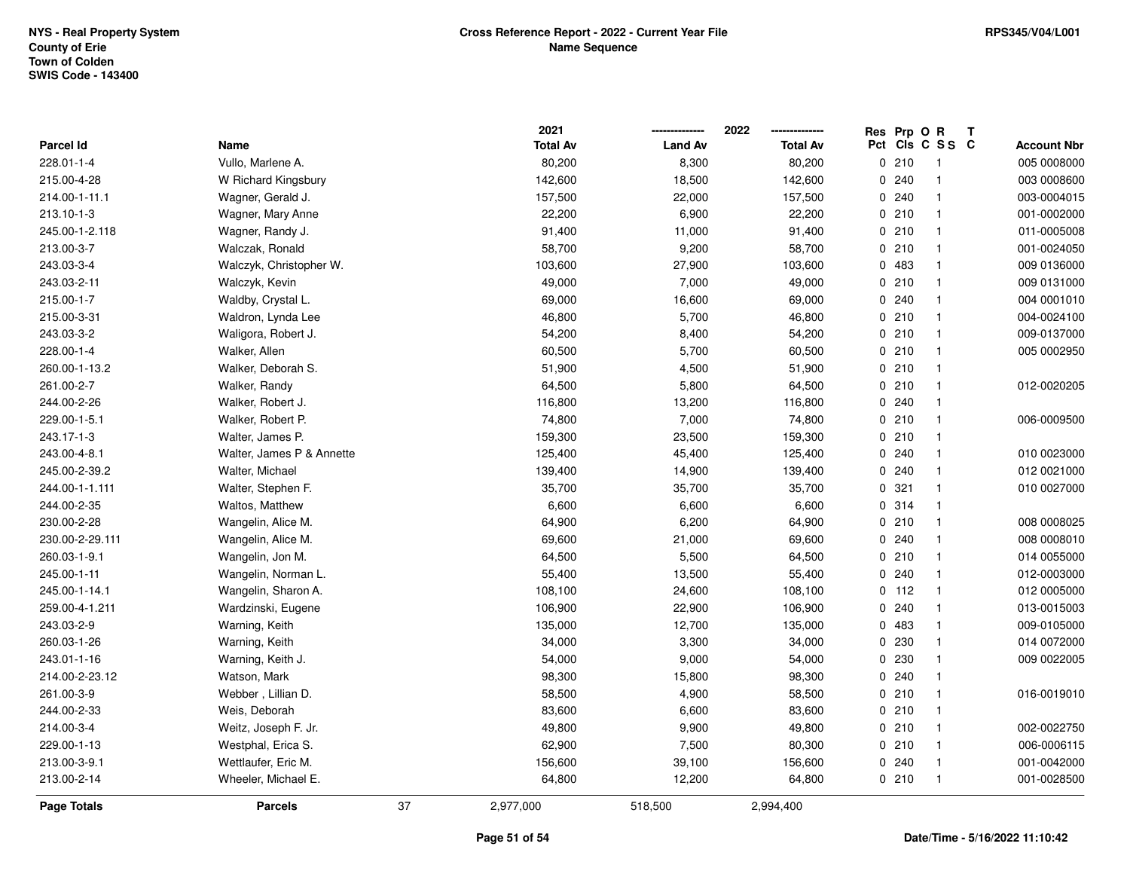|                  |                           |    | 2021            |                | 2022            | Res Prp O R |                 | Т |                    |
|------------------|---------------------------|----|-----------------|----------------|-----------------|-------------|-----------------|---|--------------------|
| <b>Parcel Id</b> | Name                      |    | <b>Total Av</b> | <b>Land Av</b> | <b>Total Av</b> |             | Pct Cls C S S C |   | <b>Account Nbr</b> |
| 228.01-1-4       | Vullo, Marlene A.         |    | 80,200          | 8,300          | 80,200          | 0210        | $\overline{1}$  |   | 005 0008000        |
| 215.00-4-28      | W Richard Kingsbury       |    | 142,600         | 18,500         | 142,600         | 0.240       | $\mathbf{1}$    |   | 003 0008600        |
| 214.00-1-11.1    | Wagner, Gerald J.         |    | 157,500         | 22,000         | 157,500         | 0.240       | $\mathbf{1}$    |   | 003-0004015        |
| 213.10-1-3       | Wagner, Mary Anne         |    | 22,200          | 6,900          | 22,200          | 0210        | $\mathbf{1}$    |   | 001-0002000        |
| 245.00-1-2.118   | Wagner, Randy J.          |    | 91,400          | 11,000         | 91,400          | 0210        | $\mathbf{1}$    |   | 011-0005008        |
| 213.00-3-7       | Walczak, Ronald           |    | 58,700          | 9,200          | 58,700          | 0210        | 1               |   | 001-0024050        |
| 243.03-3-4       | Walczyk, Christopher W.   |    | 103,600         | 27,900         | 103,600         | 0 483       | $\mathbf{1}$    |   | 009 0136000        |
| 243.03-2-11      | Walczyk, Kevin            |    | 49,000          | 7,000          | 49,000          | 0210        | $\mathbf{1}$    |   | 009 0131000        |
| 215.00-1-7       | Waldby, Crystal L.        |    | 69,000          | 16,600         | 69,000          | 0.240       | $\mathbf{1}$    |   | 004 0001010        |
| 215.00-3-31      | Waldron, Lynda Lee        |    | 46,800          | 5,700          | 46,800          | 0210        | 1               |   | 004-0024100        |
| 243.03-3-2       | Waligora, Robert J.       |    | 54,200          | 8,400          | 54,200          | 0210        | $\mathbf{1}$    |   | 009-0137000        |
| 228.00-1-4       | Walker, Allen             |    | 60,500          | 5,700          | 60,500          | 0210        | $\mathbf{1}$    |   | 005 0002950        |
| 260.00-1-13.2    | Walker, Deborah S.        |    | 51,900          | 4,500          | 51,900          | 0210        | 1               |   |                    |
| 261.00-2-7       | Walker, Randy             |    | 64,500          | 5,800          | 64,500          | 0210        | 1               |   | 012-0020205        |
| 244.00-2-26      | Walker, Robert J.         |    | 116,800         | 13,200         | 116,800         | 0.240       | $\mathbf{1}$    |   |                    |
| 229.00-1-5.1     | Walker, Robert P.         |    | 74,800          | 7,000          | 74,800          | 0210        | $\mathbf{1}$    |   | 006-0009500        |
| 243.17-1-3       | Walter, James P.          |    | 159,300         | 23,500         | 159,300         | 0210        | $\mathbf{1}$    |   |                    |
| 243.00-4-8.1     | Walter, James P & Annette |    | 125,400         | 45,400         | 125,400         | 0 240       | $\mathbf{1}$    |   | 010 0023000        |
| 245.00-2-39.2    | Walter, Michael           |    | 139,400         | 14,900         | 139,400         | 0.240       | $\mathbf{1}$    |   | 012 0021000        |
| 244.00-1-1.111   | Walter, Stephen F.        |    | 35,700          | 35,700         | 35,700          | 0.321       | 1               |   | 010 0027000        |
| 244.00-2-35      | Waltos, Matthew           |    | 6,600           | 6,600          | 6,600           | 0.314       | $\mathbf{1}$    |   |                    |
| 230.00-2-28      | Wangelin, Alice M.        |    | 64,900          | 6,200          | 64,900          | 0210        | $\mathbf{1}$    |   | 008 0008025        |
| 230.00-2-29.111  | Wangelin, Alice M.        |    | 69,600          | 21,000         | 69,600          | 0 240       | $\mathbf{1}$    |   | 008 0008010        |
| 260.03-1-9.1     | Wangelin, Jon M.          |    | 64,500          | 5,500          | 64,500          | 0210        | $\mathbf{1}$    |   | 014 0055000        |
| 245.00-1-11      | Wangelin, Norman L.       |    | 55,400          | 13,500         | 55,400          | 0.240       | $\mathbf{1}$    |   | 012-0003000        |
| 245.00-1-14.1    | Wangelin, Sharon A.       |    | 108,100         | 24,600         | 108,100         | $0$ 112     | $\mathbf{1}$    |   | 012 0005000        |
| 259.00-4-1.211   | Wardzinski, Eugene        |    | 106,900         | 22,900         | 106,900         | 0.240       | 1               |   | 013-0015003        |
| 243.03-2-9       | Warning, Keith            |    | 135,000         | 12,700         | 135,000         | 0 483       | $\mathbf{1}$    |   | 009-0105000        |
| 260.03-1-26      | Warning, Keith            |    | 34,000          | 3,300          | 34,000          | 0 230       | $\mathbf{1}$    |   | 014 0072000        |
| 243.01-1-16      | Warning, Keith J.         |    | 54,000          | 9,000          | 54,000          | 0 230       | $\mathbf{1}$    |   | 009 0022005        |
| 214.00-2-23.12   | Watson, Mark              |    | 98,300          | 15,800         | 98,300          | 0 240       | $\mathbf{1}$    |   |                    |
| 261.00-3-9       | Webber, Lillian D.        |    | 58,500          | 4,900          | 58,500          | 0210        | $\mathbf{1}$    |   | 016-0019010        |
| 244.00-2-33      | Weis, Deborah             |    | 83,600          | 6,600          | 83,600          | 0210        | $\mathbf{1}$    |   |                    |
| 214.00-3-4       | Weitz, Joseph F. Jr.      |    | 49,800          | 9,900          | 49,800          | 0210        | $\mathbf{1}$    |   | 002-0022750        |
| 229.00-1-13      | Westphal, Erica S.        |    | 62,900          | 7,500          | 80,300          | 0210        | 1               |   | 006-0006115        |
| 213.00-3-9.1     | Wettlaufer, Eric M.       |    | 156,600         | 39,100         | 156,600         | 0.240       | $\mathbf{1}$    |   | 001-0042000        |
| 213.00-2-14      | Wheeler, Michael E.       |    | 64,800          | 12,200         | 64,800          | 0210        | $\mathbf{1}$    |   | 001-0028500        |
| Page Totals      | <b>Parcels</b>            | 37 | 2,977,000       | 518,500        | 2,994,400       |             |                 |   |                    |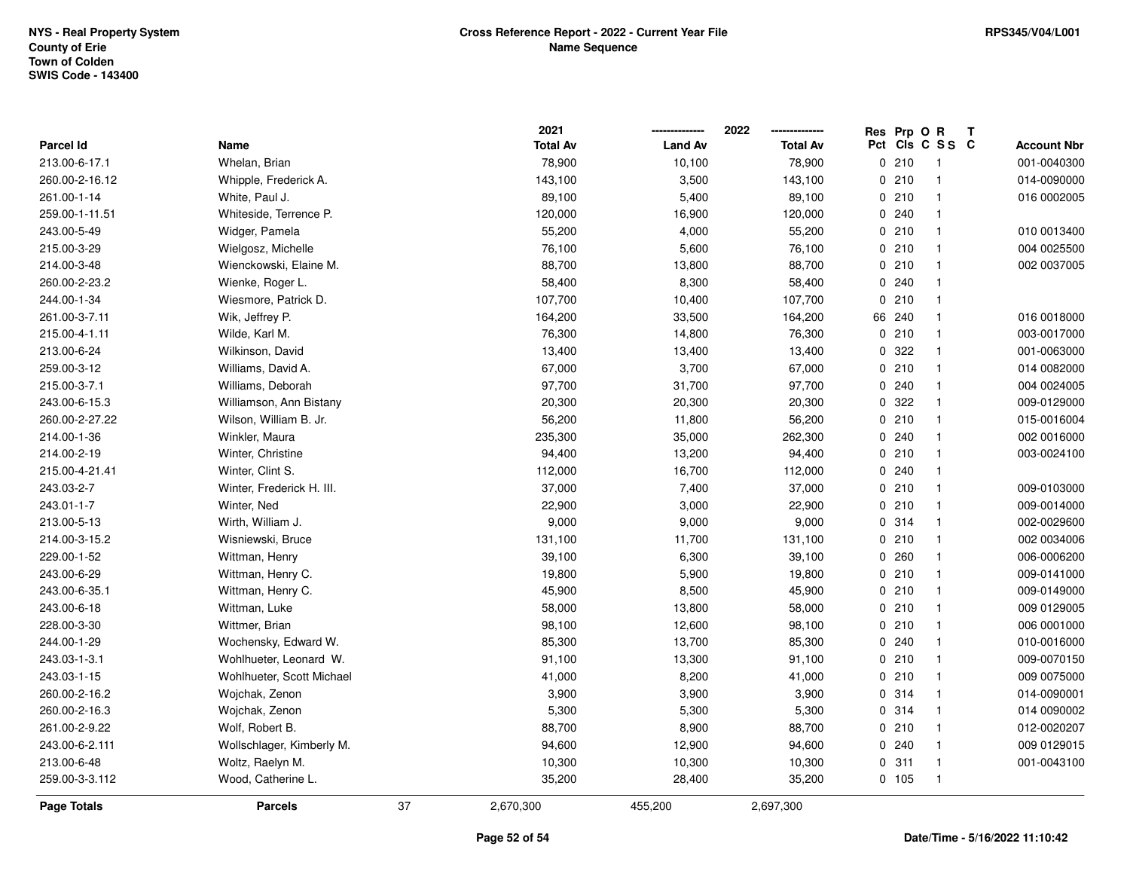|                |                           |    | 2021            |                | 2022            |     | Res Prp O R |                         | Т |                    |
|----------------|---------------------------|----|-----------------|----------------|-----------------|-----|-------------|-------------------------|---|--------------------|
| Parcel Id      | Name                      |    | <b>Total Av</b> | <b>Land Av</b> | <b>Total Av</b> | Pct |             | CIS C S S C             |   | <b>Account Nbr</b> |
| 213.00-6-17.1  | Whelan, Brian             |    | 78,900          | 10,100         | 78,900          |     | 0210        | $\overline{\mathbf{1}}$ |   | 001-0040300        |
| 260.00-2-16.12 | Whipple, Frederick A.     |    | 143,100         | 3,500          | 143,100         | 0   | 210         | $\overline{1}$          |   | 014-0090000        |
| 261.00-1-14    | White, Paul J.            |    | 89,100          | 5,400          | 89,100          |     | 0210        | $\mathbf{1}$            |   | 016 0002005        |
| 259.00-1-11.51 | Whiteside, Terrence P.    |    | 120,000         | 16,900         | 120,000         |     | 0.240       | $\overline{1}$          |   |                    |
| 243.00-5-49    | Widger, Pamela            |    | 55,200          | 4,000          | 55,200          |     | 0210        | $\mathbf{1}$            |   | 010 0013400        |
| 215.00-3-29    | Wielgosz, Michelle        |    | 76,100          | 5,600          | 76,100          |     | 0210        | $\overline{1}$          |   | 004 0025500        |
| 214.00-3-48    | Wienckowski, Elaine M.    |    | 88,700          | 13,800         | 88,700          |     | 0210        | $\mathbf{1}$            |   | 002 0037005        |
| 260.00-2-23.2  | Wienke, Roger L.          |    | 58,400          | 8,300          | 58,400          | 0   | 240         | $\overline{1}$          |   |                    |
| 244.00-1-34    | Wiesmore, Patrick D.      |    | 107,700         | 10,400         | 107,700         | 0   | 210         | $\overline{1}$          |   |                    |
| 261.00-3-7.11  | Wik, Jeffrey P.           |    | 164,200         | 33,500         | 164,200         | 66  | 240         | $\mathbf{1}$            |   | 016 0018000        |
| 215.00-4-1.11  | Wilde, Karl M.            |    | 76,300          | 14,800         | 76,300          |     | 0210        | -1                      |   | 003-0017000        |
| 213.00-6-24    | Wilkinson, David          |    | 13,400          | 13,400         | 13,400          |     | 0 322       | -1                      |   | 001-0063000        |
| 259.00-3-12    | Williams, David A.        |    | 67,000          | 3,700          | 67,000          |     | 0210        |                         |   | 014 0082000        |
| 215.00-3-7.1   | Williams, Deborah         |    | 97,700          | 31,700         | 97,700          |     | 0.240       | $\mathbf{1}$            |   | 004 0024005        |
| 243.00-6-15.3  | Williamson, Ann Bistany   |    | 20,300          | 20,300         | 20,300          | 0   | 322         | $\overline{1}$          |   | 009-0129000        |
| 260.00-2-27.22 | Wilson, William B. Jr.    |    | 56,200          | 11,800         | 56,200          |     | 0210        | $\mathbf{1}$            |   | 015-0016004        |
| 214.00-1-36    | Winkler, Maura            |    | 235,300         | 35,000         | 262,300         |     | 0.240       | $\mathbf{1}$            |   | 002 0016000        |
| 214.00-2-19    | Winter, Christine         |    | 94,400          | 13,200         | 94,400          |     | 0210        | -1                      |   | 003-0024100        |
| 215.00-4-21.41 | Winter, Clint S.          |    | 112,000         | 16,700         | 112,000         |     | 0.240       | -1                      |   |                    |
| 243.03-2-7     | Winter, Frederick H. III. |    | 37,000          | 7,400          | 37,000          |     | 0210        | $\overline{1}$          |   | 009-0103000        |
| 243.01-1-7     | Winter, Ned               |    | 22,900          | 3,000          | 22,900          |     | 0210        | $\mathbf{1}$            |   | 009-0014000        |
| 213.00-5-13    | Wirth, William J.         |    | 9,000           | 9,000          | 9,000           |     | 0.314       | -1                      |   | 002-0029600        |
| 214.00-3-15.2  | Wisniewski, Bruce         |    | 131,100         | 11,700         | 131,100         |     | 0210        | $\mathbf{1}$            |   | 002 0034006        |
| 229.00-1-52    | Wittman, Henry            |    | 39,100          | 6,300          | 39,100          | 0   | 260         | $\overline{1}$          |   | 006-0006200        |
| 243.00-6-29    | Wittman, Henry C.         |    | 19,800          | 5,900          | 19,800          |     | 0210        | $\mathbf{1}$            |   | 009-0141000        |
| 243.00-6-35.1  | Wittman, Henry C.         |    | 45,900          | 8,500          | 45,900          |     | 0210        | -1                      |   | 009-0149000        |
| 243.00-6-18    | Wittman, Luke             |    | 58,000          | 13,800         | 58,000          |     | 0210        | -1                      |   | 009 0129005        |
| 228.00-3-30    | Wittmer, Brian            |    | 98,100          | 12,600         | 98,100          |     | 0210        | $\overline{1}$          |   | 006 0001000        |
| 244.00-1-29    | Wochensky, Edward W.      |    | 85,300          | 13,700         | 85,300          |     | 0.240       | $\overline{1}$          |   | 010-0016000        |
| 243.03-1-3.1   | Wohlhueter, Leonard W.    |    | 91,100          | 13,300         | 91,100          |     | 0210        | $\mathbf{1}$            |   | 009-0070150        |
| 243.03-1-15    | Wohlhueter, Scott Michael |    | 41,000          | 8,200          | 41,000          |     | 0210        | $\mathbf{1}$            |   | 009 0075000        |
| 260.00-2-16.2  | Wojchak, Zenon            |    | 3,900           | 3,900          | 3,900           |     | 0.314       | $\mathbf{1}$            |   | 014-0090001        |
| 260.00-2-16.3  | Wojchak, Zenon            |    | 5,300           | 5,300          | 5,300           |     | 0.314       | $\overline{1}$          |   | 014 0090002        |
| 261.00-2-9.22  | Wolf, Robert B.           |    | 88,700          | 8,900          | 88,700          |     | 0210        | $\overline{1}$          |   | 012-0020207        |
| 243.00-6-2.111 | Wollschlager, Kimberly M. |    | 94,600          | 12,900         | 94,600          |     | 0.240       | $\mathbf{1}$            |   | 009 0129015        |
| 213.00-6-48    | Woltz, Raelyn M.          |    | 10,300          | 10,300         | 10,300          |     | 0.311       | -1                      |   | 001-0043100        |
| 259.00-3-3.112 | Wood, Catherine L.        |    | 35,200          | 28,400         | 35,200          |     | 0 105       | $\overline{1}$          |   |                    |
| Page Totals    | <b>Parcels</b>            | 37 | 2,670,300       | 455,200        | 2,697,300       |     |             |                         |   |                    |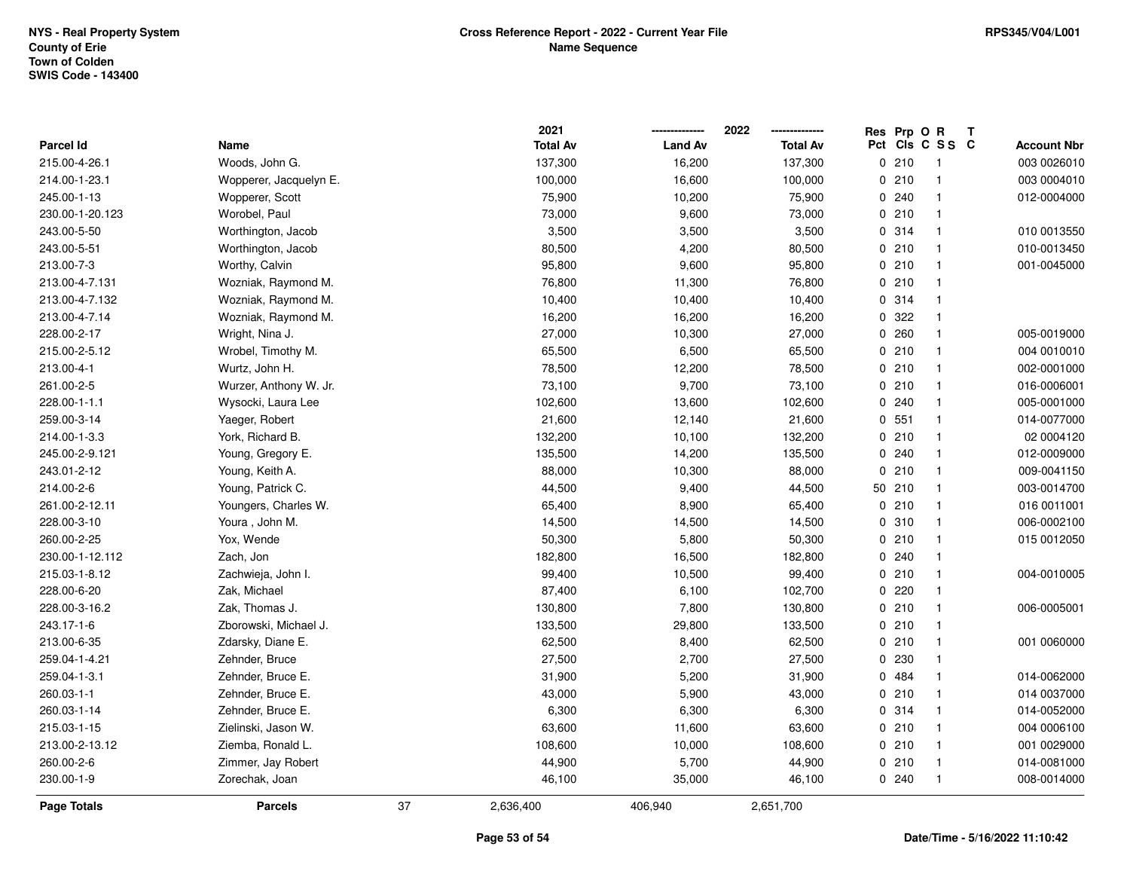|                  |                        |    | 2021            |                | 2022            |     | Res Prp O R |                | Т |                    |
|------------------|------------------------|----|-----------------|----------------|-----------------|-----|-------------|----------------|---|--------------------|
| <b>Parcel Id</b> | Name                   |    | <b>Total Av</b> | <b>Land Av</b> | <b>Total Av</b> | Pct |             | CIS C S S C    |   | <b>Account Nbr</b> |
| 215.00-4-26.1    | Woods, John G.         |    | 137,300         | 16,200         | 137,300         |     | 0210        | $\overline{1}$ |   | 003 0026010        |
| 214.00-1-23.1    | Wopperer, Jacquelyn E. |    | 100,000         | 16,600         | 100,000         |     | 0210        | $\overline{1}$ |   | 003 0004010        |
| 245.00-1-13      | Wopperer, Scott        |    | 75,900          | 10,200         | 75,900          |     | 0.240       | $\mathbf{1}$   |   | 012-0004000        |
| 230.00-1-20.123  | Worobel, Paul          |    | 73,000          | 9,600          | 73,000          |     | 0210        | -1             |   |                    |
| 243.00-5-50      | Worthington, Jacob     |    | 3,500           | 3,500          | 3,500           |     | 0.314       | $\mathbf{1}$   |   | 010 0013550        |
| 243.00-5-51      | Worthington, Jacob     |    | 80,500          | 4,200          | 80,500          |     | 0210        | $\mathbf{1}$   |   | 010-0013450        |
| 213.00-7-3       | Worthy, Calvin         |    | 95,800          | 9,600          | 95,800          |     | 0210        | $\overline{1}$ |   | 001-0045000        |
| 213.00-4-7.131   | Wozniak, Raymond M.    |    | 76,800          | 11,300         | 76,800          |     | 0210        | $\overline{1}$ |   |                    |
| 213.00-4-7.132   | Wozniak, Raymond M.    |    | 10,400          | 10,400         | 10,400          |     | 0 314       | $\overline{1}$ |   |                    |
| 213.00-4-7.14    | Wozniak, Raymond M.    |    | 16,200          | 16,200         | 16,200          |     | 0.322       | $\overline{1}$ |   |                    |
| 228.00-2-17      | Wright, Nina J.        |    | 27,000          | 10,300         | 27,000          |     | 0.260       | $\mathbf{1}$   |   | 005-0019000        |
| 215.00-2-5.12    | Wrobel, Timothy M.     |    | 65,500          | 6,500          | 65,500          |     | 0210        | $\mathbf 1$    |   | 004 0010010        |
| 213.00-4-1       | Wurtz, John H.         |    | 78,500          | 12,200         | 78,500          |     | 0210        |                |   | 002-0001000        |
| 261.00-2-5       | Wurzer, Anthony W. Jr. |    | 73,100          | 9,700          | 73,100          |     | 0210        | $\mathbf 1$    |   | 016-0006001        |
| 228.00-1-1.1     | Wysocki, Laura Lee     |    | 102,600         | 13,600         | 102,600         |     | 0.240       | $\mathbf{1}$   |   | 005-0001000        |
| 259.00-3-14      | Yaeger, Robert         |    | 21,600          | 12,140         | 21,600          |     | 0, 551      | $\mathbf{1}$   |   | 014-0077000        |
| 214.00-1-3.3     | York, Richard B.       |    | 132,200         | 10,100         | 132,200         |     | 0210        | $\mathbf{1}$   |   | 02 0004120         |
| 245.00-2-9.121   | Young, Gregory E.      |    | 135,500         | 14,200         | 135,500         |     | 0.240       | $\mathbf{1}$   |   | 012-0009000        |
| 243.01-2-12      | Young, Keith A.        |    | 88,000          | 10,300         | 88,000          |     | 0210        | $\mathbf 1$    |   | 009-0041150        |
| 214.00-2-6       | Young, Patrick C.      |    | 44,500          | 9,400          | 44,500          |     | 50 210      |                |   | 003-0014700        |
| 261.00-2-12.11   | Youngers, Charles W.   |    | 65,400          | 8,900          | 65,400          |     | 0210        | $\mathbf{1}$   |   | 016 0011001        |
| 228.00-3-10      | Youra, John M.         |    | 14,500          | 14,500         | 14,500          |     | 0.310       | $\mathbf{1}$   |   | 006-0002100        |
| 260.00-2-25      | Yox, Wende             |    | 50,300          | 5,800          | 50,300          |     | 0210        | $\mathbf{1}$   |   | 015 0012050        |
| 230.00-1-12.112  | Zach, Jon              |    | 182,800         | 16,500         | 182,800         |     | 0.240       | $\mathbf{1}$   |   |                    |
| 215.03-1-8.12    | Zachwieja, John I.     |    | 99,400          | 10,500         | 99,400          |     | 0210        | $\overline{1}$ |   | 004-0010005        |
| 228.00-6-20      | Zak, Michael           |    | 87,400          | 6,100          | 102,700         |     | $0$ 220     | $\mathbf 1$    |   |                    |
| 228.00-3-16.2    | Zak, Thomas J.         |    | 130,800         | 7,800          | 130,800         |     | 0210        | $\mathbf 1$    |   | 006-0005001        |
| 243.17-1-6       | Zborowski, Michael J.  |    | 133,500         | 29,800         | 133,500         |     | 0210        | $\mathbf{1}$   |   |                    |
| 213.00-6-35      | Zdarsky, Diane E.      |    | 62,500          | 8,400          | 62,500          |     | 0210        | $\mathbf{1}$   |   | 001 0060000        |
| 259.04-1-4.21    | Zehnder, Bruce         |    | 27,500          | 2,700          | 27,500          |     | 0 230       | $\mathbf{1}$   |   |                    |
| 259.04-1-3.1     | Zehnder, Bruce E.      |    | 31,900          | 5,200          | 31,900          |     | 0 484       | $\overline{1}$ |   | 014-0062000        |
| 260.03-1-1       | Zehnder, Bruce E.      |    | 43,000          | 5,900          | 43,000          |     | 0210        | $\mathbf{1}$   |   | 014 0037000        |
| 260.03-1-14      | Zehnder, Bruce E.      |    | 6,300           | 6,300          | 6,300           |     | 0.314       | $\overline{1}$ |   | 014-0052000        |
| 215.03-1-15      | Zielinski, Jason W.    |    | 63,600          | 11,600         | 63,600          |     | 0210        | $\overline{1}$ |   | 004 0006100        |
| 213.00-2-13.12   | Ziemba, Ronald L.      |    | 108,600         | 10,000         | 108,600         |     | 0210        | $\overline{1}$ |   | 001 0029000        |
| 260.00-2-6       | Zimmer, Jay Robert     |    | 44,900          | 5,700          | 44,900          |     | 0210        | $\mathbf{1}$   |   | 014-0081000        |
| 230.00-1-9       | Zorechak, Joan         |    | 46,100          | 35,000         | 46,100          |     | 0.240       | $\overline{1}$ |   | 008-0014000        |
| Page Totals      | <b>Parcels</b>         | 37 | 2,636,400       | 406,940        | 2,651,700       |     |             |                |   |                    |